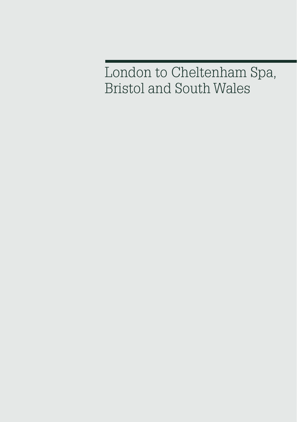London to Cheltenham Spa, Bristol and South Wales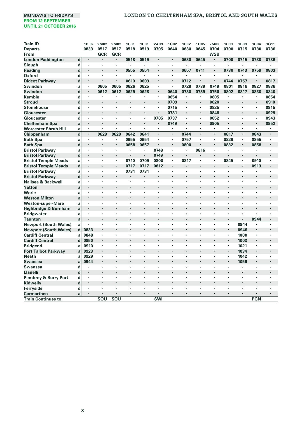| Train ID                     |             | <b>1B06</b> | 2M02 | 2M02 | <b>1C01</b>          | <b>1C01</b> | 2A99                 | 1G02                 | <b>1C02</b> | <b>1U05</b> | 2M03       | <b>1C03</b>          | <b>1B09</b>          | 1C04           | 1G11                 |
|------------------------------|-------------|-------------|------|------|----------------------|-------------|----------------------|----------------------|-------------|-------------|------------|----------------------|----------------------|----------------|----------------------|
| <b>Departs</b>               |             | 0833        | 0517 | 0517 | 0518                 | 0519        | 0705                 | 0640                 | 0630        | 0645        | 0704       | 0700                 | 0715                 | 0730           | 0736                 |
| From                         |             |             | GCR  | GCR  |                      |             |                      |                      |             |             | <b>WSB</b> |                      |                      |                |                      |
| <b>London Paddington</b>     | d           | ٠           | l,   |      | 0518                 | 0519        | $\cdot$              | $\cdot$              | 0630        | 0645        | ï          | 0700                 | 0715                 | 0730           | 0736                 |
| Slough                       | d           | ٠           |      | ×    |                      |             |                      | $\cdot$              |             | ٠           | ×          |                      |                      |                |                      |
| Reading                      | d           |             |      |      | 0555                 | 0554        |                      |                      | 0657        | 0711        | ï          | 0730                 | 0743                 | 0759           | 0803                 |
| <b>Oxford</b>                | d           | ٠           |      | ×    | ٠                    | ٠           | ٠                    | $\cdot$              | ٠           |             | ٠          |                      |                      |                |                      |
| <b>Didcot Parkway</b>        | d           | ×,          |      |      | 0610                 | 0609        |                      |                      | 0712        |             |            | 0744                 | 0757                 | $\blacksquare$ | 0817                 |
| Swindon                      | a           | ٠           | 0605 | 0605 | 0626                 | 0625        | $\cdot$              | ٠                    | 0728        | 0739        | 0748       | 0801                 | 0816                 | 0827           | 0836                 |
| Swindon                      | $\mathbf d$ | ٠           | 0612 | 0612 | 0629                 | 0628        |                      | 0640                 | 0730        | 0739        | 0750       | 0802                 | 0817                 | 0830           | 0840                 |
| Kemble                       | d           | ٠           |      | ٠    | ٠                    | ٠           |                      | 0654                 | ٠           | ٠           | 0805       | ٠                    | ٠                    |                | 0854                 |
| <b>Stroud</b>                | d           |             |      |      |                      | ×           | $\cdot$              | 0709                 | ٠           | ٠           | 0820       |                      | ٠                    | $\blacksquare$ | 0910                 |
| <b>Stonehouse</b>            | d           | ×           | ٠    | ×    | ×,                   | ٠           | $\cdot$              | 0715                 | ×,          | ×,          | 0825       | ٠                    | ٠                    |                | 0915                 |
| Gloucester                   | a           | ٠           |      |      |                      | ×           |                      | 0731                 |             | ×           | 0848       | ٠                    | ×                    | $\blacksquare$ | 0929                 |
| Gloucester                   | d           | ٠           |      | ï    | ×                    | ï           | 0705                 | 0737                 | ×           | ×,          | 0852       | ٠                    | ×                    | $\cdot$        | 0943                 |
| <b>Cheltenham Spa</b>        | a           | ٠           | ٠    | ł.   |                      | ×           | $\cdot$              | 0749                 | ٠           | ٠           | 0905       | ٠                    | ٠                    | $\blacksquare$ | 0952                 |
| <b>Worcester Shrub Hill</b>  | a           | ×,          | ×    | ×,   | ×                    | ï           | $\cdot$              |                      | ×           | ×,          | ٠          | ٠                    | $\blacksquare$       |                | $\cdot$              |
| Chippenham                   | $\mathbf d$ | ×.          | 0629 | 0629 | 0642                 | 0641        | $\cdot$              | $\blacksquare$       | 0744        | ×,          | ×,         | 0817                 | $\blacksquare$       | 0843           | $\cdot$              |
| <b>Bath Spa</b>              | a           | ٠           |      | ٠    | 0655                 | 0654        | $\cdot$              | $\blacksquare$       | 0757        | ٠           | ٠          | 0829                 | ٠                    | 0855           |                      |
| <b>Bath Spa</b>              | $\mathbf d$ | ×           |      | ×    | 0658                 | 0657        |                      | $\cdot$              | 0800        |             | ٠          | 0832                 | ٠                    | 0858           |                      |
| <b>Bristol Parkway</b>       | a           | ٠           |      | ×    | ٠                    | ٠           | 0748                 | $\cdot$              | ٠           | 0816        | ٠          |                      | ٠                    |                |                      |
| <b>Bristol Parkway</b>       | d           | ï           |      | ï    |                      | ٠           | 0749                 | $\cdot$              | ï           |             | ï          |                      | ï                    |                |                      |
| <b>Bristol Temple Meads</b>  | a           | ٠           | ٠    | ٠    | 0710                 | 0709        | 0800                 | $\blacksquare$       | 0817        | ×           | ٠          | 0845                 | ٠                    | 0910           |                      |
| <b>Bristol Temple Meads</b>  | $\mathbf d$ | ٠           | ï    | ٠    | 0717                 | 0717        | 0812                 | $\blacksquare$       | ï           | ٠           |            |                      |                      | 0913           | $\cdot$              |
| <b>Bristol Parkway</b>       | a           | ٠           | ٠    | ٠    | 0731                 | 0731        | ٠                    | ٠                    | ٠           | ٠           | ٠          | ٠                    | ٠                    | $\cdot$        | $\cdot$              |
| <b>Bristol Parkway</b>       | $\mathbf d$ | ٠           |      |      |                      | ٠           | $\cdot$              |                      |             | ٠           |            |                      |                      | $\cdot$        |                      |
| Nailsea & Backwell           | a           | ٠           | ٠    | ٠    | ï                    | ٠           | $\cdot$              | ٠                    | ٠           | ٠           | ٠          | ٠                    | ٠                    |                | $\cdot$              |
| Yatton                       | a           |             |      |      |                      |             |                      |                      |             |             |            |                      |                      |                |                      |
| Worle                        | a           | ٠           | ٠    | ٠    | ٠                    | ٠           | $\cdot$              | $\cdot$              | ٠           | ٠           | ٠          | ٠                    | ٠                    | $\cdot$        | $\cdot$              |
| <b>Weston Milton</b>         | a           | ٠           |      |      |                      |             |                      |                      |             |             |            |                      |                      |                |                      |
| <b>Weston-super-Mare</b>     | a           | ٠           | ٠    | ٠    | ٠                    | ٠           | ٠                    | $\cdot$              | ٠           | ٠           | ٠          | ٠                    | ï                    | $\cdot$        |                      |
| Highbridge & Burnham         | a           | ٠           | ×,   |      |                      |             |                      |                      |             |             | Ĭ.         |                      |                      |                |                      |
| <b>Bridgwater</b>            | a           | ٠           | ٠    | ٠    | ٠                    |             | ٠                    | $\cdot$              | ٠           | ٠           | ٠          | ٠                    | ٠                    |                |                      |
| <b>Taunton</b>               | a           | ٠           | ٠    |      | ï                    | ٠           |                      |                      |             | ٠           | ×,         | ×.                   | ٠                    | 0944           |                      |
| <b>Newport (South Wales)</b> | a           | ٠           | ٠    | ï    | ï                    | ٠           |                      |                      | ×           | ï           | ï          | ٠                    | 0944                 |                | $\cdot$              |
| <b>Newport (South Wales)</b> | d           | 0833        |      |      |                      |             |                      |                      |             |             |            | ٠                    | 0946                 |                |                      |
| <b>Cardiff Central</b>       | a           | 0848        | ٠    | ×    | ×                    | ٠           | ٠                    | $\cdot$              |             | ٠           | ×          | ×,                   | 1000                 |                |                      |
| <b>Cardiff Central</b>       | $\mathbf d$ | 0850        |      |      |                      |             |                      |                      |             |             |            | ٠                    | 1003                 | $\cdot$        |                      |
| <b>Bridgend</b>              | a           | 0910        | ٠    | ٠    | $\cdot$              | ٠           | $\cdot$              | $\cdot$              | ٠           | ٠           | ٠          | ٠                    | 1021                 |                | $\cdot$              |
| <b>Port Talbot Parkway</b>   | a           | 0923        |      |      | l.                   | ٠           | $\ddot{\phantom{0}}$ |                      | ۰           | ×,          | i.         | ٠                    | 1034                 | $\cdot$        |                      |
| <b>Neath</b>                 | a           | 0929        | ٠    | ٠    | ٠                    | ٠           | $\cdot$              | $\cdot$              | ٠           | ٠           | ٠          | ٠                    | 1042                 | $\cdot$        | $\cdot$              |
|                              | a           | 0944        |      |      |                      | ×           |                      |                      |             |             |            | $\blacksquare$       | 1056                 | $\blacksquare$ |                      |
| Swansea                      |             |             |      | ٠    | ٠                    | ٠           | $\cdot$              | $\cdot$              | ٠           | ٠           | ٠          | ٠                    |                      | $\cdot$        |                      |
| Swansea                      | d           |             |      |      |                      |             |                      |                      |             |             |            |                      |                      |                |                      |
| <b>Llanelli</b>              | d           | ×<br>×      |      | ×    |                      |             |                      | $\ddot{\phantom{0}}$ | ×.          | ×           | ×          | ×,                   | ä,                   | $\cdot$<br>÷   | $\ddot{\phantom{0}}$ |
| Pembrey & Burry Port         | d           |             |      |      |                      |             |                      |                      |             |             |            |                      |                      |                |                      |
| Kidwelly                     | $\mathbf d$ | ٠           |      |      |                      |             |                      |                      |             | ٠           | ٠          |                      |                      |                |                      |
| Ferryside                    | d           | ٠           |      |      |                      |             |                      |                      | ٠           |             |            |                      |                      |                |                      |
| <b>Carmarthen</b>            | a           | ٠           | ٠    | ٠    | $\ddot{\phantom{0}}$ | ٠           | $\cdot$              |                      |             | ٠           | ٠          | $\ddot{\phantom{0}}$ | $\ddot{\phantom{0}}$ | $\cdot$        | $\cdot$              |
| <b>Train Continues to</b>    |             |             | SOU  | SOU  |                      |             | <b>SWI</b>           |                      |             |             |            |                      |                      | PGN            |                      |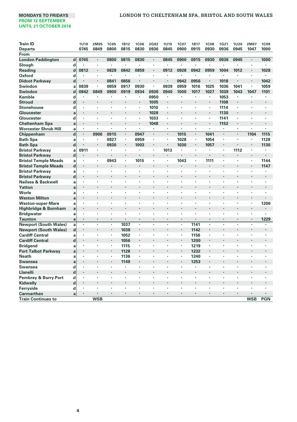# **MONDAYS TO FRIDAYS LONDON TO CHELTENHAM SPA, BRISTOL AND SOUTH WALES**

| <b>Train ID</b>              |             | <b>1U10</b>    | 2M05                 | <b>1C05</b>    | 1B12 | <b>1C06</b> | 2G82           | <b>1U15</b>          | <b>1C07</b>          | <b>1B17</b>    | <b>1C08</b>    | 1G21 | <b>1U20</b>    | 2M07           | <b>1C09</b>    |
|------------------------------|-------------|----------------|----------------------|----------------|------|-------------|----------------|----------------------|----------------------|----------------|----------------|------|----------------|----------------|----------------|
| <b>Departs</b>               |             | 0745           | 0849                 | 0800           | 0815 | 0830        | 0936           | 0845                 | 0900                 | 0915           | 0930           | 0936 | 0945           | 1047           | 1000           |
| From                         |             |                |                      |                |      |             |                |                      |                      |                |                |      |                |                |                |
| <b>London Paddington</b>     | $\mathbf d$ | 0745           | $\blacksquare$       | 0800           | 0815 | 0830        | $\blacksquare$ | 0845                 | 0900                 | 0915           | 0930           | 0936 | 0945           | $\blacksquare$ | 1000           |
| Slough                       | d           | ٠              | $\cdot$              | ٠              | ×    | ٠           | ×,             | $\cdot$              | $\cdot$              | ٠              | ٠              | ×    |                | ×              |                |
| <b>Reading</b>               | d           | 0812           | $\cdot$              | 0828           | 0842 | 0859        | ٠              | 0912                 | 0928                 | 0942           | 0959           | 1004 | 1012           | ٠              | 1028           |
| Oxford                       | d           |                | $\cdot$              | ×              | ä,   |             | ٠              | $\ddot{\phantom{0}}$ | $\cdot$              | $\cdot$        | ٠              | ٠    |                | ×              | $\cdot$        |
| <b>Didcot Parkway</b>        | $\mathbf d$ |                | $\cdot$              | 0841           | 0856 | ٠           | ٠              | $\cdot$              | 0942                 | 0956           | $\blacksquare$ | 1018 |                | $\blacksquare$ | 1042           |
| Swindon                      | a           | 0839           | $\cdot$              | 0859           | 0917 | 0930        | $\cdot$        | 0939                 | 0959                 | 1016           | 1025           | 1036 | 1041           | ٠              | 1059           |
| <b>Swindon</b>               | $\mathbf d$ | 0842           | 0849                 | 0900           | 0919 | 0934        | 0936           | 0940                 | 1000                 | 1017           | 1027           | 1039 | 1043           | 1047           | 1101           |
| Kemble                       | d           | ٠              | $\cdot$              |                | ٠    | ٠           | 0950           | ٠                    | $\cdot$              |                | ٠              | 1053 |                | ٠              | $\cdot$        |
| <b>Stroud</b>                | $\mathbf d$ |                | $\cdot$              | ٠              | ï    | $\cdot$     | 1005           | $\cdot$              | $\cdot$              | $\cdot$        | ×,             | 1108 | $\cdot$        |                | $\cdot$        |
| <b>Stonehouse</b>            | d           | $\cdot$        | $\cdot$              | ٠              | ï    | ٠           | 1010           | ٠                    |                      |                | ٠              | 1114 | ٠              | ×              | $\cdot$        |
| Gloucester                   | a           |                | $\cdot$              | $\cdot$        | ٠    | $\cdot$     | 1028           | $\cdot$              | $\cdot$              | $\cdot$        | $\blacksquare$ | 1130 | $\cdot$        | ï              | $\cdot$        |
| Gloucester                   | d           | $\cdot$        | $\cdot$              | ×              | ï    | ٠           | 1033           | ٠                    | $\cdot$              |                | ٠              | 1141 | ٠              | ٠              | ٠              |
| <b>Cheltenham Spa</b>        | a           | $\blacksquare$ | $\cdot$              | ×,             | ٠    | $\cdot$     | 1048           |                      | $\cdot$              | $\blacksquare$ | ٠              | 1152 | $\blacksquare$ |                | $\cdot$        |
| <b>Worcester Shrub Hill</b>  | a           | $\blacksquare$ |                      | ×,             | ٠    | ٠           | $\mathbf{r}$   |                      |                      | ٠              | ×,             | ٠    | ×,             | ٠              |                |
| Chippenham                   | $\mathbf d$ | $\cdot$        | 0906                 | 0915           | ٠    | 0947        | $\blacksquare$ | $\cdot$              | 1015                 | $\cdot$        | 1041           | ï    | $\blacksquare$ | 1104           | 1115           |
| <b>Bath Spa</b>              | a           | ٠              | $\cdot$              | 0927           | ٠    | 0959        | ٠              | ٠                    | 1028                 | ٠              | 1054           | ٠    | ٠              | ٠              | 1128           |
| <b>Bath Spa</b>              | $\mathbf d$ |                |                      | 0930           | ٠    | 1003        | ۰              |                      | 1030                 | $\blacksquare$ | 1057           | ×    |                | $\cdot$        | 1130           |
| <b>Bristol Parkway</b>       | a           | 0911           | ٠                    | ×,             | ٠    |             | ٠              | 1013                 | $\cdot$              |                |                | ٠    | 1112           | ٠              | $\cdot$        |
| <b>Bristol Parkway</b>       | $\mathbf d$ | $\blacksquare$ | $\cdot$              | $\cdot$        | ï    |             | ۰              | $\cdot$              |                      | $\cdot$        |                | ×    |                | ×              | $\cdot$        |
| <b>Bristol Temple Meads</b>  | a           | $\blacksquare$ | ٠                    | 0943           | ٠    | 1015        | ٠              | $\blacksquare$       | 1043                 |                | 1111           | ×,   | ×,             | ٠              | 1144           |
| <b>Bristol Temple Meads</b>  | $\mathbf d$ | ۰              | $\cdot$              |                | ٠    |             | ٠              | $\cdot$              | $\cdot$              | $\cdot$        | ٠              | ٠    |                | ٠              | 1147           |
| <b>Bristol Parkway</b>       | a           | $\cdot$        | $\cdot$              | ×              | ï    | ×           | ×              | $\cdot$              | $\cdot$              |                | ×,             | ٠    | ×              | ï              | $\cdot$        |
| <b>Bristol Parkway</b>       | $\mathbf d$ | $\blacksquare$ | $\blacksquare$       |                |      |             |                |                      | $\ddot{\phantom{0}}$ |                |                |      |                | ł.             | $\blacksquare$ |
| Nailsea & Backwell           | a           | $\cdot$        | $\cdot$              | ×              | ï    |             | ï              | $\cdot$              | $\cdot$              |                | ٠              | ï    | ٠              | ٠              |                |
| Yatton                       | a           | $\cdot$        |                      |                |      |             |                |                      |                      |                |                |      |                |                |                |
| Worle                        | a           | $\cdot$        | $\cdot$              | ٠              | ł    |             | ٠              | $\cdot$              | $\cdot$              | $\cdot$        |                | ×    | ٠              | ٠              | ٠              |
| <b>Weston Milton</b>         | a           |                |                      |                |      |             |                |                      |                      |                |                |      |                |                |                |
| <b>Weston-super-Mare</b>     | a           | $\cdot$        | $\cdot$              | ٠              | ï    |             | ٠              | $\cdot$              | $\cdot$              | $\cdot$        |                | ٠    | ٠              | ٠              | 1206           |
| Highbridge & Burnham         | a           |                |                      |                |      |             |                |                      |                      |                |                |      |                | ï              | $\cdot$        |
| <b>Bridgwater</b>            | a           | ٠              | $\cdot$              | ٠              | ï    |             | ٠              | $\cdot$              | $\cdot$              | ٠              | ٠              | ٠    | ٠              | ×              | ٠              |
| <b>Taunton</b>               | a           | $\cdot$        | $\ddot{\phantom{0}}$ | ٠              | ۰    |             |                |                      | $\cdot$              | $\cdot$        | ٠              | ٠    |                | ٠              | 1229           |
| <b>Newport (South Wales)</b> | a           | $\cdot$        |                      | ×,             | 1037 | ٠           | ï              |                      |                      | 1141           | ×,             | ï    | ٠              | ï              |                |
| <b>Newport (South Wales)</b> | $\mathbf d$ | $\cdot$        | $\ddot{\phantom{0}}$ | $\blacksquare$ | 1038 | ٠           | ÷,             |                      | $\overline{a}$       | 1142           | ٠              | i.   |                | ٠              | $\cdot$        |
| <b>Cardiff Central</b>       | a           | $\cdot$        |                      | ×,             | 1052 | ٠           | ٠              |                      | ٠                    | 1156           | ×,             | ٠    | ٠              | ٠              | $\cdot$        |
| <b>Cardiff Central</b>       | d           | $\cdot$        | $\cdot$              | ٠              | 1056 |             | ٠              |                      | $\cdot$              | 1200           | ٠              | ٠    |                | ٠              | $\cdot$        |
| <b>Bridgend</b>              | a           | $\cdot$        | $\cdot$              | ٠              | 1115 | ٠           | ٠              | ٠                    | ٠                    | 1219           | ٠              | ٠    | ٠              | ٠              | $\cdot$        |
| <b>Port Talbot Parkway</b>   | a           | $\cdot$        |                      | ٠              | 1128 |             |                |                      | $\cdot$              | 1232           |                | ï    |                | ×              | $\cdot$        |
| <b>Neath</b>                 | a           | ٠              | $\cdot$              | ٠              | 1136 | ٠           | ٠              | $\cdot$              |                      | 1240           | ×,             | ٠    | ٠              | ×              | $\cdot$        |
| <b>Swansea</b>               | a           | $\cdot$        | $\cdot$              | ٠              | 1149 | ٠           | ٠              | $\cdot$              | $\blacksquare$       | 1253           | ٠              | ×    | ٠              | ٠              | $\cdot$        |
| <b>Swansea</b>               | d           | $\cdot$        | $\cdot$              | ×              | ×    | ٠           | ï              | $\cdot$              |                      | ٠              | ×              | ï    | ×              | ×              | ٠              |
| Llanelli                     | $\mathbf d$ | $\cdot$        | $\cdot$              |                | ٠    | ٠           | ٠              | $\cdot$              | $\cdot$              | ٠              | ٠              | ٠    | ٠              | $\cdot$        | $\cdot$        |
| Pembrey & Burry Port         | d           | $\cdot$        | $\cdot$              |                | ï    |             | ä,             | $\cdot$              | $\cdot$              | $\cdot$        | ٠              | ï    | ×              | ×              |                |
| Kidwelly                     | $\mathbf d$ | $\blacksquare$ | $\blacksquare$       |                | ٠    |             | ٠              | $\blacksquare$       | $\ddot{\phantom{0}}$ | $\cdot$        | ٠              | ٠    |                | ٠              | $\cdot$        |
| Ferryside                    | d           | $\cdot$        |                      |                |      |             | ×,             | $\ddot{\phantom{0}}$ |                      | ٠              |                |      |                |                |                |
| Carmarthen                   | a           | $\cdot$        | $\cdot$              | ٠              | ٠    | ٠           | ٠              | $\cdot$              | $\cdot$              | $\cdot$        | ٠              | ٠    | ٠              | $\cdot$        | $\cdot$        |
| <b>Train Continues to</b>    |             |                | <b>WSB</b>           |                |      |             |                |                      |                      |                |                |      |                | <b>WSB</b>     | <b>PGN</b>     |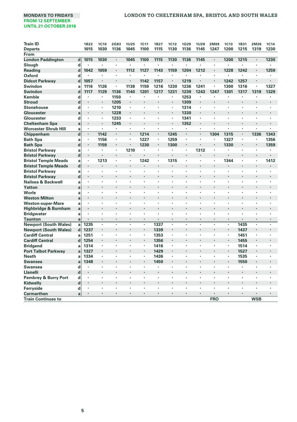| 1B22<br>1C10<br>2G83<br><b>1U25</b><br><b>1C11</b><br><b>1B27</b><br>1C12<br>1G29<br><b>1U28</b><br>2M09<br><b>1C13</b><br>1B31<br>2M26<br>1C14<br><b>Departs</b><br>1015<br>1030<br>1136<br>1045<br>1100<br>1115<br>1130<br>1136<br>1145<br>1247<br>1200<br>1215<br>1319<br>1230<br>From<br><b>London Paddington</b><br>$\mathbf d$<br>1015<br>1030<br>1045<br>1100<br>1115<br>1130<br>1136<br>1145<br>1200<br>1215<br>1230<br>$\blacksquare$<br>٠<br>$\blacksquare$<br>d<br>Slough<br>×<br>٠<br>٠<br>$\cdot$<br>$\cdot$<br>٠<br>٠<br>$\cdot$<br>ï<br>$\ddot{\phantom{0}}$<br>٠<br>d<br>1042<br>1059<br>1112<br>1127<br>1143<br>1159<br>1204<br>1212<br>1228<br>1242<br>1259<br><b>Reading</b><br>٠<br>٠<br>$\cdot$<br>Oxford<br>d<br>٠<br>٠<br>$\ddot{\phantom{0}}$<br>$\cdot$<br>٠<br>٠<br>٠<br>×<br>ł.<br>$\cdot$<br>$\cdot$<br><b>Didcot Parkway</b><br>d<br>1057<br>1142<br>1157<br>1219<br>1242<br>1257<br>٠<br>×<br>٠<br>ł.<br>$\cdot$<br>$\cdot$<br>$\cdot$<br>1126<br>1138<br>1216<br>1230<br>1241<br>1327<br>Swindon<br>1116<br>×<br>1159<br>1236<br>٠<br>1300<br>1316<br>a<br>d<br>1129<br>1201<br>1231<br>1239<br>1247<br>1301<br>Swindon<br>1117<br>1136<br>1140<br>1217<br>1243<br>1317<br>1319<br>1329<br>1253<br>Kemble<br>d<br>1150<br>×<br>$\cdot$<br>٠<br>٠<br>٠<br>$\overline{\phantom{a}}$<br>$\cdot$<br>٠<br>٠<br>٠<br>٠<br>d<br>1309<br><b>Stroud</b><br>1205<br>٠<br>٠<br>$\ddot{\phantom{0}}$<br>$\cdot$<br>$\blacksquare$<br>٠<br>٠<br>٠<br>٠<br>$\blacksquare$<br><b>Stonehouse</b><br>d<br>1210<br>1314<br>×,<br>×<br>×<br>ł,<br>÷,<br>٠<br>٠<br>$\cdot$<br>1228<br>1330<br>a<br>٠<br>٠<br>$\ddot{\phantom{0}}$<br>$\cdot$<br>٠<br>$\bullet$<br>$\cdot$<br>٠<br>٠<br>٠<br>$\blacksquare$<br>d<br>1233<br>1341<br>×<br>×<br>$\cdot$<br>×,<br>ł,<br>٠<br>٠<br>$\ddot{\phantom{0}}$<br>٠<br>٠<br><b>Cheltenham Spa</b><br>1245<br>1352<br>a<br>٠<br>$\cdot$<br>ł,<br>$\cdot$<br>٠<br>٠<br>٠<br>٠<br>٠<br>٠<br>٠<br>$\blacksquare$<br>×,<br>$\cdot$<br>$\cdot$<br>×,<br>٠<br>ï<br>×<br>a<br>٠<br>٠<br>٠<br>٠<br>٠<br>٠<br>$\mathbf d$<br>×,<br>1142<br>×,<br>1214<br>1245<br>1304<br>1315<br>1336<br>1343<br>$\blacksquare$<br>$\cdot$<br>×,<br>×,<br>$\cdot$<br>1156<br>1227<br>1259<br>1327<br>1356<br>٠<br>×<br>ï<br>a<br>٠<br>٠<br>٠<br>٠<br>٠<br>$\cdot$<br>$\mathbf d$<br>1159<br>1230<br>1300<br>1330<br>1359<br>٠<br>٠<br>٠<br>$\cdot$<br>٠<br>$\bullet$<br>٠<br>٠<br>٠<br>1210<br>1312<br>×,<br>a<br>٠<br>×<br>٠<br>$\overline{\phantom{a}}$<br>$\ddot{\phantom{0}}$<br>٠<br>$\ddot{\phantom{0}}$<br>٠<br>$\blacksquare$<br>$\blacksquare$<br>$\mathbf d$<br>٠<br>٠<br>$\blacksquare$<br>٠<br>٠<br>$\cdot$<br>٠<br>٠<br>٠<br>$\blacksquare$<br>1213<br>1242<br>1315<br>1344<br>1412<br>٠<br>a<br>٠<br>٠<br>٠<br>٠<br>×<br>$\mathbf d$<br>٠<br>٠<br>٠<br>٠<br>$\blacksquare$<br>٠<br>٠<br>٠<br>٠<br>$\cdot$<br>÷,<br>a<br>٠<br>ł.<br>٠<br>٠<br>Ĭ.<br>×<br>$\ddot{\phantom{0}}$<br>$\mathbf d$<br><b>Bristol Parkway</b><br>٠<br>ł.<br>×,<br>×.<br>٠<br>$\cdot$<br>a<br>٠<br>٠<br>×<br>×<br>٠<br>×<br>ł.<br>٠<br>a<br>×<br>×,<br>$\ddot{\phantom{0}}$<br>×,<br>×,<br>×.<br>٠<br>$\cdot$<br>a<br>٠<br>×<br>Ĭ.<br>٠<br>a<br>٠<br>×,<br>٠<br>a<br>٠<br>٠<br>×<br>٠<br>Highbridge & Burnham<br>a<br>٠<br>$\ddot{\phantom{0}}$<br>×,<br>×,<br>٠<br><b>Bridgwater</b><br>a<br>÷<br>٠<br>×<br>Ĭ.<br><b>Taunton</b><br>a<br>٠<br>٠<br>٠<br>$\blacksquare$<br>٠<br>$\cdot$<br>$\cdot$<br>٠<br>٠<br>٠<br>٠<br>$\ddot{\phantom{0}}$<br>$\cdot$<br>$\blacksquare$<br><b>Newport (South Wales)</b><br>1235<br>1337<br>1435<br>a<br>ï<br>ł<br>٠<br>٠<br>$\cdot$<br>×<br>,<br>1237<br><b>Newport (South Wales)</b><br>d<br>1339<br>1437<br>×<br>×<br>٠<br>$\cdot$<br>٠<br>٠<br>٠<br>$\cdot$<br>1251<br>1353<br>1451<br>a<br>×<br>٠<br>$\bullet$<br>$\cdot$<br>×<br>٠<br>٠<br><b>Cardiff Central</b><br>$\mathbf d$<br>1254<br>1356<br>1455<br>٠<br>٠<br>$\cdot$<br>$\cdot$<br>٠<br>٠<br>$\cdot$<br>1314<br>1416<br>1514<br><b>Bridgend</b><br>a<br>×<br>٠<br>٠<br>$\bullet$<br>$\cdot$<br>×<br>×<br>٠<br>٠<br>٠<br><b>Port Talbot Parkway</b><br>1327<br>1429<br>1527<br>a<br>٠<br>٠<br>$\cdot$<br>$\cdot$<br>٠<br>٠<br>٠<br>$\cdot$<br>٠<br><b>Neath</b><br>1334<br>1436<br>1535<br>a<br>٠<br>٠<br>$\cdot$<br>×<br>٠<br>٠<br>1348<br>1450<br>1550<br>a<br>Swansea<br>٠<br>i.<br>٠<br>$\cdot$<br>٠<br>٠<br>$\blacksquare$<br>d<br>Swansea<br>٠<br>$\cdot$<br>×<br>×<br>٠<br>٠<br>٠<br>٠<br>٠<br>$\mathbf d$<br>Llanelli<br>i.<br>٠<br>$\ddot{\phantom{0}}$<br>$\cdot$<br>×,<br>٠<br>$\cdot$<br>٠<br><b>Pembrey &amp; Burry Port</b><br>d<br>٠<br>ł.<br>$\cdot$<br>×<br>×<br>٠<br>٠<br>٠<br>٠<br>$\mathbf d$<br>Kidwelly<br>٠<br>٠<br>٠<br>d<br>Ferryside<br>٠<br>×<br>×<br>٠<br>٠<br>×<br>٠<br><b>Carmarthen</b><br>a<br>٠<br>٠<br>٠<br>٠<br>٠<br>٠<br>٠<br>٠<br>$\cdot$<br>٠<br>$\cdot$<br>$\cdot$<br>$\cdot$<br><b>FRO</b><br><b>WSB</b><br><b>Train Continues to</b> |                             |  |  |  |  |  |  |  |  |
|------------------------------------------------------------------------------------------------------------------------------------------------------------------------------------------------------------------------------------------------------------------------------------------------------------------------------------------------------------------------------------------------------------------------------------------------------------------------------------------------------------------------------------------------------------------------------------------------------------------------------------------------------------------------------------------------------------------------------------------------------------------------------------------------------------------------------------------------------------------------------------------------------------------------------------------------------------------------------------------------------------------------------------------------------------------------------------------------------------------------------------------------------------------------------------------------------------------------------------------------------------------------------------------------------------------------------------------------------------------------------------------------------------------------------------------------------------------------------------------------------------------------------------------------------------------------------------------------------------------------------------------------------------------------------------------------------------------------------------------------------------------------------------------------------------------------------------------------------------------------------------------------------------------------------------------------------------------------------------------------------------------------------------------------------------------------------------------------------------------------------------------------------------------------------------------------------------------------------------------------------------------------------------------------------------------------------------------------------------------------------------------------------------------------------------------------------------------------------------------------------------------------------------------------------------------------------------------------------------------------------------------------------------------------------------------------------------------------------------------------------------------------------------------------------------------------------------------------------------------------------------------------------------------------------------------------------------------------------------------------------------------------------------------------------------------------------------------------------------------------------------------------------------------------------------------------------------------------------------------------------------------------------------------------------------------------------------------------------------------------------------------------------------------------------------------------------------------------------------------------------------------------------------------------------------------------------------------------------------------------------------------------------------------------------------------------------------------------------------------------------------------------------------------------------------------------------------------------------------------------------------------------------------------------------------------------------------------------------------------------------------------------------------------------------------------------------------------------------------------------------------------------------------------------------------------------------------------------------------------------------------------------------------------------------------------------------------------------------------------------------------------------------------------------------------------------------------------------------------------------------------------------------------------------------------------------------------------------------------------------------------------------------------------------------------------------------------------------------------------------------------------------------------------------------------------------------------------------------------------------------------------|-----------------------------|--|--|--|--|--|--|--|--|
|                                                                                                                                                                                                                                                                                                                                                                                                                                                                                                                                                                                                                                                                                                                                                                                                                                                                                                                                                                                                                                                                                                                                                                                                                                                                                                                                                                                                                                                                                                                                                                                                                                                                                                                                                                                                                                                                                                                                                                                                                                                                                                                                                                                                                                                                                                                                                                                                                                                                                                                                                                                                                                                                                                                                                                                                                                                                                                                                                                                                                                                                                                                                                                                                                                                                                                                                                                                                                                                                                                                                                                                                                                                                                                                                                                                                                                                                                                                                                                                                                                                                                                                                                                                                                                                                                                                                                                                                                                                                                                                                                                                                                                                                                                                                                                                                                                                                                          | <b>Train ID</b>             |  |  |  |  |  |  |  |  |
|                                                                                                                                                                                                                                                                                                                                                                                                                                                                                                                                                                                                                                                                                                                                                                                                                                                                                                                                                                                                                                                                                                                                                                                                                                                                                                                                                                                                                                                                                                                                                                                                                                                                                                                                                                                                                                                                                                                                                                                                                                                                                                                                                                                                                                                                                                                                                                                                                                                                                                                                                                                                                                                                                                                                                                                                                                                                                                                                                                                                                                                                                                                                                                                                                                                                                                                                                                                                                                                                                                                                                                                                                                                                                                                                                                                                                                                                                                                                                                                                                                                                                                                                                                                                                                                                                                                                                                                                                                                                                                                                                                                                                                                                                                                                                                                                                                                                                          |                             |  |  |  |  |  |  |  |  |
|                                                                                                                                                                                                                                                                                                                                                                                                                                                                                                                                                                                                                                                                                                                                                                                                                                                                                                                                                                                                                                                                                                                                                                                                                                                                                                                                                                                                                                                                                                                                                                                                                                                                                                                                                                                                                                                                                                                                                                                                                                                                                                                                                                                                                                                                                                                                                                                                                                                                                                                                                                                                                                                                                                                                                                                                                                                                                                                                                                                                                                                                                                                                                                                                                                                                                                                                                                                                                                                                                                                                                                                                                                                                                                                                                                                                                                                                                                                                                                                                                                                                                                                                                                                                                                                                                                                                                                                                                                                                                                                                                                                                                                                                                                                                                                                                                                                                                          |                             |  |  |  |  |  |  |  |  |
|                                                                                                                                                                                                                                                                                                                                                                                                                                                                                                                                                                                                                                                                                                                                                                                                                                                                                                                                                                                                                                                                                                                                                                                                                                                                                                                                                                                                                                                                                                                                                                                                                                                                                                                                                                                                                                                                                                                                                                                                                                                                                                                                                                                                                                                                                                                                                                                                                                                                                                                                                                                                                                                                                                                                                                                                                                                                                                                                                                                                                                                                                                                                                                                                                                                                                                                                                                                                                                                                                                                                                                                                                                                                                                                                                                                                                                                                                                                                                                                                                                                                                                                                                                                                                                                                                                                                                                                                                                                                                                                                                                                                                                                                                                                                                                                                                                                                                          |                             |  |  |  |  |  |  |  |  |
|                                                                                                                                                                                                                                                                                                                                                                                                                                                                                                                                                                                                                                                                                                                                                                                                                                                                                                                                                                                                                                                                                                                                                                                                                                                                                                                                                                                                                                                                                                                                                                                                                                                                                                                                                                                                                                                                                                                                                                                                                                                                                                                                                                                                                                                                                                                                                                                                                                                                                                                                                                                                                                                                                                                                                                                                                                                                                                                                                                                                                                                                                                                                                                                                                                                                                                                                                                                                                                                                                                                                                                                                                                                                                                                                                                                                                                                                                                                                                                                                                                                                                                                                                                                                                                                                                                                                                                                                                                                                                                                                                                                                                                                                                                                                                                                                                                                                                          |                             |  |  |  |  |  |  |  |  |
|                                                                                                                                                                                                                                                                                                                                                                                                                                                                                                                                                                                                                                                                                                                                                                                                                                                                                                                                                                                                                                                                                                                                                                                                                                                                                                                                                                                                                                                                                                                                                                                                                                                                                                                                                                                                                                                                                                                                                                                                                                                                                                                                                                                                                                                                                                                                                                                                                                                                                                                                                                                                                                                                                                                                                                                                                                                                                                                                                                                                                                                                                                                                                                                                                                                                                                                                                                                                                                                                                                                                                                                                                                                                                                                                                                                                                                                                                                                                                                                                                                                                                                                                                                                                                                                                                                                                                                                                                                                                                                                                                                                                                                                                                                                                                                                                                                                                                          |                             |  |  |  |  |  |  |  |  |
|                                                                                                                                                                                                                                                                                                                                                                                                                                                                                                                                                                                                                                                                                                                                                                                                                                                                                                                                                                                                                                                                                                                                                                                                                                                                                                                                                                                                                                                                                                                                                                                                                                                                                                                                                                                                                                                                                                                                                                                                                                                                                                                                                                                                                                                                                                                                                                                                                                                                                                                                                                                                                                                                                                                                                                                                                                                                                                                                                                                                                                                                                                                                                                                                                                                                                                                                                                                                                                                                                                                                                                                                                                                                                                                                                                                                                                                                                                                                                                                                                                                                                                                                                                                                                                                                                                                                                                                                                                                                                                                                                                                                                                                                                                                                                                                                                                                                                          |                             |  |  |  |  |  |  |  |  |
|                                                                                                                                                                                                                                                                                                                                                                                                                                                                                                                                                                                                                                                                                                                                                                                                                                                                                                                                                                                                                                                                                                                                                                                                                                                                                                                                                                                                                                                                                                                                                                                                                                                                                                                                                                                                                                                                                                                                                                                                                                                                                                                                                                                                                                                                                                                                                                                                                                                                                                                                                                                                                                                                                                                                                                                                                                                                                                                                                                                                                                                                                                                                                                                                                                                                                                                                                                                                                                                                                                                                                                                                                                                                                                                                                                                                                                                                                                                                                                                                                                                                                                                                                                                                                                                                                                                                                                                                                                                                                                                                                                                                                                                                                                                                                                                                                                                                                          |                             |  |  |  |  |  |  |  |  |
|                                                                                                                                                                                                                                                                                                                                                                                                                                                                                                                                                                                                                                                                                                                                                                                                                                                                                                                                                                                                                                                                                                                                                                                                                                                                                                                                                                                                                                                                                                                                                                                                                                                                                                                                                                                                                                                                                                                                                                                                                                                                                                                                                                                                                                                                                                                                                                                                                                                                                                                                                                                                                                                                                                                                                                                                                                                                                                                                                                                                                                                                                                                                                                                                                                                                                                                                                                                                                                                                                                                                                                                                                                                                                                                                                                                                                                                                                                                                                                                                                                                                                                                                                                                                                                                                                                                                                                                                                                                                                                                                                                                                                                                                                                                                                                                                                                                                                          |                             |  |  |  |  |  |  |  |  |
|                                                                                                                                                                                                                                                                                                                                                                                                                                                                                                                                                                                                                                                                                                                                                                                                                                                                                                                                                                                                                                                                                                                                                                                                                                                                                                                                                                                                                                                                                                                                                                                                                                                                                                                                                                                                                                                                                                                                                                                                                                                                                                                                                                                                                                                                                                                                                                                                                                                                                                                                                                                                                                                                                                                                                                                                                                                                                                                                                                                                                                                                                                                                                                                                                                                                                                                                                                                                                                                                                                                                                                                                                                                                                                                                                                                                                                                                                                                                                                                                                                                                                                                                                                                                                                                                                                                                                                                                                                                                                                                                                                                                                                                                                                                                                                                                                                                                                          |                             |  |  |  |  |  |  |  |  |
|                                                                                                                                                                                                                                                                                                                                                                                                                                                                                                                                                                                                                                                                                                                                                                                                                                                                                                                                                                                                                                                                                                                                                                                                                                                                                                                                                                                                                                                                                                                                                                                                                                                                                                                                                                                                                                                                                                                                                                                                                                                                                                                                                                                                                                                                                                                                                                                                                                                                                                                                                                                                                                                                                                                                                                                                                                                                                                                                                                                                                                                                                                                                                                                                                                                                                                                                                                                                                                                                                                                                                                                                                                                                                                                                                                                                                                                                                                                                                                                                                                                                                                                                                                                                                                                                                                                                                                                                                                                                                                                                                                                                                                                                                                                                                                                                                                                                                          |                             |  |  |  |  |  |  |  |  |
|                                                                                                                                                                                                                                                                                                                                                                                                                                                                                                                                                                                                                                                                                                                                                                                                                                                                                                                                                                                                                                                                                                                                                                                                                                                                                                                                                                                                                                                                                                                                                                                                                                                                                                                                                                                                                                                                                                                                                                                                                                                                                                                                                                                                                                                                                                                                                                                                                                                                                                                                                                                                                                                                                                                                                                                                                                                                                                                                                                                                                                                                                                                                                                                                                                                                                                                                                                                                                                                                                                                                                                                                                                                                                                                                                                                                                                                                                                                                                                                                                                                                                                                                                                                                                                                                                                                                                                                                                                                                                                                                                                                                                                                                                                                                                                                                                                                                                          |                             |  |  |  |  |  |  |  |  |
|                                                                                                                                                                                                                                                                                                                                                                                                                                                                                                                                                                                                                                                                                                                                                                                                                                                                                                                                                                                                                                                                                                                                                                                                                                                                                                                                                                                                                                                                                                                                                                                                                                                                                                                                                                                                                                                                                                                                                                                                                                                                                                                                                                                                                                                                                                                                                                                                                                                                                                                                                                                                                                                                                                                                                                                                                                                                                                                                                                                                                                                                                                                                                                                                                                                                                                                                                                                                                                                                                                                                                                                                                                                                                                                                                                                                                                                                                                                                                                                                                                                                                                                                                                                                                                                                                                                                                                                                                                                                                                                                                                                                                                                                                                                                                                                                                                                                                          |                             |  |  |  |  |  |  |  |  |
|                                                                                                                                                                                                                                                                                                                                                                                                                                                                                                                                                                                                                                                                                                                                                                                                                                                                                                                                                                                                                                                                                                                                                                                                                                                                                                                                                                                                                                                                                                                                                                                                                                                                                                                                                                                                                                                                                                                                                                                                                                                                                                                                                                                                                                                                                                                                                                                                                                                                                                                                                                                                                                                                                                                                                                                                                                                                                                                                                                                                                                                                                                                                                                                                                                                                                                                                                                                                                                                                                                                                                                                                                                                                                                                                                                                                                                                                                                                                                                                                                                                                                                                                                                                                                                                                                                                                                                                                                                                                                                                                                                                                                                                                                                                                                                                                                                                                                          | Gloucester                  |  |  |  |  |  |  |  |  |
|                                                                                                                                                                                                                                                                                                                                                                                                                                                                                                                                                                                                                                                                                                                                                                                                                                                                                                                                                                                                                                                                                                                                                                                                                                                                                                                                                                                                                                                                                                                                                                                                                                                                                                                                                                                                                                                                                                                                                                                                                                                                                                                                                                                                                                                                                                                                                                                                                                                                                                                                                                                                                                                                                                                                                                                                                                                                                                                                                                                                                                                                                                                                                                                                                                                                                                                                                                                                                                                                                                                                                                                                                                                                                                                                                                                                                                                                                                                                                                                                                                                                                                                                                                                                                                                                                                                                                                                                                                                                                                                                                                                                                                                                                                                                                                                                                                                                                          | Gloucester                  |  |  |  |  |  |  |  |  |
|                                                                                                                                                                                                                                                                                                                                                                                                                                                                                                                                                                                                                                                                                                                                                                                                                                                                                                                                                                                                                                                                                                                                                                                                                                                                                                                                                                                                                                                                                                                                                                                                                                                                                                                                                                                                                                                                                                                                                                                                                                                                                                                                                                                                                                                                                                                                                                                                                                                                                                                                                                                                                                                                                                                                                                                                                                                                                                                                                                                                                                                                                                                                                                                                                                                                                                                                                                                                                                                                                                                                                                                                                                                                                                                                                                                                                                                                                                                                                                                                                                                                                                                                                                                                                                                                                                                                                                                                                                                                                                                                                                                                                                                                                                                                                                                                                                                                                          |                             |  |  |  |  |  |  |  |  |
|                                                                                                                                                                                                                                                                                                                                                                                                                                                                                                                                                                                                                                                                                                                                                                                                                                                                                                                                                                                                                                                                                                                                                                                                                                                                                                                                                                                                                                                                                                                                                                                                                                                                                                                                                                                                                                                                                                                                                                                                                                                                                                                                                                                                                                                                                                                                                                                                                                                                                                                                                                                                                                                                                                                                                                                                                                                                                                                                                                                                                                                                                                                                                                                                                                                                                                                                                                                                                                                                                                                                                                                                                                                                                                                                                                                                                                                                                                                                                                                                                                                                                                                                                                                                                                                                                                                                                                                                                                                                                                                                                                                                                                                                                                                                                                                                                                                                                          | <b>Worcester Shrub Hill</b> |  |  |  |  |  |  |  |  |
|                                                                                                                                                                                                                                                                                                                                                                                                                                                                                                                                                                                                                                                                                                                                                                                                                                                                                                                                                                                                                                                                                                                                                                                                                                                                                                                                                                                                                                                                                                                                                                                                                                                                                                                                                                                                                                                                                                                                                                                                                                                                                                                                                                                                                                                                                                                                                                                                                                                                                                                                                                                                                                                                                                                                                                                                                                                                                                                                                                                                                                                                                                                                                                                                                                                                                                                                                                                                                                                                                                                                                                                                                                                                                                                                                                                                                                                                                                                                                                                                                                                                                                                                                                                                                                                                                                                                                                                                                                                                                                                                                                                                                                                                                                                                                                                                                                                                                          | Chippenham                  |  |  |  |  |  |  |  |  |
|                                                                                                                                                                                                                                                                                                                                                                                                                                                                                                                                                                                                                                                                                                                                                                                                                                                                                                                                                                                                                                                                                                                                                                                                                                                                                                                                                                                                                                                                                                                                                                                                                                                                                                                                                                                                                                                                                                                                                                                                                                                                                                                                                                                                                                                                                                                                                                                                                                                                                                                                                                                                                                                                                                                                                                                                                                                                                                                                                                                                                                                                                                                                                                                                                                                                                                                                                                                                                                                                                                                                                                                                                                                                                                                                                                                                                                                                                                                                                                                                                                                                                                                                                                                                                                                                                                                                                                                                                                                                                                                                                                                                                                                                                                                                                                                                                                                                                          | <b>Bath Spa</b>             |  |  |  |  |  |  |  |  |
|                                                                                                                                                                                                                                                                                                                                                                                                                                                                                                                                                                                                                                                                                                                                                                                                                                                                                                                                                                                                                                                                                                                                                                                                                                                                                                                                                                                                                                                                                                                                                                                                                                                                                                                                                                                                                                                                                                                                                                                                                                                                                                                                                                                                                                                                                                                                                                                                                                                                                                                                                                                                                                                                                                                                                                                                                                                                                                                                                                                                                                                                                                                                                                                                                                                                                                                                                                                                                                                                                                                                                                                                                                                                                                                                                                                                                                                                                                                                                                                                                                                                                                                                                                                                                                                                                                                                                                                                                                                                                                                                                                                                                                                                                                                                                                                                                                                                                          | <b>Bath Spa</b>             |  |  |  |  |  |  |  |  |
|                                                                                                                                                                                                                                                                                                                                                                                                                                                                                                                                                                                                                                                                                                                                                                                                                                                                                                                                                                                                                                                                                                                                                                                                                                                                                                                                                                                                                                                                                                                                                                                                                                                                                                                                                                                                                                                                                                                                                                                                                                                                                                                                                                                                                                                                                                                                                                                                                                                                                                                                                                                                                                                                                                                                                                                                                                                                                                                                                                                                                                                                                                                                                                                                                                                                                                                                                                                                                                                                                                                                                                                                                                                                                                                                                                                                                                                                                                                                                                                                                                                                                                                                                                                                                                                                                                                                                                                                                                                                                                                                                                                                                                                                                                                                                                                                                                                                                          | <b>Bristol Parkway</b>      |  |  |  |  |  |  |  |  |
|                                                                                                                                                                                                                                                                                                                                                                                                                                                                                                                                                                                                                                                                                                                                                                                                                                                                                                                                                                                                                                                                                                                                                                                                                                                                                                                                                                                                                                                                                                                                                                                                                                                                                                                                                                                                                                                                                                                                                                                                                                                                                                                                                                                                                                                                                                                                                                                                                                                                                                                                                                                                                                                                                                                                                                                                                                                                                                                                                                                                                                                                                                                                                                                                                                                                                                                                                                                                                                                                                                                                                                                                                                                                                                                                                                                                                                                                                                                                                                                                                                                                                                                                                                                                                                                                                                                                                                                                                                                                                                                                                                                                                                                                                                                                                                                                                                                                                          | <b>Bristol Parkway</b>      |  |  |  |  |  |  |  |  |
|                                                                                                                                                                                                                                                                                                                                                                                                                                                                                                                                                                                                                                                                                                                                                                                                                                                                                                                                                                                                                                                                                                                                                                                                                                                                                                                                                                                                                                                                                                                                                                                                                                                                                                                                                                                                                                                                                                                                                                                                                                                                                                                                                                                                                                                                                                                                                                                                                                                                                                                                                                                                                                                                                                                                                                                                                                                                                                                                                                                                                                                                                                                                                                                                                                                                                                                                                                                                                                                                                                                                                                                                                                                                                                                                                                                                                                                                                                                                                                                                                                                                                                                                                                                                                                                                                                                                                                                                                                                                                                                                                                                                                                                                                                                                                                                                                                                                                          | <b>Bristol Temple Meads</b> |  |  |  |  |  |  |  |  |
|                                                                                                                                                                                                                                                                                                                                                                                                                                                                                                                                                                                                                                                                                                                                                                                                                                                                                                                                                                                                                                                                                                                                                                                                                                                                                                                                                                                                                                                                                                                                                                                                                                                                                                                                                                                                                                                                                                                                                                                                                                                                                                                                                                                                                                                                                                                                                                                                                                                                                                                                                                                                                                                                                                                                                                                                                                                                                                                                                                                                                                                                                                                                                                                                                                                                                                                                                                                                                                                                                                                                                                                                                                                                                                                                                                                                                                                                                                                                                                                                                                                                                                                                                                                                                                                                                                                                                                                                                                                                                                                                                                                                                                                                                                                                                                                                                                                                                          | <b>Bristol Temple Meads</b> |  |  |  |  |  |  |  |  |
|                                                                                                                                                                                                                                                                                                                                                                                                                                                                                                                                                                                                                                                                                                                                                                                                                                                                                                                                                                                                                                                                                                                                                                                                                                                                                                                                                                                                                                                                                                                                                                                                                                                                                                                                                                                                                                                                                                                                                                                                                                                                                                                                                                                                                                                                                                                                                                                                                                                                                                                                                                                                                                                                                                                                                                                                                                                                                                                                                                                                                                                                                                                                                                                                                                                                                                                                                                                                                                                                                                                                                                                                                                                                                                                                                                                                                                                                                                                                                                                                                                                                                                                                                                                                                                                                                                                                                                                                                                                                                                                                                                                                                                                                                                                                                                                                                                                                                          | <b>Bristol Parkway</b>      |  |  |  |  |  |  |  |  |
|                                                                                                                                                                                                                                                                                                                                                                                                                                                                                                                                                                                                                                                                                                                                                                                                                                                                                                                                                                                                                                                                                                                                                                                                                                                                                                                                                                                                                                                                                                                                                                                                                                                                                                                                                                                                                                                                                                                                                                                                                                                                                                                                                                                                                                                                                                                                                                                                                                                                                                                                                                                                                                                                                                                                                                                                                                                                                                                                                                                                                                                                                                                                                                                                                                                                                                                                                                                                                                                                                                                                                                                                                                                                                                                                                                                                                                                                                                                                                                                                                                                                                                                                                                                                                                                                                                                                                                                                                                                                                                                                                                                                                                                                                                                                                                                                                                                                                          |                             |  |  |  |  |  |  |  |  |
|                                                                                                                                                                                                                                                                                                                                                                                                                                                                                                                                                                                                                                                                                                                                                                                                                                                                                                                                                                                                                                                                                                                                                                                                                                                                                                                                                                                                                                                                                                                                                                                                                                                                                                                                                                                                                                                                                                                                                                                                                                                                                                                                                                                                                                                                                                                                                                                                                                                                                                                                                                                                                                                                                                                                                                                                                                                                                                                                                                                                                                                                                                                                                                                                                                                                                                                                                                                                                                                                                                                                                                                                                                                                                                                                                                                                                                                                                                                                                                                                                                                                                                                                                                                                                                                                                                                                                                                                                                                                                                                                                                                                                                                                                                                                                                                                                                                                                          | Nailsea & Backwell          |  |  |  |  |  |  |  |  |
|                                                                                                                                                                                                                                                                                                                                                                                                                                                                                                                                                                                                                                                                                                                                                                                                                                                                                                                                                                                                                                                                                                                                                                                                                                                                                                                                                                                                                                                                                                                                                                                                                                                                                                                                                                                                                                                                                                                                                                                                                                                                                                                                                                                                                                                                                                                                                                                                                                                                                                                                                                                                                                                                                                                                                                                                                                                                                                                                                                                                                                                                                                                                                                                                                                                                                                                                                                                                                                                                                                                                                                                                                                                                                                                                                                                                                                                                                                                                                                                                                                                                                                                                                                                                                                                                                                                                                                                                                                                                                                                                                                                                                                                                                                                                                                                                                                                                                          | Yatton                      |  |  |  |  |  |  |  |  |
|                                                                                                                                                                                                                                                                                                                                                                                                                                                                                                                                                                                                                                                                                                                                                                                                                                                                                                                                                                                                                                                                                                                                                                                                                                                                                                                                                                                                                                                                                                                                                                                                                                                                                                                                                                                                                                                                                                                                                                                                                                                                                                                                                                                                                                                                                                                                                                                                                                                                                                                                                                                                                                                                                                                                                                                                                                                                                                                                                                                                                                                                                                                                                                                                                                                                                                                                                                                                                                                                                                                                                                                                                                                                                                                                                                                                                                                                                                                                                                                                                                                                                                                                                                                                                                                                                                                                                                                                                                                                                                                                                                                                                                                                                                                                                                                                                                                                                          | Worle                       |  |  |  |  |  |  |  |  |
|                                                                                                                                                                                                                                                                                                                                                                                                                                                                                                                                                                                                                                                                                                                                                                                                                                                                                                                                                                                                                                                                                                                                                                                                                                                                                                                                                                                                                                                                                                                                                                                                                                                                                                                                                                                                                                                                                                                                                                                                                                                                                                                                                                                                                                                                                                                                                                                                                                                                                                                                                                                                                                                                                                                                                                                                                                                                                                                                                                                                                                                                                                                                                                                                                                                                                                                                                                                                                                                                                                                                                                                                                                                                                                                                                                                                                                                                                                                                                                                                                                                                                                                                                                                                                                                                                                                                                                                                                                                                                                                                                                                                                                                                                                                                                                                                                                                                                          | <b>Weston Milton</b>        |  |  |  |  |  |  |  |  |
|                                                                                                                                                                                                                                                                                                                                                                                                                                                                                                                                                                                                                                                                                                                                                                                                                                                                                                                                                                                                                                                                                                                                                                                                                                                                                                                                                                                                                                                                                                                                                                                                                                                                                                                                                                                                                                                                                                                                                                                                                                                                                                                                                                                                                                                                                                                                                                                                                                                                                                                                                                                                                                                                                                                                                                                                                                                                                                                                                                                                                                                                                                                                                                                                                                                                                                                                                                                                                                                                                                                                                                                                                                                                                                                                                                                                                                                                                                                                                                                                                                                                                                                                                                                                                                                                                                                                                                                                                                                                                                                                                                                                                                                                                                                                                                                                                                                                                          | <b>Weston-super-Mare</b>    |  |  |  |  |  |  |  |  |
|                                                                                                                                                                                                                                                                                                                                                                                                                                                                                                                                                                                                                                                                                                                                                                                                                                                                                                                                                                                                                                                                                                                                                                                                                                                                                                                                                                                                                                                                                                                                                                                                                                                                                                                                                                                                                                                                                                                                                                                                                                                                                                                                                                                                                                                                                                                                                                                                                                                                                                                                                                                                                                                                                                                                                                                                                                                                                                                                                                                                                                                                                                                                                                                                                                                                                                                                                                                                                                                                                                                                                                                                                                                                                                                                                                                                                                                                                                                                                                                                                                                                                                                                                                                                                                                                                                                                                                                                                                                                                                                                                                                                                                                                                                                                                                                                                                                                                          |                             |  |  |  |  |  |  |  |  |
|                                                                                                                                                                                                                                                                                                                                                                                                                                                                                                                                                                                                                                                                                                                                                                                                                                                                                                                                                                                                                                                                                                                                                                                                                                                                                                                                                                                                                                                                                                                                                                                                                                                                                                                                                                                                                                                                                                                                                                                                                                                                                                                                                                                                                                                                                                                                                                                                                                                                                                                                                                                                                                                                                                                                                                                                                                                                                                                                                                                                                                                                                                                                                                                                                                                                                                                                                                                                                                                                                                                                                                                                                                                                                                                                                                                                                                                                                                                                                                                                                                                                                                                                                                                                                                                                                                                                                                                                                                                                                                                                                                                                                                                                                                                                                                                                                                                                                          |                             |  |  |  |  |  |  |  |  |
|                                                                                                                                                                                                                                                                                                                                                                                                                                                                                                                                                                                                                                                                                                                                                                                                                                                                                                                                                                                                                                                                                                                                                                                                                                                                                                                                                                                                                                                                                                                                                                                                                                                                                                                                                                                                                                                                                                                                                                                                                                                                                                                                                                                                                                                                                                                                                                                                                                                                                                                                                                                                                                                                                                                                                                                                                                                                                                                                                                                                                                                                                                                                                                                                                                                                                                                                                                                                                                                                                                                                                                                                                                                                                                                                                                                                                                                                                                                                                                                                                                                                                                                                                                                                                                                                                                                                                                                                                                                                                                                                                                                                                                                                                                                                                                                                                                                                                          |                             |  |  |  |  |  |  |  |  |
|                                                                                                                                                                                                                                                                                                                                                                                                                                                                                                                                                                                                                                                                                                                                                                                                                                                                                                                                                                                                                                                                                                                                                                                                                                                                                                                                                                                                                                                                                                                                                                                                                                                                                                                                                                                                                                                                                                                                                                                                                                                                                                                                                                                                                                                                                                                                                                                                                                                                                                                                                                                                                                                                                                                                                                                                                                                                                                                                                                                                                                                                                                                                                                                                                                                                                                                                                                                                                                                                                                                                                                                                                                                                                                                                                                                                                                                                                                                                                                                                                                                                                                                                                                                                                                                                                                                                                                                                                                                                                                                                                                                                                                                                                                                                                                                                                                                                                          |                             |  |  |  |  |  |  |  |  |
|                                                                                                                                                                                                                                                                                                                                                                                                                                                                                                                                                                                                                                                                                                                                                                                                                                                                                                                                                                                                                                                                                                                                                                                                                                                                                                                                                                                                                                                                                                                                                                                                                                                                                                                                                                                                                                                                                                                                                                                                                                                                                                                                                                                                                                                                                                                                                                                                                                                                                                                                                                                                                                                                                                                                                                                                                                                                                                                                                                                                                                                                                                                                                                                                                                                                                                                                                                                                                                                                                                                                                                                                                                                                                                                                                                                                                                                                                                                                                                                                                                                                                                                                                                                                                                                                                                                                                                                                                                                                                                                                                                                                                                                                                                                                                                                                                                                                                          |                             |  |  |  |  |  |  |  |  |
|                                                                                                                                                                                                                                                                                                                                                                                                                                                                                                                                                                                                                                                                                                                                                                                                                                                                                                                                                                                                                                                                                                                                                                                                                                                                                                                                                                                                                                                                                                                                                                                                                                                                                                                                                                                                                                                                                                                                                                                                                                                                                                                                                                                                                                                                                                                                                                                                                                                                                                                                                                                                                                                                                                                                                                                                                                                                                                                                                                                                                                                                                                                                                                                                                                                                                                                                                                                                                                                                                                                                                                                                                                                                                                                                                                                                                                                                                                                                                                                                                                                                                                                                                                                                                                                                                                                                                                                                                                                                                                                                                                                                                                                                                                                                                                                                                                                                                          | <b>Cardiff Central</b>      |  |  |  |  |  |  |  |  |
|                                                                                                                                                                                                                                                                                                                                                                                                                                                                                                                                                                                                                                                                                                                                                                                                                                                                                                                                                                                                                                                                                                                                                                                                                                                                                                                                                                                                                                                                                                                                                                                                                                                                                                                                                                                                                                                                                                                                                                                                                                                                                                                                                                                                                                                                                                                                                                                                                                                                                                                                                                                                                                                                                                                                                                                                                                                                                                                                                                                                                                                                                                                                                                                                                                                                                                                                                                                                                                                                                                                                                                                                                                                                                                                                                                                                                                                                                                                                                                                                                                                                                                                                                                                                                                                                                                                                                                                                                                                                                                                                                                                                                                                                                                                                                                                                                                                                                          |                             |  |  |  |  |  |  |  |  |
|                                                                                                                                                                                                                                                                                                                                                                                                                                                                                                                                                                                                                                                                                                                                                                                                                                                                                                                                                                                                                                                                                                                                                                                                                                                                                                                                                                                                                                                                                                                                                                                                                                                                                                                                                                                                                                                                                                                                                                                                                                                                                                                                                                                                                                                                                                                                                                                                                                                                                                                                                                                                                                                                                                                                                                                                                                                                                                                                                                                                                                                                                                                                                                                                                                                                                                                                                                                                                                                                                                                                                                                                                                                                                                                                                                                                                                                                                                                                                                                                                                                                                                                                                                                                                                                                                                                                                                                                                                                                                                                                                                                                                                                                                                                                                                                                                                                                                          |                             |  |  |  |  |  |  |  |  |
|                                                                                                                                                                                                                                                                                                                                                                                                                                                                                                                                                                                                                                                                                                                                                                                                                                                                                                                                                                                                                                                                                                                                                                                                                                                                                                                                                                                                                                                                                                                                                                                                                                                                                                                                                                                                                                                                                                                                                                                                                                                                                                                                                                                                                                                                                                                                                                                                                                                                                                                                                                                                                                                                                                                                                                                                                                                                                                                                                                                                                                                                                                                                                                                                                                                                                                                                                                                                                                                                                                                                                                                                                                                                                                                                                                                                                                                                                                                                                                                                                                                                                                                                                                                                                                                                                                                                                                                                                                                                                                                                                                                                                                                                                                                                                                                                                                                                                          |                             |  |  |  |  |  |  |  |  |
|                                                                                                                                                                                                                                                                                                                                                                                                                                                                                                                                                                                                                                                                                                                                                                                                                                                                                                                                                                                                                                                                                                                                                                                                                                                                                                                                                                                                                                                                                                                                                                                                                                                                                                                                                                                                                                                                                                                                                                                                                                                                                                                                                                                                                                                                                                                                                                                                                                                                                                                                                                                                                                                                                                                                                                                                                                                                                                                                                                                                                                                                                                                                                                                                                                                                                                                                                                                                                                                                                                                                                                                                                                                                                                                                                                                                                                                                                                                                                                                                                                                                                                                                                                                                                                                                                                                                                                                                                                                                                                                                                                                                                                                                                                                                                                                                                                                                                          |                             |  |  |  |  |  |  |  |  |
|                                                                                                                                                                                                                                                                                                                                                                                                                                                                                                                                                                                                                                                                                                                                                                                                                                                                                                                                                                                                                                                                                                                                                                                                                                                                                                                                                                                                                                                                                                                                                                                                                                                                                                                                                                                                                                                                                                                                                                                                                                                                                                                                                                                                                                                                                                                                                                                                                                                                                                                                                                                                                                                                                                                                                                                                                                                                                                                                                                                                                                                                                                                                                                                                                                                                                                                                                                                                                                                                                                                                                                                                                                                                                                                                                                                                                                                                                                                                                                                                                                                                                                                                                                                                                                                                                                                                                                                                                                                                                                                                                                                                                                                                                                                                                                                                                                                                                          |                             |  |  |  |  |  |  |  |  |
|                                                                                                                                                                                                                                                                                                                                                                                                                                                                                                                                                                                                                                                                                                                                                                                                                                                                                                                                                                                                                                                                                                                                                                                                                                                                                                                                                                                                                                                                                                                                                                                                                                                                                                                                                                                                                                                                                                                                                                                                                                                                                                                                                                                                                                                                                                                                                                                                                                                                                                                                                                                                                                                                                                                                                                                                                                                                                                                                                                                                                                                                                                                                                                                                                                                                                                                                                                                                                                                                                                                                                                                                                                                                                                                                                                                                                                                                                                                                                                                                                                                                                                                                                                                                                                                                                                                                                                                                                                                                                                                                                                                                                                                                                                                                                                                                                                                                                          |                             |  |  |  |  |  |  |  |  |
|                                                                                                                                                                                                                                                                                                                                                                                                                                                                                                                                                                                                                                                                                                                                                                                                                                                                                                                                                                                                                                                                                                                                                                                                                                                                                                                                                                                                                                                                                                                                                                                                                                                                                                                                                                                                                                                                                                                                                                                                                                                                                                                                                                                                                                                                                                                                                                                                                                                                                                                                                                                                                                                                                                                                                                                                                                                                                                                                                                                                                                                                                                                                                                                                                                                                                                                                                                                                                                                                                                                                                                                                                                                                                                                                                                                                                                                                                                                                                                                                                                                                                                                                                                                                                                                                                                                                                                                                                                                                                                                                                                                                                                                                                                                                                                                                                                                                                          |                             |  |  |  |  |  |  |  |  |
|                                                                                                                                                                                                                                                                                                                                                                                                                                                                                                                                                                                                                                                                                                                                                                                                                                                                                                                                                                                                                                                                                                                                                                                                                                                                                                                                                                                                                                                                                                                                                                                                                                                                                                                                                                                                                                                                                                                                                                                                                                                                                                                                                                                                                                                                                                                                                                                                                                                                                                                                                                                                                                                                                                                                                                                                                                                                                                                                                                                                                                                                                                                                                                                                                                                                                                                                                                                                                                                                                                                                                                                                                                                                                                                                                                                                                                                                                                                                                                                                                                                                                                                                                                                                                                                                                                                                                                                                                                                                                                                                                                                                                                                                                                                                                                                                                                                                                          |                             |  |  |  |  |  |  |  |  |
|                                                                                                                                                                                                                                                                                                                                                                                                                                                                                                                                                                                                                                                                                                                                                                                                                                                                                                                                                                                                                                                                                                                                                                                                                                                                                                                                                                                                                                                                                                                                                                                                                                                                                                                                                                                                                                                                                                                                                                                                                                                                                                                                                                                                                                                                                                                                                                                                                                                                                                                                                                                                                                                                                                                                                                                                                                                                                                                                                                                                                                                                                                                                                                                                                                                                                                                                                                                                                                                                                                                                                                                                                                                                                                                                                                                                                                                                                                                                                                                                                                                                                                                                                                                                                                                                                                                                                                                                                                                                                                                                                                                                                                                                                                                                                                                                                                                                                          |                             |  |  |  |  |  |  |  |  |
|                                                                                                                                                                                                                                                                                                                                                                                                                                                                                                                                                                                                                                                                                                                                                                                                                                                                                                                                                                                                                                                                                                                                                                                                                                                                                                                                                                                                                                                                                                                                                                                                                                                                                                                                                                                                                                                                                                                                                                                                                                                                                                                                                                                                                                                                                                                                                                                                                                                                                                                                                                                                                                                                                                                                                                                                                                                                                                                                                                                                                                                                                                                                                                                                                                                                                                                                                                                                                                                                                                                                                                                                                                                                                                                                                                                                                                                                                                                                                                                                                                                                                                                                                                                                                                                                                                                                                                                                                                                                                                                                                                                                                                                                                                                                                                                                                                                                                          |                             |  |  |  |  |  |  |  |  |
|                                                                                                                                                                                                                                                                                                                                                                                                                                                                                                                                                                                                                                                                                                                                                                                                                                                                                                                                                                                                                                                                                                                                                                                                                                                                                                                                                                                                                                                                                                                                                                                                                                                                                                                                                                                                                                                                                                                                                                                                                                                                                                                                                                                                                                                                                                                                                                                                                                                                                                                                                                                                                                                                                                                                                                                                                                                                                                                                                                                                                                                                                                                                                                                                                                                                                                                                                                                                                                                                                                                                                                                                                                                                                                                                                                                                                                                                                                                                                                                                                                                                                                                                                                                                                                                                                                                                                                                                                                                                                                                                                                                                                                                                                                                                                                                                                                                                                          |                             |  |  |  |  |  |  |  |  |
|                                                                                                                                                                                                                                                                                                                                                                                                                                                                                                                                                                                                                                                                                                                                                                                                                                                                                                                                                                                                                                                                                                                                                                                                                                                                                                                                                                                                                                                                                                                                                                                                                                                                                                                                                                                                                                                                                                                                                                                                                                                                                                                                                                                                                                                                                                                                                                                                                                                                                                                                                                                                                                                                                                                                                                                                                                                                                                                                                                                                                                                                                                                                                                                                                                                                                                                                                                                                                                                                                                                                                                                                                                                                                                                                                                                                                                                                                                                                                                                                                                                                                                                                                                                                                                                                                                                                                                                                                                                                                                                                                                                                                                                                                                                                                                                                                                                                                          |                             |  |  |  |  |  |  |  |  |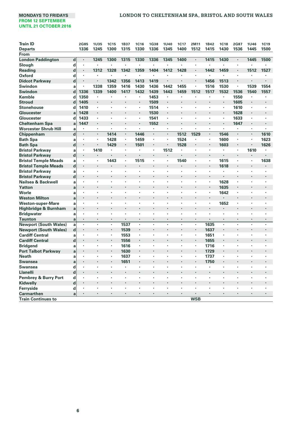| <b>Train ID</b>                 |             | 2G85           | <b>1U35</b>    | <b>1C15</b>    | 1B37    | <b>1C16</b> | 1G38                 | <b>1U40</b>          | 1C17                 | 2M11                 | 1B42    | <b>1C18</b>    | 2G87           | <b>1U46</b>    | 1C19                 |
|---------------------------------|-------------|----------------|----------------|----------------|---------|-------------|----------------------|----------------------|----------------------|----------------------|---------|----------------|----------------|----------------|----------------------|
| <b>Departs</b>                  |             | 1336           | 1245           | 1300           | 1315    | 1330        | 1336                 | 1345                 | 1400                 | 1512                 | 1415    | 1430           | 1536           | 1445           | 1500                 |
| From                            |             |                |                |                |         |             |                      |                      |                      |                      |         |                |                |                |                      |
| <b>London Paddington</b>        | $\mathbf d$ |                | 1245           | 1300           | 1315    | 1330        | 1336                 | 1345                 | 1400                 | $\cdot$              | 1415    | 1430           | ٠              | 1445           | 1500                 |
| Slough                          | d           | $\cdot$        | $\cdot$        | ٠              | ٠       | ٠           | ٠                    | ٠                    |                      | $\cdot$              | ٠       | ٠              | ٠              | ٠              |                      |
| Reading                         | d           | $\cdot$        | 1312           | 1328           | 1342    | 1359        | 1404                 | 1412                 | 1428                 | $\cdot$              | 1442    | 1459           | ٠              | 1512           | 1527                 |
| Oxford                          | d           |                | ٠              | ٠              | ٠       | ×,          | ٠                    |                      |                      |                      | ٠       | ×              | ٠              |                | ٠                    |
| <b>Didcot Parkway</b>           | d           | $\cdot$        |                | 1342           | 1356    | 1413        | 1419                 |                      |                      | $\cdot$              | 1456    | 1513           |                | ÷,             | $\overline{a}$       |
| Swindon                         | a           | $\cdot$        | 1338           | 1359           | 1416    | 1430        | 1436                 | 1442                 | 1455                 |                      | 1516    | 1530           | ٠              | 1539           | 1554                 |
| Swindon                         | d           | 1336           | 1339           | 1400           | 1417    | 1432        | 1439                 | 1443                 | 1459                 | 1512                 | 1517    | 1532           | 1536           | 1540           | 1557                 |
| Kemble                          | d           | 1350           | $\cdot$        | ٠              |         | ٠           | 1453                 |                      |                      | $\cdot$              |         | ٠              | 1550           |                |                      |
| <b>Stroud</b>                   | d           | 1405           | $\cdot$        |                |         | ×           | 1509                 | $\blacksquare$       |                      |                      |         | ٠              | 1605           | ×              |                      |
| <b>Stonehouse</b>               | d           | 1410           | $\cdot$        | ï              | ×       | ٠           | 1514                 |                      | $\cdot$              | $\cdot$              | ×       | ×,             | 1610           | ٠              | $\cdot$              |
| Gloucester                      | a           | 1428           | $\cdot$        | ٠              | ٠       | ×           | 1530                 | $\cdot$              |                      | $\cdot$              | ٠       | ٠              | 1628           | ٠              | ٠                    |
| Gloucester                      | d           | 1433           | $\cdot$        | ٠              | ٠       | ٠           | 1541                 | $\cdot$              |                      | $\cdot$              | ٠       | ٠              | 1633           | ٠              |                      |
| <b>Cheltenham Spa</b>           | a           | 1447           | $\cdot$        | ٠              | ×       | ٠           | 1552                 | $\cdot$              |                      | $\cdot$              | ٠       | ×              | 1647           | ٠              |                      |
| <b>Worcester Shrub Hill</b>     | a           |                |                | ٠              | ×       | ٠           | ٠                    | $\cdot$              | $\cdot$              | $\cdot$              | ×,      | ٠              | ٠              | ×,             |                      |
| Chippenham                      | $\mathbf d$ | $\cdot$        | $\blacksquare$ | 1414           | ٠       | 1446        | ×,                   | $\blacksquare$       | 1512                 | 1529                 | ٠       | 1546           | ٠              | $\blacksquare$ | 1610                 |
| <b>Bath Spa</b>                 | a           | ٠              | $\cdot$        | 1428           | ٠       | 1459        | ٠                    | $\cdot$              | 1524                 | $\cdot$              | ٠       | 1600           | ٠              | ٠              | 1623                 |
| <b>Bath Spa</b>                 | $\mathbf d$ | $\cdot$        | $\bullet$      | 1429           | ٠       | 1501        | ٠                    | $\cdot$              | 1528                 | $\cdot$              | ٠       | 1603           | $\blacksquare$ | $\blacksquare$ | 1626                 |
| <b>Bristol Parkway</b>          | a           | $\cdot$        | 1410           | ٠              | ٠       | ×,          | ٠                    | 1512                 | $\cdot$              | $\cdot$              | ٠       | ٠              | ٠              | 1610           |                      |
| <b>Bristol Parkway</b>          | $\mathbf d$ | $\cdot$        |                | $\blacksquare$ | ï       | ï           | $\ddot{\phantom{0}}$ |                      |                      |                      |         | ٠              | ٠              |                |                      |
| <b>Bristol Temple Meads</b>     | a           | $\cdot$        |                | 1443           | ٠       | 1515        | ×                    | $\cdot$              | 1540                 | $\cdot$              | ×       | 1615           | ٠              | ï              | 1638                 |
| <b>Bristol Temple Meads</b>     | $\mathbf d$ | $\cdot$        | l,             | ÷,             | l,      | ÷,          |                      | $\cdot$              | $\cdot$              | $\cdot$              | ٠       | 1618           | ٠              | ï              | $\ddot{\phantom{0}}$ |
| <b>Bristol Parkway</b>          | a           | $\cdot$        | $\cdot$        | ٠              | ٠       | ٠           | ×                    | $\cdot$              | $\cdot$              |                      | ×,      | ٠              | ٠              | ×,             |                      |
| <b>Bristol Parkway</b>          | $\mathbf d$ | $\cdot$        | l,             | ÷.             | l,      |             |                      | $\overline{a}$       | $\cdot$              | $\ddot{\phantom{a}}$ | ×       | ٠              | ÷.             | ٠              |                      |
| Nailsea & Backwell              | a           |                | $\cdot$        | ٠              | ٠       | ٠           | $\ddot{\phantom{0}}$ | $\cdot$              | $\cdot$              | ٠                    | ٠       | 1628           | ٠              | ٠              | $\cdot$              |
| Yatton                          | a           | $\cdot$        |                |                | ï       |             |                      |                      |                      |                      | $\cdot$ | 1635           | ٠              |                |                      |
| Worle                           | a           | ٠              | ٠              | ٠              | ٠       | ٠           | $\cdot$              | ٠                    | $\cdot$              | ٠                    | ٠       | 1642           | ٠              | ٠              | ٠                    |
| <b>Weston Milton</b>            | a           | $\cdot$        |                |                |         |             |                      |                      |                      |                      |         |                |                |                |                      |
| <b>Weston-super-Mare</b>        | a           |                | $\cdot$        | ٠              | ٠       | ٠           | ٠                    | $\cdot$              | $\cdot$              |                      | ٠       | 1652           | ٠              | ٠              |                      |
| Highbridge & Burnham            | a           | $\cdot$        |                |                |         |             |                      |                      |                      |                      | ٠       | ł.             | ٠              |                |                      |
| <b>Bridgwater</b>               | a           | $\cdot$        | $\cdot$        | ٠              | ٠       | ï           |                      | $\cdot$              | $\cdot$              |                      | ×       | ×,             | ٠              | ï              |                      |
| <b>Taunton</b>                  | a           | $\blacksquare$ | $\cdot$        | ٠              | ٠       | ٠           |                      | $\cdot$              |                      | $\cdot$              |         | ٠              | ٠              |                |                      |
| <b>Newport (South Wales)</b>    | a           |                |                | ×,             | 1537    | ×,          | $\cdot$              | $\cdot$              | $\cdot$              |                      | 1635    | $\blacksquare$ | ×,             | ×,             |                      |
| <b>Newport (South Wales)</b>    | $\mathbf d$ | $\cdot$        | $\cdot$        | ٠              | 1539    | ٠           |                      |                      |                      |                      | 1637    | ٠              | ٠              | ł.             | ł.                   |
| <b>Cardiff Central</b>          | a           |                |                | ٠              | 1553    | ×,          |                      |                      |                      |                      | 1651    | ٠              | ٠              | ٠              |                      |
| <b>Cardiff Central</b>          | $\mathbf d$ | $\cdot$        |                | ٠              | 1556    | ٠           |                      |                      |                      | $\ddot{\phantom{0}}$ | 1655    | ٠              |                |                |                      |
| <b>Bridgend</b>                 | a           | $\cdot$        | $\cdot$        | ٠              | 1616    | ٠           |                      | $\cdot$              | $\cdot$              | ٠                    | 1716    | ٠              | ٠              | ï              | ï                    |
| <b>Port Talbot Parkway</b>      | a           |                |                |                | 1630    | ٠           |                      |                      |                      |                      | 1729    | ٠              |                |                |                      |
| <b>Neath</b>                    | a           | ٠              | $\cdot$        | ٠              | 1637    | ×,          |                      | $\cdot$              |                      | $\cdot$              | 1737    | ٠              | ٠              | ٠              |                      |
| <b>Swansea</b>                  | a           | $\cdot$        |                |                | 1651    | ï           |                      |                      |                      |                      | 1750    |                |                |                |                      |
| <b>Swansea</b>                  | d           | ٠              | $\cdot$        | ٠              | ×,      | ×           | ٠                    | $\cdot$              | $\cdot$              |                      | ٠       | ٠              | ٠              | ×              |                      |
| Llanelli                        | d           | $\cdot$        |                |                | l,      | ï           |                      | $\ddot{\phantom{0}}$ |                      |                      |         |                |                | ×.             |                      |
| <b>Pembrey &amp; Burry Port</b> | d           | ٠              | $\cdot$        | ٠              | $\cdot$ | ×,          | ٠                    | $\cdot$              | $\cdot$              | $\cdot$              | ٠       | ٠              | ٠              | $\blacksquare$ |                      |
| Kidwelly                        | $\mathbf d$ | $\cdot$        |                |                | l,      | ï           |                      | $\ddot{\phantom{0}}$ | $\cdot$              |                      |         | ×,             | $\blacksquare$ | ٠              |                      |
| Ferryside                       | d           | $\cdot$        | $\cdot$        | ٠              | ٠       | ٠           | $\ddot{\phantom{0}}$ | $\cdot$              | $\ddot{\phantom{0}}$ | $\cdot$              | ٠       | ٠              | ٠              | ٠              | $\cdot$              |
| <b>Carmarthen</b>               | a           |                |                |                |         |             |                      |                      |                      |                      |         | i.             |                |                |                      |
| <b>Train Continues to</b>       |             |                |                |                |         |             |                      |                      |                      | WSB                  |         |                |                |                |                      |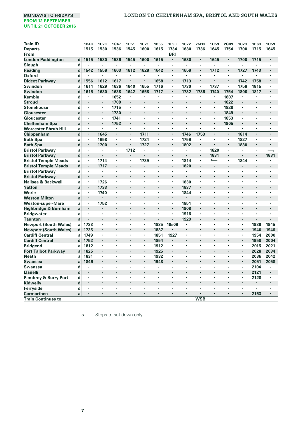| <b>Train ID</b>              |             | <b>1B48</b> | <b>1C20</b> | 1G47 | <b>1U51</b>          | <b>1C21</b>          | <b>1B55</b>          | <b>1F98</b>          | <b>1C22</b>    | 2M13           | <b>1U59</b>              | 2G89                 | <b>1C23</b>                     | 1B63                 | <b>1U59</b>              |
|------------------------------|-------------|-------------|-------------|------|----------------------|----------------------|----------------------|----------------------|----------------|----------------|--------------------------|----------------------|---------------------------------|----------------------|--------------------------|
| <b>Departs</b>               |             | 1515        | 1530        | 1536 | 1545                 | 1600                 | 1615                 | 1734                 | 1630           | 1736           | 1645                     | 1754                 | 1700                            | 1715                 | 1645                     |
| From                         |             |             |             |      |                      |                      |                      | <b>BRI</b>           |                |                |                          |                      |                                 |                      |                          |
| <b>London Paddington</b>     | $\mathbf d$ | 1515        | 1530        | 1536 | 1545                 | 1600                 | 1615                 | $\cdot$              | 1630           | $\blacksquare$ | 1645                     | $\blacksquare$       | 1700                            | 1715                 |                          |
| Slough                       | d           |             | ٠           |      | ï                    |                      | $\ddot{\phantom{0}}$ | $\ddot{\phantom{a}}$ | ×              | ×,             |                          | ×                    | ٠                               | $\ddot{\phantom{0}}$ |                          |
| Reading                      | d           | 1542        | 1558        | 1603 | 1612                 | 1628                 | 1642                 | $\bullet$            | 1659           | ٠              | 1712                     | ٠                    | 1727                            | 1743                 |                          |
| <b>Oxford</b>                | d           |             | ٠           |      |                      |                      | $\cdot$              | $\cdot$              | ×              | ٠              |                          | ×                    | $\ddot{\phantom{0}}$            | $\ddot{\phantom{a}}$ |                          |
| <b>Didcot Parkway</b>        | $\mathbf d$ | 1556        | 1612        | 1617 |                      |                      | 1658                 | ٠                    | 1713           | ٠              |                          | $\cdot$              | 1742                            | 1758                 |                          |
| Swindon                      | a           | 1614        | 1629        | 1636 | 1640                 | 1655                 | 1716                 |                      | 1730           | ٠              | 1737                     | ٠                    | 1758                            | 1815                 |                          |
| Swindon                      | $\mathbf d$ | 1615        | 1630        | 1638 | 1642                 | 1658                 | 1717                 |                      | 1732           | 1736           | 1740                     | 1754                 | 1800                            | 1817                 |                          |
| Kemble                       | d           | ٠           | ٠           | 1652 | ٠                    |                      | $\cdot$              | $\cdot$              |                |                | ×                        | 1807                 |                                 | $\cdot$              |                          |
| <b>Stroud</b>                | $\mathbf d$ | ï           | ٠           | 1708 | ٠                    |                      | $\cdot$              | $\cdot$              | ï              | ٠              | ×.                       | 1822                 | $\ddot{\phantom{0}}$            | $\cdot$              |                          |
| <b>Stonehouse</b>            | d           | ٠           | ٠           | 1715 | ٠                    | ٠                    | $\cdot$              | $\ddot{\phantom{0}}$ | ٠              | ٠              | ٠                        | 1828                 | ٠                               | $\cdot$              |                          |
| Gloucester                   | a           | ï           | ٠           | 1730 | ٠                    | $\cdot$              | $\cdot$              | $\cdot$              | ٠              | ٠              | ×.                       | 1849                 | $\blacksquare$                  | $\cdot$              |                          |
| Gloucester                   | d           | ٠           | ٠           | 1741 | ٠                    | ٠                    | $\cdot$              | $\cdot$              | ٠              | ٠              | ٠                        | 1853                 | ٠                               | $\cdot$              | ٠                        |
| <b>Cheltenham Spa</b>        | a           | ٠           | ٠           | 1752 | ٠                    | $\ddot{\phantom{0}}$ |                      |                      | ٠              | J.             | ٠                        | 1905                 | $\blacksquare$                  | $\cdot$              |                          |
| Worcester Shrub Hill         | a           | ×,          | ×,          | ٠    | ٠                    | ٠                    |                      | $\cdot$              | ٠              | ×              | ٠                        | ٠                    | ٠                               | $\cdot$              | ٠                        |
| Chippenham                   | $\mathbf d$ | ٠           | 1645        |      | ï                    | 1711                 | $\cdot$              |                      | 1746           | 1753           | ï                        | ï                    | 1814                            | $\cdot$              |                          |
| <b>Bath Spa</b>              | a           | ٠           | 1658        | ٠    | ٠                    | 1724                 | ٠                    | ٠                    | 1759           |                | ٠                        | ٠                    | 1827                            | $\cdot$              |                          |
| <b>Bath Spa</b>              | $\mathbf d$ | ٠           | 1700        |      | ï                    | 1727                 |                      |                      | 1802           | ٠              | ï                        | $\blacksquare$       | 1830                            |                      |                          |
| <b>Bristol Parkway</b>       | a           | ٠           | ٠           | ٠    | 1712                 |                      | ٠                    | ٠                    | ٠              | ٠              | 1820                     | ٠                    |                                 | $\blacksquare$       | $\overline{\phantom{0}}$ |
| <b>Bristol Parkway</b>       | $\mathbf d$ | ٠           |             |      |                      |                      |                      |                      |                | ٠              | 1831                     |                      |                                 | $\cdot$              | 1831                     |
| <b>Bristol Temple Meads</b>  | a           | ×,          | 1714        | ٠    | ٠                    | 1739                 |                      | $\blacksquare$       | 1814           | ×,             | $\overline{\phantom{a}}$ | ٠                    | 1844                            | $\cdot$              | $\blacksquare$           |
| <b>Bristol Temple Meads</b>  | $\mathbf d$ | ٠           | 1717        |      |                      |                      | $\cdot$              |                      | 1820           | ٠              | ٠                        |                      |                                 | $\cdot$              |                          |
| <b>Bristol Parkway</b>       | a           | ï           | ×           | ×    | ï                    | ×                    | $\cdot$              | $\cdot$              | ł,             | ×              | ×,                       | ×                    | ×                               | $\cdot$              | $\cdot$                  |
| <b>Bristol Parkway</b>       | $\mathbf d$ | ٠           |             |      |                      |                      |                      | $\ddot{\phantom{0}}$ |                | ٠              |                          |                      |                                 |                      |                          |
| Nailsea & Backwell           | a           | ٠           | 1726        | ×,   |                      |                      |                      | $\blacksquare$       | 1830           | ٠              | ×,                       | ï                    | ٠                               |                      |                          |
| Yatton                       | a           | ٠           | 1733        |      |                      |                      |                      |                      | 1837           | ٠              |                          |                      |                                 |                      |                          |
| Worle                        | a           | ٠           | 1740        | ٠    | ï                    |                      | $\cdot$              | ٠                    | 1844           | ٠              | ×                        | ٠                    |                                 |                      |                          |
| <b>Weston Milton</b>         | a           | ٠           | $\cdot$     |      |                      |                      |                      |                      | ï              |                |                          |                      |                                 |                      |                          |
| <b>Weston-super-Mare</b>     | a           | ٠           | 1752        | ٠    | ٠                    |                      | $\cdot$              |                      | 1851           | ٠              | ٠                        | ٠                    | ٠                               | $\cdot$              |                          |
| Highbridge & Burnham         | a           | ï           | ï           |      |                      |                      |                      |                      | 1908           |                |                          |                      |                                 |                      |                          |
| <b>Bridgwater</b>            | a           | ×           | ٠           |      | ï                    |                      |                      |                      | 1916           | ٠              | ٠                        | ×                    | ٠                               |                      | ٠                        |
| Taunton                      | a           | ٠           | ٠           |      | ٠                    |                      |                      | $\cdot$              | 1929           | ٠              | ٠                        | ٠                    | ٠                               |                      |                          |
| <b>Newport (South Wales)</b> | a           | 1733        | ×           | ٠    | ï                    | ×,                   | 1835                 | 19s09                | $\blacksquare$ | ×              | ï                        | ×,                   | ٠                               | 1939                 | 1945                     |
| <b>Newport (South Wales)</b> | d           | 1735        | ٠           | ä,   | ٠                    | $\cdot$              | 1837                 |                      | ٠              | ä,             | ٠                        | ÷.                   | $\blacksquare$                  | 1940                 | 1946                     |
| <b>Cardiff Central</b>       | a           | 1749        | ٠           | ٠    | ٠                    | ٠                    | 1851                 | 1927                 | ٠              | ٠              | ٠                        | $\blacksquare$       | ٠                               | 1954                 | 2000                     |
| <b>Cardiff Central</b>       | d           | 1752        |             |      | ٠                    | $\blacksquare$       | 1854                 |                      | ٠              |                | ٠                        | ٠                    | $\blacksquare$                  | 1958                 | 2004                     |
| <b>Bridgend</b>              | a           | 1812        | ٠           | ٠    | ٠                    | ٠                    | 1912                 | ٠                    | ٠              | ٠              | ٠                        | ٠                    | ٠                               | 2015                 | 2021                     |
| <b>Port Talbot Parkway</b>   | a           | 1825        |             |      | ٠                    | $\cdot$              | 1925                 |                      |                |                |                          |                      | $\cdot$                         | 2028                 | 2034                     |
| Neath                        | a           | 1831        | ٠           | ٠    | ٠                    | ٠                    | 1932                 | ٠                    | ٠              | ٠              | ٠                        | ×,                   | ٠                               | 2036                 | 2042                     |
| <b>Swansea</b>               | a           | 1846        | ×           |      |                      | $\blacksquare$       | 1948                 | $\cdot$              | ×              | ٠              | ×                        | ×                    | $\centering \label{eq:reduced}$ | 2051                 | 2058                     |
| Swansea                      | d           |             |             |      | ï                    |                      |                      | $\cdot$              | ٠              | ×              | ï                        | ×                    | ×                               | 2104                 | $\cdot$                  |
| <b>Llanelli</b>              | $\mathbf d$ | ٠           |             |      | ٠                    | ٠                    | $\cdot$              | $\cdot$              | ٠              | ٠              | ٠                        | ٠                    | $\blacksquare$                  | 2121                 | $\bullet$                |
| Pembrey & Burry Port         | d           | ×           |             |      | ï                    |                      | ÷,                   |                      | ï              | J.             | ï                        | ×                    | ٠                               | 2128                 | $\cdot$                  |
| Kidwelly                     | $\mathbf d$ | ٠           | ٠           |      | ٠                    |                      | $\blacksquare$       | $\blacksquare$       |                | ٠              | ٠                        | ×.                   | ٠                               | $\cdot$              |                          |
| Ferryside                    | d           | ٠           |             |      |                      |                      |                      |                      |                |                |                          | ł.                   | ٠                               | $\cdot$              |                          |
| Carmarthen                   | a           | ٠           | ٠           | ٠    | $\ddot{\phantom{0}}$ | ٠                    | $\cdot$              | $\cdot$              | ٠              | ٠              | ٠                        | $\ddot{\phantom{0}}$ | $\ddot{\phantom{0}}$            | 2153                 |                          |
| <b>Train Continues to</b>    |             |             |             |      |                      |                      |                      |                      |                | <b>WSB</b>     |                          |                      |                                 |                      |                          |
|                              |             |             |             |      |                      |                      |                      |                      |                |                |                          |                      |                                 |                      |                          |

**s** Stops to set down only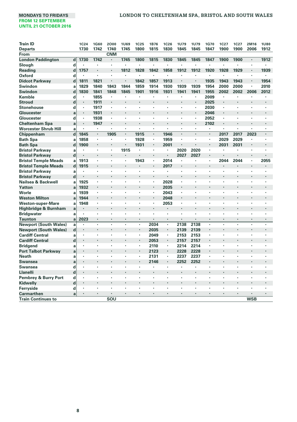# **MONDAYS TO FRIDAYS LONDON TO CHELTENHAM SPA, BRISTOL AND SOUTH WALES**

| <b>Train ID</b>                 |             | 1C24           | 1G60                 | 2000           | <b>1U69</b> | <b>1C25</b>          | 1B76                 | <b>1C26</b>          | <b>1U79</b>          | <b>1U79</b>          | 1G70           | 1C27 | 1C27                 | 2M16                 | <b>1U80</b>          |
|---------------------------------|-------------|----------------|----------------------|----------------|-------------|----------------------|----------------------|----------------------|----------------------|----------------------|----------------|------|----------------------|----------------------|----------------------|
| <b>Departs</b>                  |             | 1730           | 1742                 | 1740           | 1745        | 1800                 | 1815                 | 1830                 | 1845                 | 1845                 | 1847           | 1900 | 1900                 | 2006                 | 1912                 |
| From                            |             |                |                      | <b>CNM</b>     |             |                      |                      |                      |                      |                      |                |      |                      |                      |                      |
| <b>London Paddington</b>        | d           | 1730           | 1742                 | ×,             | 1745        | 1800                 | 1815                 | 1830                 | 1845                 | 1845                 | 1847           | 1900 | 1900                 | $\blacksquare$       | 1912                 |
| Slough                          | d           | ٠              | $\cdot$              | ٠              | ï           | ٠                    | $\cdot$              | $\cdot$              | $\cdot$              |                      | ٠              | ٠    |                      | ٠                    |                      |
| Reading                         | d           | 1757           |                      | $\blacksquare$ | 1812        | 1828                 | 1842                 | 1858                 | 1912                 | 1912                 | 1920           | 1928 | 1929                 | $\cdot$              | 1939                 |
| Oxford                          | d           | $\cdot$        |                      | ×              | ï           | ×.                   | $\blacksquare$       | $\cdot$              | $\cdot$              |                      | ×.             | ٠    | $\cdot$              | ×,                   |                      |
| <b>Didcot Parkway</b>           | d           | 1811           | 1821                 | ×,             | ٠           | 1842                 | 1857                 | 1913                 | $\cdot$              |                      | 1935           | 1943 | 1943                 | $\blacksquare$       | 1954                 |
| Swindon                         | a           | 1829           | 1840                 | 1843           | 1844        | 1859                 | 1914                 | 1930                 | 1939                 | 1939                 | 1954           | 2000 | 2000                 | ٠                    | 2010                 |
| <b>Swindon</b>                  | $\mathbf d$ | 1830           | 1841                 | 1848           | 1845        | 1901                 | 1916                 | 1931                 | 1941                 | 1941                 | 1955           | 2002 | 2002                 | 2006                 | 2012                 |
| Kemble                          | d           | $\cdot$        | 1855                 | ٠              | ٠           | ٠                    | ٠                    | $\cdot$              | ٠                    | ٠                    | 2009           | ٠    | ٠                    | ٠                    | ٠                    |
| <b>Stroud</b>                   | $\mathbf d$ | $\cdot$        | 1911                 |                |             |                      | ٠                    |                      |                      | $\cdot$              | 2025           | ×    |                      | í,                   |                      |
| <b>Stonehouse</b>               | d           |                | 1917                 | ×,             | ×.          | ×,                   | $\blacksquare$       | $\cdot$              | ٠                    |                      | 2030           | ٠    | ٠                    | ٠                    | ٠                    |
| Gloucester                      | a           | $\blacksquare$ | 1931                 |                |             |                      |                      |                      |                      | $\cdot$              | 2046           | ٠    |                      |                      | $\cdot$              |
| Gloucester                      | d           | $\cdot$        | 1938                 | ٠              | ٠           | ×                    | ٠                    |                      |                      |                      | 2052           | ٠    | ٠                    | ٠                    |                      |
| <b>Cheltenham Spa</b>           | a           | $\blacksquare$ | 1947                 | ×              | ï           |                      | $\ddot{\phantom{0}}$ | $\cdot$              | $\cdot$              | $\cdot$              | 2102           | ٠    | $\cdot$              | ï                    | $\cdot$              |
| <b>Worcester Shrub Hill</b>     | a           | $\cdot$        | ٠                    | ٠              | ٠           | ٠                    | $\blacksquare$       | ٠                    | ٠                    | ٠                    | ٠              | ٠    | ٠                    | ٠                    | $\cdot$              |
| Chippenham                      | $\mathbf d$ | 1845           | $\blacksquare$       | 1905           | ٠           | 1915                 | $\blacksquare$       | 1946                 | $\cdot$              | $\cdot$              | $\blacksquare$ | 2017 | 2017                 | 2023                 | $\cdot$              |
| <b>Bath Spa</b>                 | a           | 1858           | $\cdot$              | ×              | ï           | 1928                 | $\cdot$              | 1959                 |                      |                      | ×,             | 2029 | 2029                 | ٠                    | $\cdot$              |
| <b>Bath Spa</b>                 | $\mathbf d$ | 1900           | $\cdot$              | ٠              | ï           | 1931                 | $\cdot$              | 2001                 |                      |                      | ٠              | 2031 | 2031                 | ٠                    | ٠                    |
| <b>Bristol Parkway</b>          | a           | ٠              | $\cdot$              | ٠              | 1915        | ٠                    | ٠                    | $\cdot$              | 2020                 | 2020                 | ×,             | ×,   | $\ddot{\phantom{a}}$ | ٠                    |                      |
| <b>Bristol Parkway</b>          | $\mathbf d$ | $\cdot$        |                      |                | ï           | $\cdot$              | ï                    |                      | 2027                 | 2027                 | ٠              |      |                      | ï                    |                      |
| <b>Bristol Temple Meads</b>     | a           | 1913           | $\cdot$              | ×              | ٠           | 1943                 | ٠                    | 2014                 | $\cdot$              |                      | ٠              | 2044 | 2044                 | ٠                    | 2055                 |
| <b>Bristol Temple Meads</b>     | $\mathbf d$ | 1915           |                      |                |             |                      | ٠                    | 2017                 | $\cdot$              |                      |                | ï    |                      |                      | $\cdot$              |
| <b>Bristol Parkway</b>          | a           |                | $\cdot$              | ٠              | ï           | ٠                    | ×,                   | $\cdot$              |                      |                      | ٠              | ï    |                      | ٠                    |                      |
| <b>Bristol Parkway</b>          | $\mathbf d$ |                |                      |                |             |                      |                      |                      |                      |                      |                |      |                      |                      |                      |
| Nailsea & Backwell              | a           | 1925           | $\blacksquare$       | ٠              | ï           | ٠                    | $\blacksquare$       | 2028                 |                      |                      |                | ٠    | ٠                    | ٠                    | ٠                    |
| Yatton                          | a           | 1932           |                      |                |             |                      | ï                    | 2035                 | $\cdot$              |                      |                |      |                      |                      |                      |
| Worle                           | a           | 1939           | $\cdot$              | ×,             | ٠           | ٠                    | $\blacksquare$       | 2043                 | $\cdot$              | $\cdot$              | ٠              | ٠    | ٠                    | ×                    | $\cdot$              |
| <b>Weston Milton</b>            | a           | 1944           |                      |                | ÷,          |                      | ×,                   | 2048                 | $\ddot{\phantom{a}}$ | $\ddot{\phantom{0}}$ |                |      |                      | ÷,                   | $\ddot{\phantom{0}}$ |
| <b>Weston-super-Mare</b>        | a           | 1948           | $\cdot$              | ٠              | ٠           | ×,                   | $\blacksquare$       | 2053                 | $\cdot$              |                      | ٠              | ×    | ٠                    | ٠                    |                      |
| Highbridge & Burnham            | a           |                |                      | ٠              |             | $\ddot{\phantom{0}}$ | ٠                    | $\cdot$              | $\cdot$              | $\cdot$              | ÷.             |      |                      | ï                    | $\cdot$              |
| <b>Bridgwater</b>               | a           |                | ٠                    | ٠              | ٠           | ٠                    | ×,                   | $\ddot{\phantom{0}}$ | $\ddot{\phantom{0}}$ | ٠                    | ٠              | ٠    | ٠                    | ٠                    | ٠                    |
| <b>Taunton</b>                  | a           | 2023           | $\blacksquare$       | ٠              | ٠           |                      |                      | $\cdot$              |                      | $\cdot$              |                | ٠    |                      | ٠                    |                      |
| <b>Newport (South Wales)</b>    | a           |                | $\cdot$              | ×              | ٠           | ×                    | 2034                 |                      | 2138                 | 2138                 |                | ï    | ٠                    |                      |                      |
| <b>Newport (South Wales)</b>    | $\mathbf d$ |                | $\cdot$              | $\cdot$        | ٠           | $\blacksquare$       | 2035                 |                      | 2139                 | 2139                 | ٠              | ï    |                      | ٠                    | $\cdot$              |
| <b>Cardiff Central</b>          | a           | $\cdot$        | $\cdot$              | ٠              | ٠           | ٠                    | 2049                 | ٠                    | 2153                 | 2153                 | ٠              | ٠    | ٠                    | ٠                    | $\cdot$              |
| <b>Cardiff Central</b>          | d           | $\cdot$        |                      |                |             | ×                    | 2053                 | $\cdot$              | 2157                 | 2157                 |                |      |                      | ×                    | $\cdot$              |
| <b>Bridgend</b>                 | a           | $\cdot$        | $\cdot$              | ×,             | ٠           | ٠                    | 2110                 | ٠                    | 2214                 | 2214                 | ×,             | ×,   | ٠                    | ٠                    | $\cdot$              |
| <b>Port Talbot Parkway</b>      | a           |                | $\cdot$              |                | ×           | ٠                    | 2123                 | $\cdot$              | 2228                 | 2228                 | ٠              | ×    |                      | ×                    | $\cdot$              |
| <b>Neath</b>                    | a           |                | $\cdot$              | ×              | ï           | ٠                    | 2131                 | $\blacksquare$       | 2237                 | 2237                 | ×,             | ï    | ×                    | ×                    |                      |
| <b>Swansea</b>                  | a           | ۰              | $\cdot$              | ٠              | ٠           | ٠                    | 2146                 | $\bullet$            | 2252                 | 2252                 | ٠              | ٠    | ٠                    | $\cdot$              |                      |
| Swansea                         | d           | $\cdot$        | $\cdot$              | ٠              | ×           | ٠                    | ×,                   | $\cdot$              | $\ddot{\phantom{0}}$ | $\cdot$              | ٠              | ٠    | ٠                    | ٠                    | ٠                    |
| Llanelli                        | d           | $\cdot$        | $\cdot$              |                | ٠           | ٠                    | ٠                    | $\cdot$              | $\cdot$              | $\blacksquare$       | ×.             | ×    | ٠                    | ٠                    | $\cdot$              |
| <b>Pembrey &amp; Burry Port</b> | d           | $\cdot$        | $\ddot{\phantom{0}}$ |                | ï           |                      | ÷,                   |                      | ÷,                   | ÷,                   | J.             | ä,   | $\ddot{\phantom{0}}$ | ÷,                   | ×                    |
| Kidwelly                        | $\mathbf d$ | $\blacksquare$ |                      |                | ł.          |                      | $\cdot$              |                      | $\cdot$              | $\cdot$              | ٠              | ٠    |                      | ٠                    | $\cdot$              |
| Ferryside                       | d           | ٠              |                      |                |             |                      | ٠                    | $\cdot$              |                      | $\cdot$              |                | ٠    |                      |                      |                      |
| <b>Carmarthen</b>               | a           | $\cdot$        | $\cdot$              | ٠              | ٠           | $\ddot{\phantom{0}}$ | $\ddot{\phantom{0}}$ | $\cdot$              | $\cdot$              | $\cdot$              | ٠              | ٠    | $\ddot{\phantom{0}}$ | $\ddot{\phantom{0}}$ | $\cdot$              |
| <b>Train Continues to</b>       |             |                |                      | SOU            |             |                      |                      |                      |                      |                      |                |      |                      | <b>WSB</b>           |                      |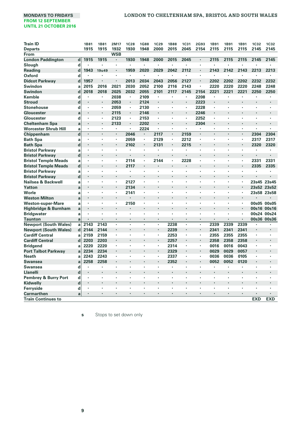| <b>Train ID</b>                                        |             | 1B81 | <b>1B81</b> | 2M17       | <b>1C28</b> | <b>1G88</b>          | 1C29                 | <b>1B88</b>    | <b>1C31</b> | 2G93           | 1B91 | <b>1B91</b>          | 1B91                 | 1C32                 | 1C32        |
|--------------------------------------------------------|-------------|------|-------------|------------|-------------|----------------------|----------------------|----------------|-------------|----------------|------|----------------------|----------------------|----------------------|-------------|
| <b>Departs</b>                                         |             | 1915 | 1915        | 1932       | 1930        | 1948                 | 2000                 | 2015           | 2045        | 2154           | 2115 | 2115                 | 2115                 | 2145                 | 2145        |
| From                                                   |             |      |             | <b>WSB</b> |             |                      |                      |                |             |                |      |                      |                      |                      |             |
| <b>London Paddington</b>                               | $\mathbf d$ | 1915 | 1915        | ×.         | 1930        | 1948                 | 2000                 | 2015           | 2045        | ٠              | 2115 | 2115                 | 2115                 | 2145                 | 2145        |
| Slough                                                 | d           |      | ٠           |            | ٠           |                      | ٠                    | $\cdot$        |             | ٠              |      |                      |                      |                      |             |
| Reading                                                | $\mathbf d$ | 1943 | 19u49       | ٠          | 1959        | 2020                 | 2029                 | 2042           | 2112        | $\blacksquare$ | 2143 | 2142                 | 2143                 | 2213                 | 2213        |
| <b>Oxford</b>                                          | d           |      | ٠           | ٠          | ×,          | ×                    | $\cdot$              | $\cdot$        | ٠           | ×              | ٠    | ×                    | ×                    | $\cdot$              | ٠           |
| <b>Didcot Parkway</b>                                  | d           | 1957 | ï           | ×.         | 2013        | 2034                 | 2043                 | 2056           | 2127        | ×,             | 2202 | 2202                 | 2202                 | 2232                 | 2232        |
| Swindon                                                | a           | 2015 | 2016        | 2021       | 2030        | 2052                 | 2100                 | 2116           | 2143        | ٠              | 2220 | 2220                 | 2220                 | 2248                 | 2248        |
| <b>Swindon</b>                                         | $\mathbf d$ | 2018 | 2018        | 2025       | 2032        | 2055                 | 2101                 | 2117           | 2145        | 2154           | 2221 | 2221                 | 2221                 | 2250                 | 2250        |
| Kemble                                                 | d           |      | ٠           | 2038       | ٠           | 2109                 | ٠                    | ٠              | ٠           | 2208           | ٠    | ٠                    | ٠                    | ٠                    | ٠           |
| <b>Stroud</b>                                          | d           |      |             | 2053       |             | 2124                 | $\cdot$              |                | ٠           | 2223           |      |                      |                      |                      |             |
| <b>Stonehouse</b>                                      | d           | ٠    | ×,          | 2059       | ٠           | 2130                 | $\cdot$              | $\blacksquare$ | ×,          | 2228           | ٠    | ٠                    | ٠                    | $\blacksquare$       | $\cdot$     |
| Gloucester                                             | a           |      | ×           | 2115       | ×           | 2146                 | $\cdot$              |                |             | 2246           |      |                      |                      |                      |             |
| Gloucester                                             | d           | ٠    | ٠           | 2123       | ٠           | 2153                 |                      | $\cdot$        | ٠           | 2252           | ٠    | ٠                    | ٠                    | $\cdot$              | $\cdot$     |
| <b>Cheltenham Spa</b>                                  | a           | ٠    | $\cdot$     | 2133       | ٠           | 2202                 | $\cdot$              |                | ï           | 2304           | ٠    | ï                    | $\cdot$              | $\cdot$              |             |
| <b>Worcester Shrub Hill</b>                            | a           | ٠    | ٠           | ٠          |             | 2224                 | $\cdot$              | $\blacksquare$ | ï           | ٠              | ٠    | ٠                    | ٠                    | $\cdot$              | ٠           |
| Chippenham                                             | d           | ٠    | $\cdot$     |            | 2046        | $\blacksquare$       | 2117                 | $\cdot$        | 2159        | ٠              | ×    | $\ddot{\phantom{0}}$ | $\blacksquare$       | 2304                 | 2304        |
| <b>Bath Spa</b>                                        | a           | ٠    | ×           | ٠          | 2059        | ٠                    | 2129                 |                | 2212        | ×              | ×,   | ×                    | ٠                    | 2317                 | 2317        |
| <b>Bath Spa</b>                                        | $\mathbf d$ | ٠    | ×           |            | 2102        |                      | 2131                 |                | 2215        | ٠              |      |                      | ٠                    | 2320                 | 2320        |
| <b>Bristol Parkway</b>                                 | a           | ٠    | ٠           | ٠          | ×,          | ٠                    | $\ddot{\phantom{0}}$ |                | ٠           | ٠              | ٠    | $\cdot$              | ٠                    | $\cdot$              | $\cdot$     |
| <b>Bristol Parkway</b>                                 | $\mathbf d$ | ٠    |             |            | ٠           |                      |                      |                |             |                |      |                      |                      |                      |             |
| <b>Bristol Temple Meads</b>                            | a           | ٠    | ٠           | ٠          | 2114        | ٠                    | 2144                 | ٠              | 2228        | ٠              | ٠    | ×                    | ٠                    | 2331                 | 2331        |
| <b>Bristol Temple Meads</b>                            | $\mathbf d$ | ٠    |             |            | 2117        |                      | $\cdot$              |                | ÷,          |                |      |                      | $\cdot$              | 2335                 | 2335        |
| <b>Bristol Parkway</b>                                 | a           | ×    | ٠           | ×,         | ٠           |                      |                      | $\cdot$        | ï           |                | ×    | ï                    | ٠                    | $\cdot$              | $\cdot$     |
| <b>Bristol Parkway</b>                                 | $\mathbf d$ |      |             |            | ï           |                      |                      |                |             |                |      |                      |                      |                      |             |
| Nailsea & Backwell                                     | a           | ٠    | ٠           | ٠          | 2127        | ٠                    | $\cdot$              | $\cdot$        | ٠           |                | ٠    | ٠                    | ٠                    |                      | 23s45 23s45 |
| Yatton                                                 | a           |      |             |            | 2134        |                      |                      |                |             |                |      |                      | $\ddot{\phantom{0}}$ |                      | 23s52 23s52 |
| Worle                                                  | a           | ٠    | ٠           | ٠          | 2141        | ٠                    | $\cdot$              | $\cdot$        | ï           | ٠              | ٠    | ×                    | ٠                    |                      | 23s58 23s58 |
| <b>Weston Milton</b>                                   | a           | ×    |             |            | ×.          |                      |                      |                |             |                |      |                      | ٠                    |                      |             |
| Weston-super-Mare                                      | a           | ٠    | ×,          | ×.         | 2150        | ×                    | $\cdot$              | $\cdot$        | ٠           | ×              | ٠    | ×,                   | ٠                    |                      | 00s05 00s05 |
| Highbridge & Burnham                                   | a           |      |             |            | ٠           | $\ddot{\phantom{0}}$ | $\cdot$              | $\cdot$        | ٠           |                |      | ï                    | $\cdot$              |                      | 00s16 00s16 |
|                                                        | a           |      | ٠           |            | ł.          |                      | $\ddot{\phantom{0}}$ |                | ٠           |                | ٠    | $\ddot{\phantom{0}}$ | ٠                    |                      | 00s24 00s24 |
| <b>Bridgwater</b>                                      |             |      | ×           |            | ×           |                      |                      |                | ٠           |                |      |                      |                      |                      |             |
| <b>Taunton</b><br><b>Newport (South Wales)</b>         | a           | 2143 | 2143        |            | ٠           | ×                    | $\cdot$              | 2238           | ٠           | ×              | 2339 | 2339                 | 2339                 |                      | 00s36 00s36 |
|                                                        | a           | 2144 | 2144        |            | ٠           |                      |                      | 2239           | ٠           | ×,             | 2341 | 2341                 | 2341                 |                      |             |
| <b>Newport (South Wales)</b><br><b>Cardiff Central</b> | $\mathbf d$ |      |             |            | ٠           | ٠                    |                      |                |             |                |      |                      | 2355                 |                      | $\cdot$     |
|                                                        | a           | 2159 | 2159        | ٠          | ï           |                      | ٠<br>$\cdot$         | 2253           | ٠           | ٠              | 2355 | 2355                 |                      | $\blacksquare$       |             |
| <b>Cardiff Central</b>                                 | $\mathbf d$ | 2203 | 2203        |            |             |                      |                      | 2257           |             |                | 2358 | 2358                 | 2358                 |                      |             |
| <b>Bridgend</b>                                        | a           | 2220 | 2220        | ٠          | ٠           | ٠                    | $\cdot$              | 2314           | ٠           | ٠              | 0016 | 0016                 | 0043                 | $\cdot$              | $\cdot$     |
| <b>Port Talbot Parkway</b>                             | a           | 2234 | 2234        |            |             |                      | $\cdot$              | 2329           | ٠           | ٠              | 0029 | 0029                 | 0057                 | $\cdot$              |             |
| <b>Neath</b>                                           | a           | 2243 | 2243        |            | ï           |                      |                      | 2337           | ٠           | ×,             | 0036 | 0036                 | 0105                 | $\cdot$              | $\cdot$     |
| <b>Swansea</b>                                         | a           | 2258 | 2258        | ٠          |             | ٠                    | $\cdot$              | 2352           | ٠           | ٠              | 0052 | 0052                 | 0120                 | $\bullet$            | ٠           |
| <b>Swansea</b>                                         | d           |      |             |            | ٠           |                      | $\cdot$              | ٠              | ï           | ٠              | ×    |                      |                      |                      | $\cdot$     |
| Llanelli                                               | d           | ٠    | ٠           |            |             | ٠                    | $\cdot$              | $\cdot$        | ٠           | ٠              | ٠    |                      |                      |                      |             |
| <b>Pembrey &amp; Burry Port</b>                        | d           | ٠    | ٠           |            | ï           |                      | ÷,                   |                | ä,          | ł.             | ×    | ÷                    | ٠                    | $\ddot{\phantom{0}}$ | ٠           |
| Kidwelly                                               | $\mathbf d$ | ٠    | ٠           |            |             |                      | $\cdot$              |                | ٠           | ٠              | ×,   | ×.                   |                      | ×,                   |             |
| Ferryside                                              | d           | ٠    |             |            |             |                      | ٠                    |                | ï           |                |      |                      |                      |                      |             |
| <b>Carmarthen</b>                                      | a           | ٠    | ۰           | ٠          | ٠           | ٠                    | $\cdot$              | $\cdot$        | ٠           | ٠              | ٠    | ٠                    | ٠                    | $\cdot$              |             |
| <b>Train Continues to</b>                              |             |      |             |            |             |                      |                      |                |             |                |      |                      |                      | <b>EXD</b>           | <b>EXD</b>  |

**s** Stops to set down only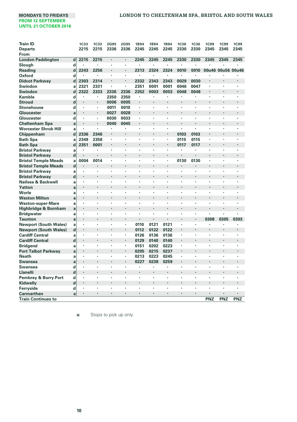| <b>Train ID</b>              |             | <b>1C33</b>          | <b>1C33</b>                     | <b>2G95</b> | 2G95 | 1B94 | 1B94                 | 1B94    | <b>1C36</b>    | <b>1C36</b>    | <b>1C99</b> | <b>1C99</b>       | <b>1C99</b> |
|------------------------------|-------------|----------------------|---------------------------------|-------------|------|------|----------------------|---------|----------------|----------------|-------------|-------------------|-------------|
| <b>Departs</b>               |             | 2215                 | 2215                            | 2336        | 2336 | 2245 | 2245                 | 2245    | 2330           | 2330           | 2345        | 2345              | 2345        |
| From                         |             |                      |                                 |             |      |      |                      |         |                |                |             |                   |             |
| <b>London Paddington</b>     | d           | 2215                 | 2215                            | ×           | ٠    | 2245 | 2245                 | 2245    | 2330           | 2330           | 2345        | 2345              | 2345        |
| Slough                       | d           |                      | ×                               | ٠           | ×,   | ٠    |                      | $\cdot$ | ٠              | ٠              |             |                   |             |
| Reading                      | d           | 2243                 | 2256                            | ٠           | ٠    | 2313 | 2324                 | 2324    | 0010           | 0010           |             | 00u46 00u56 00u46 |             |
| Oxford                       | d           | ٠                    | ï                               |             | ٠    | ٠    | ٠                    | $\cdot$ | $\cdot$        |                |             |                   |             |
| <b>Didcot Parkway</b>        | d           | 2303                 | 2314                            | ٠           | ٠    | 2332 | 2343                 | 2343    | 0029           | 0030           |             |                   | ٠           |
| Swindon                      | a           | 2321                 | 2331                            |             | ×,   | 2351 | 0001                 | 0001    | 0046           | 0047           |             |                   |             |
| <b>Swindon</b>               | d           | 2322                 | 2333                            | 2336        | 2336 | 2352 | 0003                 | 0003    | 0048           | 0048           | ٠           |                   | ×           |
| Kemble                       | d           |                      | $\cdot$                         | 2350        | 2350 |      |                      |         |                |                |             |                   |             |
| <b>Stroud</b>                | $\mathbf d$ |                      | $\cdot$                         | 0006        | 0005 | ï    | $\ddot{\phantom{0}}$ |         |                | $\cdot$        |             |                   |             |
| <b>Stonehouse</b>            | d           | $\cdot$              |                                 | 0011        | 0010 | ٠    | ٠                    |         |                | ٠              |             |                   | ٠           |
| Gloucester                   | a           | $\cdot$              | $\cdot$                         | 0027        | 0028 |      | $\ddot{\phantom{0}}$ |         |                | $\cdot$        |             |                   | ï           |
| Gloucester                   | d           | $\cdot$              |                                 | 0030        | 0033 | ٠    | $\ddot{\phantom{0}}$ | Ĭ.      |                | ٠              |             |                   | ٠           |
| <b>Cheltenham Spa</b>        | a           | $\cdot$              | $\centering \label{eq:reduced}$ | 0040        | 0045 | ٠    | $\cdot$              |         |                | $\cdot$        | l,          | ٠                 | ٠           |
| <b>Worcester Shrub Hill</b>  | a           | $\cdot$              |                                 | ×           | ٠    | ×,   | ٠                    | $\cdot$ | $\cdot$        |                | ٠           | ٠                 | ٠           |
| Chippenham                   | $\mathbf d$ | 2336                 | 2346                            | ٠           | ٠    | ٠    | $\ddot{\phantom{0}}$ |         | 0103           | 0103           | l,          | ٠                 | ×           |
| <b>Bath Spa</b>              | a           | 2349                 | 2358                            | ٠           | ٠    | ×,   | ٠                    |         | 0115           | 0115           | ٠           | ٠                 | ٠           |
| <b>Bath Spa</b>              | $\mathbf d$ | 2351                 | 0001                            |             | ٠    | ٠    |                      |         | 0117           | 0117           | ï           |                   | ×           |
| <b>Bristol Parkway</b>       | a           | $\cdot$              |                                 | ٠           | ٠    | ٠    | $\cdot$              |         | $\cdot$        |                | ×,          | ×,                | ٠           |
| <b>Bristol Parkway</b>       | $\mathbf d$ |                      |                                 |             |      |      |                      |         |                |                |             |                   | ٠           |
| <b>Bristol Temple Meads</b>  | a           | 0004                 | 0014                            | ٠           | ٠    | ٠    | ٠                    | ٠       | 0130           | 0130           | ×           | ٠                 | ٠           |
| <b>Bristol Temple Meads</b>  | $\mathbf d$ | $\cdot$              |                                 | ٠           | ٠    |      | $\ddot{\phantom{0}}$ |         |                |                |             |                   | ٠           |
| <b>Bristol Parkway</b>       | a           |                      | $\cdot$                         | ٠           | ٠    | ï    | ٠                    |         | $\cdot$        |                | ×.          | ٠                 | ٠           |
| <b>Bristol Parkway</b>       | $\mathbf d$ | $\cdot$              | $\cdot$                         | ٠           | ł.   |      | $\cdot$              |         |                | $\cdot$        |             |                   | ٠           |
| Nailsea & Backwell           | a           | $\cdot$              |                                 | ٠           | ٠    | ï    | ٠                    |         | ÷              | $\cdot$        | ï           | ٠                 | ٠           |
| Yatton                       | a           | $\cdot$              |                                 |             |      |      |                      |         |                |                |             |                   | ł.          |
| Worle                        | a           | $\cdot$              | $\cdot$                         | ٠           | ٠    | ï    | ٠                    |         | ٠              | $\cdot$        | ï           |                   | ٠           |
| <b>Weston Milton</b>         | a           | $\cdot$              |                                 |             |      |      |                      |         |                |                |             |                   |             |
| <b>Weston-super-Mare</b>     | a           | $\cdot$              |                                 |             | ٠    | ï    | ٠                    |         |                | ,              | ï           |                   |             |
| Highbridge & Burnham         | a           | $\cdot$              |                                 |             |      |      |                      |         |                |                |             |                   |             |
| <b>Bridgwater</b>            | a           | $\cdot$              | $\cdot$                         | ×           | ï    | ï    | ×                    |         |                |                | ï           |                   |             |
| <b>Taunton</b>               | a           | $\ddot{\phantom{0}}$ | $\ddot{\phantom{0}}$            |             |      |      |                      |         |                | $\cdot$        | 0308        | 0305              | 0303        |
| <b>Newport (South Wales)</b> | a           |                      |                                 | ٠           | ٠    | 0110 | 0121                 | 0121    | $\blacksquare$ |                | ٠           |                   | ï           |
| <b>Newport (South Wales)</b> | $\mathbf d$ | $\cdot$              |                                 | ×           | ٠    | 0112 | 0122                 | 0122    | $\cdot$        | $\cdot$        |             |                   | ٠           |
| <b>Cardiff Central</b>       | a           | ٠                    | $\cdot$                         | ٠           | ٠    | 0126 | 0136                 | 0136    | $\cdot$        | $\cdot$        | ٠           | ٠                 | ٠           |
| <b>Cardiff Central</b>       | d           | $\cdot$              |                                 | ٠           | ٠    | 0129 | 0140                 | 0140    | $\cdot$        | $\cdot$        | ï           |                   | ×           |
| Bridgend                     | a           |                      |                                 | ٠           | ٠    | 0151 | 0202                 | 0223    | $\cdot$        | $\cdot$        | ٠           | ٠                 | ٠           |
| <b>Port Talbot Parkway</b>   | a           | $\blacksquare$       |                                 |             | ٠    | 0205 | 0215                 | 0237    |                | $\blacksquare$ |             |                   |             |
| <b>Neath</b>                 | a           | $\cdot$              | $\cdot$                         | ٠           | ٠    | 0213 | 0223                 | 0245    | $\cdot$        | $\cdot$        | ٠           | ٠                 | ٠           |
| Swansea                      | a           | $\cdot$              |                                 | ٠           | ٠    | 0227 | 0238                 | 0259    |                | $\cdot$        |             |                   | ×           |
| <b>Swansea</b>               | d           |                      | $\cdot$                         | ٠           | ٠    |      |                      |         |                |                | ï           | ×                 | ï           |
| Llanelli                     | d           | $\blacksquare$       | $\cdot$                         | ٠           | ٠    |      | ٠                    | $\cdot$ |                | $\cdot$        | ٠           |                   | ٠           |
| Pembrey & Burry Port         | d           | $\cdot$              | $\cdot$                         | ł.          | ï    | ï    | ×                    |         | ÷              |                |             |                   | ٠           |
| Kidwelly                     | $\mathbf d$ | $\cdot$              | $\cdot$                         | ٠           | ٠    | ٠    | $\ddot{\phantom{0}}$ | $\cdot$ |                |                | ٠           |                   | ٠           |
| Ferryside                    | d           | $\cdot$              | ٠                               |             |      |      |                      |         |                |                |             |                   |             |
| Carmarthen                   | a           | $\cdot$              | $\cdot$                         | ٠           | ٠    | ٠    | $\cdot$              | $\cdot$ |                | $\cdot$        | ٠           |                   | ٠           |
| <b>Train Continues to</b>    |             |                      |                                 |             |      |      |                      |         |                |                | PNZ         | PNZ               | PNZ         |

**u** Stops to pick up only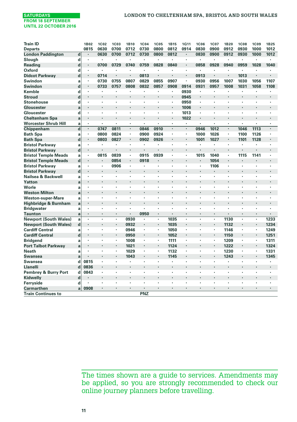| <b>Train ID</b>              |                | 1B02 | <b>1C02</b> | 1C03 | 1B10                 | <b>1C04</b> | <b>1C05</b>          | <b>1B15</b> | <b>1G11</b> | <b>1C06</b> | <b>1C07</b> | <b>1B20</b>    | <b>1C08</b> | <b>1C09</b>          | <b>1B25</b> |
|------------------------------|----------------|------|-------------|------|----------------------|-------------|----------------------|-------------|-------------|-------------|-------------|----------------|-------------|----------------------|-------------|
| <b>Departs</b>               |                | 0815 | 0630        | 0700 | 0712                 | 0730        | 0800                 | 0812        | 0914        | 0830        | 0900        | 0912           | 0930        | 1000                 | 1012        |
| <b>London Paddington</b>     | $\mathbf d$    | ٠    | 0630        | 0700 | 0712                 | 0730        | 0800                 | 0812        | ×           | 0830        | 0900        | 0912           | 0930        | 1000                 | 1012        |
| Slough                       | d              | ٠    | ٠           | ٠    |                      |             |                      |             | ï           |             | ٠           |                | ٠           | $\cdot$              |             |
| Reading                      | d              | ٠    | 0700        | 0729 | 0740                 | 0759        | 0828                 | 0840        | ٠           | 0858        | 0928        | 0940           | 0959        | 1028                 | 1040        |
| <b>Oxford</b>                | d              | ٠    | ×           |      | ٠                    |             | ٠                    |             | ×.          | ٠           |             |                |             | $\cdot$              |             |
| <b>Didcot Parkway</b>        | d              | ٠    | 0714        |      |                      | 0813        |                      |             | ÷.          | 0913        |             |                | 1013        |                      |             |
| Swindon                      | a              | ٠    | 0730        | 0755 | 0807                 | 0829        | 0855                 | 0907        | ٠           | 0930        | 0956        | 1007           | 1030        | 1056                 | 1107        |
| Swindon                      | d              | ٠    | 0733        | 0757 | 0808                 | 0832        | 0857                 | 0908        | 0914        | 0931        | 0957        | 1008           | 1031        | 1058                 | 1108        |
| Kemble                       | d              | ×    |             |      |                      |             |                      |             | 0930        |             |             |                |             |                      |             |
| <b>Stroud</b>                | d              | ł.   |             |      |                      |             | $\cdot$              | $\cdot$     | 0945        | ×           |             |                |             |                      |             |
| <b>Stonehouse</b>            | d              | ×    |             |      | ł.                   |             |                      |             | 0950        | ٠           | ×           |                |             |                      |             |
| Gloucester                   | a              | ٠    |             |      |                      |             |                      |             | 1006        | ٠           | ٠           |                |             |                      |             |
| Gloucester                   | d              | ×    |             |      |                      |             |                      |             | 1013        |             |             |                |             |                      |             |
| <b>Cheltenham Spa</b>        | a              | ï    |             |      | ï                    |             |                      |             | 1022        | ٠           |             |                |             |                      |             |
| <b>Worcester Shrub Hill</b>  | a              | ×.   | ×           | ×.   | ÷,                   | ×           | ÷                    | $\cdot$     | ×,          | ×,          | J.          | ÷,             | ٠           | $\ddot{\phantom{0}}$ |             |
| Chippenham                   | $\overline{d}$ | ×.   | 0747        | 0811 | $\ddot{\phantom{0}}$ | 0846        | 0910                 |             |             | 0946        | 1012        | ×,             | 1046        | 1113                 |             |
| <b>Bath Spa</b>              | a              | ٠    | 0800        | 0824 | ٠                    | 0900        | 0924                 | ٠           | ×,          | 1000        | 1026        | ٠              | 1100        | 1126                 |             |
| <b>Bath Spa</b>              | d              | ٠    | 0803        | 0827 |                      | 0902        | 0926                 |             | ï           | 1001        | 1027        | $\blacksquare$ | 1101        | 1128                 |             |
| <b>Bristol Parkway</b>       | a              | ٠    |             |      | ٠                    |             | $\cdot$              | $\cdot$     | ٠           | ٠           | ٠           | ×,             | ٠           |                      |             |
| <b>Bristol Parkway</b>       | $\mathbf d$    | ٠    | ٠           |      | ٠                    |             |                      |             | ٠           |             |             |                |             |                      |             |
| <b>Bristol Temple Meads</b>  | a              | ٠    | 0815        | 0839 | ٠                    | 0915        | 0939                 |             | ٠           | 1015        | 1040        |                | 1115        | 1141                 |             |
| <b>Bristol Temple Meads</b>  | $\mathbf d$    | ×    |             | 0854 | ٠                    | 0918        | $\cdot$              |             |             |             | 1054        |                | ٠           | $\ddot{\phantom{0}}$ |             |
| <b>Bristol Parkway</b>       | a              | ٠    | ٠           | 0906 | ٠                    |             | $\cdot$              |             | ٠           | ٠           | 1106        | ٠              | ٠           |                      |             |
| <b>Bristol Parkway</b>       | d              | ÷,   |             |      | ÷,                   |             |                      |             | l,          |             |             |                |             |                      |             |
| Nailsea & Backwell           | a              | ٠    | ٠           | ٠    | $\ddot{\phantom{0}}$ | ٠           | $\ddot{\phantom{0}}$ | $\cdot$     | ٠           | ٠           | ٠           | ٠              | ٠           | $\cdot$              | ٠           |
| Yatton                       | a              | ×    |             |      | ï                    |             |                      |             |             |             |             |                | ٠           |                      |             |
| Worle                        | a              | ٠    | ٠           | ٠    | ×                    | ٠           | $\cdot$              | $\cdot$     | ٠           | ٠           | ×           | ×              | ٠           | $\cdot$              |             |
| <b>Weston Milton</b>         | a              | ٠    |             |      |                      |             |                      |             |             |             |             |                |             |                      |             |
| Weston-super-Mare            | a              | ×    |             |      | ł.                   |             |                      |             | ä,          |             | ×           | ٠              |             |                      |             |
| Highbridge & Burnham         | a              | ł.   |             |      |                      |             |                      |             |             |             |             |                |             |                      |             |
| <b>Bridgwater</b>            | a              | ٠    |             |      |                      |             |                      |             |             |             |             |                |             |                      |             |
| <b>Taunton</b>               | a              | ٠    | ٠           | ٠    | $\blacksquare$       | 0950        | $\cdot$              |             | ٠           |             | ٠           | ٠              | ٠           | $\cdot$              |             |
| <b>Newport (South Wales)</b> | a              | ï    | ٠           | ٠    | 0930                 |             | $\cdot$              | 1035        | ×           | ٠           | ٠           | 1130           | ï           | $\blacksquare$       | 1233        |
| <b>Newport (South Wales)</b> | $\mathbf d$    | ٠    | l,          | ٠    | 0932                 | ٠           | $\blacksquare$       | 1035        | ×.          | ÷.          | ×.          | 1132           | ٠           | $\blacksquare$       | 1234        |
| <b>Cardiff Central</b>       | a              | ٠    | ٠           | ٠    | 0946                 | ٠           | ٠                    | 1050        | ×,          | ٠           | ٠           | 1146           | ٠           | $\cdot$              | 1249        |
| <b>Cardiff Central</b>       | d              | ٠    |             | ٠    | 0950                 |             |                      | 1052        | ٠           |             | ٠           | 1150           | ٠           | $\cdot$              | 1251        |
| <b>Bridgend</b>              | a              | ٠    | ٠           | ٠    | 1008                 | ×,          |                      | 1111        | ×.          | ×,          | ×.          | 1209           | ٠           | $\cdot$              | 1311        |
| <b>Port Talbot Parkway</b>   | a              | ٠    | ×           | ٠    | 1021                 | $\cdot$     |                      | 1124        | ٠           | ٠           | ٠           | 1222           | ٠           | $\cdot$              | 1324        |
| Neath                        | a              | ٠    | ٠           | ٠    | 1029                 | ٠           | ٠                    | 1132        | ٠           | ٠           | ٠           | 1230           | ٠           | $\cdot$              | 1331        |
| <b>Swansea</b>               | a              |      |             |      | 1043                 |             |                      | 1145        |             |             |             | 1243           |             | $\cdot$              | 1345        |
| Swansea                      | d              | 0815 | ٠           | ×    | ï                    | ٠           | $\blacksquare$       |             | ٠           |             | ٠           |                | ٠           | $\cdot$              | $\cdot$     |
| <b>Llanelli</b>              | d              | 0836 |             |      | ÷,                   |             |                      |             | l,          |             |             |                |             |                      |             |
| Pembrey & Burry Port         | $\mathbf d$    | 0843 | ٠           | ٠    | ٠                    | ٠           | $\cdot$              | $\cdot$     | ٠           | ٠           | ٠           | $\cdot$        | ٠           | $\ddot{\phantom{0}}$ | ٠           |
| Kidwelly                     | d              |      |             |      | ï                    |             |                      |             | ٠           |             | ٠           |                | ×           |                      |             |
| Ferryside                    | d              | ×    |             |      | ٠                    |             | ٠                    | $\cdot$     | ٠           | ٠           | ٠           | ٠              | ٠           | $\cdot$              |             |
| <b>Carmarthen</b>            | a              | 0908 |             |      |                      |             |                      |             |             |             | ٠           |                |             |                      |             |
| <b>Train Continues to</b>    |                |      |             |      |                      | PNZ         |                      |             |             |             |             |                |             |                      |             |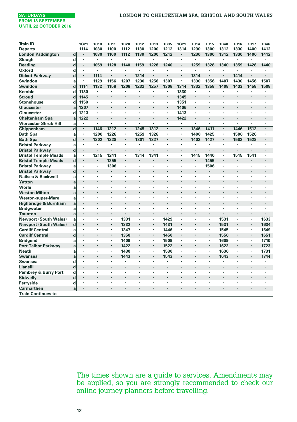

| <b>Train ID</b>                            |             | <b>1G21</b>        | 1C10    | 1C11 | 1B28 | 1C12                 | <b>1C13</b>    | 1B35                 | <b>1G29</b>          | <b>1C14</b>    | <b>1C15</b> | 1B40 | <b>1C16</b>          | 1C17                 | 1B46    |
|--------------------------------------------|-------------|--------------------|---------|------|------|----------------------|----------------|----------------------|----------------------|----------------|-------------|------|----------------------|----------------------|---------|
| <b>Departs</b>                             |             | 1114               | 1030    | 1100 | 1112 | 1130                 | 1200           | 1212                 | 1314                 | 1230           | 1300        | 1312 | 1330                 | 1400                 | 1412    |
| <b>London Paddington</b>                   | $\mathbf d$ | $\cdot$            | 1030    | 1100 | 1112 | 1130                 | 1200           | 1212                 | $\cdot$              | 1230           | 1300        | 1312 | 1330                 | 1400                 | 1412    |
| Slough                                     | d           | $\cdot$            |         | ٠    | ×    | $\ddot{\phantom{0}}$ | ÷,             | $\ddot{\phantom{a}}$ |                      | $\cdot$        | ٠           | ×    |                      | ×,                   | Ĭ.      |
| Reading                                    | $\mathbf d$ | $\blacksquare$     | 1059    | 1128 | 1140 | 1159                 | 1228           | 1240                 | $\cdot$              | 1259           | 1328        | 1340 | 1359                 | 1428                 | 1440    |
| Oxford                                     | d           | $\cdot$            | $\cdot$ |      | ٠    | ×                    | ٠              | $\cdot$              | $\cdot$              | $\cdot$        | ٠           | ٠    |                      |                      |         |
| <b>Didcot Parkway</b>                      | d           | $\cdot$            | 1114    |      | ٠    | 1214                 |                |                      |                      | 1314           |             | ٠    | 1414                 |                      |         |
| Swindon                                    | a           | $\cdot$            | 1129    | 1156 | 1207 | 1230                 | 1256           | 1307                 | $\blacksquare$       | 1330           | 1356        | 1407 | 1430                 | 1456                 | 1507    |
| Swindon                                    | d           | 1114               | 1132    | 1158 | 1208 | 1232                 | 1257           | 1308                 | 1314                 | 1332           | 1358        | 1408 | 1433                 | 1458                 | 1508    |
| Kemble                                     | d           | 1130               | ٠       | ٠    | ×,   | $\cdot$              | $\blacksquare$ | ٠                    | 1330                 | $\cdot$        | ٠           | ٠    | ٠                    | ×,                   |         |
| <b>Stroud</b>                              | d           | 1145               |         |      |      |                      |                |                      | 1345                 |                |             |      |                      |                      |         |
| <b>Stonehouse</b>                          | d           | 1150               | ٠       | ٠    | ٠    | ٠                    | ٠              |                      | 1351                 |                | ٠           | ٠    | ٠                    | ٠                    |         |
| Gloucester                                 | a           | 1207               | $\cdot$ |      | ÷,   | $\cdot$              |                | $\cdot$              | 1406                 | $\cdot$        |             | ٠    | ٠                    |                      |         |
| Gloucester                                 | d           | 1213               |         | ×    | ٠    | ×                    | ×              |                      | 1413                 |                | ٠           | ٠    | ×                    | ×                    |         |
| <b>Cheltenham Spa</b>                      | a           | 1222               | $\cdot$ |      | ٠    |                      |                |                      | 1422                 | $\cdot$        |             | ٠    |                      | ł.                   |         |
| <b>Worcester Shrub Hill</b>                | a           | ٠                  | $\cdot$ | ٠    | ٠    | ٠                    | ٠              | ٠                    | $\cdot$              |                | ٠           | ٠    | ٠                    | ٠                    | $\cdot$ |
| Chippenham                                 | $\mathbf d$ | $\cdot$            | 1146    | 1212 | ٠    | 1245                 | 1312           | $\cdot$              | $\cdot$              | 1346           | 1411        | ٠    | 1446                 | 1512                 |         |
| <b>Bath Spa</b>                            | a           |                    | 1200    | 1226 | ٠    | 1259                 | 1326           |                      | $\blacksquare$       | 1400           | 1425        | ٠    | 1500                 | 1526                 |         |
| <b>Bath Spa</b>                            | d           | $\cdot$            | 1202    | 1228 | ٠    | 1301                 | 1327           |                      | ۰                    | 1402           | 1427        | ٠    | 1502                 | 1528                 |         |
| <b>Bristol Parkway</b>                     | a           | $\cdot$            | $\cdot$ | ٠    | ٠    | ٠                    | ٠              | $\cdot$              | $\cdot$              | ٠              |             | ٠    |                      | ٠                    | ٠       |
| <b>Bristol Parkway</b>                     | d           | $\cdot$            |         |      | ٠    |                      |                | $\overline{a}$       | $\overline{a}$       |                |             | ٠    |                      | ï                    |         |
| <b>Bristol Temple Meads</b>                | a           | $\blacksquare$     | 1215    | 1241 | ٠    | 1314                 | 1341           |                      | $\blacksquare$       | 1415           | 1440        | ٠    | 1515                 | 1541                 |         |
| <b>Bristol Temple Meads</b>                | $\mathbf d$ | $\blacksquare$     | $\cdot$ | 1255 | ×    |                      |                |                      |                      |                | 1455        | ٠    |                      | ×                    |         |
| <b>Bristol Parkway</b>                     | a           | $\cdot$            | $\cdot$ | 1306 | ٠    | ٠                    | ×              | $\cdot$              |                      |                | 1506        | ×,   | ٠                    | ×                    |         |
| <b>Bristol Parkway</b>                     | d           | $\blacksquare$     | $\cdot$ |      | ٠    | ٠                    | $\cdot$        | $\cdot$              | $\ddot{\phantom{0}}$ |                |             | ٠    | ٠                    | $\ddot{\phantom{0}}$ |         |
| Nailsea & Backwell                         | a           | ٠                  |         |      | ï    |                      | ï              |                      |                      | $\overline{a}$ |             | ×    |                      | ï                    |         |
| Yatton                                     | a           | $\cdot$            |         |      | ٠    | $\ddot{\phantom{0}}$ | ٠              |                      |                      |                |             | ٠    |                      | ×                    |         |
| Worle                                      | a           | ٠                  |         |      | ٠    | ٠                    | ٠              |                      |                      |                |             | ٠    |                      | ٠                    | ï       |
| <b>Weston Milton</b>                       | a           | $\cdot$            |         |      | ï    | $\ddot{\phantom{0}}$ | ï              |                      |                      |                |             | ï    |                      |                      |         |
| <b>Weston-super-Mare</b>                   | a           | $\cdot$            | ٠       | ٠    | ٠    | ×                    | ï              |                      | $\cdot$              | $\cdot$        | ٠           | ٠    | ٠                    | ×                    |         |
| Highbridge & Burnham                       | a           | $\cdot$            |         |      | ï    | $\cdot$              | ï              |                      | $\cdot$              | $\cdot$        | ٠           | ٠    | ٠                    | ï                    |         |
| <b>Bridgwater</b>                          | a           | $\cdot$            | ٠       | ٠    | ٠    | ٠                    | ٠              | $\cdot$              | $\cdot$              | $\cdot$        | ٠           | ٠    | ٠                    | ٠                    |         |
| <b>Taunton</b>                             | a           | $\cdot$            | $\cdot$ | ٠    | ×    | $\ddot{\phantom{0}}$ |                | $\cdot$              |                      |                | ٠           | ٠    | $\cdot$              | ×                    |         |
| <b>Newport (South Wales)</b>               | a           | ï                  |         | ×    | 1331 | ï                    | ×,             | 1429                 |                      |                | ×           | 1531 | ï                    | ¥                    | 1633    |
| <b>Newport (South Wales)</b>               | $\mathbf d$ | $\blacksquare$     | $\cdot$ | ٠    | 1332 | $\blacksquare$       | ٠              | 1431                 | ۰                    |                | ٠           | 1531 | $\blacksquare$       | $\blacksquare$       | 1634    |
| <b>Cardiff Central</b>                     |             | $\cdot$            |         | ٠    | 1347 | ٠                    | $\blacksquare$ | 1446                 | $\cdot$              |                | ٠           | 1545 | ٠                    | $\blacksquare$       | 1649    |
| <b>Cardiff Central</b>                     | a<br>d      | $\cdot$            |         |      | 1350 | $\ddot{\phantom{0}}$ | ٠              | 1450                 | $\cdot$              |                |             | 1550 |                      | ٠                    | 1651    |
|                                            |             | ٠                  |         | ×,   | 1409 | $\cdot$              | ×,             |                      |                      |                | ٠           | 1609 | $\cdot$              | $\blacksquare$       | 1710    |
| <b>Bridgend</b>                            | a           |                    |         |      | 1422 | $\ddot{\phantom{0}}$ | ٠              | 1509<br>1522         |                      |                |             | 1622 |                      | $\cdot$              | 1723    |
| <b>Port Talbot Parkway</b><br><b>Neath</b> | a           | $\cdot$            | $\cdot$ | ٠    | 1430 | ×                    | $\bullet$      | 1530                 |                      | $\cdot$        | ٠           | 1630 | ٠                    | $\blacksquare$       | 1731    |
|                                            | a           | $\cdot$            |         | ٠    |      | $\ddot{\phantom{0}}$ | ٠              |                      | $\cdot$              |                |             |      |                      | $\cdot$              |         |
| <b>Swansea</b>                             | a           | $\cdot$            |         |      | 1443 |                      | ٠              | 1543                 | $\cdot$              |                |             | 1643 |                      |                      | 1744    |
| Swansea<br>Llanelli                        | d           | $\cdot$            |         | ٠    | ٠    | ٠<br>٠               | ×              |                      |                      | ٠              | ٠           | ×    | ٠                    | ٠<br>×               |         |
|                                            | d           |                    |         |      |      |                      |                |                      |                      |                |             |      |                      | ×                    |         |
| <b>Pembrey &amp; Burry Port</b>            | d           | $\cdot$<br>$\cdot$ | $\cdot$ | ٠    | ٠    | ٠                    | ٠              |                      | $\blacksquare$       |                | ٠           | ٠    | ٠                    |                      |         |
| Kidwelly                                   | $\mathbf d$ |                    |         |      | ٠    | $\cdot$              |                | $\cdot$              |                      |                |             | ٠    | ٠                    | $\cdot$              |         |
| Ferryside                                  | d           | $\cdot$            | Ĭ.      |      | ×    |                      | ł.             | ٠                    | ٠                    |                |             | ٠    | $\ddot{\phantom{0}}$ | ł.                   |         |
| <b>Carmarthen</b>                          | a           | $\cdot$            | $\cdot$ | ٠    | ٠    | ٠                    | ٠              | $\cdot$              | $\cdot$              | ٠              | ٠           | ٠    | ٠                    | ٠                    | $\cdot$ |
| <b>Train Continues to</b>                  |             |                    |         |      |      |                      |                |                      |                      |                |             |      |                      |                      |         |

The times shown are a guide to services. Amendments may be applied, so you are strongly recommended to check our online journey planners before travelling.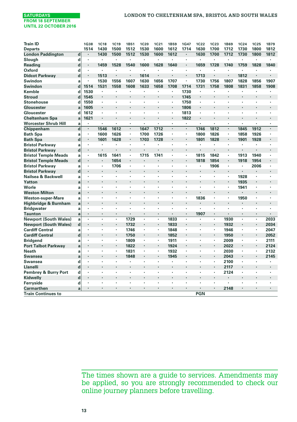| <b>Train ID</b>              |             | <b>1G38</b> | <b>1C18</b> | 1C19 | 1B51                 | <b>1C20</b> | 1C21                 | <b>1B59</b>          | 1G47           | <b>1C22</b> | <b>1C23</b> | <b>1B69</b>          | <b>1C24</b>    | <b>1C25</b>    | 1B79                 |
|------------------------------|-------------|-------------|-------------|------|----------------------|-------------|----------------------|----------------------|----------------|-------------|-------------|----------------------|----------------|----------------|----------------------|
| <b>Departs</b>               |             | 1514        | 1430        | 1500 | 1512                 | 1530        | 1600                 | 1612                 | 1714           | 1630        | 1700        | 1712                 | 1730           | 1800           | 1812                 |
| <b>London Paddington</b>     | $\mathbf d$ |             | 1430        | 1500 | 1512                 | 1530        | 1600                 | 1612                 | ×              | 1630        | 1700        | 1712                 | 1730           | 1800           | 1812                 |
| Slough                       | d           | ٠           | ٠           | ٠    |                      |             | ÷,                   | $\cdot$              | ٠              | ٠           | ٠           |                      | ٠              |                |                      |
| Reading                      | d           | ٠           | 1459        | 1528 | 1540                 | 1600        | 1628                 | 1640                 | ×,             | 1659        | 1728        | 1740                 | 1759           | 1828           | 1840                 |
| Oxford                       | d           | $\epsilon$  | ×,          | ×    | $\ddot{\phantom{0}}$ |             | $\ddot{\phantom{0}}$ | $\ddot{\phantom{0}}$ | $\blacksquare$ | ï           | ٠           |                      | ×,             |                |                      |
| <b>Didcot Parkway</b>        | d           | ٠           | 1513        |      |                      | 1614        |                      |                      | ï              | 1713        |             |                      | 1812           |                |                      |
| Swindon                      | a           | ٠           | 1530        | 1556 | 1607                 | 1630        | 1656                 | 1707                 | ٠              | 1730        | 1756        | 1807                 | 1828           | 1856           | 1907                 |
| Swindon                      | d           | 1514        | 1531        | 1558 | 1608                 | 1633        | 1658                 | 1708                 | 1714           | 1731        | 1758        | 1808                 | 1831           | 1858           | 1908                 |
| Kemble                       | d           | 1530        | ×           | ٠    | ×                    | ٠           | $\cdot$              |                      | 1730           | ٠           | ٠           | ٠                    | ٠              |                | $\cdot$              |
| <b>Stroud</b>                | d           | 1545        |             |      |                      | ×           |                      | $\cdot$              | 1745           |             |             |                      | ×              |                |                      |
| <b>Stonehouse</b>            | d           | 1550        |             | ٠    | ٠                    | ٠           | $\cdot$              | ٠                    | 1750           | ٠           | ٠           | ٠                    | ٠              |                | $\cdot$              |
| Gloucester                   | a           | 1605        | ٠           | ٠    |                      | ٠           | $\cdot$              | $\cdot$              | 1806           | ٠           | ٠           |                      |                | $\cdot$        | ٠                    |
| Gloucester                   | d           | 1612        |             | ×    | ٠                    | ł.          | ٠                    | $\cdot$              | 1813           | ٠           | ٠           |                      | ł.             |                |                      |
| <b>Cheltenham Spa</b>        | a           | 1621        | ٠           |      |                      |             |                      | $\cdot$              | 1822           | ٠           | ٠           |                      |                |                |                      |
| <b>Worcester Shrub Hill</b>  | a           | ٠           | ×,          | ×    | ٠                    | ٠           | $\cdot$              | $\cdot$              | ٠              | ٠           | ٠           | ٠                    | ٠              |                |                      |
| Chippenham                   | $\mathbf d$ | ×.          | 1546        | 1612 | ×,                   | 1647        | 1712                 |                      | ×,             | 1746        | 1812        | ×,                   | 1845           | 1912           | $\ddot{\phantom{0}}$ |
| <b>Bath Spa</b>              | a           | ٠           | 1600        | 1626 | ٠                    | 1700        | 1726                 | ٠                    | ×,             | 1800        | 1826        | ٠                    | 1858           | 1926           | $\cdot$              |
| <b>Bath Spa</b>              | d           | ×,          | 1601        | 1628 | ٠                    | 1703        | 1728                 |                      | ٠              | 1801        | 1828        | $\blacksquare$       | 1901           | 1928           |                      |
| <b>Bristol Parkway</b>       | a           | ×.          | ٠           | ×    | ×,                   |             | $\cdot$              | $\cdot$              | ×.             | ٠           | ٠           | ٠                    | ٠              |                |                      |
| <b>Bristol Parkway</b>       | $\mathbf d$ | ٠           |             |      |                      |             |                      |                      |                |             |             | $\ddot{\phantom{0}}$ |                |                |                      |
| <b>Bristol Temple Meads</b>  | a           | ٠           | 1615        | 1641 | ٠                    | 1715        | 1741                 |                      | ×,             | 1815        | 1842        | ٠                    | 1913           | 1940           | ٠                    |
| <b>Bristol Temple Meads</b>  | $\mathbf d$ | ×           |             | 1654 |                      | ÷,          | $\ddot{\phantom{0}}$ |                      |                | 1818        | 1854        | $\blacksquare$       | 1918           | 1954           |                      |
| <b>Bristol Parkway</b>       | a           | ×           | ٠           | 1706 | ٠                    | ï           | $\cdot$              |                      | ×              | ٠           | 1906        | ٠                    | ٠              | 2006           |                      |
| <b>Bristol Parkway</b>       | d           | l,          |             |      |                      |             |                      |                      |                |             |             |                      |                | $\cdot$        |                      |
| Nailsea & Backwell           | a           | ×           | ٠           | ٠    | ٠                    | ٠           | $\cdot$              | $\cdot$              | ٠              | ×           | ٠           | ٠                    | 1928           |                | ٠                    |
| Yatton                       | a           |             |             |      | l.                   | ï           | $\ddot{\phantom{0}}$ |                      | ÷              |             | ٠           | ٠                    | 1935           |                |                      |
| Worle                        | a           | ٠           |             | ٠    | ٠                    | ٠           | $\cdot$              | $\cdot$              | ٠              | ٠           | ٠           | ٠                    | 1941           | $\cdot$        |                      |
| <b>Weston Milton</b>         | a           |             |             |      |                      | ٠           |                      |                      |                |             |             | ٠                    |                |                |                      |
| <b>Weston-super-Mare</b>     | a           | ٠           |             | ×    | ÷                    | ï           | ÷                    |                      | ×,             | 1836        | ×,          | ٠                    | 1950           | $\cdot$        | $\ddot{\phantom{0}}$ |
| Highbridge & Burnham         | a           | ٠           |             | ٠    | ł.                   | ×.          | $\ddot{\phantom{0}}$ |                      | ٠              |             | ٠           |                      |                |                |                      |
| <b>Bridgwater</b>            | a           | ×           |             | ×    |                      |             | ٠                    |                      | ł.             |             | ٠           |                      | ٠              |                |                      |
| <b>Taunton</b>               | a           | ٠           | ٠           | ٠    | $\ddot{\phantom{0}}$ | ٠           | $\cdot$              | $\cdot$              | ×.             | 1907        | ٠           | $\cdot$              | $\cdot$        | $\cdot$        |                      |
| <b>Newport (South Wales)</b> | a           | ï           |             | ×    | 1729                 | ï           | $\cdot$              | 1833                 | ٠              | ï           | ×.          | 1930                 | ï              |                | 2033                 |
| <b>Newport (South Wales)</b> | $\mathbf d$ | ×.          | ٠           | ×.   | 1732                 | ٠           | $\cdot$              | 1833                 | ٠              | ٠           | ٠           | 1932                 | ٠              | $\blacksquare$ | 2034                 |
| <b>Cardiff Central</b>       | a           | ٠           | ٠           | ٠    | 1746                 | ٠           | ٠                    | 1848                 | ٠              | ٠           | ٠           | 1946                 | ٠              |                | 2047                 |
| <b>Cardiff Central</b>       | d           |             |             | ٠    | 1750                 | ×           | $\cdot$              | 1852                 | ×.             |             | ٠           | 1950                 | $\blacksquare$ | $\cdot$        | 2052                 |
| <b>Bridgend</b>              | a           | ٠           | ٠           | ٠    | 1809                 | ٠           | $\cdot$              | 1911                 | ×.             | ٠           | ×.          | 2009                 | ٠              |                | 2111                 |
| <b>Port Talbot Parkway</b>   | a           | ×           | ٠           | ٠    | 1822                 | ٠           | $\cdot$              | 1924                 | ٠              | ٠           | ٠           | 2022                 | ×              | $\blacksquare$ | 2124                 |
| <b>Neath</b>                 | a           | ï           | ٠           | ٠    | 1831                 | ٠           | $\blacksquare$       | 1932                 | ٠              | ٠           | ×,          | 2030                 |                | $\cdot$        | 2132                 |
| <b>Swansea</b>               | a           | ٠           |             |      | 1848                 |             | $\cdot$              | 1945                 |                |             | ٠           | 2043                 | ٠              |                | 2145                 |
| <b>Swansea</b>               | d           | ï           |             | ٠    |                      | ٠           | $\cdot$              | $\cdot$              | ٠              | ٠           | ×,          | 2100                 | ٠              | $\cdot$        | $\cdot$              |
| <b>Llanelli</b>              | d           | i.          |             |      |                      | ÷,          |                      |                      |                |             | ٠           | 2117                 | ÷,             |                |                      |
| Pembrey & Burry Port         | $\mathbf d$ | ٠           | ٠           | ٠    | $\cdot$              | ٠           | $\ddot{\phantom{0}}$ | $\cdot$              | ×,             | ٠           | ٠           | 2124                 | ٠              | ٠              | ٠                    |
| Kidwelly                     | d           | ×,          |             |      |                      |             |                      |                      |                |             | ٠           |                      | ٠              |                |                      |
| Ferryside                    | d           | ٠           |             | ٠    | ٠                    | ٠           | ٠                    | $\cdot$              | ٠              | ٠           | ×,          |                      | ٠              |                | $\cdot$              |
| Carmarthen                   | a           |             |             |      |                      |             |                      |                      |                |             | ٠           | 2148                 | ٠              |                |                      |
| <b>Train Continues to</b>    |             |             |             |      |                      |             |                      |                      |                | PGN         |             |                      |                |                |                      |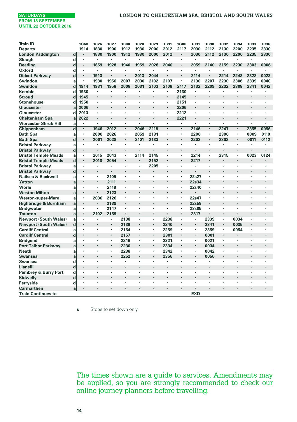| <b>Train ID</b>              |             | 1G60           | <b>1C26</b>    | 1C27 | <b>1B88</b> | <b>1C28</b> | 1C <sub>29</sub>     | <b>1B91</b>    | <b>1G88</b>    | <b>1C31</b>    | <b>1B98</b>    | <b>1C32</b>    | <b>1B94</b> | <b>1C33</b>              | <b>1C36</b>          |
|------------------------------|-------------|----------------|----------------|------|-------------|-------------|----------------------|----------------|----------------|----------------|----------------|----------------|-------------|--------------------------|----------------------|
| <b>Departs</b>               |             | 1914           | 1830           | 1900 | 1912        | 1930        | 2000                 | 2012           | 2117           | 2030           | 2112           | 2130           | 2200        | 2235                     | 2330                 |
| <b>London Paddington</b>     | $\mathbf d$ | $\cdot$        | 1830           | 1900 | 1912        | 1930        | 2000                 | 2012           | $\cdot$        | 2030           | 2112           | 2130           | 2200        | 2235                     | 2330                 |
| Slough                       | d           |                | $\blacksquare$ | ×    | ×           |             | $\ddot{\phantom{0}}$ | $\cdot$        |                | $\cdot$        | ٠              |                |             |                          |                      |
| Reading                      | $\mathbf d$ | ٠              | 1859           | 1928 | 1940        | 1959        | 2028                 | 2040           |                | 2059           | 2140           | 2159           | 2230        | 2303                     | 0006                 |
| Oxford                       | d           | $\cdot$        | $\blacksquare$ |      | ٠           | ٠           | ٠                    |                | $\cdot$        |                | ٠              |                | ٠           | ٠                        | $\cdot$              |
| <b>Didcot Parkway</b>        | $\mathbf d$ |                | 1913           |      |             | 2013        | 2044                 |                |                | 2114           |                | 2214           | 2248        | 2322                     | 0023                 |
| Swindon                      | a           |                | 1930           | 1956 | 2007        | 2030        | 2102                 | 2107           | $\cdot$        | 2130           | 2207           | 2230           | 2306        | 2339                     | 0040                 |
| Swindon                      | d           | 1914           | 1931           | 1958 | 2008        | 2031        | 2103                 | 2108           | 2117           | 2132           | 2209           | 2232           | 2308        | 2341                     | 0042                 |
| Kemble                       | d           | 1930           |                |      |             |             |                      | $\cdot$        | 2130           |                | ٠              |                |             |                          |                      |
| <b>Stroud</b>                | d           | 1945           | $\cdot$        |      |             | ٠           | $\cdot$              | $\blacksquare$ | 2145           | $\blacksquare$ |                |                |             |                          |                      |
| <b>Stonehouse</b>            | d           | 1950           | $\cdot$        | ï    |             |             |                      |                | 2151           | $\cdot$        | ï              |                |             |                          |                      |
| Gloucester                   | a           | 2006           | $\cdot$        |      |             |             |                      | $\cdot$        | 2206           | $\cdot$        | ٠              |                |             |                          |                      |
| Gloucester                   | d           | 2013           |                |      |             |             |                      | $\cdot$        | 2212           |                |                |                |             |                          |                      |
| <b>Cheltenham Spa</b>        | a           | 2022           | $\cdot$        |      |             |             |                      | $\cdot$        | 2221           |                |                |                | ï           |                          |                      |
| <b>Worcester Shrub Hill</b>  | a           | $\cdot$        | $\cdot$        | ×    | ٠           | ï           | $\ddot{\phantom{0}}$ | $\cdot$        | ٠              | $\cdot$        | ×,             | ×,             | ٠           | ٠                        | $\ddot{\phantom{0}}$ |
| Chippenham                   | $\mathbf d$ |                | 1946           | 2012 | ٠           | 2046        | 2118                 |                |                | 2146           | ٠              | 2247           | ï           | 2355                     | 0056                 |
| <b>Bath Spa</b>              | a           | ٠              | 2000           | 2026 | ٠           | 2059        | 2131                 | ٠              | ٠              | 2200           | ٠              | 2300           | ٠           | 0009                     | 0110                 |
| <b>Bath Spa</b>              | $\mathbf d$ |                | 2001           | 2028 |             | 2101        | 2133                 |                |                | 2202           | ٠              | 2302           | ٠           | 0011                     | 0112                 |
| <b>Bristol Parkway</b>       | a           |                | $\cdot$        | ×    | ٠           | ł.          | ×                    | $\cdot$        |                |                | ×,             |                | ٠           | $\ddot{\phantom{0}}$     | $\cdot$              |
| <b>Bristol Parkway</b>       | $\mathbf d$ |                |                |      | l,          |             |                      |                | $\overline{a}$ |                | $\cdot$        |                | l,          |                          |                      |
| <b>Bristol Temple Meads</b>  | a           |                | 2015           | 2043 | ×           | 2114        | 2145                 | $\cdot$        |                | 2214           | ٠              | 2315           | ٠           | 0023                     | 0124                 |
| <b>Bristol Temple Meads</b>  | d           |                | 2018           | 2054 |             | ï           | 2152                 |                |                | 2217           |                |                | ٠           |                          |                      |
| <b>Bristol Parkway</b>       | a           |                | $\cdot$        | ï    | ٠           | ٠           | 2205                 |                |                |                | ٠              |                | ï           |                          |                      |
| <b>Bristol Parkway</b>       | $\mathbf d$ |                |                |      |             | ٠           |                      |                |                |                | ÷,             |                | ï           |                          |                      |
| Nailsea & Backwell           | a           |                | ٠              | 2105 | ×,          | ٠           | ٠                    |                | $\blacksquare$ | 22s27          | ×,             | ٠              | ٠           | ٠                        | $\cdot$              |
| Yatton                       | a           |                |                | 2111 |             |             |                      |                |                | 22s34          |                |                | ×           |                          |                      |
| Worle                        | a           |                | $\cdot$        | 2118 | ٠           | ٠           | ٠                    | $\cdot$        | ٠              | 22s40          | ٠              | ٠              | ٠           |                          | $\cdot$              |
| <b>Weston Milton</b>         | a           |                | $\cdot$        | 2123 | ٠           | ٠           | $\cdot$              | $\cdot$        |                |                | ×              |                |             |                          |                      |
| <b>Weston-super-Mare</b>     | a           | $\cdot$        | 2036           | 2126 |             |             |                      |                |                | 22s47          | ٠              |                |             |                          |                      |
| Highbridge & Burnham         | a           |                | $\cdot$        | 2139 | ٠           |             | ٠                    |                |                | 22s58          | ٠              |                |             |                          |                      |
| <b>Bridgwater</b>            | a           | $\cdot$        | $\cdot$        | 2147 |             | ٠           | ٠                    |                | $\cdot$        | 23s05          | ٠              |                |             |                          |                      |
| <b>Taunton</b>               | a           | $\blacksquare$ | 2102           | 2159 | ٠           | ٠           | $\cdot$              |                | $\blacksquare$ | 2317           | $\blacksquare$ | $\blacksquare$ | ٠           | $\overline{\phantom{a}}$ | $\ddot{\phantom{0}}$ |
| <b>Newport (South Wales)</b> | a           |                |                | ٠    | 2138        | ï           | ٠                    | 2238           | $\cdot$        |                | 2339           | ٠              | 0034        | ×                        | ٠                    |
| <b>Newport (South Wales)</b> | $\mathbf d$ |                | $\cdot$        | ٠    | 2139        |             | ٠                    | 2240           |                | $\blacksquare$ | 2341           | ٠              | 0035        |                          |                      |
| <b>Cardiff Central</b>       | a           |                | $\cdot$        | ٠    | 2154        | ٠           | ×,                   | 2259           |                |                | 2359           | ٠              | 0054        | ٠                        | $\cdot$              |
| <b>Cardiff Central</b>       | d           |                |                | ٠    | 2157        | ٠           | $\ddot{\phantom{0}}$ | 2301           | $\cdot$        | $\cdot$        | 0001           |                |             |                          |                      |
| <b>Bridgend</b>              | a           |                | $\cdot$        | ٠    | 2216        | ٠           | ٠                    | 2321           | $\cdot$        |                | 0021           | ×,             | ï           |                          |                      |
| <b>Port Talbot Parkway</b>   | a           |                |                | ٠    | 2230        | ٠           | $\cdot$              | 2334           |                | $\cdot$        | 0034           |                |             |                          |                      |
| <b>Neath</b>                 |             |                | ٠              | ٠    | 2238        | ٠           | ٠                    | 2342           | ٠              |                | 0042           |                | ï           |                          |                      |
|                              | a           |                |                |      | 2252        |             |                      | 2356           |                |                | 0056           |                |             |                          |                      |
| <b>Swansea</b>               | a           |                | $\cdot$        | ٠    |             | ٠           | ٠                    |                |                |                | ٠              | ٠              |             |                          |                      |
| <b>Swansea</b>               | d           |                |                |      | ٠<br>l,     |             | ×.                   | $\cdot$        | ٠<br>$\cdot$   |                |                |                | ٠<br>ï      |                          | ٠                    |
| Llanelli                     | d           | ٠              |                |      |             | ٠           |                      |                |                |                |                |                |             |                          |                      |
| Pembrey & Burry Port         | d           | ٠              | ٠              | ٠    | ٠           | ٠           | ٠                    |                | ٠              | ٠              | ٠              | ٠              | ٠           | ٠                        | ٠                    |
| Kidwelly                     | d           |                |                |      |             |             |                      |                |                |                |                |                |             |                          |                      |
| Ferryside                    | d           | ٠              |                |      | ×           |             |                      |                | ï              |                |                |                | ï           |                          | $\ddot{\phantom{0}}$ |
| Carmarthen                   | a           | $\cdot$        | $\cdot$        | ٠    | ٠           | ٠           | ٠                    | $\cdot$        | $\cdot$        | ٠              | ٠              | ٠              | ٠           | ٠                        | $\blacksquare$       |
| <b>Train Continues to</b>    |             |                |                |      |             |             |                      |                |                | <b>EXD</b>     |                |                |             |                          |                      |

**s** Stops to set down only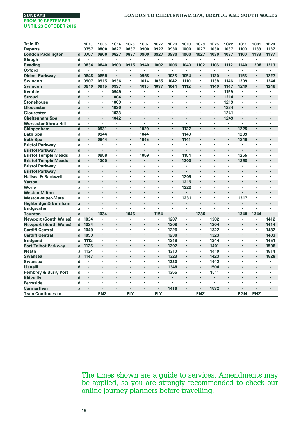| <b>Train ID</b>              |              | <b>1B15</b> | <b>1C05</b> | <b>1G14</b> | 1C76    | <b>1C07</b>              | <b>1C77</b>          | <b>1B20</b> | <b>1C09</b>    | 1C79 | 1B25 | <b>1G22</b>          | <b>1C11</b> | <b>1C81</b>          | <b>1B28</b>          |
|------------------------------|--------------|-------------|-------------|-------------|---------|--------------------------|----------------------|-------------|----------------|------|------|----------------------|-------------|----------------------|----------------------|
| <b>Departs</b>               |              | 0757        | 0800        | 0827        | 0837    | 0900                     | 0927                 | 0930        | 1000           | 1027 | 1030 | 1037                 | 1100        | 1133                 | 1137                 |
| <b>London Paddington</b>     | $\mathbf d$  | 0757        | 0800        | 0827        | 0837    | 0900                     | 0927                 | 0930        | 1000           | 1027 | 1030 | 1037                 | 1100        | 1133                 | 1137                 |
| Slough                       | d            |             | ٠           | ٠           | ٠       |                          | ٠                    |             | ٠              | ٠    | ï    |                      | ٠           | $\cdot$              |                      |
| Reading                      | $\mathbf d$  | 0834        | 0840        | 0903        | 0915    | 0940                     | 1002                 | 1006        | 1040           | 1102 | 1106 | 1112                 | 1140        | 1208                 | 1213                 |
| <b>Oxford</b>                | d            |             | ×,          |             | ×       | ×,                       | $\cdot$              |             | $\blacksquare$ | ×    | ٠    |                      | ٠           | $\cdot$              | $\cdot$              |
| <b>Didcot Parkway</b>        | d            | 0848        | 0856        |             | ÷.      | 0958                     |                      | 1023        | 1054           |      | 1120 |                      | 1153        |                      | 1227                 |
| Swindon                      | a            | 0907        | 0915        | 0936        | ٠       | 1014                     | 1035                 | 1042        | 1110           | ×,   | 1138 | 1146                 | 1209        |                      | 1244                 |
| Swindon                      | d            | 0910        | 0915        | 0937        | ٠       | 1015                     | 1037                 | 1044        | 1112           | ٠    | 1140 | 1147                 | 1210        | $\cdot$              | 1246                 |
| Kemble                       | d            |             | ٠           | 0949        | ×,      |                          |                      |             |                | ٠    | ٠    | 1159                 |             | $\cdot$              |                      |
| <b>Stroud</b>                | d            | ×           | ×           | 1004        | ×       | ٠                        | $\cdot$              |             |                |      | ٠    | 1214                 | ×           |                      |                      |
| <b>Stonehouse</b>            | d            | ٠           | ٠           | 1009        | ٠       |                          | ٠                    |             | ÷,             |      | ×,   | 1219                 | ٠           |                      | $\cdot$              |
| Gloucester                   | a            | ٠           | ٠           | 1026        | ٠       |                          | ٠                    |             | ٠              |      | ٠    | 1234                 | ٠           |                      |                      |
| Gloucester                   | d            | ٠           | ×           | 1033        | ٠       |                          |                      |             | ×              |      | ٠    | 1241                 | ٠           |                      |                      |
| <b>Cheltenham Spa</b>        | a            | ٠           | ï           | 1042        | $\cdot$ |                          |                      |             |                |      | ï    | 1249                 |             |                      |                      |
| <b>Worcester Shrub Hill</b>  | a            | ٠           | ×.          | ×,          | ×,      | ×                        |                      | $\cdot$     | ×,             | ×,   | ×.   | ×.                   | ٠           | $\ddot{\phantom{0}}$ | $\ddot{\phantom{0}}$ |
| Chippenham                   | $\mathbf d$  | ×.          | 0931        |             |         | 1029                     | $\cdot$              | $\cdot$     | 1127           |      | ä,   | ×.                   | 1225        | $\ddot{\phantom{0}}$ | l.                   |
| <b>Bath Spa</b>              | a            | ٠           | 0944        | ٠           | ×,      | 1044                     |                      | ٠           | 1140           | ٠    | ٠    | ٠                    | 1239        | $\cdot$              |                      |
| <b>Bath Spa</b>              | $\mathbf d$  |             | 0944        |             | ٠       | 1045                     |                      |             | 1141           |      |      |                      | 1240        |                      |                      |
| <b>Bristol Parkway</b>       | a            | ٠           | ×           | ٠           | ٠       |                          | ٠                    | $\cdot$     | ٠              | ٠    | ٠    | ٠                    |             |                      |                      |
| <b>Bristol Parkway</b>       | $\mathbf d$  | ٠           | ł.          |             | ٠       | $\cdot$                  | ×,                   |             |                |      | ٠    | $\cdot$              |             |                      |                      |
| <b>Bristol Temple Meads</b>  | a            | ٠           | 0958        | ٠           | ٠       | 1059                     | $\blacksquare$       | ٠           | 1154           | ٠    | ٠    | ٠                    | 1255        |                      |                      |
| <b>Bristol Temple Meads</b>  | $\mathbf d$  | ٠           | 1000        |             |         | $\overline{\phantom{a}}$ |                      |             | 1200           |      |      |                      | 1258        |                      |                      |
| <b>Bristol Parkway</b>       | a            | ٠           | ٠           | ٠           | ×       | ٠                        |                      | $\cdot$     |                |      | ٠    | ٠                    |             |                      |                      |
| <b>Bristol Parkway</b>       | $\mathbf d$  | ٠           |             |             | l.      |                          |                      |             |                |      |      |                      | ÷,          |                      |                      |
| Nailsea & Backwell           | a            | ٠           | ٠           | ٠           | ٠       | ٠                        | $\cdot$              | ٠           | 1209           | ٠    | ٠    | ٠                    | ٠           | ٠                    | $\blacksquare$       |
| Yatton                       | a            | ×           |             |             | ï       |                          |                      |             | 1215           |      |      |                      | ï           |                      |                      |
| Worle                        | a            | ٠           | ٠           | ٠           | ×       | ٠                        |                      |             | 1222           | ٠    | ٠    | ٠                    | ٠           |                      |                      |
| <b>Weston Milton</b>         | a            | ٠           |             |             |         |                          |                      |             |                |      |      |                      |             |                      |                      |
| Weston-super-Mare            | a            | ٠           |             |             |         |                          |                      | $\cdot$     | 1231           | ٠    | ٠    | ٠                    | 1317        |                      | ٠                    |
| Highbridge & Burnham         | $\mathbf{a}$ | ٠           |             |             |         |                          |                      |             |                |      | ٠    |                      |             |                      |                      |
| <b>Bridgwater</b>            | a            | ٠           |             |             | ï       |                          | ٠                    |             | ٠              | ٠    |      |                      |             |                      |                      |
| <b>Taunton</b>               | a            | ٠           | 1034        | ٠           | 1046    | $\ddot{\phantom{0}}$     | 1154                 | $\cdot$     | ٠              | 1236 | ٠    | $\cdot$              | 1340        | 1344                 | $\cdot$              |
| <b>Newport (South Wales)</b> | a            | 1034        |             | ٠           |         | ٠                        | $\cdot$              | 1207        | ٠              |      | 1302 | ٠                    | ï           |                      | 1412                 |
| <b>Newport (South Wales)</b> | $\mathbf d$  | 1034        | ÷.          | ÷.          | ٠       |                          |                      | 1208        | ×.             | ٠    | 1304 | ٠                    | ٠           | $\blacksquare$       | 1414                 |
| <b>Cardiff Central</b>       | a            | 1049        | ٠           | ٠           | ٠       | ٠                        | ٠                    | 1226        | ٠              | ٠    | 1322 | ٠                    | ٠           | ٠                    | 1432                 |
| <b>Cardiff Central</b>       | $\mathbf d$  | 1053        |             |             |         |                          | $\cdot$              | 1230        | ٠              |      | 1323 |                      |             | $\cdot$              | 1433                 |
| <b>Bridgend</b>              | a            | 1112        | ٠           | ٠           | ×       | ×                        | $\blacksquare$       | 1249        | ٠              | ×,   | 1344 | ×,                   | ٠           |                      | 1451                 |
| <b>Port Talbot Parkway</b>   | a            | 1125        | ٠           |             |         |                          |                      | 1302        | ۰              | ٠    | 1401 | $\cdot$              |             | $\blacksquare$       | 1506                 |
| <b>Neath</b>                 | a            | 1134        | ×           | ٠           | ï       |                          | ٠                    | 1310        | ٠              | ٠    | 1410 | ٠                    | ï           |                      | 1514                 |
| <b>Swansea</b>               | a            | 1147        |             |             |         |                          | $\cdot$              | 1323        | ٠              |      | 1423 |                      |             |                      | 1528                 |
| Swansea                      | d            |             | ٠           | ٠           | ٠       | ٠                        | ٠                    | 1330        | ٠              | ٠    | 1442 | ٠                    | ï           | ٠                    | $\cdot$              |
| <b>Llanelli</b>              | $\mathbf d$  | ×,          |             |             | ÷,      |                          | $\ddot{\phantom{0}}$ | 1348        | ٠              |      | 1504 |                      | ï           |                      |                      |
| Pembrey & Burry Port         | d            | ٠           | ٠           | ٠           | ٠       | ٠                        | ٠                    | 1355        | ٠              | ٠    | 1511 | ٠                    | ٠           | ٠                    | ٠                    |
| Kidwelly                     | $\mathbf d$  | ×           |             |             | ï       |                          |                      |             | ٠              |      | ٠    | ٠                    | ×           |                      |                      |
| Ferryside                    | d            | ×           |             |             | ٠       |                          | $\ddot{\phantom{0}}$ | $\cdot$     | ×.             | ٠    |      | $\ddot{\phantom{0}}$ |             |                      |                      |
| <b>Carmarthen</b>            | a            | ٠           | ٠           |             | ٠       |                          | $\bullet$            | 1416        |                |      | 1532 |                      |             |                      |                      |
| <b>Train Continues to</b>    |              |             | PNZ         |             | PLY     |                          | <b>PLY</b>           |             |                | PNZ  |      |                      | <b>PGN</b>  | PNZ                  |                      |
|                              |              |             |             |             |         |                          |                      |             |                |      |      |                      |             |                      |                      |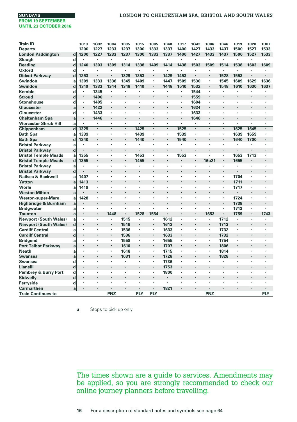| <b>Train ID</b>              |             | <b>1C13</b> | 1G32    | <b>1C84</b> | 1B35 | <b>1C15</b> | <b>1C85</b>          | <b>1B40</b>    | <b>1C17</b> | 1G42    | <b>1C86</b> | 1B46    | <b>1C19</b> | <b>1C20</b>    | <b>1U87</b>          |
|------------------------------|-------------|-------------|---------|-------------|------|-------------|----------------------|----------------|-------------|---------|-------------|---------|-------------|----------------|----------------------|
| <b>Departs</b>               |             | 1200        | 1227    | 1233        | 1237 | 1300        | 1333                 | 1337           | 1400        | 1427    | 1433        | 1437    | 1500        | 1527           | 1533                 |
| <b>London Paddington</b>     | $\mathbf d$ | 1200        | 1227    | 1233        | 1237 | 1300        | 1333                 | 1337           | 1400        | 1427    | 1433        | 1437    | 1500        | 1527           | 1533                 |
| Slough                       | d           |             | $\cdot$ | ٠           | ×    | ٠           |                      |                |             | $\cdot$ |             | ٠       |             |                |                      |
| Reading                      | d           | 1240        | 1303    | 1309        | 1314 | 1338        | 1409                 | 1414           | 1438        | 1503    | 1509        | 1514    | 1538        | 1603           | 1609                 |
| Oxford                       | d           |             | ٠       |             | ×    |             |                      |                |             |         |             |         |             |                |                      |
| <b>Didcot Parkway</b>        | d           | 1253        |         |             | 1329 | 1353        | ٠                    | 1429           | 1453        |         | ٠           | 1528    | 1553        |                |                      |
| Swindon                      | a           | 1309        | 1333    | 1336        | 1345 | 1409        | ٠                    | 1447           | 1509        | 1530    | ٠           | 1545    | 1609        | 1629           | 1636                 |
| Swindon                      | d           | 1310        | 1333    | 1344        | 1348 | 1410        | ٠                    | 1448           | 1510        | 1532    | ٠           | 1548    | 1610        | 1630           | 1637                 |
| Kemble                       | d           |             | 1345    |             | ×    |             |                      | ٠              | $\cdot$     | 1544    |             |         |             | ٠              |                      |
| Stroud                       | d           |             | 1400    |             |      |             |                      |                |             | 1559    |             |         |             |                |                      |
| Stonehouse                   | d           | $\cdot$     | 1405    |             |      | ×,          |                      |                | $\cdot$     | 1604    |             |         |             | ٠              |                      |
| Gloucester                   | a           |             | 1422    | ×,          | ÷,   | l,          |                      | l,             |             | 1624    | ٠           | ÷.      | ÷,          | ÷,             | ×,                   |
| Gloucester                   | d           | ٠           | 1433    | ٠           | ٠    | ×,          | ٠                    | $\cdot$        | ٠           | 1633    | ٠           | ٠       | ٠           | ٠              | ٠                    |
| <b>Cheltenham Spa</b>        | a           |             | 1446    |             |      |             |                      |                |             | 1646    |             |         |             |                |                      |
| <b>Worcester Shrub Hill</b>  | a           | ٠           | $\cdot$ | ٠           | ٠    | ٠           | ٠                    | ٠              | ٠           | $\cdot$ | ٠           | ٠       | ٠           | ï              | $\cdot$              |
| Chippenham                   | $\mathbf d$ | 1325        |         |             | ×    | 1425        | $\ddot{\phantom{0}}$ | $\blacksquare$ | 1525        | $\cdot$ | ٠           | $\cdot$ | 1625        | 1645           |                      |
| <b>Bath Spa</b>              | a           | 1339        | $\cdot$ | ٠           | ٠    | 1439        | ×                    | ٠              | 1539        |         | ٠           | ٠       | 1639        | 1659           |                      |
| <b>Bath Spa</b>              | d           | 1340        |         |             |      | 1440        |                      |                | 1540        |         |             |         | 1640        | 1700           |                      |
| <b>Bristol Parkway</b>       | a           |             |         |             | ×    |             |                      | ,              |             |         |             | ×       |             |                |                      |
| <b>Bristol Parkway</b>       | $\mathbf d$ |             |         |             |      |             |                      |                |             |         |             |         |             |                |                      |
| <b>Bristol Temple Meads</b>  | a           | 1355        | ٠       | ٠           | ٠    | 1453        | ٠                    | $\blacksquare$ | 1553        | $\cdot$ |             | ٠       | 1653        | 1713           |                      |
| <b>Bristol Temple Meads</b>  | d           | 1355        |         |             |      | 1455        |                      |                |             |         | 16u21       | ٠       | 1655        | $\blacksquare$ |                      |
| <b>Bristol Parkway</b>       | a           |             | $\cdot$ | ٠           | ٠    | ٠           | ٠                    | $\cdot$        |             | $\cdot$ |             | ٠       |             | ٠              |                      |
| <b>Bristol Parkway</b>       | $\mathbf d$ |             |         |             |      |             |                      |                |             |         |             |         |             |                |                      |
| Nailsea & Backwell           | a           | 1407        |         |             | ×    | ٠           |                      | ٠              |             |         |             | ٠       | 1704        | ٠              |                      |
| Yatton                       | a           | 1413        |         |             |      |             |                      |                |             |         |             | ٠       | 1711        | ٠              |                      |
| Worle                        | a           | 1419        |         |             |      | ł.          |                      | ٠              |             |         |             | ×       | 1717        | ٠              |                      |
| <b>Weston Milton</b>         | a           |             |         |             |      |             |                      |                |             |         |             | ٠       |             |                |                      |
| Weston-super-Mare            | a           | 1428        |         |             |      |             |                      |                |             |         |             | ٠       | 1724        |                |                      |
| Highbridge & Burnham         | a           |             |         |             |      |             |                      |                |             |         |             | ٠       | 1738        |                |                      |
| <b>Bridgwater</b>            | a           |             | $\cdot$ |             |      | ï           |                      |                |             | $\cdot$ |             | ٠       | 1743        | ٠              |                      |
| Taunton                      | a           | $\cdot$     | $\cdot$ | 1448        | ٠    | 1528        | 1554                 | $\cdot$        |             | $\cdot$ | 1653        | ٠       | 1759        | ٠              | 1743                 |
| <b>Newport (South Wales)</b> | a           |             |         |             | 1515 |             |                      | 1612           |             |         |             | 1712    |             | ٠              |                      |
| <b>Newport (South Wales)</b> | $\mathbf d$ |             |         | ٠           | 1516 |             | ٠                    | 1613           |             |         |             | 1713    |             |                |                      |
| <b>Cardiff Central</b>       | a           | $\cdot$     | $\cdot$ | ٠           | 1536 | ٠           | ٠                    | 1633           |             | $\cdot$ | ٠           | 1732    | $\cdot$     | ٠              | ٠                    |
| <b>Cardiff Central</b>       | d           |             |         | ٠           | 1536 |             | $\ddot{\phantom{0}}$ | 1633           |             |         | ٠           | 1732    |             |                |                      |
| Bridgend                     | a           | $\cdot$     | $\cdot$ | ×,          | 1558 | $\cdot$     | ٠                    | 1655           |             | $\cdot$ | ٠           | 1754    | $\cdot$     |                |                      |
| <b>Port Talbot Parkway</b>   | a           |             |         | ٠           | 1610 |             | ٠                    | 1707           |             |         |             | 1806    |             |                |                      |
| Neath                        | a           |             |         | ٠           | 1618 | ï           | ٠                    | 1715           |             |         | ٠           | 1814    | ٠           |                |                      |
| Swansea                      | a           |             |         |             | 1631 |             | $\ddot{\phantom{0}}$ | 1728           |             |         |             | 1828    |             |                |                      |
| Swansea                      | d           | ٠           | $\cdot$ | ٠           | ٠    | ٠           | ٠                    | 1736           | ٠           | $\cdot$ | ٠           |         |             | ٠              |                      |
| Llanelli                     | d           | $\cdot$     |         |             |      |             | $\ddot{\phantom{0}}$ | 1753           | $\cdot$     |         |             |         |             | ٠              |                      |
| Pembrey & Burry Port         | d           | $\cdot$     | $\cdot$ |             | ×    | ٠           | ٠                    | 1800           |             | $\cdot$ |             | ٠       | ٠           | ٠              | $\ddot{\phantom{0}}$ |
|                              | d           |             |         |             |      |             |                      |                |             |         |             |         |             |                |                      |
| Kidwelly                     |             |             |         |             |      |             |                      | $\cdot$        |             |         |             |         |             |                |                      |
| Ferryside                    | d           |             |         |             |      |             | ٠                    | 1821           |             |         |             |         |             |                |                      |
| Carmarthen                   | a           |             |         | <b>PNZ</b>  |      | PLY         | PLY                  |                |             |         | <b>PNZ</b>  |         |             |                | PLY                  |
| <b>Train Continues to</b>    |             |             |         |             |      |             |                      |                |             |         |             |         |             |                |                      |

**u** Stops to pick up only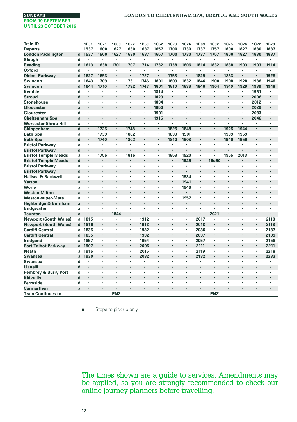| <b>Train ID</b>                 |             | 1B51 | <b>1C21</b> | <b>1C89</b> | <b>1C22</b>    | <b>1B59</b>          | <b>1G52</b> | <b>1C23</b>          | <b>1C24</b> | <b>1B69</b> | <b>1C92</b> | <b>1C25</b>    | <b>1C26</b>              | 1G72           | 1B79                 |
|---------------------------------|-------------|------|-------------|-------------|----------------|----------------------|-------------|----------------------|-------------|-------------|-------------|----------------|--------------------------|----------------|----------------------|
| <b>Departs</b>                  |             | 1537 | 1600        | 1627        | 1630           | 1637                 | 1657        | 1700                 | 1730        | 1737        | 1757        | 1800           | 1827                     | 1830           | 1837                 |
| <b>London Paddington</b>        | $\mathbf d$ | 1537 | 1600        | 1627        | 1630           | 1637                 | 1657        | 1700                 | 1730        | 1737        | 1757        | 1800           | 1827                     | 1830           | 1837                 |
| Slough                          | d           |      | ٠           |             | ٠              |                      | $\cdot$     | $\cdot$              | ï           |             | ٠           | ٠              | ×                        |                |                      |
| Reading                         | $\mathbf d$ | 1613 | 1638        | 1701        | 1707           | 1714                 | 1732        | 1738                 | 1806        | 1814        | 1832        | 1838           | 1903                     | 1903           | 1914                 |
| <b>Oxford</b>                   | d           |      | ٠           | ×           | ï              | ×                    | $\cdot$     | $\cdot$              | ï           | ٠           | ×           | ï              | ×                        | $\cdot$        | $\cdot$              |
| <b>Didcot Parkway</b>           | d           | 1627 | 1653        |             |                | 1727                 | $\cdot$     | 1753                 | ł.          | 1829        |             | 1853           |                          | $\cdot$        | 1928                 |
| Swindon                         | a           | 1643 | 1709        | ×,          | 1731           | 1746                 | 1801        | 1809                 | 1832        | 1846        | 1900        | 1908           | 1928                     | 1936           | 1946                 |
| Swindon                         | d           | 1644 | 1710        |             | 1732           | 1747                 | 1801        | 1810                 | 1833        | 1846        | 1904        | 1910           | 1929                     | 1939           | 1948                 |
| Kemble                          | d           | ×    | ٠           | ٠           | ï              | ×,                   | 1814        | ٠                    | ٠           | ٠           | ×           | ٠              | ٠                        | 1951           |                      |
| <b>Stroud</b>                   | d           |      |             |             | ٠              | $\blacksquare$       | 1829        | $\blacksquare$       | ٠           |             |             | ٠              | $\blacksquare$           | 2006           |                      |
| <b>Stonehouse</b>               | d           |      | ٠           | ٠           | ٠              | ٠                    | 1834        | ٠                    | ٠           | ٠           | ×           | ٠              | ٠                        | 2012           |                      |
| Gloucester                      | a           | ×    |             |             |                | $\blacksquare$       | 1850        | $\cdot$              |             |             | ×           | ×              | $\blacksquare$           | 2029           |                      |
| Gloucester                      | d           | ٠    | ٠           | ٠           | ٠              | ٠                    | 1901        |                      | ×           | ٠           | ٠           | ٠              | ٠                        | 2033           |                      |
| <b>Cheltenham Spa</b>           | a           | ٠    | ٠           |             |                | $\blacksquare$       | 1915        | $\bullet$            | ٠           | ٠           | ٠           |                | $\blacksquare$           | 2046           |                      |
| <b>Worcester Shrub Hill</b>     | a           | ٠    | ×,          | ٠           | ï              | $\ddot{\phantom{0}}$ |             | $\cdot$              | ٠           | ٠           | ٠           | ٠              | ٠                        |                |                      |
| Chippenham                      | $\mathbf d$ | ä,   | 1725        | ٠           | 1748           |                      | $\cdot$     | 1825                 | 1848        | $\cdot$     |             | 1925           | 1944                     | $\cdot$        |                      |
| <b>Bath Spa</b>                 | a           | ٠    | 1739        | ٠           | 1802           | ٠                    | ٠           | 1839                 | 1901        | ٠           | ٠           | 1939           | 1959                     | $\cdot$        |                      |
| <b>Bath Spa</b>                 | $\mathbf d$ | ٠    | 1740        | ٠           | 1802           | ٠                    |             | 1840                 | 1903        | ٠           | ٠           | 1940           | 1959                     |                |                      |
| <b>Bristol Parkway</b>          | a           | ٠    | ٠           | ٠           | ٠              | ٠                    | ٠           | $\cdot$              | ٠           | ٠           | ٠           | ٠              | ٠                        | $\cdot$        |                      |
| <b>Bristol Parkway</b>          | $\mathbf d$ | ٠    | ï           |             |                |                      |             |                      |             |             |             |                |                          |                |                      |
| <b>Bristol Temple Meads</b>     | a           | ×,   | 1756        | ×,          | 1816           | ٠                    |             | 1853                 | 1920        | ×,          | ٠           | 1955           | 2013                     | $\cdot$        | $\ddot{\phantom{0}}$ |
| <b>Bristol Temple Meads</b>     | $\mathbf d$ | ٠    | l.          |             | l,             | $\ddot{\phantom{0}}$ |             | $\ddot{\phantom{0}}$ | 1925        | ٠           | 19u50       | ÷,             | $\overline{\phantom{a}}$ |                |                      |
| <b>Bristol Parkway</b>          | a           | ï    | ٠           |             | ï              |                      | $\cdot$     |                      |             | ٠           |             | ×,             |                          |                |                      |
| <b>Bristol Parkway</b>          | $\mathbf d$ | ٠    |             |             |                |                      |             |                      |             | $\cdot$     |             |                |                          |                |                      |
| Nailsea & Backwell              | a           | ٠    | ٠           | ٠           | ï              |                      | $\cdot$     | $\blacksquare$       | 1934        | ٠           | ٠           | ×              | ٠                        | $\cdot$        |                      |
| Yatton                          | a           | ï    |             |             | ï              |                      |             | $\cdot$              | 1941        | ٠           |             | ï              |                          |                |                      |
| Worle                           | a           | ٠    | ٠           | ٠           | ٠              | ٠                    | $\cdot$     | $\blacksquare$       | 1946        | ٠           | ٠           | ×,             | ٠                        | $\cdot$        | ٠                    |
| <b>Weston Milton</b>            | a           | ×    |             |             | ï              |                      |             | $\cdot$              |             | ٠           |             |                |                          |                |                      |
| Weston-super-Mare               | a           |      | ٠           |             | ٠              |                      | $\cdot$     | $\cdot$              | 1957        | ٠           | ٠           | ٠              | ٠                        | $\cdot$        | $\cdot$              |
| Highbridge & Burnham            | a           | ٠    | ٠           |             |                | $\cdot$              |             | $\cdot$              |             | ٠           |             |                |                          |                |                      |
| <b>Bridgwater</b>               | a           |      | ٠           |             | ٠              |                      | ٠           |                      |             |             |             |                |                          |                |                      |
| <b>Taunton</b>                  | a           | ٠    | ٠           | 1844        | $\blacksquare$ | $\blacksquare$       |             | $\cdot$              | ٠           | ٠           | 2021        | $\blacksquare$ | $\blacksquare$           | $\cdot$        |                      |
| <b>Newport (South Wales)</b>    | a           | 1815 | ٠           |             | ٠              | 1912                 |             |                      | ï           | 2017        |             | ×              | ×                        |                | 2118                 |
| <b>Newport (South Wales)</b>    | $\mathbf d$ | 1816 | ٠           | ٠           | ٠              | 1913                 | $\cdot$     | $\cdot$              | ×.          | 2018        | ٠           | ï              | $\cdot$                  | $\cdot$        | 2118                 |
| <b>Cardiff Central</b>          | a           | 1835 | ٠           | ٠           | ٠              | 1932                 | ٠           | $\cdot$              | ٠           | 2036        | ٠           | ٠              | ٠                        | $\blacksquare$ | 2137                 |
| <b>Cardiff Central</b>          | $\mathbf d$ | 1835 | ٠           |             | ٠              | 1932                 |             |                      | ٠           | 2037        | ×           |                |                          | $\blacksquare$ | 2139                 |
| <b>Bridgend</b>                 | a           | 1857 | ٠           | ٠           | ٠              | 1954                 | ٠           | $\cdot$              | ٠           | 2057        | ٠           | ٠              | ٠                        | $\blacksquare$ | 2158                 |
| <b>Port Talbot Parkway</b>      | a           | 1907 | ٠           |             | ï              | 2005                 | $\cdot$     |                      | ٠           | 2111        | ٠           | l,             | ٠                        | $\cdot$        | 2211                 |
| <b>Neath</b>                    | a           | 1915 | ٠           | ٠           | ٠              | 2015                 | ٠           | $\cdot$              | ٠           | 2119        | ٠           | ×              | ٠                        | $\cdot$        | 2218                 |
| Swansea                         | a           | 1930 |             |             |                | 2032                 | $\cdot$     |                      |             | 2132        |             |                |                          |                | 2233                 |
| Swansea                         | d           |      | ٠           |             | ï              |                      | $\cdot$     |                      | ٠           |             | ٠           | ٠              |                          |                |                      |
| Llanelli                        | $\mathbf d$ |      |             |             | ÷,             |                      |             |                      | ÷.          |             |             |                |                          |                |                      |
| <b>Pembrey &amp; Burry Port</b> | d           | ٠    | ٠           | ٠           | ï              | ٠                    | $\cdot$     | $\cdot$              | ٠           | ٠           | ٠           | ×              | ٠                        | $\cdot$        | ٠                    |
| Kidwelly                        | $\mathbf d$ | ×    |             |             | ï              |                      |             |                      | ٠           |             | ٠           | ï              | ٠                        |                |                      |
| Ferryside                       | d           | ٠    |             |             | ٠              |                      | $\cdot$     | $\cdot$              | ٠           | ٠           | ٠           | ٠              | ٠                        | $\cdot$        |                      |
| <b>Carmarthen</b>               | a           |      | ٠           |             |                |                      |             |                      |             |             | ٠           |                |                          |                |                      |
| <b>Train Continues to</b>       |             |      |             | <b>PNZ</b>  |                |                      |             |                      |             |             | PNZ         |                |                          |                |                      |

**u** Stops to pick up only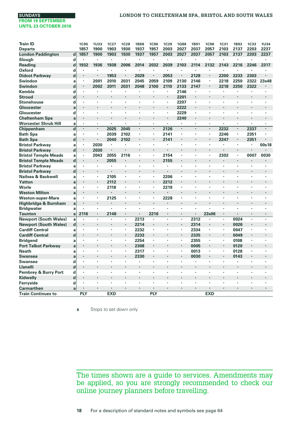| <b>Train ID</b>              |             | <b>1C95</b>          | <b>1U33</b>          | 1C27       | <b>1C28</b> | <b>1B88</b> | <b>1C96</b>          | <b>1C29</b>          | <b>1G88</b>          | <b>1B91</b>    | <b>1C98</b> | <b>1C31</b> | <b>1B93</b>    | <b>1C33</b> | <b>1U34</b> |
|------------------------------|-------------|----------------------|----------------------|------------|-------------|-------------|----------------------|----------------------|----------------------|----------------|-------------|-------------|----------------|-------------|-------------|
| <b>Departs</b>               |             | 1857                 | 1900                 | 1903       | 1930        | 1937        | 1957                 | 2003                 | 2027                 | 2037           | 2057        | 2103        | 2137           | 2203        | 2237        |
| <b>London Paddington</b>     | $\mathbf d$ | 1857                 | 1900                 | 1903       | 1930        | 1937        | 1957                 | 2003                 | 2027                 | 2037           | 2057        | 2103        | 2137           | 2203        | 2237        |
| Slough                       | d           |                      | $\cdot$              | ٠          |             |             |                      | ٠                    |                      | ٠              |             | ٠           |                |             |             |
| Reading                      | d           | 1932                 | 1936                 | 1938       | 2006        | 2014        | 2032                 | 2039                 | 2103                 | 2114           | 2132        | 2143        | 2216           | 2246        | 2317        |
| Oxford                       | d           | ٠                    | $\cdot$              | ٠          | ٠           | ×,          |                      | $\cdot$              | $\cdot$              | $\cdot$        | ٠           | ï           | ٠              | ٠           |             |
| <b>Didcot Parkway</b>        | d           | $\cdot$              |                      | 1953       |             | 2029        |                      | 2053                 |                      | 2128           | ٠           | 2200        | 2233           | 2303        |             |
| Swindon                      | a           |                      | 2001                 | 2010       | 2031        | 2045        | 2059                 | 2109                 | 2130                 | 2146           | ٠           | 2218        | 2250           | 2322        | 23s48       |
| Swindon                      | d           | $\cdot$              | 2002                 | 2011       | 2031        | 2048        | 2100                 | 2110                 | 2133                 | 2147           | ٠           | 2218        | 2250           | 2322        |             |
| Kemble                       | d           | $\cdot$              |                      | ٠          |             |             |                      | $\cdot$              | 2146                 | $\cdot$        |             | ×           |                |             |             |
| <b>Stroud</b>                | d           | $\cdot$              |                      | ٠          |             | ٠           | $\cdot$              | $\cdot$              | 2201                 |                |             | ٠           |                |             |             |
| <b>Stonehouse</b>            | d           | ٠                    |                      |            |             |             |                      | $\cdot$              | 2207                 | $\cdot$        |             |             |                |             |             |
| Gloucester                   | a           |                      |                      |            |             | ×           |                      |                      | 2222                 |                |             |             |                | ×           |             |
| Gloucester                   | d           | $\cdot$              |                      |            |             | ٠           |                      | ٠                    | 2229                 | $\cdot$        |             |             |                | ٠           |             |
| <b>Cheltenham Spa</b>        | a           | $\cdot$              | $\cdot$              | ٠          | ÷.          | ï           | $\ddot{\phantom{0}}$ |                      | 2240                 | $\cdot$        | ٠           | ï           | $\cdot$        | ï           |             |
| <b>Worcester Shrub Hill</b>  | a           | ٠                    | $\cdot$              | ٠          | ×,          | ٠           | $\ddot{\phantom{0}}$ | $\ddot{\phantom{a}}$ | $\blacksquare$       |                | ٠           | ٠           | $\cdot$        | ٠           | ٠           |
| Chippenham                   | $\mathbf d$ | $\cdot$              |                      | 2025       | 2045        | ï           |                      | 2126                 | $\cdot$              |                | ٠           | 2232        | $\blacksquare$ | 2337        |             |
| <b>Bath Spa</b>              | a           |                      |                      | 2039       | 2102        | ٠           | $\cdot$              | 2141                 |                      |                | ٠           | 2246        | ٠              | 2351        |             |
| <b>Bath Spa</b>              | $\mathbf d$ | $\blacksquare$       | $\cdot$              | 2040       | 2102        | ٠           | $\cdot$              | 2141                 |                      |                |             | 2247        | ٠              | 2351        |             |
| <b>Bristol Parkway</b>       | a           |                      | 2030                 | ×          | ×           | ×           | ×                    | $\cdot$              | $\cdot$              | $\cdot$        | ×,          |             | ×,             | ï           | 00s18       |
| <b>Bristol Parkway</b>       | $\mathbf d$ | $\blacksquare$       | 2030                 |            |             |             |                      |                      |                      |                |             |             |                |             |             |
| <b>Bristol Temple Meads</b>  | a           |                      | 2043                 | 2055       | 2116        | ٠           | ٠                    | 2154                 | $\cdot$              |                |             | 2302        | ×,             | 0007        | 0030        |
| <b>Bristol Temple Meads</b>  | $\mathbf d$ | $\cdot$              |                      | 2055       |             |             |                      | 2155                 |                      |                |             |             |                | ٠           |             |
| <b>Bristol Parkway</b>       | a           | $\cdot$              | $\cdot$              | ٠          | ٠           | ٠           | ٠                    | ٠                    | $\cdot$              |                | ٠           | ×           |                | ٠           |             |
| <b>Bristol Parkway</b>       | $\mathbf d$ | $\blacksquare$       | $\ddot{\phantom{0}}$ |            | ÷.          | ï           |                      |                      | $\ddot{\phantom{a}}$ |                |             |             |                | ٠           |             |
| Nailsea & Backwell           | a           | ٠                    | ٠                    | 2105       | ٠           | ٠           | ٠                    | 2206                 | $\cdot$              |                | ٠           | ٠           | ٠              | ٠           | ٠           |
| Yatton                       | a           | $\cdot$              | $\cdot$              | 2112       |             |             | $\blacksquare$       | 2212                 |                      |                |             |             |                | ×           | ٠           |
| Worle                        | a           | $\cdot$              |                      | 2118       | ٠           | ï           | $\cdot$              | 2219                 |                      | $\overline{a}$ |             | ÷,          |                | ä,          |             |
| <b>Weston Milton</b>         | a           | ٠                    | $\cdot$              | ٠          |             | ×.          | $\ddot{\phantom{0}}$ | $\cdot$              | $\blacksquare$       | $\blacksquare$ | ٠           | ٠           |                | ٠           |             |
| <b>Weston-super-Mare</b>     | a           | $\cdot$              | $\cdot$              | 2125       |             | ï           |                      | 2228                 |                      |                |             |             |                |             |             |
| Highbridge & Burnham         | a           | $\cdot$              |                      |            |             | ï           |                      |                      |                      |                |             |             |                | ï           |             |
| <b>Bridgwater</b>            | a           |                      |                      |            |             |             | ٠                    |                      |                      |                |             |             |                | ٠           |             |
| <b>Taunton</b>               | a           | 2116                 | $\cdot$              | 2148       | ٠           | ٠           | 2216                 | $\cdot$              | $\cdot$              | $\blacksquare$ | 23s06       | ×.          | $\cdot$        | ٠           |             |
| <b>Newport (South Wales)</b> | a           |                      | $\ddot{\phantom{0}}$ | ï          | ٠           | 2213        |                      |                      | ٠                    | 2312           |             | ×,          | 0024           | ٠           | $\cdot$     |
| <b>Newport (South Wales)</b> | $\mathbf d$ | $\blacksquare$       | $\cdot$              |            | ٠           | 2214        | ٠                    |                      |                      | 2314           |             | ٠           | 0026           | ٠           |             |
| <b>Cardiff Central</b>       | a           | $\cdot$              | $\cdot$              | ٠          | ٠           | 2232        | $\blacksquare$       | $\cdot$              | $\blacksquare$       | 2334           | ٠           | ٠           | 0047           | ٠           |             |
| <b>Cardiff Central</b>       | $\mathbf d$ | $\cdot$              |                      |            | ٠           | 2233        | $\ddot{\phantom{0}}$ |                      |                      | 2335           | ٠           | ٠           | 0049           | ٠           |             |
| <b>Bridgend</b>              | a           | $\cdot$              |                      | ×,         | ٠           | 2254        | $\blacksquare$       | $\cdot$              | $\blacksquare$       | 2355           | ×,          | ×,          | 0108           | ï           |             |
| <b>Port Talbot Parkway</b>   | a           | $\cdot$              |                      |            |             | 2308        | $\cdot$              |                      |                      | 0005           | ٠           | ٠           | 0120           |             |             |
| <b>Neath</b>                 | a           | $\cdot$              |                      | ٠          | ٠           | 2317        | $\cdot$              |                      | $\cdot$              | 0013           | ٠           | ×.          | 0128           | ï           |             |
| <b>Swansea</b>               | a           |                      |                      |            |             | 2330        |                      |                      |                      | 0030           |             |             | 0143           |             |             |
| Swansea                      | d           | $\cdot$              | $\cdot$              | ٠          | ٠           | ٠           | ٠                    | $\cdot$              |                      | $\cdot$        | ٠           | ٠           | ٠              | ٠           | ٠           |
| <b>Llanelli</b>              | d           | $\cdot$              |                      |            | ä,          |             |                      |                      | $\blacksquare$       |                |             | ٠           |                | ٠           |             |
| Pembrey & Burry Port         | d           |                      | ٠                    | ٠          | ٠           | ï           | ٠                    | $\cdot$              | $\cdot$              |                | ٠           | ٠           | ٠              | ٠           | ٠           |
| Kidwelly                     | $\mathbf d$ | $\cdot$              |                      |            |             |             |                      |                      |                      |                |             |             |                |             |             |
| Ferryside                    | d           | $\ddot{\phantom{0}}$ |                      |            |             |             |                      |                      |                      |                |             |             |                | ł.          |             |
| <b>Carmarthen</b>            | a           | ٠                    | $\cdot$              | ٠          |             |             | ٠                    | ٠                    | $\cdot$              | $\cdot$        | ٠           | ٠           | ٠              | ٠           | $\cdot$     |
| <b>Train Continues to</b>    |             | <b>PLY</b>           |                      | <b>EXD</b> |             |             | PLY                  |                      |                      |                | <b>EXD</b>  |             |                |             |             |

**s** Stops to set down only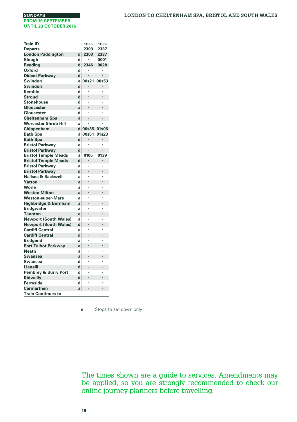| Train ID                            |        | <b>1C35</b> | <b>1C36</b> |
|-------------------------------------|--------|-------------|-------------|
| <b>Departs</b>                      |        | 2303        | 2337        |
| <b>London Paddington</b>            | d      | 2303        | 2337        |
| Slough                              | d      | ï           | 0001        |
| Reading                             | d      | 2346        | 0020        |
| Oxford                              | d      | ٠           | ×           |
| <b>Didcot Parkway</b>               | d      | ï           |             |
| Swindon                             | a      | 00s21       | 00s53       |
| Swindon                             | d      |             |             |
| Kemble                              | d      | ï           | ï           |
| <b>Stroud</b>                       | d      | ï           | l,          |
| <b>Stonehouse</b>                   | d      | ï           | ï           |
| Gloucester                          | a      | l,          | l,          |
| Gloucester                          | d      | ï           |             |
| <b>Cheltenham Spa</b>               | a      | ï           | ï           |
| <b>Worcester Shrub Hill</b>         | a      | ï           |             |
| Chippenham                          | d      | 00s35       | 01s06       |
| <b>Bath Spa</b>                     | a      | 00s51       | 01s23       |
| <b>Bath Spa</b>                     | d      |             |             |
| <b>Bristol Parkway</b>              | a      | ï           |             |
| <b>Bristol Parkway</b>              | d      | ï           | ï           |
| <b>Bristol Temple Meads</b>         | a      | 0105        | 0139        |
| <b>Bristol Temple Meads</b>         | d      | ï           | ï           |
| <b>Bristol Parkwav</b>              | a      | ï           |             |
| <b>Bristol Parkway</b>              | d      | l,          | l,          |
| Nailsea & Backwell                  | a      |             | è           |
| Yatton                              | a      |             |             |
| Worle                               | a      |             | ï           |
| <b>Weston Milton</b>                | a      | ï           | ï           |
| <b>Weston-super-Mare</b>            | a      | ï           | è           |
| Highbridge & Burnham                | a      | ï           | l,          |
| <b>Bridgwater</b>                   | a      |             |             |
| <b>Taunton</b>                      | a      | ï           | l,          |
| <b>Newport (South Wales)</b>        | a      | ï           | ï           |
| <b>Newport (South Wales)</b>        | d      | ï           | l,          |
| <b>Cardiff Central</b>              |        | ï           |             |
| <b>Cardiff Central</b>              | a<br>d |             |             |
|                                     |        |             | è           |
| <b>Bridgend</b>                     | a      |             |             |
| <b>Port Talbot Parkway</b><br>Neath | a      |             | è           |
| Swansea                             | a      |             |             |
|                                     | a      | ï           |             |
| Swansea                             | d      | ï           | l,          |
| Llanelli                            | d      |             |             |
| Pembrey & Burry Port                | d      |             | è           |
| Kidwelly                            | d      | ï           |             |
| Ferryside                           | d      |             |             |
| <b>Carmarthen</b>                   | a      | l,          |             |
| <b>Train Continues to</b>           |        |             |             |

**s** Stops to set down only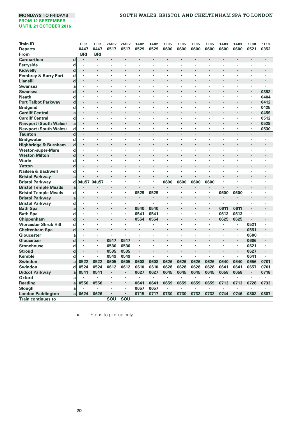#### **MONDAYS TO FRIDAYS SOUTH WALES, BRISTOL AND CHELTENHAM SPA TO LONDON**

| <b>Train ID</b>              |             | <b>1L01</b>          | 1L01                 | 2M02 | 2M02           | 1A02 | <b>1A02</b>          | <b>1L05</b>          | <b>1L05</b>          | <b>1L05</b> | <b>1L05</b> | 1A03 | <b>1A03</b>    | <b>1L08</b>          | <b>1L10</b>          |
|------------------------------|-------------|----------------------|----------------------|------|----------------|------|----------------------|----------------------|----------------------|-------------|-------------|------|----------------|----------------------|----------------------|
| <b>Departs</b>               |             | 0447                 | 0447                 | 0517 | 0517           | 0529 | 0529                 | 0600                 | 0600                 | 0600        | 0600        | 0600 | 0600           | 0521                 | 0352                 |
| From                         |             | <b>BRI</b>           | <b>BRI</b>           |      |                |      |                      |                      |                      |             |             |      |                |                      |                      |
| Carmarthen                   | $\mathbf d$ | $\cdot$              | $\ddot{\phantom{0}}$ |      | ï              | ÷.   | l,                   |                      | $\overline{a}$       |             | ï           |      | ÷.             |                      | $\ddot{\phantom{0}}$ |
| Ferryside                    | d           | $\cdot$              | $\cdot$              | ×    | ×              | ï    | ٠                    | $\cdot$              | $\cdot$              | ,           | ٠           | ×    | ï              | ٠                    | $\cdot$              |
| Kidwelly                     | d           | $\cdot$              |                      |      | ï              | ٠    |                      |                      |                      |             |             |      | ï              | $\cdot$              | $\cdot$              |
| Pembrey & Burry Port         | d           | $\cdot$              | $\cdot$              | ٠    | ٠              | ٠    | ٠                    | $\cdot$              | $\cdot$              | $\cdot$     | ٠           | ٠    | ٠              | ٠                    | $\cdot$              |
| <b>Llanelli</b>              | $\mathbf d$ | $\cdot$              |                      |      |                |      |                      |                      |                      |             |             |      |                | ٠                    |                      |
| <b>Swansea</b>               | a           | $\cdot$              | ٠                    | ٠    | ٠              | ٠    | ٠                    | $\cdot$              | $\cdot$              | ٠           | ٠           | ٠    | ٠              | ٠                    |                      |
| <b>Swansea</b>               | d           | $\blacksquare$       |                      |      |                | ×    |                      |                      |                      |             |             |      |                | $\cdot$              | 0352                 |
| <b>Neath</b>                 | d           | $\ddot{\phantom{0}}$ | ٠                    | ×    | ×              | ł.   | ٠                    | $\ddot{\phantom{0}}$ |                      | ٠           | ×           | ×    | ä,             | ×                    | 0404                 |
| <b>Port Talbot Parkway</b>   | d           | $\bullet$            |                      |      | l,             | ٠    | ٠                    |                      |                      |             | ٠           | ٠    | ٠              | $\blacksquare$       | 0412                 |
| <b>Bridgend</b>              | d           | $\cdot$              | ٠                    | ٠    | ï              |      |                      |                      |                      |             | ×           | ×    | ï              | ×                    | 0425                 |
| <b>Cardiff Central</b>       | a           | $\cdot$              |                      |      |                |      | ٠                    |                      | $\blacksquare$       |             | ٠           |      | ٠              | $\blacksquare$       | 0459                 |
| <b>Cardiff Central</b>       | d           |                      |                      |      |                |      |                      |                      |                      |             |             |      | ł.             | ٠                    | 0512                 |
| <b>Newport (South Wales)</b> | a           | $\blacksquare$       |                      |      | l,             |      |                      |                      |                      |             | ٠           |      | ٠              | $\blacksquare$       | 0529                 |
| <b>Newport (South Wales)</b> | d           | $\cdot$              | $\cdot$              | ٠    | ٠              | ٠    | ٠                    | $\cdot$              | $\cdot$              | $\cdot$     | ٠           | ×    | ٠              | ٠                    | 0530                 |
| <b>Taunton</b>               | $\mathbf d$ | $\cdot$              |                      | ï    | ï              | ï    | ï                    | $\cdot$              |                      | $\cdot$     | ï           | ï    |                | $\cdot$              |                      |
| <b>Bridgwater</b>            | d           | $\cdot$              | ٠                    |      |                | ٠    |                      |                      |                      |             |             | ×    | ٠              | ٠                    | $\cdot$              |
| Highbridge & Burnham         | $\mathbf d$ | $\cdot$              |                      |      |                |      |                      |                      |                      |             |             |      |                |                      |                      |
| <b>Weston-super-Mare</b>     | d           | ٠                    | ٠                    | ٠    | ٠              | ٠    | $\ddot{\phantom{0}}$ | $\blacksquare$       | $\cdot$              | ٠           | ٠           | ٠    | ٠              | ٠                    | $\blacksquare$       |
| <b>Weston Milton</b>         | $\mathbf d$ | $\cdot$              | l,                   |      | ï              | ï    | ×.                   |                      |                      | $\cdot$     | l,          |      | ï              | $\ddot{\phantom{0}}$ | ×,                   |
| Worle                        | d           | ٠                    | $\blacksquare$       | ٠    | $\blacksquare$ | ٠    | $\ddot{\phantom{0}}$ | $\blacksquare$       | $\ddot{\phantom{0}}$ | ٠           | ٠           | ٠    | ٠              | ٠                    | $\blacksquare$       |
| Yatton                       | d           |                      |                      |      | ï              | ٠    | ×.                   |                      | $\ddot{\phantom{0}}$ |             | i.          | ٠    | ï              | $\cdot$              | ×,                   |
| Nailsea & Backwell           | d           | $\cdot$              | $\cdot$              | ٠    | ٠              | ٠    | ٠                    | $\cdot$              | $\cdot$              | $\cdot$     | ٠           | ٠    | ٠              | ٠                    | $\cdot$              |
| <b>Bristol Parkway</b>       | a           |                      |                      |      | ï              |      |                      |                      |                      |             | ï           |      |                |                      |                      |
| <b>Bristol Parkway</b>       | d           | 04u57 04u57          |                      | ×    | ï              | ï    | ï                    | 0600                 | 0600                 | 0600        | 0600        | ×    | ï              | ٠                    | ٠                    |
| <b>Bristol Temple Meads</b>  | a           |                      |                      |      |                |      |                      |                      |                      |             |             |      |                |                      |                      |
| <b>Bristol Temple Meads</b>  | d           | $\cdot$              | ,                    | ×    | ٠              | 0529 | 0529                 | $\blacksquare$       | $\blacksquare$       | $\cdot$     | ٠           | 0600 | 0600           | ٠                    | $\cdot$              |
| <b>Bristol Parkway</b>       | a           | ٠                    |                      |      | l,             | ٠    | ٠                    | $\cdot$              |                      |             | ł.          | ٠    |                | ٠                    |                      |
| <b>Bristol Parkway</b>       | d           | $\cdot$              | $\cdot$              | ٠    | ٠              | ï    | ٠                    | $\cdot$              | $\cdot$              | $\cdot$     | ٠           | ٠    | ï              | ٠                    | $\cdot$              |
| <b>Bath Spa</b>              | a           | $\blacksquare$       |                      |      | l,             | 0540 | 0540                 | $\cdot$              |                      |             | ł.          | 0611 | 0611           |                      |                      |
| <b>Bath Spa</b>              | d           | $\cdot$              | $\cdot$              | ٠    | ×              | 0541 | 0541                 | $\blacksquare$       | $\cdot$              | $\cdot$     | ×           | 0613 | 0613           | ٠                    |                      |
| Chippenham                   | d           | $\cdot$              | $\cdot$              | ٠    | ×              | 0554 | 0554                 | $\cdot$              |                      | $\cdot$     | ٠           | 0625 | 0625           | $\blacksquare$       | $\cdot$              |
| <b>Worcester Shrub Hill</b>  | d           | $\cdot$              | $\cdot$              | ٠    | ï              |      | l,                   |                      |                      | ٠           | ٠           | ï    | ï              | 0521                 | $\cdot$              |
| <b>Cheltenham Spa</b>        | $\mathbf d$ |                      |                      |      |                |      |                      |                      |                      |             |             |      | ٠              | 0551                 |                      |
| Gloucester                   | a           |                      | $\cdot$              | ×    | ×              |      |                      |                      |                      |             | ×           | ×    | $\blacksquare$ | 0600                 | $\cdot$              |
| Gloucetser                   | $\mathbf d$ |                      |                      | 0517 | 0517           |      |                      |                      |                      |             |             |      | ٠              | 0606                 |                      |
| <b>Stonehouse</b>            | d           | $\cdot$              | $\cdot$              | 0530 | 0530           | ×,   | ٠                    | $\cdot$              |                      | ,           | ×           | ×    | $\blacksquare$ | 0621                 | $\cdot$              |
| <b>Stroud</b>                | d           | $\blacksquare$       |                      | 0535 | 0535           | ×.   |                      |                      |                      |             |             |      | ÷,             | 0627                 |                      |
| Kemble                       | d           |                      | $\cdot$              | 0549 | 0549           | ٠    | ٠                    | ٠                    | $\cdot$              | $\cdot$     | ٠           | ٠    | ٠              | 0641                 |                      |
| <b>Swindon</b>               | a           | 0522                 | 0522                 | 0605 | 0605           | 0608 | 0608                 | 0626                 | 0626                 | 0626        | 0626        | 0640 | 0640           | 0656                 | 0701                 |
| Swindon                      | d           | 0524                 | 0524                 | 0612 | 0612           | 0610 | 0610                 | 0628                 | 0628                 | 0628        | 0628        | 0641 | 0641           | 0657                 | 0701                 |
| <b>Didcot Parkway</b>        | a           | 0541                 | 0541                 |      |                | 0627 | 0627                 | 0645                 | 0645                 | 0645        | 0645        | 0658 | 0658           |                      | 0718                 |
| Oxford                       | a           |                      | ٠                    |      | ٠              | ٠    | ٠                    | ٠                    | ٠                    | ٠           | ٠           |      |                | ٠                    |                      |
| Reading                      | a           | 0556                 | 0556                 |      | ï              | 0641 | 0641                 | 0659                 | 0659                 | 0659        | 0659        | 0713 | 0713           | 0728                 | 0733                 |
| Slough                       | a           |                      | ٠                    |      | ٠              | 0657 | 0657                 | $\cdot$              | ٠                    |             |             |      |                |                      |                      |
| <b>London Paddington</b>     | a           | 0624                 | 0626                 |      | ×              | 0715 | 0717                 | 0730                 | 0730                 | 0732        | 0732        | 0744 | 0746           | 0802                 | 0807                 |
| <b>Train continues to</b>    |             |                      |                      | SOU  | SOU            |      |                      |                      |                      |             |             |      |                |                      |                      |

**u** Stops to pick up only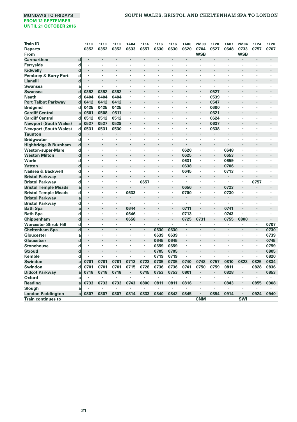# **MONDAYS TO FRIDAYS SOUTH WALES, BRISTOL AND CHELTENHAM SPA TO LONDON**

| <b>Train ID</b>                 |             | <b>1L10</b>          | <b>1L10</b>              | 1L10           | <b>1A04</b>          | <b>1L14</b> | 1L16 | <b>1L16</b>    | <b>1A06</b> | 2M03                 | <b>1L20</b> | <b>1A07</b>          | 2M04       | <b>1L24</b> | 1L28 |
|---------------------------------|-------------|----------------------|--------------------------|----------------|----------------------|-------------|------|----------------|-------------|----------------------|-------------|----------------------|------------|-------------|------|
| <b>Departs</b>                  |             | 0352                 | 0352                     | 0352           | 0633                 | 0657        | 0630 | 0630           | 0620        | 0704                 | 0527        | 0648                 | 0733       | 0757        | 0707 |
| From                            |             |                      |                          |                |                      |             |      |                |             | <b>WSB</b>           |             |                      | <b>WSB</b> |             |      |
| <b>Carmarthen</b>               | $\mathbf d$ | $\cdot$              | $\cdot$                  | $\cdot$        | $\cdot$              |             |      | ٠              | ٠           |                      | $\cdot$     | $\cdot$              |            | ٠           |      |
| Ferryside                       | d           | ٠                    |                          |                |                      |             |      |                |             |                      |             |                      |            |             |      |
| Kidwelly                        | $\mathbf d$ | ×                    |                          |                |                      |             |      |                |             | ٠                    |             |                      |            |             |      |
| <b>Pembrey &amp; Burry Port</b> | d           | ٠                    |                          |                |                      |             |      |                |             |                      |             |                      |            |             |      |
| <b>Llanelli</b>                 | $\mathbf d$ |                      |                          |                |                      |             |      |                |             |                      |             |                      |            |             |      |
| Swansea                         | a           | ٠                    |                          | ٠              |                      |             |      |                |             | ٠                    |             |                      |            |             | ٠    |
| <b>Swansea</b>                  | d           | 0352                 | 0352                     | 0352           |                      |             |      |                |             |                      | 0527        |                      |            |             |      |
| <b>Neath</b>                    | d           | 0404                 | 0404                     | 0404           | $\cdot$              | ×           |      | ×              | ٠           | ٠                    | 0539        | ٠                    | ٠          |             | ٠    |
| <b>Port Talbot Parkway</b>      | d           | 0412                 | 0412                     | 0412           | $\cdot$              |             |      | ×,             |             | ٠                    | 0547        | $\cdot$              | ï          |             | i.   |
| <b>Bridgend</b>                 | d           | 0425                 | 0425                     | 0425           |                      | ٠           | ٠    | ٠              | ٠           | ×,                   | 0600        | $\blacksquare$       | ×          | ٠           | ٠    |
| <b>Cardiff Central</b>          | a           | 0501                 | 0508                     | 0511           | $\cdot$              |             |      | ÷,             |             | ٠                    | 0621        | ۰                    |            |             | i.   |
| <b>Cardiff Central</b>          | d           | 0512                 | 0512                     | 0512           |                      | ٠           | ٠    | ٠              | ٠           | ٠                    | 0624        | $\blacksquare$       | ×          | ٠           | ٠    |
| <b>Newport (South Wales)</b>    | a           | 0527                 | 0527                     | 0529           |                      |             |      | ٠              |             |                      | 0637        | ۰                    | ï          |             |      |
| <b>Newport (South Wales)</b>    | d           | 0531                 | 0531                     | 0530           |                      | ٠           | ٠    | ٠              | ٠           | ٠                    | 0638        | $\blacksquare$       | ×          | ٠           | ٠    |
| <b>Taunton</b>                  | $\mathbf d$ |                      |                          |                |                      |             |      |                |             |                      |             |                      |            |             |      |
| <b>Bridgwater</b>               | $\mathbf d$ |                      | ×                        | $\cdot$        | $\cdot$              | ï           | ٠    | ï              |             | ×                    |             |                      | ï          | ٠           | ٠    |
| Highbridge & Burnham            | $\mathbf d$ | $\cdot$              |                          |                |                      |             |      |                |             | $\ddot{\phantom{0}}$ |             |                      |            |             |      |
| <b>Weston-super-Mare</b>        | d           | ٠                    | ٠                        |                | $\cdot$              | ٠           | ٠    | ٠              | 0620        | ٠                    | ٠           | 0648                 | ٠          | ٠           | ٠    |
| <b>Weston Milton</b>            | $\mathbf d$ | $\cdot$              |                          |                |                      |             |      |                | 0625        | $\ddot{\phantom{0}}$ |             | 0653                 | ٠          |             |      |
| Worle                           | d           | ×                    | ×                        | $\cdot$        | $\cdot$              | ٠           | ٠    | $\blacksquare$ | 0631        | ٠                    |             | 0659                 | ï          | ٠           | ٠    |
| Yatton                          | d           | $\cdot$              |                          | Ĭ.             |                      |             |      |                | 0638        | ٠                    | $\cdot$     | 0706                 | ٠          |             |      |
| Nailsea & Backwell              | d           | ×                    | ×                        |                | $\cdot$              | ×           | ٠    | ×,             | 0645        | ٠                    |             | 0713                 | ×          |             | ٠    |
| <b>Bristol Parkway</b>          | a           | $\ddot{\phantom{0}}$ |                          |                |                      |             |      |                | ×.          | ٠                    | ٠           |                      | ٠          |             |      |
| <b>Bristol Parkway</b>          | d           | $\cdot$              | ×                        |                |                      | 0657        | ×    | ٠              | ï           | ٠                    |             | $\cdot$              |            | 0757        | ٠    |
| <b>Bristol Temple Meads</b>     | a           | $\ddot{\phantom{0}}$ |                          |                |                      | ÷,          |      |                | 0656        | ٠                    |             | 0723                 |            |             |      |
| <b>Bristol Temple Meads</b>     | d           | ٠                    | ٠                        | $\cdot$        | 0633                 | ٠           |      | ٠              | 0700        | ٠                    | ٠           | 0730                 | ٠          | ٠           | ٠    |
| <b>Bristol Parkway</b>          | a           | ٠                    |                          |                | $\cdot$              |             |      |                | ï           |                      |             |                      |            |             |      |
| <b>Bristol Parkway</b>          | d           | ٠                    | ٠                        | $\cdot$        | $\cdot$              | ٠           |      | ï              | ×           | ٠                    | $\cdot$     | ٠                    | ï          |             |      |
| <b>Bath Spa</b>                 | a           |                      |                          |                | 0644                 |             |      |                | 0711        |                      |             | 0741                 |            |             |      |
| <b>Bath Spa</b>                 | d           | ٠                    | ×                        |                | 0646                 | ×           | ٠    | ×              | 0713        | ٠                    |             | 0743                 | ï          |             | ٠    |
| Chippenham                      | $\mathbf d$ | $\cdot$              |                          | $\cdot$        | 0658                 | ï           |      |                | 0725        | 0731                 |             | 0755                 | 0800       |             |      |
| <b>Worcester Shrub Hill</b>     | d           | ٠                    | ٠                        |                |                      | ٠           | ٠    | ٠              | ٠           | ï                    | ٠           | $\cdot$              | ٠          | ٠           | 0707 |
| <b>Cheltenham Spa</b>           | d           | $\cdot$              | $\ddot{\phantom{0}}$     | $\cdot$        | $\ddot{\phantom{0}}$ | ٠           | 0630 | 0630           | ï           |                      | $\cdot$     | $\cdot$              |            | ٠           | 0730 |
| Gloucester                      | a           | ٠                    | ٠                        | $\cdot$        | ٠                    | ٠           | 0639 | 0639           | ٠           | ٠                    | ٠           | $\cdot$              | ٠          | ٠           | 0739 |
| Gloucetser                      | d           | ٠                    | $\overline{\phantom{a}}$ | $\overline{a}$ |                      | ×,          | 0645 | 0645           | ٠           |                      |             | $\ddot{\phantom{0}}$ |            | ٠           | 0745 |
| <b>Stonehouse</b>               | d           | ٠                    | ٠                        |                |                      | ٠           | 0659 | 0659           | ×,          | ٠                    |             |                      | ٠          | ٠           | 0759 |
| <b>Stroud</b>                   | d           | ×                    |                          |                |                      | ٠           | 0705 | 0705           | ٠           | ï                    |             |                      |            | ٠           | 0805 |
| Kemble                          | d           |                      | ٠                        | $\cdot$        | $\cdot$              | ٠           | 0719 | 0719           | ٠           | ٠                    | ٠           | $\cdot$              | ٠          | ٠           | 0820 |
| Swindon                         | a           | 0701                 | 0701                     | 0701           | 0713                 | 0723        | 0735 | 0735           | 0740        | 0748                 | 0757        | 0810                 | 0823       | 0825        | 0834 |
| Swindon                         | d           | 0701                 | 0701                     | 0701           | 0715                 | 0728        | 0736 | 0736           | 0741        | 0750                 | 0759        | 0811                 | ٠          | 0828        | 0836 |
| <b>Didcot Parkway</b>           | a           | 0718                 | 0718                     | 0718           |                      | 0745        | 0753 | 0753           | 0801        | ×                    | $\cdot$     | 0828                 |            |             | 0853 |
| Oxford                          | a           |                      |                          |                |                      | ï           | ٠    | ٠              | ٠           | ×                    |             |                      | ï          | ٠           | ٠    |
| <b>Reading</b>                  | a           | 0733                 | 0733                     | 0733           | 0743                 | 0800        | 0811 | 0811           | 0816        | ٠                    | $\cdot$     | 0843                 | ٠          | 0855        | 0908 |
| Slough                          | a           |                      |                          |                |                      |             | ٠    | ×              |             | ł.                   | $\cdot$     |                      | ٠          |             |      |
| <b>London Paddington</b>        | a           | 0807                 | 0807                     | 0807           | 0814                 | 0833        | 0840 | 0842           | 0845        | $\blacksquare$       | 0854        | 0914                 | ٠          | 0924        | 0940 |
| <b>Train continues to</b>       |             |                      |                          |                |                      |             |      |                |             | <b>CNM</b>           |             |                      | <b>SWI</b> |             |      |
|                                 |             |                      |                          |                |                      |             |      |                |             |                      |             |                      |            |             |      |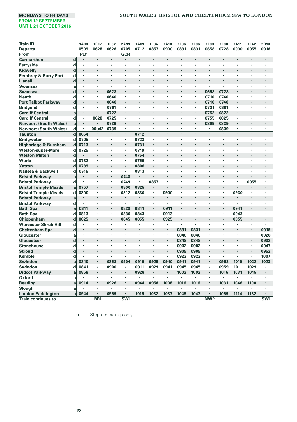#### **MONDAYS TO FRIDAYS SOUTH WALES, BRISTOL AND CHELTENHAM SPA TO LONDON**

| <b>Train ID</b>              |             | <b>1A08</b> | <b>1F02</b>          | <b>1L32</b> | 2A99           | <b>1A09</b> | <b>1L34</b>              | <b>1A10</b>          | <b>1L36</b>    | <b>1L36</b>          | 1L33       | 1L38 | <b>1A11</b>    | <b>1L42</b>    | 2B90           |
|------------------------------|-------------|-------------|----------------------|-------------|----------------|-------------|--------------------------|----------------------|----------------|----------------------|------------|------|----------------|----------------|----------------|
| <b>Departs</b>               |             | 0509        | 0628                 | 0628        | 0705           | 0712        | 0857                     | 0900                 | 0831           | 0831                 | 0658       | 0728 | 0930           | 0955           | 0918           |
| From                         |             | PLY         |                      |             | GCR            |             |                          |                      |                |                      |            |      |                |                |                |
| <b>Carmarthen</b>            | $\mathbf d$ |             |                      |             |                | ٠           |                          | $\cdot$              |                |                      |            |      |                |                |                |
| Ferryside                    | d           | $\cdot$     |                      |             |                |             |                          |                      |                |                      |            |      |                |                |                |
| Kidwelly                     | $\mathbf d$ |             |                      |             |                |             |                          |                      |                |                      |            |      |                |                |                |
| Pembrey & Burry Port         | d           | ٠           | ٠                    | ٠           | ٠              | ٠           |                          |                      |                |                      | ٠          | ×    | ٠              | ٠              |                |
| Llanelli                     | $\mathbf d$ |             |                      |             |                |             |                          |                      |                |                      |            |      |                |                |                |
| <b>Swansea</b>               | a           | ٠           | $\cdot$              | ٠           | ٠              | ï           |                          | ٠                    |                | $\cdot$              | ×          | ï    | ٠              | ï              |                |
| Swansea                      | d           | ٠           |                      | 0628        |                |             |                          |                      |                | $\ddot{\phantom{0}}$ | 0658       | 0728 |                |                |                |
| <b>Neath</b>                 | d           | ٠           | $\cdot$              | 0640        | ٠              | $\cdot$     | ٠                        | $\cdot$              | $\cdot$        |                      | 0710       | 0740 | ٠              | ×              |                |
| <b>Port Talbot Parkway</b>   | d           | $\cdot$     |                      | 0648        |                | ï           |                          |                      |                |                      | 0718       | 0748 |                | ï              |                |
| <b>Bridgend</b>              | d           | ٠           | $\cdot$              | 0701        | ٠              | ٠           | $\blacksquare$           | $\cdot$              | $\cdot$        | ٠                    | 0731       | 0801 | ٠              | ٠              | ٠              |
| <b>Cardiff Central</b>       | a           |             |                      | 0722        |                | ٠           |                          |                      |                |                      | 0752       | 0822 |                | ï              |                |
| <b>Cardiff Central</b>       | d           | $\cdot$     | 0628                 | 0725        | ٠              | ٠           | $\overline{\phantom{a}}$ | $\cdot$              | $\cdot$        | $\cdot$              | 0755       | 0825 | ٠              | ٠              |                |
| <b>Newport (South Wales)</b> | a           | $\cdot$     |                      | 0739        |                | ٠           |                          |                      |                |                      | 0809       | 0839 |                |                |                |
| <b>Newport (South Wales)</b> | d           | $\cdot$     | 06u42                | 0739        | ٠              | ٠           | ٠                        | $\cdot$              | $\cdot$        | ٠                    |            | 0839 | ٠              | ٠              |                |
| <b>Taunton</b>               | $\mathbf d$ | 0654        |                      |             | ×              | 0712        |                          |                      |                |                      |            |      |                |                |                |
| <b>Bridgwater</b>            | d           | 0705        | $\cdot$              | ٠           | ٠              | 0723        | ٠                        | $\cdot$              | $\cdot$        | $\cdot$              | ٠          | ٠    | ٠              | ٠              |                |
| Highbridge & Burnham         | $\mathbf d$ | 0713        |                      |             | ٠              | 0731        | ٠                        |                      |                |                      |            |      |                |                |                |
| <b>Weston-super-Mare</b>     | d           | 0725        | $\cdot$              | ٠           | ٠              | 0749        | ×                        | $\cdot$              | $\cdot$        | $\cdot$              | ٠          | ï    | ٠              | ï              |                |
| <b>Weston Milton</b>         | $\mathbf d$ |             |                      | ٠           | ٠              | 0754        | $\bullet$                | ٠                    |                |                      |            | ٠    |                | ٠              | ٠              |
| Worle                        | d           | 0732        | ٠                    | ٠           | ٠              | 0759        | $\overline{\phantom{a}}$ | ٠                    |                | Ĭ.                   |            | ×    | ł.             | ł.             | Ĭ.             |
| Yatton                       | d           | 0739        | $\cdot$              | ٠           | ×              | 0806        | ٠                        | ٠                    |                |                      |            | ٠    |                | ٠              |                |
| Nailsea & Backwell           | d           | 0746        | $\cdot$              | ï           | $\blacksquare$ | 0813        | ٠                        | ٠                    |                |                      |            | ×    |                |                |                |
| <b>Bristol Parkway</b>       | a           |             | $\cdot$              | ٠           | 0748           | ï           | ٠                        | ٠                    |                | ٠                    |            | ٠    | ٠              |                |                |
| <b>Bristol Parkway</b>       | d           |             |                      | ×           | 0749           | ٠           | 0857                     | ٠                    |                |                      |            | ×    |                | 0955           |                |
| <b>Bristol Temple Meads</b>  | a           | 0757        |                      | ٠           | 0800           | 0825        |                          |                      |                |                      |            | ٠    |                |                |                |
| <b>Bristol Temple Meads</b>  | d           | 0800        |                      | ×           | 0812           | 0830        | $\blacksquare$           | 0900                 |                |                      |            | ×    | 0930           | ٠              | ٠              |
| <b>Bristol Parkway</b>       | a           |             |                      |             |                | ٠           | $\blacksquare$           |                      |                |                      |            | ٠    |                |                |                |
| <b>Bristol Parkway</b>       | d           |             |                      | ٠           | ٠              | ï           | ٠                        |                      |                |                      |            | ٠    |                |                |                |
| <b>Bath Spa</b>              | a           | 0811        |                      |             | 0829           | 0841        | $\cdot$                  | 0911                 |                |                      |            | ٠    | 0941           |                |                |
| <b>Bath Spa</b>              | d           | 0813        | $\cdot$              | ٠           | 0830           | 0843        | ٠                        | 0913                 | $\cdot$        | $\cdot$              | ٠          | ٠    | 0943           | ٠              |                |
| Chippenham                   | $\mathbf d$ | 0825        | $\cdot$              | ٠           | 0845           | 0855        | $\blacksquare$           | 0925                 | $\blacksquare$ | $\cdot$              | ٠          | ٠    | 0955           | $\cdot$        |                |
| <b>Worcester Shrub Hill</b>  | d           |             | ٠                    | ٠           |                |             | $\ddot{\phantom{0}}$     |                      | $\cdot$        | $\cdot$              | ٠          | ٠    |                | $\blacksquare$ | $\overline{a}$ |
| <b>Cheltenham Spa</b>        | $\mathbf d$ | $\cdot$     | $\ddot{\phantom{0}}$ | ٠           |                | ٠           | $\ddot{\phantom{0}}$     | $\cdot$              | 0831           | 0831                 | ٠          | ٠    | ٠              | $\cdot$        | 0918           |
| Gloucester                   | a           | $\cdot$     | $\cdot$              | ٠           | ٠              | ٠           | ٠                        | $\cdot$              | 0840           | 0840                 | ٠          | ٠    | ٠              | $\blacksquare$ | 0928           |
| Gloucetser                   | $\mathbf d$ | $\cdot$     | l,                   |             | l,             | ï           |                          | $\ddot{\phantom{a}}$ | 0848           | 0848                 | ٠          | ×,   | $\blacksquare$ | ٠              | 0932           |
| <b>Stonehouse</b>            | d           | $\cdot$     | $\cdot$              | ٠           | ٠              | ï           | $\ddot{\phantom{0}}$     | ٠                    | 0902           | 0902                 | ٠          | ٠    | ٠              | ٠              | 0947           |
| <b>Stroud</b>                | d           |             |                      |             | ï              |             |                          |                      | 0909           | 0909                 | ٠          | ï    | ٠              | ٠              | 0952           |
| Kemble                       | d           | $\cdot$     | $\cdot$              | ٠           | ×              | ×,          |                          | $\cdot$              | 0923           | 0923                 | ٠          | ٠    | ٠              | ×.             | 1007           |
| Swindon                      | a           | 0840        | $\cdot$              | 0858        | 0904           | 0910        | 0925                     | 0940                 | 0941           | 0941                 | ٠          | 0958 | 1010           | 1022           | 1023           |
| Swindon                      | d           | 0841        |                      | 0900        | ٠              | 0911        | 0929                     | 0941                 | 0945           | 0945                 | ٠          | 0959 | 1011           | 1029           |                |
| <b>Didcot Parkway</b>        | a           | 0858        |                      |             |                | 0928        |                          |                      | 1002           | 1002                 | ٠          | 1016 | 1031           | 1045           |                |
| Oxford                       | a           |             | $\cdot$              | ×           | ٠              |             | ٠                        | $\cdot$              | $\cdot$        | $\cdot$              | ٠          | ×    | ٠              | ٠              |                |
| <b>Reading</b>               | a           | 0914        | $\cdot$              | 0926        |                | 0944        | 0958                     | 1008                 | 1016           | 1016                 | ٠          | 1031 | 1046           | 1100           |                |
| Slough                       | a           |             | $\cdot$              | ï           | ×,             |             |                          | $\cdot$              | $\cdot$        | $\cdot$              | ×          | ï    | ٠              |                |                |
| <b>London Paddington</b>     | a           | 0944        | $\cdot$              | 0959        | ٠              | 1015        | 1032                     | 1037                 | 1045           | 1047                 |            | 1059 | 1114           | 1132           |                |
| <b>Train continues to</b>    |             |             | <b>BRI</b>           |             | <b>SWI</b>     |             |                          |                      |                |                      | <b>NWP</b> |      |                |                | <b>SWI</b>     |
|                              |             |             |                      |             |                |             |                          |                      |                |                      |            |      |                |                |                |

**u** Stops to pick up only

**22**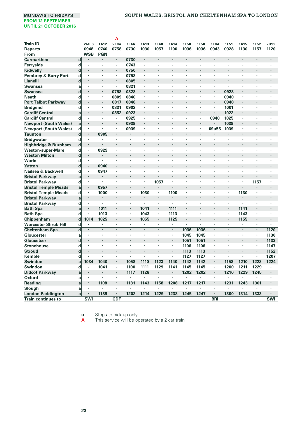|                                 |                         |                      |                | A              |                |             |             |             |                          |                      |            |                      |      |             |            |
|---------------------------------|-------------------------|----------------------|----------------|----------------|----------------|-------------|-------------|-------------|--------------------------|----------------------|------------|----------------------|------|-------------|------------|
| <b>Train ID</b>                 |                         | 2M06                 | <b>1A12</b>    | 2L04           | <b>1L46</b>    | <b>1A13</b> | <b>1L48</b> | <b>1A14</b> | <b>1L50</b>              | <b>1L50</b>          | 1F04       | <b>1L51</b>          | 1A15 | <b>1L52</b> | 2B92       |
| <b>Departs</b>                  |                         | 0948                 | 0740           | 0758           | 0730           | 1030        | 1057        | 1100        | 1036                     | 1036                 | 0943       | 0928                 | 1130 | 1157        | 1120       |
| From                            |                         | <b>WSB</b>           | <b>PGN</b>     |                |                |             |             |             |                          |                      |            |                      |      |             |            |
| Carmarthen                      | $\mathbf d$             |                      | ٠              | $\cdot$        | 0730           | ٠           | ×           |             | ï                        |                      |            |                      | ï    | $\cdot$     | ï          |
| Ferryside                       | d                       | ٠                    | ٠              |                | 0743           | ٠           | ٠           | ٠           | ï                        |                      |            | ٠                    | ×    | ٠           | ٠          |
| Kidwelly                        | $\mathbf d$             |                      |                |                | 0750           |             |             |             |                          |                      |            |                      |      |             |            |
| <b>Pembrey &amp; Burry Port</b> | d                       | ٠                    | ٠              | $\cdot$        | 0758           | ٠           | ٠           |             | ٠                        |                      |            | ٠                    | ×    | ٠           | ٠          |
| Llanelli                        | $\mathbf d$             |                      |                |                | 0805           |             |             |             |                          |                      |            |                      |      |             |            |
| Swansea                         | a                       | ٠                    | ٠              | $\cdot$        | 0821           | ٠           | ł           |             | ï                        |                      |            |                      | ×    |             | ł          |
| Swansea                         | $\mathbf d$             |                      |                | 0758           | 0828           |             |             |             |                          |                      |            | 0928                 |      |             |            |
| <b>Neath</b>                    | d                       | ٠                    | ٠              | 0809           | 0840           | ٠           | ٠           |             | ٠                        |                      | ٠          | 0940                 | ×    |             | ٠          |
| <b>Port Talbot Parkway</b>      | $\mathbf d$             | ٠                    | ٠              | 0817           | 0848           |             |             |             |                          |                      |            | 0948                 |      |             |            |
| <b>Bridgend</b>                 | d                       | ٠                    | ٠              | 0831           | 0902           | ٠           | ٠           |             | ٠                        | ٠                    |            | 1001                 |      |             | ٠          |
| <b>Cardiff Central</b>          | a                       | $\cdot$              |                | 0852           | 0923           | ٠           |             |             |                          |                      |            | 1022                 |      |             |            |
| <b>Cardiff Central</b>          | d                       | ٠                    | ٠              |                | 0925           | ٠           | ٠           | ٠           | ٠                        | ٠                    | 0940       | 1025                 | ×    | ٠           | ٠          |
| <b>Newport (South Wales)</b>    | a                       | ٠                    |                |                | 0939           | ٠           |             |             |                          |                      |            | 1039                 | ٠    |             |            |
| <b>Newport (South Wales)</b>    | d                       | ٠                    | ٠              |                | 0939           | ٠           | ٠           | ٠           | ×                        | ٠                    | 09u55      | 1039                 | ×    | ٠           | ٠          |
| <b>Taunton</b>                  | d                       | ٠                    | 0905           | $\cdot$        | $\cdot$        | ٠           | ٠           |             | ٠                        | ٠                    | ٠          | $\cdot$              | ٠    | ٠           | ٠          |
| <b>Bridgwater</b>               | $\overline{\mathbf{d}}$ | ×,                   | ×              | $\cdot$        |                | ï           | ٠           | ٠           | ×                        | ×                    | $\cdot$    |                      | ×,   | ×           | ×          |
| Highbridge & Burnham            | $\mathbf d$             | ٠                    |                |                |                |             |             |             |                          |                      |            |                      |      |             | ٠          |
| <b>Weston-super-Mare</b>        | d                       | ٠                    | 0929           | $\cdot$        |                | ï           | ٠           |             | ï                        | ×                    |            |                      | ×    | ٠           | ٠          |
| <b>Weston Milton</b>            | $\mathbf d$             | ٠                    |                |                |                |             |             |             |                          |                      |            |                      |      |             |            |
| Worle                           | d                       | ٠                    | ×,             |                |                | ٠           | ٠           | ٠           | ٠                        | ٠                    | $\cdot$    | $\cdot$              | ٠    | ٠           | ٠          |
| Yatton                          | $\mathbf d$             | ٠                    | 0940           |                |                |             |             |             |                          |                      |            |                      |      |             |            |
| Nailsea & Backwell              | d                       | ٠                    | 0947           | $\cdot$        |                | ٠           | ٠           | ٠           | ٠                        | ٠                    |            |                      | ٠    | ٠           | ٠          |
| <b>Bristol Parkway</b>          | a                       |                      |                |                |                |             |             |             | Ĭ.                       |                      |            |                      | ï    |             |            |
| <b>Bristol Parkway</b>          | d                       | ٠                    | ٠              | ٠              | ٠              | ٠           | 1057        | ٠           | ٠                        | ٠                    | $\cdot$    | ٠                    | ٠    | 1157        | ٠          |
| <b>Bristol Temple Meads</b>     | a                       | $\blacksquare$       | 0957           |                |                |             |             | ÷.          | ÷.                       |                      | l,         |                      | ï    |             |            |
| <b>Bristol Temple Meads</b>     | d                       | ٠                    | 1000           |                |                | 1030        | ٠           | 1100        | ٠                        | ٠                    |            | ٠                    | 1130 | ٠           | ٠          |
| <b>Bristol Parkway</b>          | a                       | $\cdot$              | ÷,             |                | $\overline{a}$ |             | ×,          |             | ÷.                       |                      | l,         | $\ddot{\phantom{0}}$ | l,   |             | ×,         |
| <b>Bristol Parkway</b>          | d                       | ٠                    | $\blacksquare$ | ٠              | $\cdot$        | ×,          | ٠           | ٠           | ٠                        | ٠                    | ٠          |                      | ٠    | ٠           | ٠          |
| <b>Bath Spa</b>                 | a                       | $\ddot{\phantom{0}}$ | 1011           |                |                | 1041        | $\cdot$     | 1111        | ٠                        |                      |            | $\cdot$              | 1141 | ٠           | ٠          |
| <b>Bath Spa</b>                 | d                       | ٠                    | 1013           | $\cdot$        | $\blacksquare$ | 1043        | ٠           | 1113        | ٠                        | ٠                    | $\cdot$    | $\cdot$              | 1143 | ٠           | ٠          |
| Chippenham                      | $\mathbf d$             | 1014                 | 1025           | $\cdot$        |                | 1055        | $\cdot$     | 1125        | ٠                        | $\ddot{\phantom{0}}$ |            | $\cdot$              | 1155 | ٠           | ×,         |
| <b>Worcester Shrub Hill</b>     | d                       | ٠                    | ٠              | $\cdot$        |                | ٠           | ×           | ٠           | $\blacksquare$           | ×                    |            |                      | ٠    | ٠           | $\bullet$  |
| <b>Cheltenham Spa</b>           | $\overline{\mathsf{d}}$ | $\cdot$              |                | $\cdot$        |                | ٠           | $\cdot$     | $\cdot$     | 1036                     | 1036                 | $\cdot$    | $\cdot$              | ÷    | ٠           | 1120       |
| Gloucester                      | a                       | ٠                    | ٠              |                |                | ×           |             | ٠           | 1045                     | 1045                 | ٠          |                      | ٠    | ٠           | 1130       |
| Gloucetser                      | d                       |                      |                |                |                |             |             |             | 1051                     | 1051                 |            |                      |      | ٠           | 1133       |
| <b>Stonehouse</b>               | d                       |                      |                |                | ï              |             | ×           | ٠           | 1106                     | 1106                 | ,          |                      | ×    | ٠           | 1147       |
| <b>Stroud</b>                   | $\mathbf d$             |                      |                |                |                |             |             |             | 1113                     | 1113                 |            |                      | ï    | ٠           | 1152       |
| Kemble                          | d                       |                      | ٠              | ٠              |                | ٠           | ٠           | ٠           | 1127                     | 1127                 | ٠          |                      | ٠    | ٠           | 1207       |
| Swindon                         | a                       | 1034                 | 1040           |                | 1058           | 1110        | 1123        | 1140        | 1142                     | 1142                 | $\cdot$    | 1158                 | 1210 | 1223        | 1224       |
| Swindon                         | d                       | ٠                    | 1041           | $\cdot$        | 1100           | 1111        | 1129        | 1141        | 1145                     | 1145                 | ٠          | 1200                 | 1211 | 1229        | ٠          |
| <b>Didcot Parkway</b>           | a                       | ٠                    |                | $\cdot$        | 1117           | 1128        | ×           |             | 1202                     | 1202                 | $\cdot$    | 1216                 | 1229 | 1245        | ٠          |
| Oxford                          | a                       | ٠                    | ٠              | $\cdot$        | Ĭ.             | ×           | ł.          | ł.          | $\overline{\phantom{a}}$ | $\ddot{\phantom{0}}$ | $\cdot$    | $\ddot{\phantom{0}}$ | ×    | ٠           | ٠          |
| <b>Reading</b>                  | a                       | ٠                    | 1108           | $\blacksquare$ | 1131           | 1143        | 1158        | 1208        | 1217                     | 1217                 | $\cdot$    | 1231                 | 1243 | 1301        | ٠          |
| Slough                          | a                       | ٠                    | ٠              | ٠              |                |             | ٠           | ٠           | ٠                        |                      | $\cdot$    |                      |      |             |            |
| <b>London Paddington</b>        | a                       | ٠                    | 1139           | $\blacksquare$ | 1202           | 1214        | 1229        | 1238        | 1245                     | 1247                 | $\cdot$    | 1300                 | 1314 | 1333        | ٠          |
| <b>Train continues to</b>       |                         | SWI                  |                | <b>CDF</b>     |                |             |             |             |                          |                      | <b>BRI</b> |                      |      |             | <b>SWI</b> |
|                                 |                         |                      |                |                |                |             |             |             |                          |                      |            |                      |      |             |            |

**u** Stops to pick up only **A** This service will be operated by a 2 car train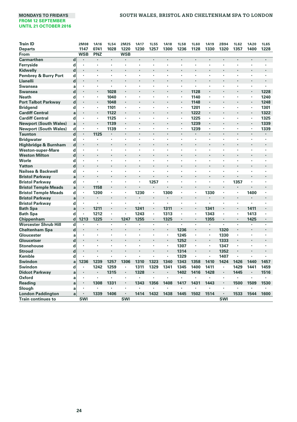# **MONDAYS TO FRIDAYS SOUTH WALES, BRISTOL AND CHELTENHAM SPA TO LONDON**

| <b>Train ID</b>              |                         | 2M08                 | <b>1A16</b>          | <b>1L54</b> | 2M25           | <b>1A17</b>          | <b>1L55</b>          | <b>1A18</b>    | <b>1L58</b>    | <b>1L60</b>          | <b>1A19</b> | 2B94       | <b>1L62</b>    | <b>1A20</b>              | <b>1L65</b> |
|------------------------------|-------------------------|----------------------|----------------------|-------------|----------------|----------------------|----------------------|----------------|----------------|----------------------|-------------|------------|----------------|--------------------------|-------------|
| <b>Departs</b>               |                         | 1147                 | 0741                 | 1028        | 1220           | 1230                 | 1257                 | 1300           | 1236           | 1128                 | 1330        | 1320       | 1357           | 1400                     | 1228        |
| From                         |                         | <b>WSB</b>           | PNZ                  |             | <b>WSB</b>     |                      |                      |                |                |                      |             |            |                |                          |             |
| <b>Carmarthen</b>            | $\mathbf d$             | $\cdot$              | $\blacksquare$       | ٠           |                | $\blacksquare$       | ٠                    | $\cdot$        | $\cdot$        | $\cdot$              | ٠           | ×          | $\blacksquare$ | ٠                        |             |
| Ferryside                    | d                       | $\cdot$              | $\cdot$              | ٠           | ï              |                      | ×                    |                |                |                      |             | ٠          | ٠              | ٠                        | ٠           |
| Kidwelly                     | $\mathbf d$             | $\cdot$              | $\cdot$              |             | ٠              |                      | ٠                    |                |                | ٠                    | ٠           | ٠          | ٠              | ٠                        |             |
| Pembrey & Burry Port         | d                       | $\cdot$              | ٠                    |             | ×              |                      |                      |                |                | ÷                    |             |            |                |                          |             |
| Llanelli                     | $\mathbf d$             | $\cdot$              | $\cdot$              |             | ٠              |                      |                      |                |                |                      |             | ٠          | ٠              |                          |             |
| Swansea                      | a                       | $\cdot$              | $\cdot$              |             | ×              |                      |                      |                |                | $\cdot$              |             |            |                | $\ddot{\phantom{0}}$     |             |
| <b>Swansea</b>               | $\mathbf d$             | $\cdot$              | $\cdot$              | 1028        |                |                      |                      |                |                | 1128                 |             |            | ï              | $\blacksquare$           | 1228        |
| <b>Neath</b>                 | d                       | $\cdot$              | $\cdot$              | 1040        | ٠              |                      |                      |                |                | 1140                 | ٠           |            |                | ×,                       | 1240        |
| <b>Port Talbot Parkway</b>   | $\mathbf d$             | $\cdot$              | $\cdot$              | 1048        |                |                      |                      |                |                | 1148                 |             |            |                | $\cdot$                  | 1248        |
| <b>Bridgend</b>              | d                       | $\cdot$              |                      | 1101        | ×              | ×                    | ï                    |                | $\cdot$        | 1201                 | ٠           | ï          | ï              | $\ddot{\phantom{0}}$     | 1301        |
| <b>Cardiff Central</b>       | a                       | $\cdot$              | $\cdot$              | 1122        | ï              | $\ddot{\phantom{0}}$ |                      |                | $\cdot$        | 1222                 | ٠           |            | ï              | ×.                       | 1322        |
| <b>Cardiff Central</b>       | d                       | $\cdot$              | $\cdot$              | 1125        | ٠              | ٠                    | $\ddot{\phantom{0}}$ | ٠              | $\cdot$        | 1225                 | ٠           | ×          | ٠              | $\cdot$                  | 1325        |
| <b>Newport (South Wales)</b> | a                       | $\cdot$              | $\cdot$              | 1139        | ٠              | $\cdot$              | ï                    |                | $\blacksquare$ | 1239                 | ٠           | ï          | ٠              | ٠                        | 1339        |
| <b>Newport (South Wales)</b> | d                       | $\cdot$              |                      | 1139        | ×,             | ×                    | ×                    | $\cdot$        | $\cdot$        | 1239                 | ×,          | ×,         | ×,             | ٠                        | 1339        |
| <b>Taunton</b>               | $\overline{\mathbf{d}}$ | $\cdot$              | 1125                 | $\cdot$     | ÷,             |                      | l,                   | $\overline{a}$ | $\cdot$        | $\ddot{\phantom{0}}$ |             | ÷.         | ÷.             | $\cdot$                  | $\cdot$     |
| <b>Bridgwater</b>            | d                       |                      |                      | ٠           | ×              | ٠                    | ٠                    |                | $\cdot$        |                      | ٠           | ٠          | ٠              | ٠                        |             |
| Highbridge & Burnham         | $\mathbf d$             | $\cdot$              | $\cdot$              |             | ï              |                      |                      |                |                | $\cdot$              |             |            | ٠              |                          |             |
| <b>Weston-super-Mare</b>     | d                       | $\cdot$              | ٠                    | ٠           | ٠              | ٠                    | ٠                    | ٠              | $\cdot$        | ٠                    | ٠           | ٠          | ٠              | ٠                        | ٠           |
| <b>Weston Milton</b>         | $\mathbf d$             | $\cdot$              |                      |             |                |                      |                      |                |                | $\cdot$              |             |            |                |                          |             |
| Worle                        | d                       | $\cdot$              | $\cdot$              | ٠           | ï              | ٠                    | ٠                    | $\cdot$        |                |                      | ٠           | ٠          | ×,             | ×,                       | $\cdot$     |
| Yatton                       | $\mathbf d$             | $\cdot$              |                      |             |                |                      |                      |                |                |                      |             |            |                |                          |             |
| Nailsea & Backwell           | d                       | $\cdot$              |                      | ×           | ï              | ×                    |                      |                | $\cdot$        |                      | ٠           | ×          | ٠              | ×,                       |             |
| <b>Bristol Parkwav</b>       | a                       | $\cdot$              | $\cdot$              |             |                |                      |                      |                |                |                      |             | ٠          | ٠              |                          |             |
| <b>Bristol Parkway</b>       | d                       | $\blacksquare$       |                      | ٠           | ï              | ٠                    | 1257                 | $\cdot$        | $\cdot$        | $\cdot$              | ٠           | ٠          | 1357           | ×,                       |             |
| <b>Bristol Temple Meads</b>  | a                       | $\blacksquare$       | 1158                 |             | ٠              |                      |                      |                |                |                      |             | ٠          |                |                          |             |
| <b>Bristol Temple Meads</b>  | d                       | $\cdot$              | 1200                 | ٠           | ×              | 1230                 | $\blacksquare$       | 1300           | $\cdot$        |                      | 1330        | ×          | ٠              | 1400                     | ٠           |
| <b>Bristol Parkway</b>       | a                       | $\blacksquare$       | $\ddot{\phantom{0}}$ |             |                | $\ddot{\phantom{0}}$ | $\cdot$              | $\cdot$        |                |                      | ×           | ٠          | ×,             |                          | ł.          |
| <b>Bristol Parkway</b>       | d                       | $\cdot$              |                      |             | ï              | ٠                    | ٠                    | $\cdot$        | $\cdot$        | $\cdot$              | ×           | ×          | ×,             | ٠                        |             |
| <b>Bath Spa</b>              | a                       | $\cdot$              | 1211                 |             |                | 1241                 | ٠                    | 1311           |                |                      | 1341        | ٠          | ٠              | 1411                     |             |
| <b>Bath Spa</b>              | $\mathbf d$             | $\cdot$              | 1212                 | ٠           | ٠              | 1243                 | ٠                    | 1313           | $\blacksquare$ | ٠                    | 1343        | ٠          | ٠              | 1413                     |             |
| Chippenham                   | $\mathbf d$             | 1213                 | 1225                 |             | 1247           | 1255                 | ٠                    | 1325           |                |                      | 1355        | ٠          |                | 1425                     |             |
| <b>Worcester Shrub Hill</b>  | d                       | $\cdot$              |                      | ä,          | ï              |                      | ×,                   |                |                |                      | ï           | ï          |                |                          |             |
| <b>Cheltenham Spa</b>        | $\mathbf d$             | $\cdot$              |                      |             |                |                      |                      |                | 1236           |                      |             | 1320       |                |                          |             |
| Gloucester                   | a                       | $\cdot$              |                      | ×           | ×              | ٠                    | ×                    |                | 1245           |                      | ×,          | 1330       | ٠              | ×,                       |             |
| Gloucetser                   | $\mathbf d$             | $\ddot{\phantom{0}}$ |                      |             | l,             |                      |                      |                | 1252           | $\cdot$              | ×           | 1333       | ×,             |                          | l,          |
| <b>Stonehouse</b>            | d                       | $\cdot$              | $\cdot$              | ٠           | ٠              | ٠                    | ٠                    | ٠              | 1307           | $\cdot$              | ٠           | 1347       | ٠              | ٠                        | $\cdot$     |
| <b>Stroud</b>                | d                       | $\cdot$              |                      |             | l,             |                      |                      |                | 1314           | $\cdot$              | ٠           | 1352       | ٠              | $\ddot{\phantom{0}}$     |             |
| Kemble                       | d                       | $\ddot{\phantom{0}}$ | $\ddot{\phantom{0}}$ | ٠           | ٠              | ٠                    | ×,                   |                | 1329           | $\cdot$              | ×,          | 1407       | ٠              | $\overline{\phantom{a}}$ |             |
| Swindon                      | a                       | 1236                 | 1239                 | 1257        | 1306           | 1310                 | 1323                 | 1340           | 1343           | 1358                 | 1410        | 1424       | 1426           | 1440                     | 1457        |
| Swindon                      | d                       | $\cdot$              | 1242                 | 1259        | $\blacksquare$ | 1311                 | 1329                 | 1341           | 1345           | 1400                 | 1411        | ٠          | 1429           | 1441                     | 1459        |
| <b>Didcot Parkway</b>        | a                       |                      |                      | 1315        | ٠              | 1328                 |                      |                | 1402           | 1416                 | 1428        | ٠          | 1445           | $\blacksquare$           | 1516        |
| Oxford                       | a                       | $\cdot$              |                      |             | ٠              |                      | ٠                    | ٠              |                |                      |             | ٠          |                | ٠                        |             |
| <b>Reading</b>               | a                       | $\blacksquare$       | 1308                 | 1331        |                | 1343                 | 1356                 | 1408           | 1417           | 1431                 | 1443        | ٠          | 1500           | 1509                     | 1530        |
| Slough                       | a                       | $\cdot$              | $\cdot$              |             |                |                      |                      |                |                | ٠                    |             | ٠          |                |                          |             |
| <b>London Paddington</b>     | a                       | $\cdot$              | 1339                 | 1406        | ٠              | 1414                 | 1432                 | 1438           | 1445           | 1502                 | 1514        | ٠          | 1533           | 1544                     | 1600        |
| <b>Train continues to</b>    |                         | <b>SWI</b>           |                      |             | <b>SWI</b>     |                      |                      |                |                |                      |             | <b>SWI</b> |                |                          |             |
|                              |                         |                      |                      |             |                |                      |                      |                |                |                      |             |            |                |                          |             |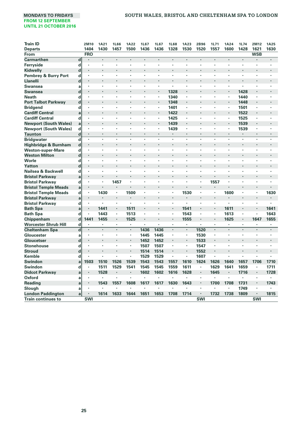| 1430<br>1328<br>1530<br>1520<br>1600<br>1428<br><b>Departs</b><br>1404<br>1457<br>1500<br>1436<br>1436<br>1557<br>1621<br>1630<br><b>FRO</b><br><b>WSB</b><br>From<br><b>Carmarthen</b><br>$\mathbf d$<br>$\cdot$<br>$\blacksquare$<br>×<br>$\cdot$<br>$\cdot$<br>$\cdot$<br>٠<br>ï<br>$\cdot$<br>٠<br>Ferryside<br>d<br>$\ddot{\phantom{0}}$<br>Ĭ.<br>×<br>×<br>d<br>Kidwelly<br>٠<br>d<br>٠<br>Llanelli<br>d<br>٠<br>٠<br><b>Swansea</b><br>٠<br>ï<br>a<br>ï<br>×<br>$\cdot$<br>1328<br>1428<br>d<br><b>Swansea</b><br>ï<br>$\cdot$<br>1340<br><b>Neath</b><br>d<br>1440<br>٠<br>٠<br>٠<br>$\cdot$<br>×<br>d<br>1448<br><b>Port Talbot Parkway</b><br>1348<br>ï<br>ï<br>$\cdot$<br>٠<br>٠<br><b>Bridgend</b><br>1401<br>d<br>1501<br>٠<br>٠<br>٠<br>٠<br>$\cdot$<br>٠<br>×<br>٠<br>٠<br><b>Cardiff Central</b><br>1422<br>$\cdot$<br>1522<br>a<br>٠<br>ï<br>٠<br>٠<br>÷.<br>$\cdot$<br>ï<br><b>Cardiff Central</b><br>d<br>1425<br>1525<br>٠<br>٠<br>٠<br>٠<br>٠<br>$\cdot$<br>٠<br>٠<br>٠<br>٠<br>٠<br>٠<br><b>Newport (South Wales)</b><br>1439<br>1539<br>a<br>٠<br>l,<br>٠<br>$\blacksquare$<br>l,<br>$\blacksquare$<br>٠<br>d<br><b>Newport (South Wales)</b><br>1439<br>1539<br>×,<br>٠<br>٠<br>$\cdot$<br>٠<br>٠<br>٠<br>٠<br>٠<br>٠<br>٠<br>$\mathbf d$<br><b>Taunton</b><br>ï<br>٠<br>d<br><b>Bridgwater</b><br>٠<br>×<br>×<br>٠<br>٠<br>٠<br>$\cdot$<br>ł<br>٠<br>×<br>$\mathbf d$<br>Highbridge & Burnham<br>٠<br>ï<br><b>Weston-super-Mare</b><br>d<br>٠<br>$\cdot$<br>$\cdot$<br>٠<br>٠<br>٠<br>٠<br>٠<br>$\cdot$<br>$\cdot$<br>٠<br>٠<br>٠<br><b>Weston Milton</b><br>d<br>٠<br>Worle<br>d<br>×<br>ï<br>$\ddot{\phantom{a}}$<br>$\cdot$<br>٠<br>٠<br>$\ddot{\phantom{0}}$<br>$\cdot$<br>×<br>٠<br>$\blacksquare$<br>$\cdot$<br>٠<br>d<br>Yatton<br>٠<br>Nailsea & Backwell<br>d<br>×<br>ï<br>ï<br>٠<br>×<br>×<br>$\cdot$<br>٠<br>ï<br>٠<br>$\cdot$<br>$\cdot$<br>٠<br><b>Bristol Parkway</b><br>a<br>٠<br>d<br>1457<br>1557<br><b>Bristol Parkway</b><br>٠<br>٠<br>ï<br>×<br>$\cdot$<br>٠<br>٠<br>$\cdot$<br>×<br><b>Bristol Temple Meads</b><br>l,<br>a<br>٠<br>1530<br>1630<br>d<br>1430<br>1500<br>1600<br><b>Bristol Temple Meads</b><br>٠<br>٠<br>٠<br>٠<br>٠<br>٠<br>٠<br><b>Bristol Parkway</b><br>a<br>$\ddot{\phantom{0}}$<br>$\ddot{\phantom{0}}$<br>$\ddot{\phantom{0}}$<br>٠<br><b>Bristol Parkway</b><br>d<br>٠<br>$\cdot$<br>٠<br>$\cdot$<br>$\cdot$<br>٠<br>٠<br>$\cdot$<br>٠<br>٠<br>٠<br>1511<br>1541<br>1611<br><b>Bath Spa</b><br>1441<br>1641<br>a<br>٠<br><b>Bath Spa</b><br>d<br>1443<br>1513<br>1543<br>1613<br>1643<br>٠<br>٠<br>×,<br>×,<br>×,<br>٠<br>٠<br>d<br>1441<br>1455<br>1525<br>1555<br>1647<br>Chippenham<br>1625<br>1655<br>i.<br>×<br>٠<br>$\cdot$<br><b>Worcester Shrub Hill</b><br>d<br>×<br>٠<br>×,<br>×<br>$\ddot{\phantom{0}}$<br>×.<br>٠<br>٠<br>٠<br>٠<br>$\mathbf d$<br>1436<br>1436<br>1520<br>$\cdot$<br><b>Cheltenham Spa</b><br>÷.<br>$\overline{a}$<br>$\cdot$<br>×<br>×,<br>$\cdot$<br>ä,<br>ä,<br>ä,<br>1530<br>Gloucester<br>1445<br>1445<br>$\blacksquare$<br>a<br>٠<br>٠<br>٠<br>٠<br>$\cdot$<br>٠<br>٠<br>٠<br>d<br>ï<br>٠ | <b>Train ID</b>                 | 2M10 | <b>1A21</b> | <b>1L66</b> | <b>1A22</b> | <b>1L67</b> | 1L67 | <b>1L68</b> | <b>1A23</b> | 2B96 | <b>1L71</b> | <b>1A24</b> | 1L74 | 2M12 | <b>1A25</b> |
|----------------------------------------------------------------------------------------------------------------------------------------------------------------------------------------------------------------------------------------------------------------------------------------------------------------------------------------------------------------------------------------------------------------------------------------------------------------------------------------------------------------------------------------------------------------------------------------------------------------------------------------------------------------------------------------------------------------------------------------------------------------------------------------------------------------------------------------------------------------------------------------------------------------------------------------------------------------------------------------------------------------------------------------------------------------------------------------------------------------------------------------------------------------------------------------------------------------------------------------------------------------------------------------------------------------------------------------------------------------------------------------------------------------------------------------------------------------------------------------------------------------------------------------------------------------------------------------------------------------------------------------------------------------------------------------------------------------------------------------------------------------------------------------------------------------------------------------------------------------------------------------------------------------------------------------------------------------------------------------------------------------------------------------------------------------------------------------------------------------------------------------------------------------------------------------------------------------------------------------------------------------------------------------------------------------------------------------------------------------------------------------------------------------------------------------------------------------------------------------------------------------------------------------------------------------------------------------------------------------------------------------------------------------------------------------------------------------------------------------------------------------------------------------------------------------------------------------------------------------------------------------------------------------------------------------------------------------------------------------------------------------------------------------------------------------------------------------------------|---------------------------------|------|-------------|-------------|-------------|-------------|------|-------------|-------------|------|-------------|-------------|------|------|-------------|
|                                                                                                                                                                                                                                                                                                                                                                                                                                                                                                                                                                                                                                                                                                                                                                                                                                                                                                                                                                                                                                                                                                                                                                                                                                                                                                                                                                                                                                                                                                                                                                                                                                                                                                                                                                                                                                                                                                                                                                                                                                                                                                                                                                                                                                                                                                                                                                                                                                                                                                                                                                                                                                                                                                                                                                                                                                                                                                                                                                                                                                                                                                    |                                 |      |             |             |             |             |      |             |             |      |             |             |      |      |             |
|                                                                                                                                                                                                                                                                                                                                                                                                                                                                                                                                                                                                                                                                                                                                                                                                                                                                                                                                                                                                                                                                                                                                                                                                                                                                                                                                                                                                                                                                                                                                                                                                                                                                                                                                                                                                                                                                                                                                                                                                                                                                                                                                                                                                                                                                                                                                                                                                                                                                                                                                                                                                                                                                                                                                                                                                                                                                                                                                                                                                                                                                                                    |                                 |      |             |             |             |             |      |             |             |      |             |             |      |      |             |
|                                                                                                                                                                                                                                                                                                                                                                                                                                                                                                                                                                                                                                                                                                                                                                                                                                                                                                                                                                                                                                                                                                                                                                                                                                                                                                                                                                                                                                                                                                                                                                                                                                                                                                                                                                                                                                                                                                                                                                                                                                                                                                                                                                                                                                                                                                                                                                                                                                                                                                                                                                                                                                                                                                                                                                                                                                                                                                                                                                                                                                                                                                    |                                 |      |             |             |             |             |      |             |             |      |             |             |      |      |             |
|                                                                                                                                                                                                                                                                                                                                                                                                                                                                                                                                                                                                                                                                                                                                                                                                                                                                                                                                                                                                                                                                                                                                                                                                                                                                                                                                                                                                                                                                                                                                                                                                                                                                                                                                                                                                                                                                                                                                                                                                                                                                                                                                                                                                                                                                                                                                                                                                                                                                                                                                                                                                                                                                                                                                                                                                                                                                                                                                                                                                                                                                                                    |                                 |      |             |             |             |             |      |             |             |      |             |             |      |      |             |
|                                                                                                                                                                                                                                                                                                                                                                                                                                                                                                                                                                                                                                                                                                                                                                                                                                                                                                                                                                                                                                                                                                                                                                                                                                                                                                                                                                                                                                                                                                                                                                                                                                                                                                                                                                                                                                                                                                                                                                                                                                                                                                                                                                                                                                                                                                                                                                                                                                                                                                                                                                                                                                                                                                                                                                                                                                                                                                                                                                                                                                                                                                    |                                 |      |             |             |             |             |      |             |             |      |             |             |      |      |             |
|                                                                                                                                                                                                                                                                                                                                                                                                                                                                                                                                                                                                                                                                                                                                                                                                                                                                                                                                                                                                                                                                                                                                                                                                                                                                                                                                                                                                                                                                                                                                                                                                                                                                                                                                                                                                                                                                                                                                                                                                                                                                                                                                                                                                                                                                                                                                                                                                                                                                                                                                                                                                                                                                                                                                                                                                                                                                                                                                                                                                                                                                                                    | <b>Pembrey &amp; Burry Port</b> |      |             |             |             |             |      |             |             |      |             |             |      |      |             |
|                                                                                                                                                                                                                                                                                                                                                                                                                                                                                                                                                                                                                                                                                                                                                                                                                                                                                                                                                                                                                                                                                                                                                                                                                                                                                                                                                                                                                                                                                                                                                                                                                                                                                                                                                                                                                                                                                                                                                                                                                                                                                                                                                                                                                                                                                                                                                                                                                                                                                                                                                                                                                                                                                                                                                                                                                                                                                                                                                                                                                                                                                                    |                                 |      |             |             |             |             |      |             |             |      |             |             |      |      |             |
|                                                                                                                                                                                                                                                                                                                                                                                                                                                                                                                                                                                                                                                                                                                                                                                                                                                                                                                                                                                                                                                                                                                                                                                                                                                                                                                                                                                                                                                                                                                                                                                                                                                                                                                                                                                                                                                                                                                                                                                                                                                                                                                                                                                                                                                                                                                                                                                                                                                                                                                                                                                                                                                                                                                                                                                                                                                                                                                                                                                                                                                                                                    |                                 |      |             |             |             |             |      |             |             |      |             |             |      |      |             |
|                                                                                                                                                                                                                                                                                                                                                                                                                                                                                                                                                                                                                                                                                                                                                                                                                                                                                                                                                                                                                                                                                                                                                                                                                                                                                                                                                                                                                                                                                                                                                                                                                                                                                                                                                                                                                                                                                                                                                                                                                                                                                                                                                                                                                                                                                                                                                                                                                                                                                                                                                                                                                                                                                                                                                                                                                                                                                                                                                                                                                                                                                                    |                                 |      |             |             |             |             |      |             |             |      |             |             |      |      |             |
|                                                                                                                                                                                                                                                                                                                                                                                                                                                                                                                                                                                                                                                                                                                                                                                                                                                                                                                                                                                                                                                                                                                                                                                                                                                                                                                                                                                                                                                                                                                                                                                                                                                                                                                                                                                                                                                                                                                                                                                                                                                                                                                                                                                                                                                                                                                                                                                                                                                                                                                                                                                                                                                                                                                                                                                                                                                                                                                                                                                                                                                                                                    |                                 |      |             |             |             |             |      |             |             |      |             |             |      |      |             |
|                                                                                                                                                                                                                                                                                                                                                                                                                                                                                                                                                                                                                                                                                                                                                                                                                                                                                                                                                                                                                                                                                                                                                                                                                                                                                                                                                                                                                                                                                                                                                                                                                                                                                                                                                                                                                                                                                                                                                                                                                                                                                                                                                                                                                                                                                                                                                                                                                                                                                                                                                                                                                                                                                                                                                                                                                                                                                                                                                                                                                                                                                                    |                                 |      |             |             |             |             |      |             |             |      |             |             |      |      |             |
|                                                                                                                                                                                                                                                                                                                                                                                                                                                                                                                                                                                                                                                                                                                                                                                                                                                                                                                                                                                                                                                                                                                                                                                                                                                                                                                                                                                                                                                                                                                                                                                                                                                                                                                                                                                                                                                                                                                                                                                                                                                                                                                                                                                                                                                                                                                                                                                                                                                                                                                                                                                                                                                                                                                                                                                                                                                                                                                                                                                                                                                                                                    |                                 |      |             |             |             |             |      |             |             |      |             |             |      |      |             |
|                                                                                                                                                                                                                                                                                                                                                                                                                                                                                                                                                                                                                                                                                                                                                                                                                                                                                                                                                                                                                                                                                                                                                                                                                                                                                                                                                                                                                                                                                                                                                                                                                                                                                                                                                                                                                                                                                                                                                                                                                                                                                                                                                                                                                                                                                                                                                                                                                                                                                                                                                                                                                                                                                                                                                                                                                                                                                                                                                                                                                                                                                                    |                                 |      |             |             |             |             |      |             |             |      |             |             |      |      |             |
|                                                                                                                                                                                                                                                                                                                                                                                                                                                                                                                                                                                                                                                                                                                                                                                                                                                                                                                                                                                                                                                                                                                                                                                                                                                                                                                                                                                                                                                                                                                                                                                                                                                                                                                                                                                                                                                                                                                                                                                                                                                                                                                                                                                                                                                                                                                                                                                                                                                                                                                                                                                                                                                                                                                                                                                                                                                                                                                                                                                                                                                                                                    |                                 |      |             |             |             |             |      |             |             |      |             |             |      |      |             |
|                                                                                                                                                                                                                                                                                                                                                                                                                                                                                                                                                                                                                                                                                                                                                                                                                                                                                                                                                                                                                                                                                                                                                                                                                                                                                                                                                                                                                                                                                                                                                                                                                                                                                                                                                                                                                                                                                                                                                                                                                                                                                                                                                                                                                                                                                                                                                                                                                                                                                                                                                                                                                                                                                                                                                                                                                                                                                                                                                                                                                                                                                                    |                                 |      |             |             |             |             |      |             |             |      |             |             |      |      |             |
|                                                                                                                                                                                                                                                                                                                                                                                                                                                                                                                                                                                                                                                                                                                                                                                                                                                                                                                                                                                                                                                                                                                                                                                                                                                                                                                                                                                                                                                                                                                                                                                                                                                                                                                                                                                                                                                                                                                                                                                                                                                                                                                                                                                                                                                                                                                                                                                                                                                                                                                                                                                                                                                                                                                                                                                                                                                                                                                                                                                                                                                                                                    |                                 |      |             |             |             |             |      |             |             |      |             |             |      |      |             |
|                                                                                                                                                                                                                                                                                                                                                                                                                                                                                                                                                                                                                                                                                                                                                                                                                                                                                                                                                                                                                                                                                                                                                                                                                                                                                                                                                                                                                                                                                                                                                                                                                                                                                                                                                                                                                                                                                                                                                                                                                                                                                                                                                                                                                                                                                                                                                                                                                                                                                                                                                                                                                                                                                                                                                                                                                                                                                                                                                                                                                                                                                                    |                                 |      |             |             |             |             |      |             |             |      |             |             |      |      |             |
|                                                                                                                                                                                                                                                                                                                                                                                                                                                                                                                                                                                                                                                                                                                                                                                                                                                                                                                                                                                                                                                                                                                                                                                                                                                                                                                                                                                                                                                                                                                                                                                                                                                                                                                                                                                                                                                                                                                                                                                                                                                                                                                                                                                                                                                                                                                                                                                                                                                                                                                                                                                                                                                                                                                                                                                                                                                                                                                                                                                                                                                                                                    |                                 |      |             |             |             |             |      |             |             |      |             |             |      |      |             |
|                                                                                                                                                                                                                                                                                                                                                                                                                                                                                                                                                                                                                                                                                                                                                                                                                                                                                                                                                                                                                                                                                                                                                                                                                                                                                                                                                                                                                                                                                                                                                                                                                                                                                                                                                                                                                                                                                                                                                                                                                                                                                                                                                                                                                                                                                                                                                                                                                                                                                                                                                                                                                                                                                                                                                                                                                                                                                                                                                                                                                                                                                                    |                                 |      |             |             |             |             |      |             |             |      |             |             |      |      |             |
|                                                                                                                                                                                                                                                                                                                                                                                                                                                                                                                                                                                                                                                                                                                                                                                                                                                                                                                                                                                                                                                                                                                                                                                                                                                                                                                                                                                                                                                                                                                                                                                                                                                                                                                                                                                                                                                                                                                                                                                                                                                                                                                                                                                                                                                                                                                                                                                                                                                                                                                                                                                                                                                                                                                                                                                                                                                                                                                                                                                                                                                                                                    |                                 |      |             |             |             |             |      |             |             |      |             |             |      |      |             |
|                                                                                                                                                                                                                                                                                                                                                                                                                                                                                                                                                                                                                                                                                                                                                                                                                                                                                                                                                                                                                                                                                                                                                                                                                                                                                                                                                                                                                                                                                                                                                                                                                                                                                                                                                                                                                                                                                                                                                                                                                                                                                                                                                                                                                                                                                                                                                                                                                                                                                                                                                                                                                                                                                                                                                                                                                                                                                                                                                                                                                                                                                                    |                                 |      |             |             |             |             |      |             |             |      |             |             |      |      |             |
|                                                                                                                                                                                                                                                                                                                                                                                                                                                                                                                                                                                                                                                                                                                                                                                                                                                                                                                                                                                                                                                                                                                                                                                                                                                                                                                                                                                                                                                                                                                                                                                                                                                                                                                                                                                                                                                                                                                                                                                                                                                                                                                                                                                                                                                                                                                                                                                                                                                                                                                                                                                                                                                                                                                                                                                                                                                                                                                                                                                                                                                                                                    |                                 |      |             |             |             |             |      |             |             |      |             |             |      |      |             |
|                                                                                                                                                                                                                                                                                                                                                                                                                                                                                                                                                                                                                                                                                                                                                                                                                                                                                                                                                                                                                                                                                                                                                                                                                                                                                                                                                                                                                                                                                                                                                                                                                                                                                                                                                                                                                                                                                                                                                                                                                                                                                                                                                                                                                                                                                                                                                                                                                                                                                                                                                                                                                                                                                                                                                                                                                                                                                                                                                                                                                                                                                                    |                                 |      |             |             |             |             |      |             |             |      |             |             |      |      |             |
|                                                                                                                                                                                                                                                                                                                                                                                                                                                                                                                                                                                                                                                                                                                                                                                                                                                                                                                                                                                                                                                                                                                                                                                                                                                                                                                                                                                                                                                                                                                                                                                                                                                                                                                                                                                                                                                                                                                                                                                                                                                                                                                                                                                                                                                                                                                                                                                                                                                                                                                                                                                                                                                                                                                                                                                                                                                                                                                                                                                                                                                                                                    |                                 |      |             |             |             |             |      |             |             |      |             |             |      |      |             |
|                                                                                                                                                                                                                                                                                                                                                                                                                                                                                                                                                                                                                                                                                                                                                                                                                                                                                                                                                                                                                                                                                                                                                                                                                                                                                                                                                                                                                                                                                                                                                                                                                                                                                                                                                                                                                                                                                                                                                                                                                                                                                                                                                                                                                                                                                                                                                                                                                                                                                                                                                                                                                                                                                                                                                                                                                                                                                                                                                                                                                                                                                                    |                                 |      |             |             |             |             |      |             |             |      |             |             |      |      |             |
|                                                                                                                                                                                                                                                                                                                                                                                                                                                                                                                                                                                                                                                                                                                                                                                                                                                                                                                                                                                                                                                                                                                                                                                                                                                                                                                                                                                                                                                                                                                                                                                                                                                                                                                                                                                                                                                                                                                                                                                                                                                                                                                                                                                                                                                                                                                                                                                                                                                                                                                                                                                                                                                                                                                                                                                                                                                                                                                                                                                                                                                                                                    |                                 |      |             |             |             |             |      |             |             |      |             |             |      |      |             |
|                                                                                                                                                                                                                                                                                                                                                                                                                                                                                                                                                                                                                                                                                                                                                                                                                                                                                                                                                                                                                                                                                                                                                                                                                                                                                                                                                                                                                                                                                                                                                                                                                                                                                                                                                                                                                                                                                                                                                                                                                                                                                                                                                                                                                                                                                                                                                                                                                                                                                                                                                                                                                                                                                                                                                                                                                                                                                                                                                                                                                                                                                                    |                                 |      |             |             |             |             |      |             |             |      |             |             |      |      |             |
|                                                                                                                                                                                                                                                                                                                                                                                                                                                                                                                                                                                                                                                                                                                                                                                                                                                                                                                                                                                                                                                                                                                                                                                                                                                                                                                                                                                                                                                                                                                                                                                                                                                                                                                                                                                                                                                                                                                                                                                                                                                                                                                                                                                                                                                                                                                                                                                                                                                                                                                                                                                                                                                                                                                                                                                                                                                                                                                                                                                                                                                                                                    |                                 |      |             |             |             |             |      |             |             |      |             |             |      |      |             |
|                                                                                                                                                                                                                                                                                                                                                                                                                                                                                                                                                                                                                                                                                                                                                                                                                                                                                                                                                                                                                                                                                                                                                                                                                                                                                                                                                                                                                                                                                                                                                                                                                                                                                                                                                                                                                                                                                                                                                                                                                                                                                                                                                                                                                                                                                                                                                                                                                                                                                                                                                                                                                                                                                                                                                                                                                                                                                                                                                                                                                                                                                                    |                                 |      |             |             |             |             |      |             |             |      |             |             |      |      |             |
|                                                                                                                                                                                                                                                                                                                                                                                                                                                                                                                                                                                                                                                                                                                                                                                                                                                                                                                                                                                                                                                                                                                                                                                                                                                                                                                                                                                                                                                                                                                                                                                                                                                                                                                                                                                                                                                                                                                                                                                                                                                                                                                                                                                                                                                                                                                                                                                                                                                                                                                                                                                                                                                                                                                                                                                                                                                                                                                                                                                                                                                                                                    |                                 |      |             |             |             |             |      |             |             |      |             |             |      |      |             |
|                                                                                                                                                                                                                                                                                                                                                                                                                                                                                                                                                                                                                                                                                                                                                                                                                                                                                                                                                                                                                                                                                                                                                                                                                                                                                                                                                                                                                                                                                                                                                                                                                                                                                                                                                                                                                                                                                                                                                                                                                                                                                                                                                                                                                                                                                                                                                                                                                                                                                                                                                                                                                                                                                                                                                                                                                                                                                                                                                                                                                                                                                                    |                                 |      |             |             |             |             |      |             |             |      |             |             |      |      |             |
|                                                                                                                                                                                                                                                                                                                                                                                                                                                                                                                                                                                                                                                                                                                                                                                                                                                                                                                                                                                                                                                                                                                                                                                                                                                                                                                                                                                                                                                                                                                                                                                                                                                                                                                                                                                                                                                                                                                                                                                                                                                                                                                                                                                                                                                                                                                                                                                                                                                                                                                                                                                                                                                                                                                                                                                                                                                                                                                                                                                                                                                                                                    |                                 |      |             |             |             |             |      |             |             |      |             |             |      |      |             |
|                                                                                                                                                                                                                                                                                                                                                                                                                                                                                                                                                                                                                                                                                                                                                                                                                                                                                                                                                                                                                                                                                                                                                                                                                                                                                                                                                                                                                                                                                                                                                                                                                                                                                                                                                                                                                                                                                                                                                                                                                                                                                                                                                                                                                                                                                                                                                                                                                                                                                                                                                                                                                                                                                                                                                                                                                                                                                                                                                                                                                                                                                                    |                                 |      |             |             |             |             |      |             |             |      |             |             |      |      |             |
|                                                                                                                                                                                                                                                                                                                                                                                                                                                                                                                                                                                                                                                                                                                                                                                                                                                                                                                                                                                                                                                                                                                                                                                                                                                                                                                                                                                                                                                                                                                                                                                                                                                                                                                                                                                                                                                                                                                                                                                                                                                                                                                                                                                                                                                                                                                                                                                                                                                                                                                                                                                                                                                                                                                                                                                                                                                                                                                                                                                                                                                                                                    |                                 |      |             |             |             |             |      |             |             |      |             |             |      |      |             |
|                                                                                                                                                                                                                                                                                                                                                                                                                                                                                                                                                                                                                                                                                                                                                                                                                                                                                                                                                                                                                                                                                                                                                                                                                                                                                                                                                                                                                                                                                                                                                                                                                                                                                                                                                                                                                                                                                                                                                                                                                                                                                                                                                                                                                                                                                                                                                                                                                                                                                                                                                                                                                                                                                                                                                                                                                                                                                                                                                                                                                                                                                                    |                                 |      |             |             |             |             |      |             |             |      |             |             |      |      |             |
|                                                                                                                                                                                                                                                                                                                                                                                                                                                                                                                                                                                                                                                                                                                                                                                                                                                                                                                                                                                                                                                                                                                                                                                                                                                                                                                                                                                                                                                                                                                                                                                                                                                                                                                                                                                                                                                                                                                                                                                                                                                                                                                                                                                                                                                                                                                                                                                                                                                                                                                                                                                                                                                                                                                                                                                                                                                                                                                                                                                                                                                                                                    |                                 |      |             |             |             |             |      |             |             |      |             |             |      |      |             |
|                                                                                                                                                                                                                                                                                                                                                                                                                                                                                                                                                                                                                                                                                                                                                                                                                                                                                                                                                                                                                                                                                                                                                                                                                                                                                                                                                                                                                                                                                                                                                                                                                                                                                                                                                                                                                                                                                                                                                                                                                                                                                                                                                                                                                                                                                                                                                                                                                                                                                                                                                                                                                                                                                                                                                                                                                                                                                                                                                                                                                                                                                                    | Gloucetser                      | ٠    |             |             | $\cdot$     | 1452        | 1452 |             | ٠           | 1533 |             |             |      |      |             |
| <b>Stonehouse</b><br>1507<br>1547<br>d<br>1507<br>٠<br>٠<br>٠<br>٠<br>٠<br>٠<br>٠<br>٠<br>٠<br>$\cdot$<br>٠                                                                                                                                                                                                                                                                                                                                                                                                                                                                                                                                                                                                                                                                                                                                                                                                                                                                                                                                                                                                                                                                                                                                                                                                                                                                                                                                                                                                                                                                                                                                                                                                                                                                                                                                                                                                                                                                                                                                                                                                                                                                                                                                                                                                                                                                                                                                                                                                                                                                                                                                                                                                                                                                                                                                                                                                                                                                                                                                                                                        |                                 |      |             |             |             |             |      |             |             |      |             |             |      |      |             |
| 1552<br><b>Stroud</b><br>d<br>1514<br>1514<br>×<br>٠                                                                                                                                                                                                                                                                                                                                                                                                                                                                                                                                                                                                                                                                                                                                                                                                                                                                                                                                                                                                                                                                                                                                                                                                                                                                                                                                                                                                                                                                                                                                                                                                                                                                                                                                                                                                                                                                                                                                                                                                                                                                                                                                                                                                                                                                                                                                                                                                                                                                                                                                                                                                                                                                                                                                                                                                                                                                                                                                                                                                                                               |                                 |      |             |             |             |             |      |             |             |      |             |             |      |      |             |
| Kemble<br>1529<br>1607<br>d<br>٠<br>1529<br>×<br>×.<br>$\cdot$<br>٠<br>٠<br>٠                                                                                                                                                                                                                                                                                                                                                                                                                                                                                                                                                                                                                                                                                                                                                                                                                                                                                                                                                                                                                                                                                                                                                                                                                                                                                                                                                                                                                                                                                                                                                                                                                                                                                                                                                                                                                                                                                                                                                                                                                                                                                                                                                                                                                                                                                                                                                                                                                                                                                                                                                                                                                                                                                                                                                                                                                                                                                                                                                                                                                      |                                 |      |             |             |             |             |      |             |             |      |             |             |      |      |             |
| <b>Swindon</b><br>1640<br>1503<br>1510<br>1526<br>1539<br>1543<br>1543<br>1557<br>1610<br>1624<br>1626<br>1657<br>1706<br>1710<br>a                                                                                                                                                                                                                                                                                                                                                                                                                                                                                                                                                                                                                                                                                                                                                                                                                                                                                                                                                                                                                                                                                                                                                                                                                                                                                                                                                                                                                                                                                                                                                                                                                                                                                                                                                                                                                                                                                                                                                                                                                                                                                                                                                                                                                                                                                                                                                                                                                                                                                                                                                                                                                                                                                                                                                                                                                                                                                                                                                                |                                 |      |             |             |             |             |      |             |             |      |             |             |      |      |             |
| Swindon<br>1511<br>1529<br>1541<br>1545<br>1545<br>1559<br>1611<br>1629<br>1641<br>1659<br>1711<br>d<br>×<br>×,<br>٠                                                                                                                                                                                                                                                                                                                                                                                                                                                                                                                                                                                                                                                                                                                                                                                                                                                                                                                                                                                                                                                                                                                                                                                                                                                                                                                                                                                                                                                                                                                                                                                                                                                                                                                                                                                                                                                                                                                                                                                                                                                                                                                                                                                                                                                                                                                                                                                                                                                                                                                                                                                                                                                                                                                                                                                                                                                                                                                                                                               |                                 |      |             |             |             |             |      |             |             |      |             |             |      |      |             |
| <b>Didcot Parkway</b><br>1528<br>1602<br>1602<br>1628<br>1645<br>1716<br>1728<br>1616<br>$\cdot$<br>$\cdot$<br>٠<br>٠<br>٠<br>a                                                                                                                                                                                                                                                                                                                                                                                                                                                                                                                                                                                                                                                                                                                                                                                                                                                                                                                                                                                                                                                                                                                                                                                                                                                                                                                                                                                                                                                                                                                                                                                                                                                                                                                                                                                                                                                                                                                                                                                                                                                                                                                                                                                                                                                                                                                                                                                                                                                                                                                                                                                                                                                                                                                                                                                                                                                                                                                                                                    |                                 |      |             |             |             |             |      |             |             |      |             |             |      |      |             |
| Oxford<br>٠<br>$\cdot$<br>×<br>×<br>$\cdot$<br>×,<br>a<br>٠<br>٠<br>$\cdot$<br>٠<br>٠                                                                                                                                                                                                                                                                                                                                                                                                                                                                                                                                                                                                                                                                                                                                                                                                                                                                                                                                                                                                                                                                                                                                                                                                                                                                                                                                                                                                                                                                                                                                                                                                                                                                                                                                                                                                                                                                                                                                                                                                                                                                                                                                                                                                                                                                                                                                                                                                                                                                                                                                                                                                                                                                                                                                                                                                                                                                                                                                                                                                              |                                 |      |             |             |             |             |      |             |             |      |             |             |      |      |             |
| <b>Reading</b><br>1543<br>1557<br>1608<br>1617<br>1617<br>1630<br>1643<br>1700<br>1708<br>1731<br>1743<br>a<br>٠<br>٠<br>٠                                                                                                                                                                                                                                                                                                                                                                                                                                                                                                                                                                                                                                                                                                                                                                                                                                                                                                                                                                                                                                                                                                                                                                                                                                                                                                                                                                                                                                                                                                                                                                                                                                                                                                                                                                                                                                                                                                                                                                                                                                                                                                                                                                                                                                                                                                                                                                                                                                                                                                                                                                                                                                                                                                                                                                                                                                                                                                                                                                         |                                 |      |             |             |             |             |      |             |             |      |             |             |      |      |             |
| Slough<br>1749<br>×<br>a<br>Ĭ.<br>$\ddot{\phantom{0}}$<br>$\ddot{\phantom{0}}$<br>٠                                                                                                                                                                                                                                                                                                                                                                                                                                                                                                                                                                                                                                                                                                                                                                                                                                                                                                                                                                                                                                                                                                                                                                                                                                                                                                                                                                                                                                                                                                                                                                                                                                                                                                                                                                                                                                                                                                                                                                                                                                                                                                                                                                                                                                                                                                                                                                                                                                                                                                                                                                                                                                                                                                                                                                                                                                                                                                                                                                                                                |                                 |      |             |             |             |             |      |             |             |      |             |             |      |      |             |
| 1614<br>1633<br>1651<br>1653<br>1708<br>1732<br>1738<br>1815<br><b>London Paddington</b><br>1644<br>1714<br>1809<br>a<br>٠<br>$\cdot$<br>٠                                                                                                                                                                                                                                                                                                                                                                                                                                                                                                                                                                                                                                                                                                                                                                                                                                                                                                                                                                                                                                                                                                                                                                                                                                                                                                                                                                                                                                                                                                                                                                                                                                                                                                                                                                                                                                                                                                                                                                                                                                                                                                                                                                                                                                                                                                                                                                                                                                                                                                                                                                                                                                                                                                                                                                                                                                                                                                                                                         |                                 |      |             |             |             |             |      |             |             |      |             |             |      |      |             |
| SWI<br>SWI<br>SWI<br><b>Train continues to</b>                                                                                                                                                                                                                                                                                                                                                                                                                                                                                                                                                                                                                                                                                                                                                                                                                                                                                                                                                                                                                                                                                                                                                                                                                                                                                                                                                                                                                                                                                                                                                                                                                                                                                                                                                                                                                                                                                                                                                                                                                                                                                                                                                                                                                                                                                                                                                                                                                                                                                                                                                                                                                                                                                                                                                                                                                                                                                                                                                                                                                                                     |                                 |      |             |             |             |             |      |             |             |      |             |             |      |      |             |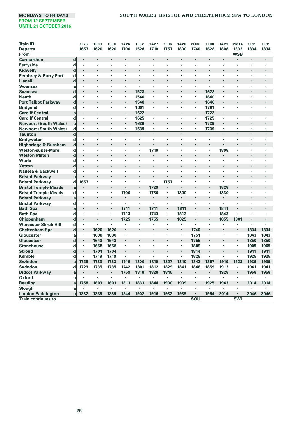| <b>Train ID</b>              |             | 1L76    | 1L80                 | 1L80 | 1A26 | <b>1L82</b>    | <b>1A27</b>              | <b>1L86</b> | <b>1A28</b>          | 2000           | <b>1L88</b> | <b>1A29</b> | 2M14           | <b>1L91</b> | 1L91           |
|------------------------------|-------------|---------|----------------------|------|------|----------------|--------------------------|-------------|----------------------|----------------|-------------|-------------|----------------|-------------|----------------|
| <b>Departs</b>               |             | 1657    | 1620                 | 1620 | 1700 | 1528           | 1710                     | 1757        | 1800                 | 1740           | 1628        | 1808        | 1832           | 1834        | 1834           |
| From                         |             |         |                      |      |      |                |                          |             |                      |                |             |             | <b>WSB</b>     |             |                |
| Carmarthen                   | $\mathbf d$ | l.      | $\overline{a}$       |      |      | ï              |                          | l.          |                      |                | ä,          | ï           |                | ï           | $\overline{a}$ |
| Ferryside                    | d           |         | $\cdot$              | ×    | ٠    | ï              | ٠                        | ٠           |                      |                | ٠           | ×           | ٠              |             |                |
| Kidwelly                     | $\mathbf d$ |         |                      |      |      |                |                          |             |                      |                |             |             |                | ×           |                |
| Pembrey & Burry Port         | d           |         | $\cdot$              | ٠    | ٠    | ٠              | ٠                        | $\cdot$     | $\cdot$              | ٠              | ×           | ٠           | ٠              | ×,          |                |
| Llanelli                     | d           |         |                      |      |      |                |                          |             |                      |                |             |             |                |             |                |
| <b>Swansea</b>               | a           |         |                      | ï    | ×    | ï              |                          |             | $\cdot$              | $\cdot$        | ٠           | ٠           | ٠              | ×           |                |
| <b>Swansea</b>               | d           |         |                      |      | ٠    | 1528           | ٠                        |             |                      |                | 1628        | ٠           | ٠              | ٠           | ٠              |
| <b>Neath</b>                 | d           |         |                      | ×    | ٠    | 1540           | ٠                        | ×           |                      |                | 1640        | ٠           | ٠              | ł.          |                |
| <b>Port Talbot Parkway</b>   | d           |         |                      | ٠    | ٠    | 1548           | ٠                        | ٠           |                      |                | 1648        | ٠           |                | ٠           |                |
| <b>Bridgend</b>              | d           | ï       |                      |      | ٠    | 1601           | ٠                        |             |                      | ٠              | 1701        | ٠           |                |             |                |
| <b>Cardiff Central</b>       | a           |         |                      |      | ٠    | 1622           | ٠                        |             |                      |                | 1722        | ٠           |                |             |                |
| <b>Cardiff Central</b>       | d           |         |                      |      |      | 1625           | ٠                        |             |                      |                | 1725        | ×           |                |             |                |
| <b>Newport (South Wales)</b> | a           |         |                      | ï    | ٠    | 1639           | $\cdot$                  |             |                      |                | 1739        | ٠           |                | ï           |                |
| <b>Newport (South Wales)</b> | d           |         | $\cdot$              | ٠    | ٠    | 1639           | ٠                        | ٠           | $\cdot$              | ٠              | 1739        | ٠           | ٠              | ٠           |                |
| <b>Taunton</b>               | $\mathbf d$ |         | $\cdot$              |      |      |                | $\cdot$                  |             | $\cdot$              | $\cdot$        |             |             |                |             |                |
| <b>Bridgwater</b>            | d           | $\cdot$ | ٠                    | ٠    |      | ٠              |                          | ٠           | $\blacksquare$       | $\cdot$        | ٠           | ٠           | ٠              | ٠           | ٠              |
| Highbridge & Burnham         | $\mathbf d$ |         |                      | ï    | ÷.   | ï              | ٠                        |             |                      |                | ٠           | ï           |                | ï           |                |
| <b>Weston-super-Mare</b>     | d           | ٠       | $\blacksquare$       | ٠    | ٠    | ٠              | 1710                     | ٠           |                      | ٠              | ٠           | 1808        | ٠              | ٠           | ٠              |
| <b>Weston Milton</b>         | $\mathbf d$ |         |                      |      |      |                |                          |             |                      | $\cdot$        | ٠           | ï           |                | ï           |                |
| Worle                        | d           | ٠       | ٠                    | ٠    | ٠    | ٠              | ٠                        | $\cdot$     |                      | ٠              | ٠           | ٠           | ٠              | ٠           | ٠              |
| Yatton                       | d           |         |                      |      |      |                |                          |             |                      |                |             |             |                |             |                |
| Nailsea & Backwell           | d           | $\cdot$ | $\cdot$              | ٠    | ٠    | ٠              | ٠                        | ٠           | $\cdot$              |                | ٠           | ٠           | ٠              | ٠           |                |
| <b>Bristol Parkway</b>       | a           |         |                      |      |      |                |                          |             |                      |                |             |             |                |             |                |
| <b>Bristol Parkway</b>       | d           | 1657    | $\cdot$              | ٠    | ï    | ï              |                          | 1757        |                      |                | ٠           | ï           | ٠              | ×           |                |
| <b>Bristol Temple Meads</b>  | a           |         |                      | ł.   |      |                | 1729                     |             |                      |                |             | 1828        | ٠              |             |                |
| <b>Bristol Temple Meads</b>  | d           |         | $\cdot$              | ٠    | 1700 | ٠              | 1730                     | $\cdot$     | 1800                 |                | ٠           | 1830        | ٠              | ×           |                |
| <b>Bristol Parkway</b>       | a           |         |                      |      |      |                | $\overline{\phantom{a}}$ | $\cdot$     | $\ddot{\phantom{0}}$ |                |             | i.          | ł.             |             |                |
| <b>Bristol Parkway</b>       | d           |         | $\cdot$              | ٠    | ٠    | ٠              | ×,                       | $\cdot$     | $\cdot$              |                | ٠           | ٠           | ٠              | ٠           |                |
| <b>Bath Spa</b>              | a           |         |                      |      | 1711 |                | 1741                     | $\cdot$     | 1811                 |                |             | 1841        |                |             |                |
| <b>Bath Spa</b>              | d           |         | ,                    | ×    | 1713 | $\blacksquare$ | 1743                     | $\cdot$     | 1813                 |                | ٠           | 1843        | ï              |             |                |
| Chippenham                   | d           |         |                      |      | 1725 | ٠              | 1755                     | $\cdot$     | 1825                 |                |             | 1855        | 1901           |             |                |
| <b>Worcester Shrub Hill</b>  | $\mathbf d$ | $\cdot$ | $\cdot$              | ï    | ٠    | ٠              | ×,                       | $\cdot$     |                      |                | ï           | ï           | ï              | ï           | $\overline{a}$ |
| <b>Cheltenham Spa</b>        | d           |         | 1620                 | 1620 |      | l.             |                          |             |                      | 1740           |             |             | ٠              | 1834        | 1834           |
| Gloucester                   | a           |         | 1630                 | 1630 | ×,   | ٠              | ٠                        | ٠           | ٠                    | 1751           | ٠           | ٠           | ٠              | 1843        | 1843           |
| Gloucetser                   | d           |         | 1643                 | 1643 | ٠    | l.             |                          |             |                      | 1755           | ٠           |             | ٠              | 1850        | 1850           |
| <b>Stonehouse</b>            | d           |         | 1658                 | 1658 | ×.   | ٠              | ٠                        | $\cdot$     | ٠                    | 1809           | ٠           | ٠           | ٠              | 1905        | 1905           |
| <b>Stroud</b>                | d           |         | 1704                 | 1704 |      |                |                          |             |                      | 1814           | ٠           |             | ٠              | 1911        | 1911           |
| Kemble                       | d           | ٠       | 1719                 | 1719 | ٠    | ٠              |                          | ٠           | ٠                    | 1828           | ٠           | ×           | ٠              | 1925        | 1925           |
| <b>Swindon</b>               | a           | 1726    | 1733                 | 1733 | 1740 | 1800           | 1810                     | 1827        | 1840                 | 1843           | 1857        | 1910        | 1923           | 1939        | 1939           |
| Swindon                      | d           | 1729    | 1735                 | 1735 | 1742 | 1801           | 1812                     | 1829        | 1841                 | 1848           | 1859        | 1912        | ٠              | 1941        | 1941           |
| <b>Didcot Parkway</b>        | a           |         | $\cdot$              | ×    | 1759 | 1818           | 1828                     | 1846        | $\cdot$              | $\cdot$        | ٠           | 1928        | $\blacksquare$ | 1958        | 1958           |
| Oxford                       | a           |         |                      | ï    |      |                |                          | $\cdot$     | $\cdot$              | $\cdot$        | ï           | ×           | ٠              | ٠           | ٠              |
| Reading                      | a           | 1758    | 1803                 | 1803 | 1813 | 1833           | 1844                     | 1900        | 1909                 | ٠              | 1925        | 1943        | $\blacksquare$ | 2014        | 2014           |
| Slough                       | a           |         | $\ddot{\phantom{0}}$ | ×    |      |                |                          | ٠           |                      | $\blacksquare$ | ٠           | ٠           | ٠              |             |                |
| <b>London Paddington</b>     | a           | 1832    | 1839                 | 1839 | 1844 | 1902           | 1916                     | 1932        | 1939                 | $\bullet$      | 1954        | 2014        | ٠              | 2046        | 2046           |
| <b>Train continues to</b>    |             |         |                      |      |      |                |                          |             |                      | SOU            |             |             | SWI            |             |                |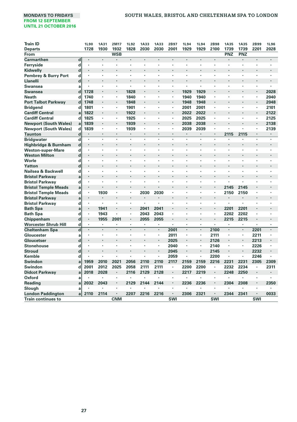#### **MONDAYS TO FRIDAYS SOUTH WALES, BRISTOL AND CHELTENHAM SPA TO LONDON**

| 1728<br>1930<br>1932<br>1828<br>2030<br>2030<br>2001<br>1929<br>1929<br>2100<br>1739<br>1739<br>2201<br>2028<br><b>Departs</b><br><b>WSB</b><br>PNZ<br>PNZ<br>From<br><b>Carmarthen</b><br>d<br>$\blacksquare$<br>$\blacksquare$<br>$\centering \label{eq:reduced}$<br>$\centering \label{eq:reduced}$<br>$\blacksquare$<br>$\cdot$<br>×<br>٠<br>٠<br>×<br>٠<br>×<br>Ferryside<br>d<br>×<br>×<br>ï<br>×<br>٠<br>٠<br>٠<br>٠<br>$\mathbf d$<br>Kidwelly<br>٠<br>٠<br>٠<br>٠<br>٠<br>٠<br>٠<br>٠<br>Pembrey & Burry Port<br>d<br>Ĭ.<br>×<br>٠<br>×<br>d<br><b>Llanelli</b><br>$\cdot$<br>٠<br>Swansea<br>ï<br>a<br>٠<br>$\cdot$<br>×<br>٠<br>٠<br>1929<br>1929<br>d<br>1728<br>1828<br>2028<br><b>Swansea</b><br>$\cdot$<br>٠<br>ï<br>٠<br>×<br>1940<br>2040<br><b>Neath</b><br>d<br>1740<br>1840<br>1940<br>$\cdot$<br>٠<br>٠<br>٠<br><b>Port Talbot Parkway</b><br>d<br>1748<br>1848<br>1948<br>1948<br>2048<br>$\cdot$<br>٠<br>٠<br>٠<br>1801<br>2001<br>2101<br><b>Bridgend</b><br>d<br>1901<br>2001<br>٠<br>ï<br>ï<br>×<br><b>Cardiff Central</b><br>1822<br>1922<br>2022<br>2022<br>2122<br>a<br>$\cdot$<br>ï<br>٠<br>ï<br>٠<br><b>Cardiff Central</b><br>d<br>1825<br>1925<br>2025<br>2025<br>2125<br>٠<br>٠<br>٠<br>٠<br>٠<br>٠<br>٠<br>1839<br>2038<br><b>Newport (South Wales)</b><br>$\cdot$<br>$\cdot$<br>1939<br>٠<br>2038<br>ï<br>2138<br>a<br>ï<br>$\cdot$<br><b>Newport (South Wales)</b><br>d<br>1839<br>1939<br>2039<br>2039<br>2139<br>٠<br>٠<br>ï<br>٠<br>$\cdot$<br>$\cdot$<br>٠<br>٠<br>$\mathbf d$<br>2115<br>2115<br><b>Taunton</b><br>$\ddot{\phantom{0}}$<br>٠<br>$\cdot$<br>٠<br>٠<br>×<br>٠<br>٠<br>٠<br>d<br><b>Bridgwater</b><br>٠<br>ï<br>ï<br>ï<br>×<br>ï<br>ï<br>×<br>×<br>$\mathbf d$<br>Highbridge & Burnham<br>ï<br>$\ddot{\phantom{0}}$<br>ï<br>ï<br>$\cdot$<br>ï<br>ï<br>٠<br><b>Weston-super-Mare</b><br>d<br>٠<br>٠<br>$\cdot$<br>٠<br>٠<br>٠<br>٠<br>٠<br>$\blacksquare$<br>٠<br>٠<br>٠<br>٠<br>$\mathbf d$<br><b>Weston Milton</b><br>$\cdot$<br>Worle<br>d<br>×,<br>$\cdot$<br>×.<br>٠<br>×<br>$\cdot$<br>$\cdot$<br>ï<br>٠<br>$\cdot$<br>٠<br>٠<br>٠<br>٠<br>d<br>Yatton<br>٠<br>Nailsea & Backwell<br>d<br>×,<br>×<br>$\cdot$<br>ï<br>٠<br>ï<br>ï<br>ï<br>٠<br>٠<br>٠<br><b>Bristol Parkwav</b><br>a<br>$\cdot$<br><b>Bristol Parkway</b><br>d<br>٠<br>÷,<br>$\cdot$<br>٠<br>٠<br>×<br>ï<br>$\cdot$<br>×<br>×<br>٠<br>2145<br><b>Bristol Temple Meads</b><br>a<br>2145<br>$\cdot$<br>$\ddot{\phantom{0}}$<br>1930<br>2030<br><b>Bristol Temple Meads</b><br>d<br>٠<br>2030<br>2150<br>2150<br>٠<br>ï<br>×<br>٠<br>٠<br>٠<br>٠<br><b>Bristol Parkway</b><br>a<br>$\ddot{\phantom{0}}$<br>۰<br>ä,<br>×,<br>i.<br>$\blacksquare$<br>×,<br>d<br><b>Bristol Parkway</b><br>ï<br>×,<br>٠<br>×<br>٠<br>ï<br>٠<br>$\cdot$<br>$\cdot$<br>٠<br>1941<br>2041<br>2201<br>2201<br><b>Bath Spa</b><br>a<br>2041<br>$\blacksquare$<br>٠<br><b>Bath Spa</b><br>d<br>1943<br>2043<br>2202<br>2202<br>2043<br>٠<br>٠<br>$\cdot$<br>ï<br>٠<br>$\cdot$<br>٠<br>٠<br>$\mathbf d$<br>1955<br>2055<br>2215<br>2215<br>Chippenham<br>2001<br>2055<br>$\cdot$<br>ï<br>$\mathbf d$<br><b>Worcester Shrub Hill</b><br>×,<br>×,<br>×,<br>٠<br>$\blacksquare$<br>×,<br>$\cdot$<br>٠<br>٠<br>٠<br>٠<br>$\overline{d}$<br>2001<br>2100<br><b>Cheltenham Spa</b><br>$\ddot{\phantom{0}}$<br>×,<br>$\cdot$<br>×.<br>2201<br>$\cdot$<br>$\ddot{\phantom{0}}$<br>÷,<br>٠<br>ï<br>Gloucester<br>2011<br>2111<br>2211<br>×<br>×<br>×,<br>٠<br>×,<br>٠<br>a<br>٠<br>$\cdot$<br>٠<br>d<br>2025<br>2126<br>2213<br>Gloucetser<br>÷,<br>$\overline{a}$<br>٠<br>×.<br>$\ddot{\phantom{0}}$<br>d<br>2040<br>2226<br><b>Stonehouse</b><br>2140<br>٠<br>$\cdot$<br>٠<br>٠<br>٠<br>٠<br>٠<br>٠<br>٠<br>$\cdot$<br>٠<br>d<br>2045<br>2232<br><b>Stroud</b><br>2145<br>ï<br>l,<br>٠<br>٠<br>i.<br>Kemble<br>d<br>2059<br>2200<br>2246<br>٠<br>×,<br>$\cdot$<br>×,<br>$\ddot{\phantom{0}}$<br>$\ddot{\phantom{0}}$<br>×<br>٠<br>1959<br>2010<br>2021<br>2110<br>2117<br>2159<br>2216<br>2231<br>2231<br>2305<br>Swindon<br>2056<br>2110<br>2159<br>2309<br>a<br>2200<br>2200<br>2234<br>Swindon<br>d<br>2001<br>2012<br>2025<br>2058<br>2111<br>2111<br>2232<br>2311<br>×,<br>٠<br><b>Didcot Parkway</b><br>2018<br>2028<br>2116<br>2129<br>2128<br>2217<br>2219<br>2248<br>2250<br>a<br>٠<br>٠<br>Oxford<br>٠<br>a<br>٠<br>ï<br>٠<br><b>Reading</b><br>2032<br>2043<br>2129<br>2144<br>2236<br>2236<br>2304<br>2308<br>2350<br>a<br>$\cdot$<br>2144<br>٠<br>$\cdot$<br>٠<br>Slough<br>a<br>٠<br>2344<br>0033<br><b>London Paddington</b><br>2110<br>2114<br>2207<br>2216<br>2216<br>2306<br>2321<br>2341<br>al<br>$\cdot$<br>٠<br>$\cdot$ | <b>Train ID</b>           | <b>1L90</b> | <b>1A31</b> | 2M17       | <b>1L92</b> | 1A33 | 1A33 | 2B97       | 1L94 | <b>1L94</b> | 2B98       | <b>1A35</b> | <b>1A35</b> | 2B99       | <b>1L96</b> |
|--------------------------------------------------------------------------------------------------------------------------------------------------------------------------------------------------------------------------------------------------------------------------------------------------------------------------------------------------------------------------------------------------------------------------------------------------------------------------------------------------------------------------------------------------------------------------------------------------------------------------------------------------------------------------------------------------------------------------------------------------------------------------------------------------------------------------------------------------------------------------------------------------------------------------------------------------------------------------------------------------------------------------------------------------------------------------------------------------------------------------------------------------------------------------------------------------------------------------------------------------------------------------------------------------------------------------------------------------------------------------------------------------------------------------------------------------------------------------------------------------------------------------------------------------------------------------------------------------------------------------------------------------------------------------------------------------------------------------------------------------------------------------------------------------------------------------------------------------------------------------------------------------------------------------------------------------------------------------------------------------------------------------------------------------------------------------------------------------------------------------------------------------------------------------------------------------------------------------------------------------------------------------------------------------------------------------------------------------------------------------------------------------------------------------------------------------------------------------------------------------------------------------------------------------------------------------------------------------------------------------------------------------------------------------------------------------------------------------------------------------------------------------------------------------------------------------------------------------------------------------------------------------------------------------------------------------------------------------------------------------------------------------------------------------------------------------------------------------------------------------------------------------------------------------------------------------------------------------------------------------------------------------------------------------------------------------------------------------------------------------------------------------------------------------------------------------------------------------------------------------------------------------------------------------------------------------------------------------------------------------------------------------------------------------------------------------------------------------------------------------------------------------------------------------------------------------------------------------------------------------------------------------------------------------------------------------------------------------------------------------------------------------------------------------------------------------------------------------------------------------------------------------------------------------------------------------------------------------------------------------------------------------------------------------------------------------------------------------------------------------------------------------------------------------------------------------------------------------------------------------------------------------------------------------------------------------------------------------------------------------------------|---------------------------|-------------|-------------|------------|-------------|------|------|------------|------|-------------|------------|-------------|-------------|------------|-------------|
|                                                                                                                                                                                                                                                                                                                                                                                                                                                                                                                                                                                                                                                                                                                                                                                                                                                                                                                                                                                                                                                                                                                                                                                                                                                                                                                                                                                                                                                                                                                                                                                                                                                                                                                                                                                                                                                                                                                                                                                                                                                                                                                                                                                                                                                                                                                                                                                                                                                                                                                                                                                                                                                                                                                                                                                                                                                                                                                                                                                                                                                                                                                                                                                                                                                                                                                                                                                                                                                                                                                                                                                                                                                                                                                                                                                                                                                                                                                                                                                                                                                                                                                                                                                                                                                                                                                                                                                                                                                                                                                                                                                                                                      |                           |             |             |            |             |      |      |            |      |             |            |             |             |            |             |
|                                                                                                                                                                                                                                                                                                                                                                                                                                                                                                                                                                                                                                                                                                                                                                                                                                                                                                                                                                                                                                                                                                                                                                                                                                                                                                                                                                                                                                                                                                                                                                                                                                                                                                                                                                                                                                                                                                                                                                                                                                                                                                                                                                                                                                                                                                                                                                                                                                                                                                                                                                                                                                                                                                                                                                                                                                                                                                                                                                                                                                                                                                                                                                                                                                                                                                                                                                                                                                                                                                                                                                                                                                                                                                                                                                                                                                                                                                                                                                                                                                                                                                                                                                                                                                                                                                                                                                                                                                                                                                                                                                                                                                      |                           |             |             |            |             |      |      |            |      |             |            |             |             |            |             |
|                                                                                                                                                                                                                                                                                                                                                                                                                                                                                                                                                                                                                                                                                                                                                                                                                                                                                                                                                                                                                                                                                                                                                                                                                                                                                                                                                                                                                                                                                                                                                                                                                                                                                                                                                                                                                                                                                                                                                                                                                                                                                                                                                                                                                                                                                                                                                                                                                                                                                                                                                                                                                                                                                                                                                                                                                                                                                                                                                                                                                                                                                                                                                                                                                                                                                                                                                                                                                                                                                                                                                                                                                                                                                                                                                                                                                                                                                                                                                                                                                                                                                                                                                                                                                                                                                                                                                                                                                                                                                                                                                                                                                                      |                           |             |             |            |             |      |      |            |      |             |            |             |             |            |             |
|                                                                                                                                                                                                                                                                                                                                                                                                                                                                                                                                                                                                                                                                                                                                                                                                                                                                                                                                                                                                                                                                                                                                                                                                                                                                                                                                                                                                                                                                                                                                                                                                                                                                                                                                                                                                                                                                                                                                                                                                                                                                                                                                                                                                                                                                                                                                                                                                                                                                                                                                                                                                                                                                                                                                                                                                                                                                                                                                                                                                                                                                                                                                                                                                                                                                                                                                                                                                                                                                                                                                                                                                                                                                                                                                                                                                                                                                                                                                                                                                                                                                                                                                                                                                                                                                                                                                                                                                                                                                                                                                                                                                                                      |                           |             |             |            |             |      |      |            |      |             |            |             |             |            |             |
|                                                                                                                                                                                                                                                                                                                                                                                                                                                                                                                                                                                                                                                                                                                                                                                                                                                                                                                                                                                                                                                                                                                                                                                                                                                                                                                                                                                                                                                                                                                                                                                                                                                                                                                                                                                                                                                                                                                                                                                                                                                                                                                                                                                                                                                                                                                                                                                                                                                                                                                                                                                                                                                                                                                                                                                                                                                                                                                                                                                                                                                                                                                                                                                                                                                                                                                                                                                                                                                                                                                                                                                                                                                                                                                                                                                                                                                                                                                                                                                                                                                                                                                                                                                                                                                                                                                                                                                                                                                                                                                                                                                                                                      |                           |             |             |            |             |      |      |            |      |             |            |             |             |            |             |
|                                                                                                                                                                                                                                                                                                                                                                                                                                                                                                                                                                                                                                                                                                                                                                                                                                                                                                                                                                                                                                                                                                                                                                                                                                                                                                                                                                                                                                                                                                                                                                                                                                                                                                                                                                                                                                                                                                                                                                                                                                                                                                                                                                                                                                                                                                                                                                                                                                                                                                                                                                                                                                                                                                                                                                                                                                                                                                                                                                                                                                                                                                                                                                                                                                                                                                                                                                                                                                                                                                                                                                                                                                                                                                                                                                                                                                                                                                                                                                                                                                                                                                                                                                                                                                                                                                                                                                                                                                                                                                                                                                                                                                      |                           |             |             |            |             |      |      |            |      |             |            |             |             |            |             |
|                                                                                                                                                                                                                                                                                                                                                                                                                                                                                                                                                                                                                                                                                                                                                                                                                                                                                                                                                                                                                                                                                                                                                                                                                                                                                                                                                                                                                                                                                                                                                                                                                                                                                                                                                                                                                                                                                                                                                                                                                                                                                                                                                                                                                                                                                                                                                                                                                                                                                                                                                                                                                                                                                                                                                                                                                                                                                                                                                                                                                                                                                                                                                                                                                                                                                                                                                                                                                                                                                                                                                                                                                                                                                                                                                                                                                                                                                                                                                                                                                                                                                                                                                                                                                                                                                                                                                                                                                                                                                                                                                                                                                                      |                           |             |             |            |             |      |      |            |      |             |            |             |             |            |             |
|                                                                                                                                                                                                                                                                                                                                                                                                                                                                                                                                                                                                                                                                                                                                                                                                                                                                                                                                                                                                                                                                                                                                                                                                                                                                                                                                                                                                                                                                                                                                                                                                                                                                                                                                                                                                                                                                                                                                                                                                                                                                                                                                                                                                                                                                                                                                                                                                                                                                                                                                                                                                                                                                                                                                                                                                                                                                                                                                                                                                                                                                                                                                                                                                                                                                                                                                                                                                                                                                                                                                                                                                                                                                                                                                                                                                                                                                                                                                                                                                                                                                                                                                                                                                                                                                                                                                                                                                                                                                                                                                                                                                                                      |                           |             |             |            |             |      |      |            |      |             |            |             |             |            |             |
|                                                                                                                                                                                                                                                                                                                                                                                                                                                                                                                                                                                                                                                                                                                                                                                                                                                                                                                                                                                                                                                                                                                                                                                                                                                                                                                                                                                                                                                                                                                                                                                                                                                                                                                                                                                                                                                                                                                                                                                                                                                                                                                                                                                                                                                                                                                                                                                                                                                                                                                                                                                                                                                                                                                                                                                                                                                                                                                                                                                                                                                                                                                                                                                                                                                                                                                                                                                                                                                                                                                                                                                                                                                                                                                                                                                                                                                                                                                                                                                                                                                                                                                                                                                                                                                                                                                                                                                                                                                                                                                                                                                                                                      |                           |             |             |            |             |      |      |            |      |             |            |             |             |            |             |
|                                                                                                                                                                                                                                                                                                                                                                                                                                                                                                                                                                                                                                                                                                                                                                                                                                                                                                                                                                                                                                                                                                                                                                                                                                                                                                                                                                                                                                                                                                                                                                                                                                                                                                                                                                                                                                                                                                                                                                                                                                                                                                                                                                                                                                                                                                                                                                                                                                                                                                                                                                                                                                                                                                                                                                                                                                                                                                                                                                                                                                                                                                                                                                                                                                                                                                                                                                                                                                                                                                                                                                                                                                                                                                                                                                                                                                                                                                                                                                                                                                                                                                                                                                                                                                                                                                                                                                                                                                                                                                                                                                                                                                      |                           |             |             |            |             |      |      |            |      |             |            |             |             |            |             |
|                                                                                                                                                                                                                                                                                                                                                                                                                                                                                                                                                                                                                                                                                                                                                                                                                                                                                                                                                                                                                                                                                                                                                                                                                                                                                                                                                                                                                                                                                                                                                                                                                                                                                                                                                                                                                                                                                                                                                                                                                                                                                                                                                                                                                                                                                                                                                                                                                                                                                                                                                                                                                                                                                                                                                                                                                                                                                                                                                                                                                                                                                                                                                                                                                                                                                                                                                                                                                                                                                                                                                                                                                                                                                                                                                                                                                                                                                                                                                                                                                                                                                                                                                                                                                                                                                                                                                                                                                                                                                                                                                                                                                                      |                           |             |             |            |             |      |      |            |      |             |            |             |             |            |             |
|                                                                                                                                                                                                                                                                                                                                                                                                                                                                                                                                                                                                                                                                                                                                                                                                                                                                                                                                                                                                                                                                                                                                                                                                                                                                                                                                                                                                                                                                                                                                                                                                                                                                                                                                                                                                                                                                                                                                                                                                                                                                                                                                                                                                                                                                                                                                                                                                                                                                                                                                                                                                                                                                                                                                                                                                                                                                                                                                                                                                                                                                                                                                                                                                                                                                                                                                                                                                                                                                                                                                                                                                                                                                                                                                                                                                                                                                                                                                                                                                                                                                                                                                                                                                                                                                                                                                                                                                                                                                                                                                                                                                                                      |                           |             |             |            |             |      |      |            |      |             |            |             |             |            |             |
|                                                                                                                                                                                                                                                                                                                                                                                                                                                                                                                                                                                                                                                                                                                                                                                                                                                                                                                                                                                                                                                                                                                                                                                                                                                                                                                                                                                                                                                                                                                                                                                                                                                                                                                                                                                                                                                                                                                                                                                                                                                                                                                                                                                                                                                                                                                                                                                                                                                                                                                                                                                                                                                                                                                                                                                                                                                                                                                                                                                                                                                                                                                                                                                                                                                                                                                                                                                                                                                                                                                                                                                                                                                                                                                                                                                                                                                                                                                                                                                                                                                                                                                                                                                                                                                                                                                                                                                                                                                                                                                                                                                                                                      |                           |             |             |            |             |      |      |            |      |             |            |             |             |            |             |
|                                                                                                                                                                                                                                                                                                                                                                                                                                                                                                                                                                                                                                                                                                                                                                                                                                                                                                                                                                                                                                                                                                                                                                                                                                                                                                                                                                                                                                                                                                                                                                                                                                                                                                                                                                                                                                                                                                                                                                                                                                                                                                                                                                                                                                                                                                                                                                                                                                                                                                                                                                                                                                                                                                                                                                                                                                                                                                                                                                                                                                                                                                                                                                                                                                                                                                                                                                                                                                                                                                                                                                                                                                                                                                                                                                                                                                                                                                                                                                                                                                                                                                                                                                                                                                                                                                                                                                                                                                                                                                                                                                                                                                      |                           |             |             |            |             |      |      |            |      |             |            |             |             |            |             |
|                                                                                                                                                                                                                                                                                                                                                                                                                                                                                                                                                                                                                                                                                                                                                                                                                                                                                                                                                                                                                                                                                                                                                                                                                                                                                                                                                                                                                                                                                                                                                                                                                                                                                                                                                                                                                                                                                                                                                                                                                                                                                                                                                                                                                                                                                                                                                                                                                                                                                                                                                                                                                                                                                                                                                                                                                                                                                                                                                                                                                                                                                                                                                                                                                                                                                                                                                                                                                                                                                                                                                                                                                                                                                                                                                                                                                                                                                                                                                                                                                                                                                                                                                                                                                                                                                                                                                                                                                                                                                                                                                                                                                                      |                           |             |             |            |             |      |      |            |      |             |            |             |             |            |             |
|                                                                                                                                                                                                                                                                                                                                                                                                                                                                                                                                                                                                                                                                                                                                                                                                                                                                                                                                                                                                                                                                                                                                                                                                                                                                                                                                                                                                                                                                                                                                                                                                                                                                                                                                                                                                                                                                                                                                                                                                                                                                                                                                                                                                                                                                                                                                                                                                                                                                                                                                                                                                                                                                                                                                                                                                                                                                                                                                                                                                                                                                                                                                                                                                                                                                                                                                                                                                                                                                                                                                                                                                                                                                                                                                                                                                                                                                                                                                                                                                                                                                                                                                                                                                                                                                                                                                                                                                                                                                                                                                                                                                                                      |                           |             |             |            |             |      |      |            |      |             |            |             |             |            |             |
|                                                                                                                                                                                                                                                                                                                                                                                                                                                                                                                                                                                                                                                                                                                                                                                                                                                                                                                                                                                                                                                                                                                                                                                                                                                                                                                                                                                                                                                                                                                                                                                                                                                                                                                                                                                                                                                                                                                                                                                                                                                                                                                                                                                                                                                                                                                                                                                                                                                                                                                                                                                                                                                                                                                                                                                                                                                                                                                                                                                                                                                                                                                                                                                                                                                                                                                                                                                                                                                                                                                                                                                                                                                                                                                                                                                                                                                                                                                                                                                                                                                                                                                                                                                                                                                                                                                                                                                                                                                                                                                                                                                                                                      |                           |             |             |            |             |      |      |            |      |             |            |             |             |            |             |
|                                                                                                                                                                                                                                                                                                                                                                                                                                                                                                                                                                                                                                                                                                                                                                                                                                                                                                                                                                                                                                                                                                                                                                                                                                                                                                                                                                                                                                                                                                                                                                                                                                                                                                                                                                                                                                                                                                                                                                                                                                                                                                                                                                                                                                                                                                                                                                                                                                                                                                                                                                                                                                                                                                                                                                                                                                                                                                                                                                                                                                                                                                                                                                                                                                                                                                                                                                                                                                                                                                                                                                                                                                                                                                                                                                                                                                                                                                                                                                                                                                                                                                                                                                                                                                                                                                                                                                                                                                                                                                                                                                                                                                      |                           |             |             |            |             |      |      |            |      |             |            |             |             |            |             |
|                                                                                                                                                                                                                                                                                                                                                                                                                                                                                                                                                                                                                                                                                                                                                                                                                                                                                                                                                                                                                                                                                                                                                                                                                                                                                                                                                                                                                                                                                                                                                                                                                                                                                                                                                                                                                                                                                                                                                                                                                                                                                                                                                                                                                                                                                                                                                                                                                                                                                                                                                                                                                                                                                                                                                                                                                                                                                                                                                                                                                                                                                                                                                                                                                                                                                                                                                                                                                                                                                                                                                                                                                                                                                                                                                                                                                                                                                                                                                                                                                                                                                                                                                                                                                                                                                                                                                                                                                                                                                                                                                                                                                                      |                           |             |             |            |             |      |      |            |      |             |            |             |             |            |             |
|                                                                                                                                                                                                                                                                                                                                                                                                                                                                                                                                                                                                                                                                                                                                                                                                                                                                                                                                                                                                                                                                                                                                                                                                                                                                                                                                                                                                                                                                                                                                                                                                                                                                                                                                                                                                                                                                                                                                                                                                                                                                                                                                                                                                                                                                                                                                                                                                                                                                                                                                                                                                                                                                                                                                                                                                                                                                                                                                                                                                                                                                                                                                                                                                                                                                                                                                                                                                                                                                                                                                                                                                                                                                                                                                                                                                                                                                                                                                                                                                                                                                                                                                                                                                                                                                                                                                                                                                                                                                                                                                                                                                                                      |                           |             |             |            |             |      |      |            |      |             |            |             |             |            |             |
|                                                                                                                                                                                                                                                                                                                                                                                                                                                                                                                                                                                                                                                                                                                                                                                                                                                                                                                                                                                                                                                                                                                                                                                                                                                                                                                                                                                                                                                                                                                                                                                                                                                                                                                                                                                                                                                                                                                                                                                                                                                                                                                                                                                                                                                                                                                                                                                                                                                                                                                                                                                                                                                                                                                                                                                                                                                                                                                                                                                                                                                                                                                                                                                                                                                                                                                                                                                                                                                                                                                                                                                                                                                                                                                                                                                                                                                                                                                                                                                                                                                                                                                                                                                                                                                                                                                                                                                                                                                                                                                                                                                                                                      |                           |             |             |            |             |      |      |            |      |             |            |             |             |            |             |
|                                                                                                                                                                                                                                                                                                                                                                                                                                                                                                                                                                                                                                                                                                                                                                                                                                                                                                                                                                                                                                                                                                                                                                                                                                                                                                                                                                                                                                                                                                                                                                                                                                                                                                                                                                                                                                                                                                                                                                                                                                                                                                                                                                                                                                                                                                                                                                                                                                                                                                                                                                                                                                                                                                                                                                                                                                                                                                                                                                                                                                                                                                                                                                                                                                                                                                                                                                                                                                                                                                                                                                                                                                                                                                                                                                                                                                                                                                                                                                                                                                                                                                                                                                                                                                                                                                                                                                                                                                                                                                                                                                                                                                      |                           |             |             |            |             |      |      |            |      |             |            |             |             |            |             |
|                                                                                                                                                                                                                                                                                                                                                                                                                                                                                                                                                                                                                                                                                                                                                                                                                                                                                                                                                                                                                                                                                                                                                                                                                                                                                                                                                                                                                                                                                                                                                                                                                                                                                                                                                                                                                                                                                                                                                                                                                                                                                                                                                                                                                                                                                                                                                                                                                                                                                                                                                                                                                                                                                                                                                                                                                                                                                                                                                                                                                                                                                                                                                                                                                                                                                                                                                                                                                                                                                                                                                                                                                                                                                                                                                                                                                                                                                                                                                                                                                                                                                                                                                                                                                                                                                                                                                                                                                                                                                                                                                                                                                                      |                           |             |             |            |             |      |      |            |      |             |            |             |             |            |             |
|                                                                                                                                                                                                                                                                                                                                                                                                                                                                                                                                                                                                                                                                                                                                                                                                                                                                                                                                                                                                                                                                                                                                                                                                                                                                                                                                                                                                                                                                                                                                                                                                                                                                                                                                                                                                                                                                                                                                                                                                                                                                                                                                                                                                                                                                                                                                                                                                                                                                                                                                                                                                                                                                                                                                                                                                                                                                                                                                                                                                                                                                                                                                                                                                                                                                                                                                                                                                                                                                                                                                                                                                                                                                                                                                                                                                                                                                                                                                                                                                                                                                                                                                                                                                                                                                                                                                                                                                                                                                                                                                                                                                                                      |                           |             |             |            |             |      |      |            |      |             |            |             |             |            |             |
|                                                                                                                                                                                                                                                                                                                                                                                                                                                                                                                                                                                                                                                                                                                                                                                                                                                                                                                                                                                                                                                                                                                                                                                                                                                                                                                                                                                                                                                                                                                                                                                                                                                                                                                                                                                                                                                                                                                                                                                                                                                                                                                                                                                                                                                                                                                                                                                                                                                                                                                                                                                                                                                                                                                                                                                                                                                                                                                                                                                                                                                                                                                                                                                                                                                                                                                                                                                                                                                                                                                                                                                                                                                                                                                                                                                                                                                                                                                                                                                                                                                                                                                                                                                                                                                                                                                                                                                                                                                                                                                                                                                                                                      |                           |             |             |            |             |      |      |            |      |             |            |             |             |            |             |
|                                                                                                                                                                                                                                                                                                                                                                                                                                                                                                                                                                                                                                                                                                                                                                                                                                                                                                                                                                                                                                                                                                                                                                                                                                                                                                                                                                                                                                                                                                                                                                                                                                                                                                                                                                                                                                                                                                                                                                                                                                                                                                                                                                                                                                                                                                                                                                                                                                                                                                                                                                                                                                                                                                                                                                                                                                                                                                                                                                                                                                                                                                                                                                                                                                                                                                                                                                                                                                                                                                                                                                                                                                                                                                                                                                                                                                                                                                                                                                                                                                                                                                                                                                                                                                                                                                                                                                                                                                                                                                                                                                                                                                      |                           |             |             |            |             |      |      |            |      |             |            |             |             |            |             |
|                                                                                                                                                                                                                                                                                                                                                                                                                                                                                                                                                                                                                                                                                                                                                                                                                                                                                                                                                                                                                                                                                                                                                                                                                                                                                                                                                                                                                                                                                                                                                                                                                                                                                                                                                                                                                                                                                                                                                                                                                                                                                                                                                                                                                                                                                                                                                                                                                                                                                                                                                                                                                                                                                                                                                                                                                                                                                                                                                                                                                                                                                                                                                                                                                                                                                                                                                                                                                                                                                                                                                                                                                                                                                                                                                                                                                                                                                                                                                                                                                                                                                                                                                                                                                                                                                                                                                                                                                                                                                                                                                                                                                                      |                           |             |             |            |             |      |      |            |      |             |            |             |             |            |             |
|                                                                                                                                                                                                                                                                                                                                                                                                                                                                                                                                                                                                                                                                                                                                                                                                                                                                                                                                                                                                                                                                                                                                                                                                                                                                                                                                                                                                                                                                                                                                                                                                                                                                                                                                                                                                                                                                                                                                                                                                                                                                                                                                                                                                                                                                                                                                                                                                                                                                                                                                                                                                                                                                                                                                                                                                                                                                                                                                                                                                                                                                                                                                                                                                                                                                                                                                                                                                                                                                                                                                                                                                                                                                                                                                                                                                                                                                                                                                                                                                                                                                                                                                                                                                                                                                                                                                                                                                                                                                                                                                                                                                                                      |                           |             |             |            |             |      |      |            |      |             |            |             |             |            |             |
|                                                                                                                                                                                                                                                                                                                                                                                                                                                                                                                                                                                                                                                                                                                                                                                                                                                                                                                                                                                                                                                                                                                                                                                                                                                                                                                                                                                                                                                                                                                                                                                                                                                                                                                                                                                                                                                                                                                                                                                                                                                                                                                                                                                                                                                                                                                                                                                                                                                                                                                                                                                                                                                                                                                                                                                                                                                                                                                                                                                                                                                                                                                                                                                                                                                                                                                                                                                                                                                                                                                                                                                                                                                                                                                                                                                                                                                                                                                                                                                                                                                                                                                                                                                                                                                                                                                                                                                                                                                                                                                                                                                                                                      |                           |             |             |            |             |      |      |            |      |             |            |             |             |            |             |
|                                                                                                                                                                                                                                                                                                                                                                                                                                                                                                                                                                                                                                                                                                                                                                                                                                                                                                                                                                                                                                                                                                                                                                                                                                                                                                                                                                                                                                                                                                                                                                                                                                                                                                                                                                                                                                                                                                                                                                                                                                                                                                                                                                                                                                                                                                                                                                                                                                                                                                                                                                                                                                                                                                                                                                                                                                                                                                                                                                                                                                                                                                                                                                                                                                                                                                                                                                                                                                                                                                                                                                                                                                                                                                                                                                                                                                                                                                                                                                                                                                                                                                                                                                                                                                                                                                                                                                                                                                                                                                                                                                                                                                      |                           |             |             |            |             |      |      |            |      |             |            |             |             |            |             |
|                                                                                                                                                                                                                                                                                                                                                                                                                                                                                                                                                                                                                                                                                                                                                                                                                                                                                                                                                                                                                                                                                                                                                                                                                                                                                                                                                                                                                                                                                                                                                                                                                                                                                                                                                                                                                                                                                                                                                                                                                                                                                                                                                                                                                                                                                                                                                                                                                                                                                                                                                                                                                                                                                                                                                                                                                                                                                                                                                                                                                                                                                                                                                                                                                                                                                                                                                                                                                                                                                                                                                                                                                                                                                                                                                                                                                                                                                                                                                                                                                                                                                                                                                                                                                                                                                                                                                                                                                                                                                                                                                                                                                                      |                           |             |             |            |             |      |      |            |      |             |            |             |             |            |             |
|                                                                                                                                                                                                                                                                                                                                                                                                                                                                                                                                                                                                                                                                                                                                                                                                                                                                                                                                                                                                                                                                                                                                                                                                                                                                                                                                                                                                                                                                                                                                                                                                                                                                                                                                                                                                                                                                                                                                                                                                                                                                                                                                                                                                                                                                                                                                                                                                                                                                                                                                                                                                                                                                                                                                                                                                                                                                                                                                                                                                                                                                                                                                                                                                                                                                                                                                                                                                                                                                                                                                                                                                                                                                                                                                                                                                                                                                                                                                                                                                                                                                                                                                                                                                                                                                                                                                                                                                                                                                                                                                                                                                                                      |                           |             |             |            |             |      |      |            |      |             |            |             |             |            |             |
|                                                                                                                                                                                                                                                                                                                                                                                                                                                                                                                                                                                                                                                                                                                                                                                                                                                                                                                                                                                                                                                                                                                                                                                                                                                                                                                                                                                                                                                                                                                                                                                                                                                                                                                                                                                                                                                                                                                                                                                                                                                                                                                                                                                                                                                                                                                                                                                                                                                                                                                                                                                                                                                                                                                                                                                                                                                                                                                                                                                                                                                                                                                                                                                                                                                                                                                                                                                                                                                                                                                                                                                                                                                                                                                                                                                                                                                                                                                                                                                                                                                                                                                                                                                                                                                                                                                                                                                                                                                                                                                                                                                                                                      |                           |             |             |            |             |      |      |            |      |             |            |             |             |            |             |
|                                                                                                                                                                                                                                                                                                                                                                                                                                                                                                                                                                                                                                                                                                                                                                                                                                                                                                                                                                                                                                                                                                                                                                                                                                                                                                                                                                                                                                                                                                                                                                                                                                                                                                                                                                                                                                                                                                                                                                                                                                                                                                                                                                                                                                                                                                                                                                                                                                                                                                                                                                                                                                                                                                                                                                                                                                                                                                                                                                                                                                                                                                                                                                                                                                                                                                                                                                                                                                                                                                                                                                                                                                                                                                                                                                                                                                                                                                                                                                                                                                                                                                                                                                                                                                                                                                                                                                                                                                                                                                                                                                                                                                      |                           |             |             |            |             |      |      |            |      |             |            |             |             |            |             |
|                                                                                                                                                                                                                                                                                                                                                                                                                                                                                                                                                                                                                                                                                                                                                                                                                                                                                                                                                                                                                                                                                                                                                                                                                                                                                                                                                                                                                                                                                                                                                                                                                                                                                                                                                                                                                                                                                                                                                                                                                                                                                                                                                                                                                                                                                                                                                                                                                                                                                                                                                                                                                                                                                                                                                                                                                                                                                                                                                                                                                                                                                                                                                                                                                                                                                                                                                                                                                                                                                                                                                                                                                                                                                                                                                                                                                                                                                                                                                                                                                                                                                                                                                                                                                                                                                                                                                                                                                                                                                                                                                                                                                                      |                           |             |             |            |             |      |      |            |      |             |            |             |             |            |             |
|                                                                                                                                                                                                                                                                                                                                                                                                                                                                                                                                                                                                                                                                                                                                                                                                                                                                                                                                                                                                                                                                                                                                                                                                                                                                                                                                                                                                                                                                                                                                                                                                                                                                                                                                                                                                                                                                                                                                                                                                                                                                                                                                                                                                                                                                                                                                                                                                                                                                                                                                                                                                                                                                                                                                                                                                                                                                                                                                                                                                                                                                                                                                                                                                                                                                                                                                                                                                                                                                                                                                                                                                                                                                                                                                                                                                                                                                                                                                                                                                                                                                                                                                                                                                                                                                                                                                                                                                                                                                                                                                                                                                                                      |                           |             |             |            |             |      |      |            |      |             |            |             |             |            |             |
|                                                                                                                                                                                                                                                                                                                                                                                                                                                                                                                                                                                                                                                                                                                                                                                                                                                                                                                                                                                                                                                                                                                                                                                                                                                                                                                                                                                                                                                                                                                                                                                                                                                                                                                                                                                                                                                                                                                                                                                                                                                                                                                                                                                                                                                                                                                                                                                                                                                                                                                                                                                                                                                                                                                                                                                                                                                                                                                                                                                                                                                                                                                                                                                                                                                                                                                                                                                                                                                                                                                                                                                                                                                                                                                                                                                                                                                                                                                                                                                                                                                                                                                                                                                                                                                                                                                                                                                                                                                                                                                                                                                                                                      |                           |             |             |            |             |      |      |            |      |             |            |             |             |            |             |
|                                                                                                                                                                                                                                                                                                                                                                                                                                                                                                                                                                                                                                                                                                                                                                                                                                                                                                                                                                                                                                                                                                                                                                                                                                                                                                                                                                                                                                                                                                                                                                                                                                                                                                                                                                                                                                                                                                                                                                                                                                                                                                                                                                                                                                                                                                                                                                                                                                                                                                                                                                                                                                                                                                                                                                                                                                                                                                                                                                                                                                                                                                                                                                                                                                                                                                                                                                                                                                                                                                                                                                                                                                                                                                                                                                                                                                                                                                                                                                                                                                                                                                                                                                                                                                                                                                                                                                                                                                                                                                                                                                                                                                      |                           |             |             |            |             |      |      |            |      |             |            |             |             |            |             |
|                                                                                                                                                                                                                                                                                                                                                                                                                                                                                                                                                                                                                                                                                                                                                                                                                                                                                                                                                                                                                                                                                                                                                                                                                                                                                                                                                                                                                                                                                                                                                                                                                                                                                                                                                                                                                                                                                                                                                                                                                                                                                                                                                                                                                                                                                                                                                                                                                                                                                                                                                                                                                                                                                                                                                                                                                                                                                                                                                                                                                                                                                                                                                                                                                                                                                                                                                                                                                                                                                                                                                                                                                                                                                                                                                                                                                                                                                                                                                                                                                                                                                                                                                                                                                                                                                                                                                                                                                                                                                                                                                                                                                                      |                           |             |             |            |             |      |      |            |      |             |            |             |             |            |             |
|                                                                                                                                                                                                                                                                                                                                                                                                                                                                                                                                                                                                                                                                                                                                                                                                                                                                                                                                                                                                                                                                                                                                                                                                                                                                                                                                                                                                                                                                                                                                                                                                                                                                                                                                                                                                                                                                                                                                                                                                                                                                                                                                                                                                                                                                                                                                                                                                                                                                                                                                                                                                                                                                                                                                                                                                                                                                                                                                                                                                                                                                                                                                                                                                                                                                                                                                                                                                                                                                                                                                                                                                                                                                                                                                                                                                                                                                                                                                                                                                                                                                                                                                                                                                                                                                                                                                                                                                                                                                                                                                                                                                                                      |                           |             |             |            |             |      |      |            |      |             |            |             |             |            |             |
|                                                                                                                                                                                                                                                                                                                                                                                                                                                                                                                                                                                                                                                                                                                                                                                                                                                                                                                                                                                                                                                                                                                                                                                                                                                                                                                                                                                                                                                                                                                                                                                                                                                                                                                                                                                                                                                                                                                                                                                                                                                                                                                                                                                                                                                                                                                                                                                                                                                                                                                                                                                                                                                                                                                                                                                                                                                                                                                                                                                                                                                                                                                                                                                                                                                                                                                                                                                                                                                                                                                                                                                                                                                                                                                                                                                                                                                                                                                                                                                                                                                                                                                                                                                                                                                                                                                                                                                                                                                                                                                                                                                                                                      |                           |             |             |            |             |      |      |            |      |             |            |             |             |            |             |
|                                                                                                                                                                                                                                                                                                                                                                                                                                                                                                                                                                                                                                                                                                                                                                                                                                                                                                                                                                                                                                                                                                                                                                                                                                                                                                                                                                                                                                                                                                                                                                                                                                                                                                                                                                                                                                                                                                                                                                                                                                                                                                                                                                                                                                                                                                                                                                                                                                                                                                                                                                                                                                                                                                                                                                                                                                                                                                                                                                                                                                                                                                                                                                                                                                                                                                                                                                                                                                                                                                                                                                                                                                                                                                                                                                                                                                                                                                                                                                                                                                                                                                                                                                                                                                                                                                                                                                                                                                                                                                                                                                                                                                      |                           |             |             |            |             |      |      |            |      |             |            |             |             |            |             |
|                                                                                                                                                                                                                                                                                                                                                                                                                                                                                                                                                                                                                                                                                                                                                                                                                                                                                                                                                                                                                                                                                                                                                                                                                                                                                                                                                                                                                                                                                                                                                                                                                                                                                                                                                                                                                                                                                                                                                                                                                                                                                                                                                                                                                                                                                                                                                                                                                                                                                                                                                                                                                                                                                                                                                                                                                                                                                                                                                                                                                                                                                                                                                                                                                                                                                                                                                                                                                                                                                                                                                                                                                                                                                                                                                                                                                                                                                                                                                                                                                                                                                                                                                                                                                                                                                                                                                                                                                                                                                                                                                                                                                                      |                           |             |             |            |             |      |      |            |      |             |            |             |             |            |             |
|                                                                                                                                                                                                                                                                                                                                                                                                                                                                                                                                                                                                                                                                                                                                                                                                                                                                                                                                                                                                                                                                                                                                                                                                                                                                                                                                                                                                                                                                                                                                                                                                                                                                                                                                                                                                                                                                                                                                                                                                                                                                                                                                                                                                                                                                                                                                                                                                                                                                                                                                                                                                                                                                                                                                                                                                                                                                                                                                                                                                                                                                                                                                                                                                                                                                                                                                                                                                                                                                                                                                                                                                                                                                                                                                                                                                                                                                                                                                                                                                                                                                                                                                                                                                                                                                                                                                                                                                                                                                                                                                                                                                                                      |                           |             |             |            |             |      |      |            |      |             |            |             |             |            |             |
|                                                                                                                                                                                                                                                                                                                                                                                                                                                                                                                                                                                                                                                                                                                                                                                                                                                                                                                                                                                                                                                                                                                                                                                                                                                                                                                                                                                                                                                                                                                                                                                                                                                                                                                                                                                                                                                                                                                                                                                                                                                                                                                                                                                                                                                                                                                                                                                                                                                                                                                                                                                                                                                                                                                                                                                                                                                                                                                                                                                                                                                                                                                                                                                                                                                                                                                                                                                                                                                                                                                                                                                                                                                                                                                                                                                                                                                                                                                                                                                                                                                                                                                                                                                                                                                                                                                                                                                                                                                                                                                                                                                                                                      |                           |             |             |            |             |      |      |            |      |             |            |             |             |            |             |
|                                                                                                                                                                                                                                                                                                                                                                                                                                                                                                                                                                                                                                                                                                                                                                                                                                                                                                                                                                                                                                                                                                                                                                                                                                                                                                                                                                                                                                                                                                                                                                                                                                                                                                                                                                                                                                                                                                                                                                                                                                                                                                                                                                                                                                                                                                                                                                                                                                                                                                                                                                                                                                                                                                                                                                                                                                                                                                                                                                                                                                                                                                                                                                                                                                                                                                                                                                                                                                                                                                                                                                                                                                                                                                                                                                                                                                                                                                                                                                                                                                                                                                                                                                                                                                                                                                                                                                                                                                                                                                                                                                                                                                      |                           |             |             |            |             |      |      |            |      |             |            |             |             |            |             |
|                                                                                                                                                                                                                                                                                                                                                                                                                                                                                                                                                                                                                                                                                                                                                                                                                                                                                                                                                                                                                                                                                                                                                                                                                                                                                                                                                                                                                                                                                                                                                                                                                                                                                                                                                                                                                                                                                                                                                                                                                                                                                                                                                                                                                                                                                                                                                                                                                                                                                                                                                                                                                                                                                                                                                                                                                                                                                                                                                                                                                                                                                                                                                                                                                                                                                                                                                                                                                                                                                                                                                                                                                                                                                                                                                                                                                                                                                                                                                                                                                                                                                                                                                                                                                                                                                                                                                                                                                                                                                                                                                                                                                                      |                           |             |             |            |             |      |      |            |      |             |            |             |             |            |             |
|                                                                                                                                                                                                                                                                                                                                                                                                                                                                                                                                                                                                                                                                                                                                                                                                                                                                                                                                                                                                                                                                                                                                                                                                                                                                                                                                                                                                                                                                                                                                                                                                                                                                                                                                                                                                                                                                                                                                                                                                                                                                                                                                                                                                                                                                                                                                                                                                                                                                                                                                                                                                                                                                                                                                                                                                                                                                                                                                                                                                                                                                                                                                                                                                                                                                                                                                                                                                                                                                                                                                                                                                                                                                                                                                                                                                                                                                                                                                                                                                                                                                                                                                                                                                                                                                                                                                                                                                                                                                                                                                                                                                                                      | <b>Train continues to</b> |             |             | <b>CNM</b> |             |      |      | <b>SWI</b> |      |             | <b>SWI</b> |             |             | <b>SWI</b> |             |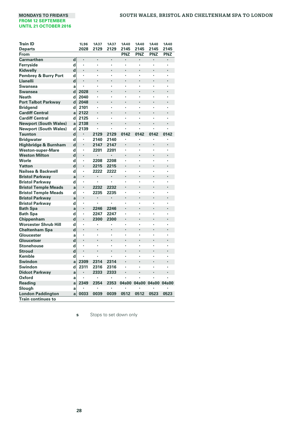| 2028<br>2145<br>2145<br>2145<br><b>Departs</b><br>2129<br>2129<br>2145<br><b>PNZ</b><br><b>PNZ</b><br><b>PNZ</b><br>PNZ<br>From<br><b>Carmarthen</b><br>d<br>٠<br>d<br>Ferryside<br>٠<br>٠<br>٠<br>ï<br>ï<br>$\cdot$<br>d<br>Kidwelly<br>$\cdot$<br>ï<br>٠<br>d<br><b>Pembrey &amp; Burry Port</b><br>$\cdot$<br>٠<br>٠<br>٠<br>٠<br>$\cdot$<br>d<br>Llanelli<br>$\cdot$<br><b>Swansea</b><br>a<br>٠<br>٠<br>٠<br>٠<br>٠<br>$\cdot$<br>d<br>2028<br><b>Swansea</b><br>$\cdot$<br>d<br>2040<br><b>Neath</b><br>ï<br>ï<br>ï<br>ï<br>٠<br><b>Port Talbot Parkway</b><br>d<br>2048<br>$\cdot$<br>٠<br>٠<br>٠<br>٠<br><b>Bridgend</b><br>d<br>2101<br>ï<br>ï<br>ï<br>$\cdot$<br>٠<br><b>Cardiff Central</b><br>2122<br>$\cdot$<br>l,<br>a<br>ł.<br><b>Cardiff Central</b><br>2125<br>d<br>ï<br>٠<br>×<br>ł.<br>ł.<br>2138<br><b>Newport (South Wales)</b><br>$\cdot$<br>$\cdot$<br>a<br>ł.<br><b>Newport (South Wales)</b><br>d<br>2139<br>ï<br>٠<br>ï<br>ä,<br>d<br>2129<br>2129<br>0142<br>0142<br>0142<br>0142<br><b>Taunton</b><br>d<br><b>Bridgwater</b><br>2140<br>2140<br>×<br>٠<br>d<br>Highbridge & Burnham<br>$\cdot$<br>2147<br>2147<br><b>Weston-super-Mare</b><br>d<br>2201<br>2201<br>ï<br>ï<br>ï<br><b>Weston Milton</b><br>d<br>$\cdot$<br>×.<br>÷,<br>l,<br>÷,<br>Worle<br>2208<br>d<br>2208<br>$\cdot$<br>٠<br>٠<br>٠<br>٠<br>d<br>Yatton<br>$\cdot$<br>2215<br>2215<br>$\cdot$<br>ï<br>ï<br>Nailsea & Backwell<br>d<br>2222<br>2222<br>٠<br>٠<br>٠<br>$\cdot$<br><b>Bristol Parkway</b><br>$\centering \label{eq:reduced}$<br>a<br>d<br><b>Bristol Parkway</b><br>٠<br>٠<br>٠<br>٠<br>$\cdot$<br>2232<br><b>Bristol Temple Meads</b><br>2232<br>a<br><b>Bristol Temple Meads</b><br>d<br>2235<br>2235<br>٠<br>ï<br>ï<br>$\cdot$<br><b>Bristol Parkwav</b><br>a<br>$\blacksquare$<br><b>Bristol Parkway</b><br>d<br>×,<br>٠<br>ï<br>ï<br><b>Bath Spa</b><br>2246<br>2246<br>$\cdot$<br>a<br><b>Bath Spa</b><br>d<br>2247<br>2247<br>٠<br>٠<br>٠<br>$\cdot$<br>d<br>Chippenham<br>$\cdot$<br>2300<br>2300<br>$\cdot$<br>٠<br>ł. |
|---------------------------------------------------------------------------------------------------------------------------------------------------------------------------------------------------------------------------------------------------------------------------------------------------------------------------------------------------------------------------------------------------------------------------------------------------------------------------------------------------------------------------------------------------------------------------------------------------------------------------------------------------------------------------------------------------------------------------------------------------------------------------------------------------------------------------------------------------------------------------------------------------------------------------------------------------------------------------------------------------------------------------------------------------------------------------------------------------------------------------------------------------------------------------------------------------------------------------------------------------------------------------------------------------------------------------------------------------------------------------------------------------------------------------------------------------------------------------------------------------------------------------------------------------------------------------------------------------------------------------------------------------------------------------------------------------------------------------------------------------------------------------------------------------------------------------------------------------------------------------------------------------------------------------------------------------------------------------------------------------------------------------------------------|
|                                                                                                                                                                                                                                                                                                                                                                                                                                                                                                                                                                                                                                                                                                                                                                                                                                                                                                                                                                                                                                                                                                                                                                                                                                                                                                                                                                                                                                                                                                                                                                                                                                                                                                                                                                                                                                                                                                                                                                                                                                             |
|                                                                                                                                                                                                                                                                                                                                                                                                                                                                                                                                                                                                                                                                                                                                                                                                                                                                                                                                                                                                                                                                                                                                                                                                                                                                                                                                                                                                                                                                                                                                                                                                                                                                                                                                                                                                                                                                                                                                                                                                                                             |
|                                                                                                                                                                                                                                                                                                                                                                                                                                                                                                                                                                                                                                                                                                                                                                                                                                                                                                                                                                                                                                                                                                                                                                                                                                                                                                                                                                                                                                                                                                                                                                                                                                                                                                                                                                                                                                                                                                                                                                                                                                             |
|                                                                                                                                                                                                                                                                                                                                                                                                                                                                                                                                                                                                                                                                                                                                                                                                                                                                                                                                                                                                                                                                                                                                                                                                                                                                                                                                                                                                                                                                                                                                                                                                                                                                                                                                                                                                                                                                                                                                                                                                                                             |
|                                                                                                                                                                                                                                                                                                                                                                                                                                                                                                                                                                                                                                                                                                                                                                                                                                                                                                                                                                                                                                                                                                                                                                                                                                                                                                                                                                                                                                                                                                                                                                                                                                                                                                                                                                                                                                                                                                                                                                                                                                             |
|                                                                                                                                                                                                                                                                                                                                                                                                                                                                                                                                                                                                                                                                                                                                                                                                                                                                                                                                                                                                                                                                                                                                                                                                                                                                                                                                                                                                                                                                                                                                                                                                                                                                                                                                                                                                                                                                                                                                                                                                                                             |
|                                                                                                                                                                                                                                                                                                                                                                                                                                                                                                                                                                                                                                                                                                                                                                                                                                                                                                                                                                                                                                                                                                                                                                                                                                                                                                                                                                                                                                                                                                                                                                                                                                                                                                                                                                                                                                                                                                                                                                                                                                             |
|                                                                                                                                                                                                                                                                                                                                                                                                                                                                                                                                                                                                                                                                                                                                                                                                                                                                                                                                                                                                                                                                                                                                                                                                                                                                                                                                                                                                                                                                                                                                                                                                                                                                                                                                                                                                                                                                                                                                                                                                                                             |
|                                                                                                                                                                                                                                                                                                                                                                                                                                                                                                                                                                                                                                                                                                                                                                                                                                                                                                                                                                                                                                                                                                                                                                                                                                                                                                                                                                                                                                                                                                                                                                                                                                                                                                                                                                                                                                                                                                                                                                                                                                             |
|                                                                                                                                                                                                                                                                                                                                                                                                                                                                                                                                                                                                                                                                                                                                                                                                                                                                                                                                                                                                                                                                                                                                                                                                                                                                                                                                                                                                                                                                                                                                                                                                                                                                                                                                                                                                                                                                                                                                                                                                                                             |
|                                                                                                                                                                                                                                                                                                                                                                                                                                                                                                                                                                                                                                                                                                                                                                                                                                                                                                                                                                                                                                                                                                                                                                                                                                                                                                                                                                                                                                                                                                                                                                                                                                                                                                                                                                                                                                                                                                                                                                                                                                             |
|                                                                                                                                                                                                                                                                                                                                                                                                                                                                                                                                                                                                                                                                                                                                                                                                                                                                                                                                                                                                                                                                                                                                                                                                                                                                                                                                                                                                                                                                                                                                                                                                                                                                                                                                                                                                                                                                                                                                                                                                                                             |
|                                                                                                                                                                                                                                                                                                                                                                                                                                                                                                                                                                                                                                                                                                                                                                                                                                                                                                                                                                                                                                                                                                                                                                                                                                                                                                                                                                                                                                                                                                                                                                                                                                                                                                                                                                                                                                                                                                                                                                                                                                             |
|                                                                                                                                                                                                                                                                                                                                                                                                                                                                                                                                                                                                                                                                                                                                                                                                                                                                                                                                                                                                                                                                                                                                                                                                                                                                                                                                                                                                                                                                                                                                                                                                                                                                                                                                                                                                                                                                                                                                                                                                                                             |
|                                                                                                                                                                                                                                                                                                                                                                                                                                                                                                                                                                                                                                                                                                                                                                                                                                                                                                                                                                                                                                                                                                                                                                                                                                                                                                                                                                                                                                                                                                                                                                                                                                                                                                                                                                                                                                                                                                                                                                                                                                             |
|                                                                                                                                                                                                                                                                                                                                                                                                                                                                                                                                                                                                                                                                                                                                                                                                                                                                                                                                                                                                                                                                                                                                                                                                                                                                                                                                                                                                                                                                                                                                                                                                                                                                                                                                                                                                                                                                                                                                                                                                                                             |
|                                                                                                                                                                                                                                                                                                                                                                                                                                                                                                                                                                                                                                                                                                                                                                                                                                                                                                                                                                                                                                                                                                                                                                                                                                                                                                                                                                                                                                                                                                                                                                                                                                                                                                                                                                                                                                                                                                                                                                                                                                             |
|                                                                                                                                                                                                                                                                                                                                                                                                                                                                                                                                                                                                                                                                                                                                                                                                                                                                                                                                                                                                                                                                                                                                                                                                                                                                                                                                                                                                                                                                                                                                                                                                                                                                                                                                                                                                                                                                                                                                                                                                                                             |
|                                                                                                                                                                                                                                                                                                                                                                                                                                                                                                                                                                                                                                                                                                                                                                                                                                                                                                                                                                                                                                                                                                                                                                                                                                                                                                                                                                                                                                                                                                                                                                                                                                                                                                                                                                                                                                                                                                                                                                                                                                             |
|                                                                                                                                                                                                                                                                                                                                                                                                                                                                                                                                                                                                                                                                                                                                                                                                                                                                                                                                                                                                                                                                                                                                                                                                                                                                                                                                                                                                                                                                                                                                                                                                                                                                                                                                                                                                                                                                                                                                                                                                                                             |
|                                                                                                                                                                                                                                                                                                                                                                                                                                                                                                                                                                                                                                                                                                                                                                                                                                                                                                                                                                                                                                                                                                                                                                                                                                                                                                                                                                                                                                                                                                                                                                                                                                                                                                                                                                                                                                                                                                                                                                                                                                             |
|                                                                                                                                                                                                                                                                                                                                                                                                                                                                                                                                                                                                                                                                                                                                                                                                                                                                                                                                                                                                                                                                                                                                                                                                                                                                                                                                                                                                                                                                                                                                                                                                                                                                                                                                                                                                                                                                                                                                                                                                                                             |
|                                                                                                                                                                                                                                                                                                                                                                                                                                                                                                                                                                                                                                                                                                                                                                                                                                                                                                                                                                                                                                                                                                                                                                                                                                                                                                                                                                                                                                                                                                                                                                                                                                                                                                                                                                                                                                                                                                                                                                                                                                             |
|                                                                                                                                                                                                                                                                                                                                                                                                                                                                                                                                                                                                                                                                                                                                                                                                                                                                                                                                                                                                                                                                                                                                                                                                                                                                                                                                                                                                                                                                                                                                                                                                                                                                                                                                                                                                                                                                                                                                                                                                                                             |
|                                                                                                                                                                                                                                                                                                                                                                                                                                                                                                                                                                                                                                                                                                                                                                                                                                                                                                                                                                                                                                                                                                                                                                                                                                                                                                                                                                                                                                                                                                                                                                                                                                                                                                                                                                                                                                                                                                                                                                                                                                             |
|                                                                                                                                                                                                                                                                                                                                                                                                                                                                                                                                                                                                                                                                                                                                                                                                                                                                                                                                                                                                                                                                                                                                                                                                                                                                                                                                                                                                                                                                                                                                                                                                                                                                                                                                                                                                                                                                                                                                                                                                                                             |
|                                                                                                                                                                                                                                                                                                                                                                                                                                                                                                                                                                                                                                                                                                                                                                                                                                                                                                                                                                                                                                                                                                                                                                                                                                                                                                                                                                                                                                                                                                                                                                                                                                                                                                                                                                                                                                                                                                                                                                                                                                             |
|                                                                                                                                                                                                                                                                                                                                                                                                                                                                                                                                                                                                                                                                                                                                                                                                                                                                                                                                                                                                                                                                                                                                                                                                                                                                                                                                                                                                                                                                                                                                                                                                                                                                                                                                                                                                                                                                                                                                                                                                                                             |
|                                                                                                                                                                                                                                                                                                                                                                                                                                                                                                                                                                                                                                                                                                                                                                                                                                                                                                                                                                                                                                                                                                                                                                                                                                                                                                                                                                                                                                                                                                                                                                                                                                                                                                                                                                                                                                                                                                                                                                                                                                             |
|                                                                                                                                                                                                                                                                                                                                                                                                                                                                                                                                                                                                                                                                                                                                                                                                                                                                                                                                                                                                                                                                                                                                                                                                                                                                                                                                                                                                                                                                                                                                                                                                                                                                                                                                                                                                                                                                                                                                                                                                                                             |
|                                                                                                                                                                                                                                                                                                                                                                                                                                                                                                                                                                                                                                                                                                                                                                                                                                                                                                                                                                                                                                                                                                                                                                                                                                                                                                                                                                                                                                                                                                                                                                                                                                                                                                                                                                                                                                                                                                                                                                                                                                             |
|                                                                                                                                                                                                                                                                                                                                                                                                                                                                                                                                                                                                                                                                                                                                                                                                                                                                                                                                                                                                                                                                                                                                                                                                                                                                                                                                                                                                                                                                                                                                                                                                                                                                                                                                                                                                                                                                                                                                                                                                                                             |
|                                                                                                                                                                                                                                                                                                                                                                                                                                                                                                                                                                                                                                                                                                                                                                                                                                                                                                                                                                                                                                                                                                                                                                                                                                                                                                                                                                                                                                                                                                                                                                                                                                                                                                                                                                                                                                                                                                                                                                                                                                             |
| <b>Worcester Shrub Hill</b><br>d<br>ï<br>٠<br>ï<br>ä,                                                                                                                                                                                                                                                                                                                                                                                                                                                                                                                                                                                                                                                                                                                                                                                                                                                                                                                                                                                                                                                                                                                                                                                                                                                                                                                                                                                                                                                                                                                                                                                                                                                                                                                                                                                                                                                                                                                                                                                       |
| d<br><b>Cheltenham Spa</b><br>÷,<br>$\cdot$<br>$\cdot$<br>٠<br>$\cdot$                                                                                                                                                                                                                                                                                                                                                                                                                                                                                                                                                                                                                                                                                                                                                                                                                                                                                                                                                                                                                                                                                                                                                                                                                                                                                                                                                                                                                                                                                                                                                                                                                                                                                                                                                                                                                                                                                                                                                                      |
| Gloucester<br>ï<br>×,<br>ï<br>ï<br>a                                                                                                                                                                                                                                                                                                                                                                                                                                                                                                                                                                                                                                                                                                                                                                                                                                                                                                                                                                                                                                                                                                                                                                                                                                                                                                                                                                                                                                                                                                                                                                                                                                                                                                                                                                                                                                                                                                                                                                                                        |
| Gloucetser<br>d<br>٠<br>٠                                                                                                                                                                                                                                                                                                                                                                                                                                                                                                                                                                                                                                                                                                                                                                                                                                                                                                                                                                                                                                                                                                                                                                                                                                                                                                                                                                                                                                                                                                                                                                                                                                                                                                                                                                                                                                                                                                                                                                                                                   |
| <b>Stonehouse</b><br>d<br>ï<br>ï<br>ï<br>ï                                                                                                                                                                                                                                                                                                                                                                                                                                                                                                                                                                                                                                                                                                                                                                                                                                                                                                                                                                                                                                                                                                                                                                                                                                                                                                                                                                                                                                                                                                                                                                                                                                                                                                                                                                                                                                                                                                                                                                                                  |
| d<br><b>Stroud</b>                                                                                                                                                                                                                                                                                                                                                                                                                                                                                                                                                                                                                                                                                                                                                                                                                                                                                                                                                                                                                                                                                                                                                                                                                                                                                                                                                                                                                                                                                                                                                                                                                                                                                                                                                                                                                                                                                                                                                                                                                          |
| d<br><b>Kemble</b><br>ï<br>٠<br>٠<br>٠                                                                                                                                                                                                                                                                                                                                                                                                                                                                                                                                                                                                                                                                                                                                                                                                                                                                                                                                                                                                                                                                                                                                                                                                                                                                                                                                                                                                                                                                                                                                                                                                                                                                                                                                                                                                                                                                                                                                                                                                      |
| <b>Swindon</b><br>2309<br>2314<br>2314<br>a                                                                                                                                                                                                                                                                                                                                                                                                                                                                                                                                                                                                                                                                                                                                                                                                                                                                                                                                                                                                                                                                                                                                                                                                                                                                                                                                                                                                                                                                                                                                                                                                                                                                                                                                                                                                                                                                                                                                                                                                 |
| d<br>Swindon<br>2311<br>2316<br>2316<br>٠<br>٠<br>٠                                                                                                                                                                                                                                                                                                                                                                                                                                                                                                                                                                                                                                                                                                                                                                                                                                                                                                                                                                                                                                                                                                                                                                                                                                                                                                                                                                                                                                                                                                                                                                                                                                                                                                                                                                                                                                                                                                                                                                                         |
| <b>Didcot Parkway</b><br>2333<br>2333<br>ï<br>÷,<br>a                                                                                                                                                                                                                                                                                                                                                                                                                                                                                                                                                                                                                                                                                                                                                                                                                                                                                                                                                                                                                                                                                                                                                                                                                                                                                                                                                                                                                                                                                                                                                                                                                                                                                                                                                                                                                                                                                                                                                                                       |
| Oxford<br>٠<br>×<br>a                                                                                                                                                                                                                                                                                                                                                                                                                                                                                                                                                                                                                                                                                                                                                                                                                                                                                                                                                                                                                                                                                                                                                                                                                                                                                                                                                                                                                                                                                                                                                                                                                                                                                                                                                                                                                                                                                                                                                                                                                       |
| 2354<br>Reading<br>2349<br>2353<br>04s00<br>04s00 04s00 04s00<br>a                                                                                                                                                                                                                                                                                                                                                                                                                                                                                                                                                                                                                                                                                                                                                                                                                                                                                                                                                                                                                                                                                                                                                                                                                                                                                                                                                                                                                                                                                                                                                                                                                                                                                                                                                                                                                                                                                                                                                                          |
| Slough<br>a                                                                                                                                                                                                                                                                                                                                                                                                                                                                                                                                                                                                                                                                                                                                                                                                                                                                                                                                                                                                                                                                                                                                                                                                                                                                                                                                                                                                                                                                                                                                                                                                                                                                                                                                                                                                                                                                                                                                                                                                                                 |
| 0033<br>0039<br>0512<br>0523<br>0523<br><b>London Paddington</b><br>0039<br>0512<br>a                                                                                                                                                                                                                                                                                                                                                                                                                                                                                                                                                                                                                                                                                                                                                                                                                                                                                                                                                                                                                                                                                                                                                                                                                                                                                                                                                                                                                                                                                                                                                                                                                                                                                                                                                                                                                                                                                                                                                       |
| <b>Train continues to</b>                                                                                                                                                                                                                                                                                                                                                                                                                                                                                                                                                                                                                                                                                                                                                                                                                                                                                                                                                                                                                                                                                                                                                                                                                                                                                                                                                                                                                                                                                                                                                                                                                                                                                                                                                                                                                                                                                                                                                                                                                   |

**s** Stops to set down only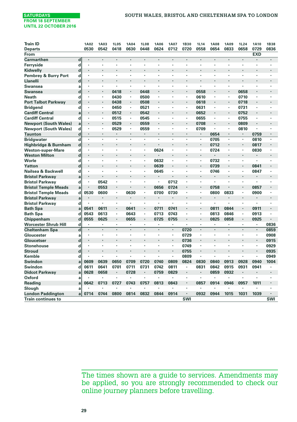| <b>Train ID</b>                 |             | 1A02 | 1A03           | <b>1L05</b>    | <b>1A04</b>    | <b>1L08</b> | <b>1A06</b> | <b>1A07</b> | 1B30                 | <b>1L14</b> | <b>1A08</b> | <b>1A09</b>    | <b>1L24</b>    | <b>1A10</b> | <b>1B38</b> |
|---------------------------------|-------------|------|----------------|----------------|----------------|-------------|-------------|-------------|----------------------|-------------|-------------|----------------|----------------|-------------|-------------|
| <b>Departs</b>                  |             | 0530 | 0542           | 0418           | 0630           | 0448        | 0624        | 0712        | 0720                 | 0558        | 0654        | 0833           | 0658           | 0729        | 0836        |
| From                            |             |      |                |                |                |             |             |             |                      |             |             |                |                | <b>EXD</b>  |             |
| Carmarthen                      | $\mathbf d$ |      |                |                |                |             |             |             |                      |             |             |                |                |             |             |
| Ferryside                       | d           | ٠    | ٠              | $\cdot$        |                | ٠           | ٠           |             | ï                    | ٠           |             | $\cdot$        | ٠              |             | ٠           |
| Kidwelly                        | $\mathbf d$ | ٠    |                |                |                |             |             |             |                      |             |             |                | ł.             |             |             |
| <b>Pembrey &amp; Burry Port</b> | d           | ٠    | ï              | ٠              |                | ï           |             |             | ٠                    |             |             | $\cdot$        | ï              | ٠           | ٠           |
| <b>Llanelli</b>                 | d           | ٠    | ٠              |                |                |             |             |             | ٠                    |             |             |                |                | ٠           | ٠           |
| <b>Swansea</b>                  | a           | ٠    | ٠              | $\cdot$        |                | ï           |             |             | ï                    |             |             | $\cdot$        | ï              |             | ٠           |
| <b>Swansea</b>                  | d           | ٠    | ٠              | 0418           | $\cdot$        | 0448        | ٠           |             | ٠                    | 0558        | $\cdot$     | $\blacksquare$ | 0658           |             | ٠           |
| <b>Neath</b>                    | d           |      | ï              | 0430           | $\cdot$        | 0500        | ٠           |             | ٠                    | 0610        | ,           | $\cdot$        | 0710           |             |             |
| <b>Port Talbot Parkway</b>      | d           |      | ٠              | 0438           |                | 0508        | ٠           |             | ٠                    | 0618        |             | $\cdot$        | 0718           |             |             |
| <b>Bridgend</b>                 | d           |      | ٠              | 0450           | ٠              | 0521        | ٠           |             | ٠                    | 0631        | $\cdot$     | $\cdot$        | 0731           |             |             |
| <b>Cardiff Central</b>          | a           |      | ٠              | 0512           | $\cdot$        | 0542        | ٠           |             | ٠                    | 0652        |             | $\cdot$        | 0752           |             |             |
| <b>Cardiff Central</b>          | d           | ٠    | ٠              | 0515           | $\blacksquare$ | 0545        | ٠           |             | ٠                    | 0655        | ,           | $\cdot$        | 0755           | ٠           |             |
| <b>Newport (South Wales)</b>    | a           |      | ٠              | 0529           |                | 0559        | ×           |             | ï                    | 0708        |             | $\cdot$        | 0809           |             |             |
| <b>Newport (South Wales)</b>    | d           | ٠    | ٠              | 0529           | ٠              | 0559        | ٠           |             | ٠                    | 0709        | ٠           | $\cdot$        | 0810           | ٠           | ٠           |
| <b>Taunton</b>                  | d           |      | ٠              | $\cdot$        | $\cdot$        |             | ٠           |             | ٠                    | $\cdot$     | 0654        | $\cdot$        | ٠              | 0759        | ٠           |
| <b>Bridgwater</b>               | $\mathbf d$ | ×    | ł.             |                | ï              | ï           | J.          | ٠           | ٠                    | ٠           | 0705        |                | ٠              | 0810        | ٠           |
| Highbridge & Burnham            | $\mathbf d$ | ×    |                |                |                |             |             |             |                      | ٠           | 0712        |                | ٠              | 0817        |             |
| <b>Weston-super-Mare</b>        | d           | ٠    | ٠              | $\cdot$        | ٠              | ٠           | 0624        | ٠           | ٠                    | ٠           | 0724        | ٠              | ٠              | 0830        | ٠           |
| <b>Weston Milton</b>            | $\mathbf d$ |      |                |                |                |             |             |             |                      |             |             |                | ×              |             |             |
| Worle                           | d           | ٠    | ٠              | $\cdot$        |                | ٠           | 0632        | ٠           | ×.                   | ×,          | 0732        | $\cdot$        | ٠              | ٠           | ٠           |
| Yatton                          | $\mathbf d$ | ٠    |                |                |                | ٠           | 0639        |             |                      |             | 0739        |                |                | 0841        |             |
| Nailsea & Backwell              | d           | ٠    | ï              | $\cdot$        |                | ٠           | 0645        | ٠           | ×,                   | ×,          | 0746        |                | ×,             | 0847        | ×           |
| <b>Bristol Parkway</b>          | a           | ٠    |                |                |                | ٠           | ٠           |             |                      |             |             | ٠              | ٠              |             |             |
| <b>Bristol Parkway</b>          | d           | ٠    | 0542           | $\cdot$        |                | ٠           | ٠           | 0712        | ٠                    | ٠           |             | $\cdot$        | ï              | ٠           |             |
| <b>Bristol Temple Meads</b>     | a           | ٠    | 0553           | ٠              |                |             | 0656        | 0724        | ٠                    |             | 0758        |                | ٠              | 0857        |             |
| <b>Bristol Temple Meads</b>     | d           | 0530 | 0600           | ٠              | 0630           | ٠           | 0700        | 0730        | ٠                    | ٠           | 0800        | 0833           | ٠              | 0900        | ٠           |
| <b>Bristol Parkway</b>          | a           | ٠    |                |                |                |             | ٠           | $\cdot$     |                      |             |             |                | ٠              |             |             |
| <b>Bristol Parkway</b>          | d           |      | ٠              | ٠              |                | ×           | ٠           | ٠           | ï                    | ٠           | ,           |                | ×              |             |             |
| <b>Bath Spa</b>                 | a           | 0541 | 0611           |                | 0641           |             | 0711        | 0741        |                      |             | 0811        | 0844           |                | 0911        |             |
| <b>Bath Spa</b>                 | d           | 0543 | 0613           | $\blacksquare$ | 0643           | ٠           | 0713        | 0743        | ٠                    | ٠           | 0813        | 0846           | $\blacksquare$ | 0913        | ٠           |
| Chippenham                      | d           | 0555 | 0625           |                | 0655           | ï           | 0725        | 0755        |                      |             | 0825        | 0858           | ٠              | 0925        |             |
| Worcester Shrub Hill            | d           | ٠    | ×.             | $\cdot$        |                | ٠           | ٠           | ٠           | ×.                   | $\cdot$     |             | $\cdot$        | ×,             | ٠           | 0836        |
| <b>Cheltenham Spa</b>           | $\mathbf d$ |      |                |                |                | ÷.          | ÷.          | $\epsilon$  | 0720                 | ×,          | $\cdot$     |                |                | ٠           | 0859        |
| Gloucester                      | a           | ٠    | ٠              | ٠              | $\cdot$        | ٠           | ٠           | ٠           | 0729                 | ٠           |             | ٠              | ٠              | ٠           | 0908        |
| Gloucetser                      | d           |      |                |                |                |             |             |             | 0736                 |             |             |                | ٠              | ٠           | 0915        |
| <b>Stonehouse</b>               | d           |      | $\blacksquare$ | $\cdot$        | $\cdot$        | ٠           | ٠           | ٠           | 0749                 | ٠           | $\cdot$     | ٠              | ٠              | ٠           | 0929        |
| <b>Stroud</b>                   | $\mathbf d$ |      |                |                |                |             |             |             | 0755                 |             |             |                |                |             | 0935        |
| Kemble                          | d           |      | ï              | $\cdot$        |                | ٠           | ×           | ×.          | 0809                 | ٠           |             | $\cdot$        | ٠              | ٠           | 0949        |
| Swindon                         | a           | 0609 | 0639           | 0650           | 0709           | 0720        | 0740        | 0809        | 0824                 | 0830        | 0840        | 0913           | 0928           | 0940        | 1004        |
| Swindon                         | d           | 0611 | 0641           | 0701           | 0711           | 0731        | 0742        | 0811        | ٠                    | 0831        | 0842        | 0915           | 0931           | 0941        |             |
| <b>Didcot Parkway</b>           | a           | 0628 | 0658           | $\cdot$        | 0728           | ٠           | 0759        | 0829        | ٠                    | ٠           | 0859        | 0932           | ×              |             | ٠           |
| Oxford                          | a           |      | ł.             |                | Ĭ.             |             | ٠           |             | ٠                    | ٠           | ٠           |                | ٠              |             | ٠           |
| Reading                         | a           | 0642 | 0713           | 0727           | 0743           | 0757        | 0813        | 0843        | ٠                    | 0857        | 0914        | 0946           | 0957           | 1011        | ٠           |
| Slough                          | a           |      |                |                |                |             | ٠           |             | ×,                   | ٠           | ٠           |                | ×              |             |             |
| <b>London Paddington</b>        | a           | 0714 | 0744           | 0800           | 0814           | 0832        | 0844        | 0914        | $\ddot{\phantom{0}}$ | 0932        | 0944        | 1015           | 1031           | 1039        | $\bullet$   |
| <b>Train continues to</b>       |             |      |                |                |                |             |             |             | SWI                  |             |             |                |                |             | SWI         |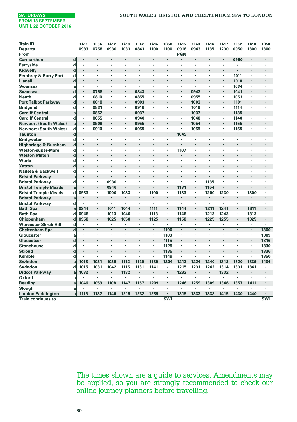| <b>Train ID</b>              |                         | 1A11                 | 1L34                 | <b>1A12</b> | <b>1A13</b> | 1L42 | <b>1A14</b>          | <b>1B50</b>    | <b>1A15</b>    | <b>1L48</b>    | <b>1A16</b> | <b>1A17</b> | <b>1L52</b> | <b>1A18</b>          | <b>1B58</b> |
|------------------------------|-------------------------|----------------------|----------------------|-------------|-------------|------|----------------------|----------------|----------------|----------------|-------------|-------------|-------------|----------------------|-------------|
| <b>Departs</b>               |                         | 0933                 | 0758                 | 0930        | 1033        | 0843 | 1100                 | 1100           | 0918           | 0943           | 1135        | 1230        | 0950        | 1300                 | 1300        |
| From                         |                         |                      |                      |             |             |      |                      |                | <b>PGN</b>     |                |             |             |             |                      |             |
| <b>Carmarthen</b>            | d                       | $\ddot{\phantom{0}}$ | $\ddot{\phantom{0}}$ |             |             | ÷.   | $\ddot{\phantom{0}}$ | $\cdot$        | $\cdot$        | $\cdot$        |             | ٠           | 0950        |                      | ï           |
| Ferryside                    | d                       | $\cdot$              | $\cdot$              | ٠           | ٠           |      | ٠                    | $\cdot$        | $\cdot$        | $\cdot$        | ٠           | ٠           |             |                      |             |
| Kidwelly                     | d                       | $\cdot$              |                      |             |             | ÷,   |                      | l,             |                | $\overline{a}$ | ٠           | ä,          |             | ×.                   | ï           |
| Pembrey & Burry Port         | d                       | $\cdot$              | $\cdot$              | ٠           | ٠           | ٠    | ٠                    | $\cdot$        |                | $\cdot$        | ٠           | ٠           | 1011        | ×,                   |             |
| Llanelli                     | d                       | $\cdot$              |                      |             |             | ٠    |                      |                |                |                |             | ٠           | 1018        |                      |             |
| <b>Swansea</b>               | a                       | $\cdot$              |                      | ٠           | ٠           | ٠    | ٠                    | $\cdot$        |                |                | ٠           | ×,          | 1034        | ×,                   |             |
| <b>Swansea</b>               | d                       | $\cdot$              | 0758                 | ×           |             | 0843 |                      |                | $\blacksquare$ | 0943           |             |             | 1041        |                      |             |
| <b>Neath</b>                 | d                       |                      | 0810                 | ٠           | ×,          | 0855 | ×                    |                |                | 0955           | ٠           | ×,          | 1053        | ×                    |             |
| <b>Port Talbot Parkway</b>   | $\mathbf d$             | $\bullet$            | 0818                 | ٠           | ٠           | 0903 | ٠                    | ٠              | $\blacksquare$ | 1003           | ٠           | ٠           | 1101        | ٠                    |             |
| <b>Bridgend</b>              | d                       | $\cdot$              | 0831                 | ٠           | ٠           | 0916 | ٠                    | ٠              | $\cdot$        | 1016           | ٠           | ٠           | 1114        | ٠                    | ٠           |
| <b>Cardiff Central</b>       | a                       | $\cdot$              | 0852                 | ٠           | ٠           | 0937 | ٠                    | ٠              | $\blacksquare$ | 1037           | ٠           | ٠           | 1135        | ٠                    | ٠           |
| <b>Cardiff Central</b>       | d                       | $\cdot$              | 0855                 | ×           | ٠           | 0940 | ٠                    |                | $\cdot$        | 1040           | ٠           | ٠           | 1140        |                      |             |
| <b>Newport (South Wales)</b> | a                       |                      | 0909                 | ٠           | ٠           | 0955 | ٠                    |                | $\cdot$        | 1054           | ٠           | ٠           | 1155        |                      |             |
| <b>Newport (South Wales)</b> | d                       | $\cdot$              | 0910                 |             | ٠           | 0955 | ٠                    | ٠              | ٠              | 1055           | ٠           | ٠           | 1155        |                      |             |
| <b>Taunton</b>               | $\mathbf d$             | $\cdot$              |                      | ٠           | ٠           | ٠    | ٠                    | $\cdot$        | 1045           | $\cdot$        | ٠           | ٠           |             | $\cdot$              |             |
| <b>Bridgwater</b>            | $\overline{\mathbf{d}}$ | $\cdot$              |                      |             |             |      |                      |                |                |                | ï           |             |             |                      |             |
| Highbridge & Burnham         | $\mathbf d$             | $\cdot$              | $\cdot$              | ٠           | ï           | ï    |                      |                |                | $\cdot$        | ٠           | ٠           | ٠           | $\cdot$              |             |
| <b>Weston-super-Mare</b>     | d                       | $\blacksquare$       | $\cdot$              | ٠           | ٠           | ï    | ٠                    | ٠              | 1107           | $\blacksquare$ | ٠           | ٠           | ٠           | ٠                    |             |
| <b>Weston Milton</b>         | $\mathbf d$             | $\cdot$              |                      | ٠           | ٠           | ï    | $\ddot{\phantom{0}}$ |                |                | $\cdot$        | ٠           | ٠           | ٠           | ٠                    |             |
| Worle                        | d                       | $\cdot$              | $\cdot$              | ٠           | ٠           | ï    | ٠                    | $\cdot$        | $\cdot$        | $\cdot$        | ٠           | ٠           | ٠           | ٠                    | $\cdot$     |
| Yatton                       | d                       | $\cdot$              |                      |             |             | ï    |                      |                |                |                | ٠           |             | ٠           |                      |             |
| Nailsea & Backwell           | d                       | $\cdot$              | $\blacksquare$       | ٠           | ٠           | ٠    | ٠                    | ٠              |                | ٠              | ٠           | ٠           | ٠           | ٠                    |             |
| <b>Bristol Parkwav</b>       | a                       | $\cdot$              |                      |             |             |      |                      |                |                |                |             |             |             |                      |             |
| <b>Bristol Parkway</b>       | d                       | $\blacksquare$       | $\blacksquare$       | 0930        | ٠           | ï    |                      | ٠              | ٠              | ٠              | 1135        | ٠           | ٠           | ×,                   |             |
| <b>Bristol Temple Meads</b>  | a                       |                      | $\cdot$              | 0946        |             |      |                      |                | 1131           | $\cdot$        | 1154        |             | ï           |                      |             |
| <b>Bristol Temple Meads</b>  | d                       | 0933                 | ٠                    | 1000        | 1033        | ٠    | 1100                 | ٠              | 1133           | ٠              | 1200        | 1230        | ٠           | 1300                 | ,           |
| <b>Bristol Parkway</b>       | a                       | $\cdot$              | $\cdot$              | l,          | ٠           | ٠    | $\ddot{\phantom{0}}$ | $\cdot$        | $\cdot$        | $\cdot$        | ٠           | ×           | ٠           |                      |             |
| <b>Bristol Parkway</b>       | d                       | $\cdot$              | $\cdot$              | ٠           | ٠           | ٠    | ٠                    | ٠              | $\blacksquare$ | $\cdot$        | ٠           | ٠           | ٠           | ٠                    |             |
| <b>Bath Spa</b>              | a                       | 0944                 | $\cdot$              | 1011        | 1044        | ٠    | 1111                 |                | 1144           | $\cdot$        | 1211        | 1241        | ٠           | 1311                 |             |
| <b>Bath Spa</b>              | d                       | 0946                 | ٠                    | 1013        | 1046        | ٠    | 1113                 | ٠              | 1146           | ٠              | 1213        | 1243        | ٠           | 1313                 | ,           |
| Chippenham                   | d                       | 0958                 | $\cdot$              | 1025        | 1058        | ٠    | 1125                 | $\cdot$        | 1158           | $\cdot$        | 1225        | 1255        | ٠           | 1325                 |             |
| <b>Worcester Shrub Hill</b>  | d                       | $\cdot$              | ٠                    | ×,          | ×,          | ٠    | ٠                    | ٠              | $\cdot$        | ٠              | ٠           | ٠           | ٠           | ٠                    | $\cdot$     |
| <b>Cheltenham Spa</b>        | $\mathbf d$             | $\cdot$              | $\cdot$              |             | ÷,          |      | $\cdot$              | 1100           | $\cdot$        | $\cdot$        |             |             |             | $\cdot$              | 1300        |
| Gloucester                   | a                       | ٠                    | $\cdot$              | ٠           | ٠           | ٠    | ٠                    | 1109           | $\blacksquare$ | $\cdot$        | ٠           | ٠           | ٠           | ٠                    | 1309        |
| Gloucetser                   | d                       | $\cdot$              |                      |             | ٠           | ï    | $\ddot{\phantom{0}}$ | 1115           | $\cdot$        |                |             |             |             | $\ddot{\phantom{0}}$ | 1316        |
| <b>Stonehouse</b>            | d                       |                      | $\cdot$              | ٠           | ٠           | ٠    | ٠                    | 1129           | ٠              | $\cdot$        | $\cdot$     | ٠           | ٠           | ٠                    | 1330        |
| <b>Stroud</b>                | d                       | $\cdot$              |                      |             |             |      |                      | 1135           |                | $\cdot$        | ٠           |             | ٠           | ٠                    | 1336        |
| Kemble                       | d                       | $\blacksquare$       | $\cdot$              | ٠           | ٠           | ٠    | ٠                    | 1149           | $\cdot$        | $\cdot$        | ٠           | ٠           | ٠           | ٠                    | 1350        |
| <b>Swindon</b>               | a                       | 1013                 | 1031                 | 1039        | 1112        | 1120 | 1139                 | 1204           | 1213           | 1224           | 1240        | 1313        | 1320        | 1339                 | 1404        |
| Swindon                      | d                       | 1015                 | 1031                 | 1042        | 1115        | 1131 | 1141                 | $\blacksquare$ | 1215           | 1231           | 1242        | 1314        | 1331        | 1341                 | ٠           |
| <b>Didcot Parkway</b>        | a                       | 1032                 | $\cdot$              |             | 1132        | ×    | $\cdot$              | ۰              | 1232           | $\cdot$        | ×           | 1332        |             |                      |             |
| Oxford                       | a                       |                      | $\cdot$              | ï           |             | ï    | ×                    | $\cdot$        | $\cdot$        | $\cdot$        | ٠           |             | ٠           | ä,                   | ٠           |
| <b>Reading</b>               | a                       | 1046                 | 1059                 | 1108        | 1147        | 1157 | 1209                 | $\blacksquare$ | 1246           | 1259           | 1309        | 1346        | 1357        | 1411                 | $\cdot$     |
| Slough                       | a                       |                      | $\ddot{\phantom{0}}$ | ×           |             |      |                      |                | $\blacksquare$ | ٠              |             |             | ٠           |                      |             |
| <b>London Paddington</b>     | a                       | 1115                 | 1132                 | 1140        | 1215        | 1232 | 1239                 | $\bullet$      | 1315           | 1333           | 1338        | 1415        | 1430        | 1440                 | $\cdot$     |
| <b>Train continues to</b>    |                         |                      |                      |             |             |      |                      | <b>SWI</b>     |                |                |             |             |             |                      | <b>SWI</b>  |

The times shown are a guide to services. Amendments may be applied, so you are strongly recommended to check our online journey planners before travelling.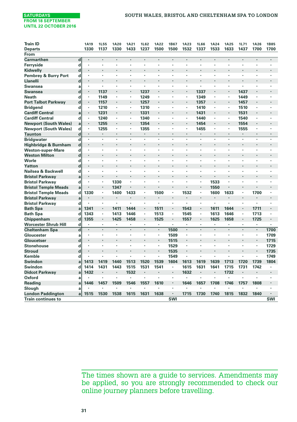| <b>Train ID</b>                 |             | <b>1A19</b>          | <b>1L55</b>          | <b>1A20</b>    | <b>1A21</b>    | 1L62 | <b>1A22</b> | 1B67 | <b>1A23</b> | 1L66 | <b>1A24</b>    | <b>1A25</b> | 1L71 | 1A26 | <b>1B85</b> |
|---------------------------------|-------------|----------------------|----------------------|----------------|----------------|------|-------------|------|-------------|------|----------------|-------------|------|------|-------------|
| <b>Departs</b>                  |             | 1330                 | 1137                 | 1330           | 1433           | 1237 | 1500        | 1500 | 1532        | 1337 | 1533           | 1633        | 1437 | 1700 | 1700        |
| From                            |             |                      |                      |                |                |      |             |      |             |      |                |             |      |      |             |
| Carmarthen                      | $\mathbf d$ |                      |                      |                |                |      |             |      |             |      |                |             |      |      |             |
| Ferryside                       | d           | ٠                    | ٠                    | $\cdot$        | $\cdot$        | ï    |             |      | ï           | ï    |                |             | ٠    | ×    |             |
| Kidwelly                        | $\mathbf d$ | $\blacksquare$       |                      |                |                | ٠    | ٠           |      | ٠           | ٠    |                |             |      | ł.   | ٠           |
| <b>Pembrey &amp; Burry Port</b> | d           | ٠                    |                      |                | ÷              |      |             |      | ä,          | ï    |                |             |      | ï    |             |
| Llanelli                        | d           | ٠                    | ٠                    |                | $\blacksquare$ |      |             |      | ٠           | ٠    | ٠              |             |      | ٠    |             |
| <b>Swansea</b>                  | a           | ٠                    | ٠                    |                | Ĭ.             | ï    |             |      | ä,          | ï    |                |             |      |      |             |
| <b>Swansea</b>                  | $\mathbf d$ | ٠                    | 1137                 |                | $\cdot$        | 1237 | ٠           |      | ٠           | 1337 | $\cdot$        |             | 1437 | ł.   |             |
| <b>Neath</b>                    | d           | ٠                    | 1149                 |                | $\cdot$        | 1249 | ٠           |      | ٠           | 1349 |                |             | 1449 |      |             |
| <b>Port Talbot Parkway</b>      | $\mathbf d$ | $\ddot{\phantom{0}}$ | 1157                 |                | $\cdot$        | 1257 | ٠           |      | ï           | 1357 |                | $\cdot$     | 1457 |      |             |
| <b>Bridgend</b>                 | d           | ٠                    | 1210                 | ٠              | $\cdot$        | 1310 | ٠           |      | ٠           | 1410 | $\cdot$        | ٠           | 1510 | ×    |             |
| <b>Cardiff Central</b>          | a           | $\cdot$              | 1231                 | $\cdot$        |                | 1331 | ×           |      | ٠           | 1431 |                |             | 1531 | ٠    |             |
| <b>Cardiff Central</b>          | d           | ٠                    | 1240                 | ٠              | $\cdot$        | 1340 | ٠           |      | ٠           | 1440 | $\cdot$        | $\cdot$     | 1540 | ٠    |             |
| <b>Newport (South Wales)</b>    | a           | ٠                    | 1255                 | $\cdot$        |                | 1354 | ٠           |      | ٠           | 1454 |                |             | 1554 | ٠    |             |
| <b>Newport (South Wales)</b>    | d           | ٠                    | 1255                 | $\blacksquare$ | $\blacksquare$ | 1355 | ٠           | ٠    | ٠           | 1455 | $\cdot$        | ٠           | 1555 | ٠    | ٠           |
| <b>Taunton</b>                  | $\mathbf d$ | ٠                    | ٠                    | $\cdot$        |                | ×    | ٠           |      | ٠           |      |                |             | ٠    | ٠    |             |
| <b>Bridgwater</b>               | d           | ×                    | ٠                    |                |                | ï    | ï           | ×    | ï           | ٠    |                |             | ٠    | ï    | ٠           |
| Highbridge & Burnham            | $\mathbf d$ | $\cdot$              | ï                    |                |                |      |             |      |             |      |                |             |      | ٠    |             |
| <b>Weston-super-Mare</b>        | d           | ٠                    | ٠                    | $\cdot$        | $\cdot$        | ï    | ٠           | ٠    | ×,          | ٠    |                | ٠           | ×,   | ٠    | ٠           |
| <b>Weston Milton</b>            | $\mathbf d$ | ٠                    |                      |                |                |      |             |      |             |      |                |             |      |      |             |
| Worle                           | d           | ٠                    | ٠                    | $\cdot$        | $\cdot$        | ٠    | ٠           | ٠    | ٠           | ٠    | $\cdot$        |             | ٠    | ×    |             |
| Yatton                          | d           | ٠                    |                      |                |                |      |             |      |             |      |                |             |      | ł.   |             |
| Nailsea & Backwell              | d           | ×                    | ٠                    | $\cdot$        | $\cdot$        | ٠    | ٠           | ٠    | ï           | ٠    | $\cdot$        |             | ٠    | ï    |             |
| <b>Bristol Parkway</b>          | a           | ٠                    | $\ddot{\phantom{0}}$ |                |                |      |             |      |             | ٠    |                |             |      | ł.   |             |
| <b>Bristol Parkway</b>          | d           | ×                    | ٠                    | 1330           | $\cdot$        | ×    |             | ×    | ÷,          | ٠    | 1533           |             | ł.   | ï    |             |
| <b>Bristol Temple Meads</b>     | a           |                      | $\ddot{\phantom{0}}$ | 1347           |                |      |             |      |             |      | 1550           |             |      |      |             |
| <b>Bristol Temple Meads</b>     | d           | 1330                 | ٠                    | 1400           | 1433           | ٠    | 1500        | ٠    | 1532        | ٠    | 1600           | 1633        | ٠    | 1700 |             |
| <b>Bristol Parkway</b>          | a           | ٠                    | ٠                    |                |                | ٠    | l.          |      |             | ٠    |                |             |      | ٠    |             |
| <b>Bristol Parkway</b>          | d           | ٠                    | ٠                    | $\cdot$        | $\cdot$        | ×    | ٠           | ٠    |             | ٠    | $\cdot$        |             | ٠    | ×    |             |
| <b>Bath Spa</b>                 | a           | 1341                 | ٠                    | 1411           | 1444           | ٠    | 1511        |      | 1543        | ٠    | 1611           | 1644        |      | 1711 |             |
| <b>Bath Spa</b>                 | d           | 1343                 | ٠                    | 1413           | 1446           | ×,   | 1513        | ×.   | 1545        | ×.   | 1613           | 1646        | ×,   | 1713 | ٠           |
| Chippenham                      | $\mathbf d$ | 1355                 | $\blacksquare$       | 1425           | 1458           | ٠    | 1525        | ×,   | 1557        | ٠    | 1625           | 1658        | ٠    | 1725 |             |
| <b>Worcester Shrub Hill</b>     | d           |                      | $\cdot$              | ٠              | $\blacksquare$ | ٠    | ٠           | ٠    | ٠           | ٠    | ٠              |             | ٠    | ٠    | ٠           |
| <b>Cheltenham Spa</b>           | $\mathbf d$ | $\ddot{\phantom{0}}$ | ÷.                   |                | $\overline{a}$ |      | l,          | 1500 |             |      | $\cdot$        |             | ÷    | ä,   | 1700        |
| Gloucester                      | a           | ٠                    | ٠                    | ٠              | $\blacksquare$ | ٠    | ٠           | 1509 | $\cdot$     | ٠    | $\cdot$        | ٠           | ٠    | ٠    | 1709        |
| Gloucetser                      | $\mathbf d$ | ٠                    |                      |                |                | ï    | ٠           | 1515 | ×.          |      |                |             |      | ٠    | 1715        |
| <b>Stonehouse</b>               | d           | ٠                    | ٠                    | $\cdot$        | $\cdot$        | ٠    | ٠           | 1529 | $\cdot$     | ٠    | $\cdot$        | ٠           | ٠    | ٠    | 1729        |
| <b>Stroud</b>                   | $\mathbf d$ |                      |                      |                |                |      | ×           | 1535 | ٠           |      |                |             |      | ٠    | 1735        |
| Kemble                          | d           |                      | ٠                    | $\cdot$        |                | ٠    | ٠           | 1549 | ×           | ٠    | $\cdot$        |             | ٠    | ×.   | 1749        |
| Swindon                         | a           | 1413                 | 1419                 | 1440           | 1513           | 1520 | 1539        | 1604 | 1613        | 1619 | 1639           | 1713        | 1720 | 1739 | 1804        |
| Swindon                         | d           | 1414                 | 1431                 | 1443           | 1515           | 1531 | 1541        | ٠    | 1615        | 1631 | 1641           | 1715        | 1731 | 1742 |             |
| <b>Didcot Parkway</b>           | a           | 1432                 | ٠                    | $\cdot$        | 1532           | ×    | ×           | ٠    | 1632        | ×    | $\blacksquare$ | 1732        | ٠    | ٠    | ٠           |
| Oxford                          | a           |                      | ï                    | $\cdot$        | ÷              | ï    | ٠           | ٠    |             | ï    |                | ï           |      | ï    |             |
| <b>Reading</b>                  | a           | 1446                 | 1457                 | 1509           | 1546           | 1557 | 1610        | ٠    | 1646        | 1657 | 1708           | 1746        | 1757 | 1808 | ٠           |
| Slough                          | a           |                      | ٠                    |                |                |      | ٠           |      |             |      |                |             |      |      |             |
| <b>London Paddington</b>        | a           | 1515                 | 1530                 | 1538           | 1615           | 1631 | 1638        | ٠    | 1715        | 1730 | 1740           | 1815        | 1832 | 1840 |             |
| <b>Train continues to</b>       |             |                      |                      |                |                |      |             | SWI  |             |      |                |             |      |      | SWI         |
|                                 |             |                      |                      |                |                |      |             |      |             |      |                |             |      |      |             |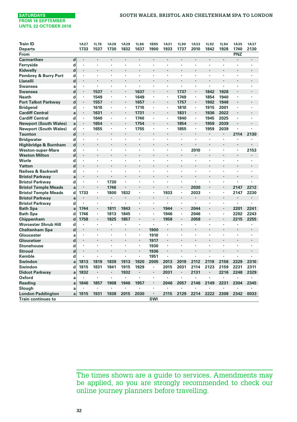| <b>Train ID</b>                 |             | <b>1A27</b>    | 1L76    | <b>1A28</b> | <b>1A29</b> | <b>1L86</b>          | 1B95           | <b>1A31</b>    | <b>1L90</b>          | <b>1A33</b>    | <b>1L92</b> | 1L94 | <b>1A35</b> | <b>1A37</b>          |
|---------------------------------|-------------|----------------|---------|-------------|-------------|----------------------|----------------|----------------|----------------------|----------------|-------------|------|-------------|----------------------|
| <b>Departs</b>                  |             | 1733           | 1537    | 1730        | 1832        | 1637                 | 1900           | 1933           | 1737                 | 2010           | 1842        | 1928 | 1740        | 2130                 |
| From                            |             |                |         |             |             |                      |                |                |                      |                |             |      | PNZ         |                      |
| <b>Carmarthen</b>               | $\mathbf d$ | $\cdot$        | $\cdot$ |             |             |                      | ÷,             |                | $\cdot$              | $\overline{a}$ |             | ï    |             |                      |
| Ferryside                       | d           | ٠              | ,       |             | ×           | ٠                    | ٠              |                | ٠                    |                |             | ٠    |             |                      |
| Kidwelly                        | d           | $\overline{a}$ | ×,      |             |             |                      |                |                |                      |                |             |      |             |                      |
| <b>Pembrey &amp; Burry Port</b> | d           | $\cdot$        | $\cdot$ | ٠           | ٠           | ٠                    | ٠              |                | $\cdot$              | $\cdot$        | ٠           | ٠    | ٠           | ٠                    |
| Llanelli                        | d           | $\overline{a}$ | ×,      |             |             |                      | ï              |                |                      | $\overline{a}$ |             |      |             | Ĭ.                   |
| Swansea                         | a           | $\cdot$        | $\cdot$ | ٠           | ٠           | ٠                    | ×,             |                | $\cdot$              |                | ٠           | ٠    | ٠           | ٠                    |
| Swansea                         | d           | $\blacksquare$ | 1537    |             | ×,          | 1637                 |                |                | 1737                 |                | 1842        | 1928 |             |                      |
| <b>Neath</b>                    | d           |                | 1549    | ×,          | ×,          | 1649                 | ×,             |                | 1749                 |                | 1854        | 1940 | ٠           | ï                    |
| <b>Port Talbot Parkway</b>      | $\mathbf d$ | $\blacksquare$ | 1557    |             | ٠           | 1657                 |                |                | 1757                 | $\blacksquare$ | 1902        | 1948 | ٠           |                      |
| <b>Bridgend</b>                 | d           |                | 1610    | ×           | ×,          | 1710                 | ×,             |                | 1810                 |                | 1915        | 2001 | ٠           | ٠                    |
| <b>Cardiff Central</b>          | a           | $\blacksquare$ | 1631    |             | ٠           | 1731                 | ٠              | $\blacksquare$ | 1831                 | ٠              | 1936        | 2022 | ٠           | ٠                    |
| <b>Cardiff Central</b>          | d           | $\cdot$        | 1640    | ×           | ٠           | 1740                 | ×              |                | 1840                 |                | 1945        | 2025 | ï           | ł.                   |
| <b>Newport (South Wales)</b>    | a           | $\cdot$        | 1654    | ٠           | ٠           | 1754                 | ٠              |                | 1854                 | ٠              | 1959        | 2039 |             |                      |
| <b>Newport (South Wales)</b>    | d           | $\cdot$        | 1655    |             | ×           | 1755                 | ٠              |                | 1855                 |                | 1959        | 2039 |             |                      |
| <b>Taunton</b>                  | d           | $\cdot$        |         |             | ٠           |                      | ٠              |                |                      |                |             |      | 2114        | 2130                 |
| <b>Bridgwater</b>               | d           | ٠              | ,       |             |             |                      |                |                |                      |                |             | ï    |             |                      |
| Highbridge & Burnham            | $\mathbf d$ |                |         |             |             |                      |                |                |                      |                |             |      |             |                      |
| <b>Weston-super-Mare</b>        | d           | $\cdot$        |         |             |             | ×                    | ï              |                | $\cdot$              | 2010           | ٠           | ï    | ٠           | 2153                 |
| <b>Weston Milton</b>            | d           |                |         |             | l,          | $\ddot{\phantom{0}}$ | ï              |                | $\cdot$              |                |             | ×,   | ٠           | Ĭ.                   |
| Worle                           | d           | $\cdot$        | ٠       | ٠           | ٠           | ٠                    | ×              |                | $\cdot$              |                |             | ٠    | ٠           | ٠                    |
| Yatton                          | d           |                | $\cdot$ | ÷.          | ÷           |                      | ÷,             |                | $\ddot{\phantom{0}}$ |                |             |      | ٠           | l.                   |
| Nailsea & Backwell              | d           | $\cdot$        | $\cdot$ | ٠           | ٠           | ٠                    | ٠              |                | $\cdot$              | $\cdot$        | ٠           | ٠    | ٠           | ٠                    |
| <b>Bristol Parkway</b>          | a           |                | $\cdot$ |             |             |                      |                |                |                      |                |             |      |             |                      |
| <b>Bristol Parkway</b>          | d           | $\cdot$        |         | 1730        | ٠           | ٠                    | ×,             |                | $\cdot$              | ٠              | ٠           | ٠    | ٠           |                      |
| <b>Bristol Temple Meads</b>     | a           |                | $\cdot$ | 1746        |             |                      |                |                | $\cdot$              | 2030           |             |      | 2147        | 2212                 |
| <b>Bristol Temple Meads</b>     | d           | 1733           |         | 1800        | 1832        | ×                    | ×,             | 1933           | $\cdot$              | 2033           | ×,          | ×,   | 2147        | 2230                 |
| <b>Bristol Parkway</b>          | a           | $\cdot$        | $\cdot$ | ×           | ×           | ٠                    |                |                | $\cdot$              | $\cdot$        |             | ł.   | ٠           | ٠                    |
| <b>Bristol Parkway</b>          | d           | $\cdot$        |         | ×           | ï           | ٠                    | ×              |                | $\cdot$              |                | ٠           | ï    | ٠           | ï                    |
| <b>Bath Spa</b>                 | a           | 1744           | $\cdot$ | 1811        | 1843        |                      |                | 1944           | $\cdot$              | 2044           |             |      | 2201        | 2241                 |
| <b>Bath Spa</b>                 | d           | 1746           |         | 1813        | 1845        | ٠                    | ٠              | 1946           | $\blacksquare$       | 2046           | ٠           | ٠    | 2202        | 2243                 |
| Chippenham                      | d           | 1758           | $\cdot$ | 1825        | 1857        |                      |                | 1958           | $\cdot$              | 2058           |             |      | 2215        | 2255                 |
| <b>Worcester Shrub Hill</b>     | d           |                | ٠       | ٠           | ï           | ٠                    | ×              |                | $\cdot$              |                |             | ٠    |             | ٠                    |
| <b>Cheltenham Spa</b>           | d           |                |         |             |             |                      | 1900           |                |                      |                |             |      |             |                      |
| Gloucester                      | a           |                | ٠       | ٠           | ٠           | ٠                    | 1910           |                | $\cdot$              | $\cdot$        | ٠           | ٠    | ٠           | $\ddot{\phantom{0}}$ |
| Gloucetser                      | d           | $\cdot$        | $\cdot$ |             |             | $\ddot{\phantom{0}}$ | 1917           |                |                      |                |             |      |             | ×,                   |
| <b>Stonehouse</b>               | d           | $\cdot$        | $\cdot$ | ٠           | ٠           | ٠                    | 1930           |                | $\cdot$              | $\cdot$        | ٠           | ٠    | ٠           | $\ddot{\phantom{0}}$ |
| <b>Stroud</b>                   | d           |                | $\cdot$ |             |             |                      | 1936           |                | $\ddot{\phantom{0}}$ |                |             |      |             | Ĭ.                   |
| Kemble                          | d           |                | ٠       | ٠           | ٠           | ٠                    | 1951           | ٠              | $\ddot{\phantom{0}}$ |                |             |      | ٠           |                      |
| Swindon                         | a           | 1813           | 1819    | 1839        | 1913        | 1920                 | 2005           | 2013           | 2019                 | 2112           | 2119        | 2156 | 2229        | 2310                 |
| Swindon                         | d           | 1815           | 1831    | 1841        | 1915        | 1929                 | ٠              | 2015           | 2031                 | 2114           | 2123        | 2159 | 2231        | 2311                 |
| <b>Didcot Parkway</b>           | a           | 1832           | $\cdot$ | ٠           | 1932        | ٠                    | $\blacksquare$ | 2031           | $\cdot$              | 2131           |             | 2216 | 2248        | 2329                 |
| Oxford                          | a           |                | ٠       | ×,          | ×           |                      | ×              |                |                      | ٠              |             | ×    | ٠           | ٠                    |
| <b>Reading</b>                  | a           | 1846           | 1857    | 1908        | 1946        | 1957                 | ٠              | 2046           | 2057                 | 2146           | 2149        | 2231 | 2304        | 2345                 |
| Slough                          | a           |                |         |             | ×           |                      | ł.             |                |                      |                |             |      |             |                      |
| <b>London Paddington</b>        | a           | 1915           | 1931    | 1938        | 2015        | 2030                 | ٠              | 2115           | 2129                 | 2214           | 2222        | 2308 | 2342        | 0033                 |
| <b>Train continues to</b>       |             |                |         |             |             |                      | SWI            |                |                      |                |             |      |             |                      |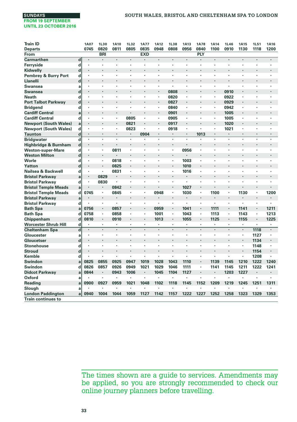| 0745<br>0820<br>0811<br>0805<br>0835<br>0948<br>0808<br>0956<br>0840<br>1100<br>0910<br>1130<br>1118<br>1200<br><b>Departs</b><br>PLY<br><b>BRI</b><br><b>EXD</b><br>From<br><b>Carmarthen</b><br>$\mathbf d$<br>$\cdot$<br>×<br>ï<br>ï<br>ï<br>Ferryside<br>d<br>٠<br>×<br>d<br>Kidwelly<br>ï<br>ï<br>×<br>Pembrey & Burry Port<br>d<br>٠<br>$\mathbf d$<br>Llanelli<br>٠<br>Swansea<br>٠<br>ï<br>$\cdot$<br>a<br>٠<br>×<br>$\cdot$<br>×<br>0808<br>d<br>0910<br>Swansea<br>l,<br>ï<br>ï<br>٠<br>0820<br>0922<br>d<br>٠<br>٠<br>٠<br>٠<br>٠<br>$\cdot$<br>٠<br>٠<br>٠<br>×<br>d<br>0827<br>0929<br>$\cdot$<br>ï<br>ï<br>×<br>٠<br>ï<br>٠<br>d<br>0840<br>0942<br>٠<br>٠<br>$\ddot{\phantom{0}}$<br>$\ddot{\phantom{0}}$<br>٠<br>٠<br>٠<br>٠<br>٠<br>٠<br>٠<br>٠<br><b>Cardiff Central</b><br>0901<br>٠<br>$\blacksquare$<br>1005<br>٠<br>×<br>٠<br>a<br><b>Cardiff Central</b><br>0805<br>d<br>0905<br>1005<br>٠<br>×,<br>٠<br>٠<br>٠<br>٠<br>٠<br>٠<br>٠<br>٠<br><b>Newport (South Wales)</b><br>0821<br>0917<br>1020<br>a<br>٠<br>×<br>٠<br>d<br><b>Newport (South Wales)</b><br>0823<br>0918<br>1021<br>٠<br>٠<br>٠<br>×<br>٠<br>٠<br>٠<br>٠<br>٠<br>٠<br>d<br><b>Taunton</b><br>0904<br>1013<br>$\cdot$<br>$\cdot$<br>$\cdot$<br>$\overline{\mathbf{d}}$<br><b>Bridgwater</b><br>ï<br>ï<br>$\cdot$<br>ł,<br>٠<br>ï<br>٠<br>٠<br>٠<br>٠<br>$\mathbf d$<br>Highbridge & Burnham<br>٠<br>×<br>$\cdot$<br>l,<br>$\cdot$<br>٠<br><b>Weston-super-Mare</b><br>d<br>0811<br>0956<br>×<br>×,<br>$\cdot$<br>×<br>$\cdot$<br>$\cdot$<br>٠<br>٠<br>٠<br>٠<br>٠<br>٠<br><b>Weston Milton</b><br>d<br>$\cdot$<br>×<br>$\cdot$<br>٠<br>Worle<br>0818<br>1003<br>d<br>ï<br>×,<br>ï<br>٠<br>×,<br>٠<br>$\cdot$<br>ï<br>×<br>٠<br>1010<br>d<br>0825<br>Yatton<br>$\ddot{\phantom{0}}$<br>٠<br>٠<br>٠<br>Nailsea & Backwell<br>0831<br>1016<br>d<br>٠<br>ï<br>$\cdot$<br>×<br>٠<br>$\cdot$<br>٠<br>٠<br>٠<br>$\cdot$<br>×<br>0829<br><b>Bristol Parkway</b><br>a<br>$\cdot$<br>$\ddot{\phantom{0}}$<br>٠<br><b>Bristol Parkway</b><br>d<br>0830<br>ï<br>٠<br>×<br>٠<br>٠<br>٠<br>٠<br>٠<br>1027<br><b>Bristol Temple Meads</b><br>0842<br>a<br>1030<br>1130<br>1200<br><b>Bristol Temple Meads</b><br>d<br>0745<br>0845<br>0948<br>1100<br>$\blacksquare$<br>$\cdot$<br>٠<br>$\blacksquare$<br>٠<br>٠<br>٠<br><b>Bristol Parkway</b><br>ï<br>٠<br>a<br>i.<br>٠<br>٠<br>d<br><b>Bristol Parkway</b><br>ï<br>×<br>$\cdot$<br>ï<br>×<br>٠<br>٠<br>$\cdot$<br>ï<br>٠<br>×<br>×<br>1041<br>0756<br>0857<br>0959<br>1111<br>1141<br>1211<br><b>Bath Spa</b><br>Ĭ.<br>×,<br>$\ddot{\phantom{0}}$<br>$\cdot$<br>٠<br>a<br>0758<br>0858<br>1043<br>1113<br><b>Bath Spa</b><br>d<br>1001<br>1143<br>٠<br>1213<br>$\cdot$<br>$\cdot$<br>٠<br>٠<br>٠<br>٠<br>Chippenham<br>d<br>0810<br>0910<br>1013<br>1055<br>1125<br>1155<br>1225<br>ï<br>٠<br>٠<br>$\blacksquare$<br>٠<br>Worcester Shrub Hill<br>d<br>$\cdot$<br>$\cdot$<br>٠<br>٠<br>٠<br>٠<br>٠<br>٠<br>٠<br>٠<br>٠<br><b>Cheltenham Spa</b><br>d<br>l,<br>÷.<br>$\overline{a}$<br>$\ddot{\phantom{0}}$<br>ä,<br>÷.<br>÷.<br>×,<br>$\cdot$<br>×.<br>1118<br>ï<br>Gloucester<br>1127<br>a<br>٠<br>٠<br>$\cdot$<br>٠<br>٠<br>٠<br>٠<br>٠<br>$\cdot$<br>٠<br>٠<br>٠<br>Gloucetser<br>d<br>1134<br>×<br>×<br>٠<br><b>Stonehouse</b><br>d<br>1148<br>٠<br>٠<br>٠<br>٠<br>×.<br>٠<br>ï<br>٠<br>٠<br>٠<br>$\cdot$<br>$\cdot$<br><b>Stroud</b><br>d<br>1154<br>٠<br>×<br>Kemble<br>d<br>×<br>$\cdot$<br>٠<br>×.<br>×,<br>1208<br>٠<br>٠<br>٠<br>$\cdot$<br>Swindon<br>0825<br>0855<br>0925<br>0947<br>1019<br>1028<br>1043<br>1110<br>1139<br>1145<br>1210<br>1222<br>1240<br>٠<br>a<br>Swindon<br>0826<br>0857<br>0926<br>0949<br>1021<br>1029<br>1046<br>1111<br>1141<br>1145<br>1211<br>1222<br>1241<br>d<br>٠<br>0844<br>0943<br>1006<br>1104<br>1203<br>1227<br>Didcot Parkway<br>1045<br>1127<br>٠<br>٠<br>$\cdot$<br>٠<br>٠<br>٠<br>a<br>Oxford<br>×<br>$\cdot$<br>٠<br>٠<br>×<br>×<br>$\cdot$<br>ï<br>×<br>٠<br>٠<br>$\cdot$<br>a<br><b>Reading</b><br>0900<br>0927<br>0959<br>1021<br>1048<br>1102<br>1118<br>1145<br>1152<br>1209<br>1219<br>1245<br>1251<br>1311<br>a<br>Slough<br>Ĭ.<br>a<br>٠<br>٠<br>×<br>٠<br>٠<br>0940<br>1059<br>1127<br>1222<br>1227<br>1252<br>1258<br>1323<br>1329<br>1353<br>1004<br>1044<br>1142<br>1157<br><b>London Paddington</b><br>a | <b>Train ID</b>            | <b>1A07</b> | <b>1L30</b> | <b>1A10</b> | <b>1L32</b> | <b>1A77</b> | <b>1A12</b> | <b>1L38</b> | <b>1A13</b> | <b>1A78</b> | <b>1A14</b> | <b>1L46</b> | <b>1A15</b> | <b>1L51</b> | <b>1A16</b> |
|-------------------------------------------------------------------------------------------------------------------------------------------------------------------------------------------------------------------------------------------------------------------------------------------------------------------------------------------------------------------------------------------------------------------------------------------------------------------------------------------------------------------------------------------------------------------------------------------------------------------------------------------------------------------------------------------------------------------------------------------------------------------------------------------------------------------------------------------------------------------------------------------------------------------------------------------------------------------------------------------------------------------------------------------------------------------------------------------------------------------------------------------------------------------------------------------------------------------------------------------------------------------------------------------------------------------------------------------------------------------------------------------------------------------------------------------------------------------------------------------------------------------------------------------------------------------------------------------------------------------------------------------------------------------------------------------------------------------------------------------------------------------------------------------------------------------------------------------------------------------------------------------------------------------------------------------------------------------------------------------------------------------------------------------------------------------------------------------------------------------------------------------------------------------------------------------------------------------------------------------------------------------------------------------------------------------------------------------------------------------------------------------------------------------------------------------------------------------------------------------------------------------------------------------------------------------------------------------------------------------------------------------------------------------------------------------------------------------------------------------------------------------------------------------------------------------------------------------------------------------------------------------------------------------------------------------------------------------------------------------------------------------------------------------------------------------------------------------------------------------------------------------------------------------------------------------------------------------------------------------------------------------------------------------------------------------------------------------------------------------------------------------------------------------------------------------------------------------------------------------------------------------------------------------------------------------------------------------------------------------------------------------------------------------------------------------------------------------------------------------------------------------------------------------------------------------------------------------------------------------------------------------------------------------------------------------------------------------------------------------------------------------------------------------------------------------------------------------------------------------------------------------------------------------------------------------------------------------------------------------------------------------------------------------------------|----------------------------|-------------|-------------|-------------|-------------|-------------|-------------|-------------|-------------|-------------|-------------|-------------|-------------|-------------|-------------|
|                                                                                                                                                                                                                                                                                                                                                                                                                                                                                                                                                                                                                                                                                                                                                                                                                                                                                                                                                                                                                                                                                                                                                                                                                                                                                                                                                                                                                                                                                                                                                                                                                                                                                                                                                                                                                                                                                                                                                                                                                                                                                                                                                                                                                                                                                                                                                                                                                                                                                                                                                                                                                                                                                                                                                                                                                                                                                                                                                                                                                                                                                                                                                                                                                                                                                                                                                                                                                                                                                                                                                                                                                                                                                                                                                                                                                                                                                                                                                                                                                                                                                                                                                                                                                                                                                                       |                            |             |             |             |             |             |             |             |             |             |             |             |             |             |             |
|                                                                                                                                                                                                                                                                                                                                                                                                                                                                                                                                                                                                                                                                                                                                                                                                                                                                                                                                                                                                                                                                                                                                                                                                                                                                                                                                                                                                                                                                                                                                                                                                                                                                                                                                                                                                                                                                                                                                                                                                                                                                                                                                                                                                                                                                                                                                                                                                                                                                                                                                                                                                                                                                                                                                                                                                                                                                                                                                                                                                                                                                                                                                                                                                                                                                                                                                                                                                                                                                                                                                                                                                                                                                                                                                                                                                                                                                                                                                                                                                                                                                                                                                                                                                                                                                                                       |                            |             |             |             |             |             |             |             |             |             |             |             |             |             |             |
|                                                                                                                                                                                                                                                                                                                                                                                                                                                                                                                                                                                                                                                                                                                                                                                                                                                                                                                                                                                                                                                                                                                                                                                                                                                                                                                                                                                                                                                                                                                                                                                                                                                                                                                                                                                                                                                                                                                                                                                                                                                                                                                                                                                                                                                                                                                                                                                                                                                                                                                                                                                                                                                                                                                                                                                                                                                                                                                                                                                                                                                                                                                                                                                                                                                                                                                                                                                                                                                                                                                                                                                                                                                                                                                                                                                                                                                                                                                                                                                                                                                                                                                                                                                                                                                                                                       |                            |             |             |             |             |             |             |             |             |             |             |             |             |             |             |
|                                                                                                                                                                                                                                                                                                                                                                                                                                                                                                                                                                                                                                                                                                                                                                                                                                                                                                                                                                                                                                                                                                                                                                                                                                                                                                                                                                                                                                                                                                                                                                                                                                                                                                                                                                                                                                                                                                                                                                                                                                                                                                                                                                                                                                                                                                                                                                                                                                                                                                                                                                                                                                                                                                                                                                                                                                                                                                                                                                                                                                                                                                                                                                                                                                                                                                                                                                                                                                                                                                                                                                                                                                                                                                                                                                                                                                                                                                                                                                                                                                                                                                                                                                                                                                                                                                       |                            |             |             |             |             |             |             |             |             |             |             |             |             |             |             |
|                                                                                                                                                                                                                                                                                                                                                                                                                                                                                                                                                                                                                                                                                                                                                                                                                                                                                                                                                                                                                                                                                                                                                                                                                                                                                                                                                                                                                                                                                                                                                                                                                                                                                                                                                                                                                                                                                                                                                                                                                                                                                                                                                                                                                                                                                                                                                                                                                                                                                                                                                                                                                                                                                                                                                                                                                                                                                                                                                                                                                                                                                                                                                                                                                                                                                                                                                                                                                                                                                                                                                                                                                                                                                                                                                                                                                                                                                                                                                                                                                                                                                                                                                                                                                                                                                                       |                            |             |             |             |             |             |             |             |             |             |             |             |             |             |             |
|                                                                                                                                                                                                                                                                                                                                                                                                                                                                                                                                                                                                                                                                                                                                                                                                                                                                                                                                                                                                                                                                                                                                                                                                                                                                                                                                                                                                                                                                                                                                                                                                                                                                                                                                                                                                                                                                                                                                                                                                                                                                                                                                                                                                                                                                                                                                                                                                                                                                                                                                                                                                                                                                                                                                                                                                                                                                                                                                                                                                                                                                                                                                                                                                                                                                                                                                                                                                                                                                                                                                                                                                                                                                                                                                                                                                                                                                                                                                                                                                                                                                                                                                                                                                                                                                                                       |                            |             |             |             |             |             |             |             |             |             |             |             |             |             |             |
|                                                                                                                                                                                                                                                                                                                                                                                                                                                                                                                                                                                                                                                                                                                                                                                                                                                                                                                                                                                                                                                                                                                                                                                                                                                                                                                                                                                                                                                                                                                                                                                                                                                                                                                                                                                                                                                                                                                                                                                                                                                                                                                                                                                                                                                                                                                                                                                                                                                                                                                                                                                                                                                                                                                                                                                                                                                                                                                                                                                                                                                                                                                                                                                                                                                                                                                                                                                                                                                                                                                                                                                                                                                                                                                                                                                                                                                                                                                                                                                                                                                                                                                                                                                                                                                                                                       |                            |             |             |             |             |             |             |             |             |             |             |             |             |             |             |
|                                                                                                                                                                                                                                                                                                                                                                                                                                                                                                                                                                                                                                                                                                                                                                                                                                                                                                                                                                                                                                                                                                                                                                                                                                                                                                                                                                                                                                                                                                                                                                                                                                                                                                                                                                                                                                                                                                                                                                                                                                                                                                                                                                                                                                                                                                                                                                                                                                                                                                                                                                                                                                                                                                                                                                                                                                                                                                                                                                                                                                                                                                                                                                                                                                                                                                                                                                                                                                                                                                                                                                                                                                                                                                                                                                                                                                                                                                                                                                                                                                                                                                                                                                                                                                                                                                       |                            |             |             |             |             |             |             |             |             |             |             |             |             |             |             |
|                                                                                                                                                                                                                                                                                                                                                                                                                                                                                                                                                                                                                                                                                                                                                                                                                                                                                                                                                                                                                                                                                                                                                                                                                                                                                                                                                                                                                                                                                                                                                                                                                                                                                                                                                                                                                                                                                                                                                                                                                                                                                                                                                                                                                                                                                                                                                                                                                                                                                                                                                                                                                                                                                                                                                                                                                                                                                                                                                                                                                                                                                                                                                                                                                                                                                                                                                                                                                                                                                                                                                                                                                                                                                                                                                                                                                                                                                                                                                                                                                                                                                                                                                                                                                                                                                                       |                            |             |             |             |             |             |             |             |             |             |             |             |             |             |             |
|                                                                                                                                                                                                                                                                                                                                                                                                                                                                                                                                                                                                                                                                                                                                                                                                                                                                                                                                                                                                                                                                                                                                                                                                                                                                                                                                                                                                                                                                                                                                                                                                                                                                                                                                                                                                                                                                                                                                                                                                                                                                                                                                                                                                                                                                                                                                                                                                                                                                                                                                                                                                                                                                                                                                                                                                                                                                                                                                                                                                                                                                                                                                                                                                                                                                                                                                                                                                                                                                                                                                                                                                                                                                                                                                                                                                                                                                                                                                                                                                                                                                                                                                                                                                                                                                                                       | <b>Neath</b>               |             |             |             |             |             |             |             |             |             |             |             |             |             |             |
|                                                                                                                                                                                                                                                                                                                                                                                                                                                                                                                                                                                                                                                                                                                                                                                                                                                                                                                                                                                                                                                                                                                                                                                                                                                                                                                                                                                                                                                                                                                                                                                                                                                                                                                                                                                                                                                                                                                                                                                                                                                                                                                                                                                                                                                                                                                                                                                                                                                                                                                                                                                                                                                                                                                                                                                                                                                                                                                                                                                                                                                                                                                                                                                                                                                                                                                                                                                                                                                                                                                                                                                                                                                                                                                                                                                                                                                                                                                                                                                                                                                                                                                                                                                                                                                                                                       | <b>Port Talbot Parkway</b> |             |             |             |             |             |             |             |             |             |             |             |             |             |             |
|                                                                                                                                                                                                                                                                                                                                                                                                                                                                                                                                                                                                                                                                                                                                                                                                                                                                                                                                                                                                                                                                                                                                                                                                                                                                                                                                                                                                                                                                                                                                                                                                                                                                                                                                                                                                                                                                                                                                                                                                                                                                                                                                                                                                                                                                                                                                                                                                                                                                                                                                                                                                                                                                                                                                                                                                                                                                                                                                                                                                                                                                                                                                                                                                                                                                                                                                                                                                                                                                                                                                                                                                                                                                                                                                                                                                                                                                                                                                                                                                                                                                                                                                                                                                                                                                                                       | <b>Bridgend</b>            |             |             |             |             |             |             |             |             |             |             |             |             |             |             |
|                                                                                                                                                                                                                                                                                                                                                                                                                                                                                                                                                                                                                                                                                                                                                                                                                                                                                                                                                                                                                                                                                                                                                                                                                                                                                                                                                                                                                                                                                                                                                                                                                                                                                                                                                                                                                                                                                                                                                                                                                                                                                                                                                                                                                                                                                                                                                                                                                                                                                                                                                                                                                                                                                                                                                                                                                                                                                                                                                                                                                                                                                                                                                                                                                                                                                                                                                                                                                                                                                                                                                                                                                                                                                                                                                                                                                                                                                                                                                                                                                                                                                                                                                                                                                                                                                                       |                            |             |             |             |             |             |             |             |             |             |             |             |             |             |             |
|                                                                                                                                                                                                                                                                                                                                                                                                                                                                                                                                                                                                                                                                                                                                                                                                                                                                                                                                                                                                                                                                                                                                                                                                                                                                                                                                                                                                                                                                                                                                                                                                                                                                                                                                                                                                                                                                                                                                                                                                                                                                                                                                                                                                                                                                                                                                                                                                                                                                                                                                                                                                                                                                                                                                                                                                                                                                                                                                                                                                                                                                                                                                                                                                                                                                                                                                                                                                                                                                                                                                                                                                                                                                                                                                                                                                                                                                                                                                                                                                                                                                                                                                                                                                                                                                                                       |                            |             |             |             |             |             |             |             |             |             |             |             |             |             |             |
|                                                                                                                                                                                                                                                                                                                                                                                                                                                                                                                                                                                                                                                                                                                                                                                                                                                                                                                                                                                                                                                                                                                                                                                                                                                                                                                                                                                                                                                                                                                                                                                                                                                                                                                                                                                                                                                                                                                                                                                                                                                                                                                                                                                                                                                                                                                                                                                                                                                                                                                                                                                                                                                                                                                                                                                                                                                                                                                                                                                                                                                                                                                                                                                                                                                                                                                                                                                                                                                                                                                                                                                                                                                                                                                                                                                                                                                                                                                                                                                                                                                                                                                                                                                                                                                                                                       |                            |             |             |             |             |             |             |             |             |             |             |             |             |             |             |
|                                                                                                                                                                                                                                                                                                                                                                                                                                                                                                                                                                                                                                                                                                                                                                                                                                                                                                                                                                                                                                                                                                                                                                                                                                                                                                                                                                                                                                                                                                                                                                                                                                                                                                                                                                                                                                                                                                                                                                                                                                                                                                                                                                                                                                                                                                                                                                                                                                                                                                                                                                                                                                                                                                                                                                                                                                                                                                                                                                                                                                                                                                                                                                                                                                                                                                                                                                                                                                                                                                                                                                                                                                                                                                                                                                                                                                                                                                                                                                                                                                                                                                                                                                                                                                                                                                       |                            |             |             |             |             |             |             |             |             |             |             |             |             |             |             |
|                                                                                                                                                                                                                                                                                                                                                                                                                                                                                                                                                                                                                                                                                                                                                                                                                                                                                                                                                                                                                                                                                                                                                                                                                                                                                                                                                                                                                                                                                                                                                                                                                                                                                                                                                                                                                                                                                                                                                                                                                                                                                                                                                                                                                                                                                                                                                                                                                                                                                                                                                                                                                                                                                                                                                                                                                                                                                                                                                                                                                                                                                                                                                                                                                                                                                                                                                                                                                                                                                                                                                                                                                                                                                                                                                                                                                                                                                                                                                                                                                                                                                                                                                                                                                                                                                                       |                            |             |             |             |             |             |             |             |             |             |             |             |             |             |             |
|                                                                                                                                                                                                                                                                                                                                                                                                                                                                                                                                                                                                                                                                                                                                                                                                                                                                                                                                                                                                                                                                                                                                                                                                                                                                                                                                                                                                                                                                                                                                                                                                                                                                                                                                                                                                                                                                                                                                                                                                                                                                                                                                                                                                                                                                                                                                                                                                                                                                                                                                                                                                                                                                                                                                                                                                                                                                                                                                                                                                                                                                                                                                                                                                                                                                                                                                                                                                                                                                                                                                                                                                                                                                                                                                                                                                                                                                                                                                                                                                                                                                                                                                                                                                                                                                                                       |                            |             |             |             |             |             |             |             |             |             |             |             |             |             |             |
|                                                                                                                                                                                                                                                                                                                                                                                                                                                                                                                                                                                                                                                                                                                                                                                                                                                                                                                                                                                                                                                                                                                                                                                                                                                                                                                                                                                                                                                                                                                                                                                                                                                                                                                                                                                                                                                                                                                                                                                                                                                                                                                                                                                                                                                                                                                                                                                                                                                                                                                                                                                                                                                                                                                                                                                                                                                                                                                                                                                                                                                                                                                                                                                                                                                                                                                                                                                                                                                                                                                                                                                                                                                                                                                                                                                                                                                                                                                                                                                                                                                                                                                                                                                                                                                                                                       |                            |             |             |             |             |             |             |             |             |             |             |             |             |             |             |
|                                                                                                                                                                                                                                                                                                                                                                                                                                                                                                                                                                                                                                                                                                                                                                                                                                                                                                                                                                                                                                                                                                                                                                                                                                                                                                                                                                                                                                                                                                                                                                                                                                                                                                                                                                                                                                                                                                                                                                                                                                                                                                                                                                                                                                                                                                                                                                                                                                                                                                                                                                                                                                                                                                                                                                                                                                                                                                                                                                                                                                                                                                                                                                                                                                                                                                                                                                                                                                                                                                                                                                                                                                                                                                                                                                                                                                                                                                                                                                                                                                                                                                                                                                                                                                                                                                       |                            |             |             |             |             |             |             |             |             |             |             |             |             |             |             |
|                                                                                                                                                                                                                                                                                                                                                                                                                                                                                                                                                                                                                                                                                                                                                                                                                                                                                                                                                                                                                                                                                                                                                                                                                                                                                                                                                                                                                                                                                                                                                                                                                                                                                                                                                                                                                                                                                                                                                                                                                                                                                                                                                                                                                                                                                                                                                                                                                                                                                                                                                                                                                                                                                                                                                                                                                                                                                                                                                                                                                                                                                                                                                                                                                                                                                                                                                                                                                                                                                                                                                                                                                                                                                                                                                                                                                                                                                                                                                                                                                                                                                                                                                                                                                                                                                                       |                            |             |             |             |             |             |             |             |             |             |             |             |             |             |             |
|                                                                                                                                                                                                                                                                                                                                                                                                                                                                                                                                                                                                                                                                                                                                                                                                                                                                                                                                                                                                                                                                                                                                                                                                                                                                                                                                                                                                                                                                                                                                                                                                                                                                                                                                                                                                                                                                                                                                                                                                                                                                                                                                                                                                                                                                                                                                                                                                                                                                                                                                                                                                                                                                                                                                                                                                                                                                                                                                                                                                                                                                                                                                                                                                                                                                                                                                                                                                                                                                                                                                                                                                                                                                                                                                                                                                                                                                                                                                                                                                                                                                                                                                                                                                                                                                                                       |                            |             |             |             |             |             |             |             |             |             |             |             |             |             |             |
|                                                                                                                                                                                                                                                                                                                                                                                                                                                                                                                                                                                                                                                                                                                                                                                                                                                                                                                                                                                                                                                                                                                                                                                                                                                                                                                                                                                                                                                                                                                                                                                                                                                                                                                                                                                                                                                                                                                                                                                                                                                                                                                                                                                                                                                                                                                                                                                                                                                                                                                                                                                                                                                                                                                                                                                                                                                                                                                                                                                                                                                                                                                                                                                                                                                                                                                                                                                                                                                                                                                                                                                                                                                                                                                                                                                                                                                                                                                                                                                                                                                                                                                                                                                                                                                                                                       |                            |             |             |             |             |             |             |             |             |             |             |             |             |             |             |
|                                                                                                                                                                                                                                                                                                                                                                                                                                                                                                                                                                                                                                                                                                                                                                                                                                                                                                                                                                                                                                                                                                                                                                                                                                                                                                                                                                                                                                                                                                                                                                                                                                                                                                                                                                                                                                                                                                                                                                                                                                                                                                                                                                                                                                                                                                                                                                                                                                                                                                                                                                                                                                                                                                                                                                                                                                                                                                                                                                                                                                                                                                                                                                                                                                                                                                                                                                                                                                                                                                                                                                                                                                                                                                                                                                                                                                                                                                                                                                                                                                                                                                                                                                                                                                                                                                       |                            |             |             |             |             |             |             |             |             |             |             |             |             |             |             |
|                                                                                                                                                                                                                                                                                                                                                                                                                                                                                                                                                                                                                                                                                                                                                                                                                                                                                                                                                                                                                                                                                                                                                                                                                                                                                                                                                                                                                                                                                                                                                                                                                                                                                                                                                                                                                                                                                                                                                                                                                                                                                                                                                                                                                                                                                                                                                                                                                                                                                                                                                                                                                                                                                                                                                                                                                                                                                                                                                                                                                                                                                                                                                                                                                                                                                                                                                                                                                                                                                                                                                                                                                                                                                                                                                                                                                                                                                                                                                                                                                                                                                                                                                                                                                                                                                                       |                            |             |             |             |             |             |             |             |             |             |             |             |             |             |             |
|                                                                                                                                                                                                                                                                                                                                                                                                                                                                                                                                                                                                                                                                                                                                                                                                                                                                                                                                                                                                                                                                                                                                                                                                                                                                                                                                                                                                                                                                                                                                                                                                                                                                                                                                                                                                                                                                                                                                                                                                                                                                                                                                                                                                                                                                                                                                                                                                                                                                                                                                                                                                                                                                                                                                                                                                                                                                                                                                                                                                                                                                                                                                                                                                                                                                                                                                                                                                                                                                                                                                                                                                                                                                                                                                                                                                                                                                                                                                                                                                                                                                                                                                                                                                                                                                                                       |                            |             |             |             |             |             |             |             |             |             |             |             |             |             |             |
|                                                                                                                                                                                                                                                                                                                                                                                                                                                                                                                                                                                                                                                                                                                                                                                                                                                                                                                                                                                                                                                                                                                                                                                                                                                                                                                                                                                                                                                                                                                                                                                                                                                                                                                                                                                                                                                                                                                                                                                                                                                                                                                                                                                                                                                                                                                                                                                                                                                                                                                                                                                                                                                                                                                                                                                                                                                                                                                                                                                                                                                                                                                                                                                                                                                                                                                                                                                                                                                                                                                                                                                                                                                                                                                                                                                                                                                                                                                                                                                                                                                                                                                                                                                                                                                                                                       |                            |             |             |             |             |             |             |             |             |             |             |             |             |             |             |
|                                                                                                                                                                                                                                                                                                                                                                                                                                                                                                                                                                                                                                                                                                                                                                                                                                                                                                                                                                                                                                                                                                                                                                                                                                                                                                                                                                                                                                                                                                                                                                                                                                                                                                                                                                                                                                                                                                                                                                                                                                                                                                                                                                                                                                                                                                                                                                                                                                                                                                                                                                                                                                                                                                                                                                                                                                                                                                                                                                                                                                                                                                                                                                                                                                                                                                                                                                                                                                                                                                                                                                                                                                                                                                                                                                                                                                                                                                                                                                                                                                                                                                                                                                                                                                                                                                       |                            |             |             |             |             |             |             |             |             |             |             |             |             |             |             |
|                                                                                                                                                                                                                                                                                                                                                                                                                                                                                                                                                                                                                                                                                                                                                                                                                                                                                                                                                                                                                                                                                                                                                                                                                                                                                                                                                                                                                                                                                                                                                                                                                                                                                                                                                                                                                                                                                                                                                                                                                                                                                                                                                                                                                                                                                                                                                                                                                                                                                                                                                                                                                                                                                                                                                                                                                                                                                                                                                                                                                                                                                                                                                                                                                                                                                                                                                                                                                                                                                                                                                                                                                                                                                                                                                                                                                                                                                                                                                                                                                                                                                                                                                                                                                                                                                                       |                            |             |             |             |             |             |             |             |             |             |             |             |             |             |             |
|                                                                                                                                                                                                                                                                                                                                                                                                                                                                                                                                                                                                                                                                                                                                                                                                                                                                                                                                                                                                                                                                                                                                                                                                                                                                                                                                                                                                                                                                                                                                                                                                                                                                                                                                                                                                                                                                                                                                                                                                                                                                                                                                                                                                                                                                                                                                                                                                                                                                                                                                                                                                                                                                                                                                                                                                                                                                                                                                                                                                                                                                                                                                                                                                                                                                                                                                                                                                                                                                                                                                                                                                                                                                                                                                                                                                                                                                                                                                                                                                                                                                                                                                                                                                                                                                                                       |                            |             |             |             |             |             |             |             |             |             |             |             |             |             |             |
|                                                                                                                                                                                                                                                                                                                                                                                                                                                                                                                                                                                                                                                                                                                                                                                                                                                                                                                                                                                                                                                                                                                                                                                                                                                                                                                                                                                                                                                                                                                                                                                                                                                                                                                                                                                                                                                                                                                                                                                                                                                                                                                                                                                                                                                                                                                                                                                                                                                                                                                                                                                                                                                                                                                                                                                                                                                                                                                                                                                                                                                                                                                                                                                                                                                                                                                                                                                                                                                                                                                                                                                                                                                                                                                                                                                                                                                                                                                                                                                                                                                                                                                                                                                                                                                                                                       |                            |             |             |             |             |             |             |             |             |             |             |             |             |             |             |
|                                                                                                                                                                                                                                                                                                                                                                                                                                                                                                                                                                                                                                                                                                                                                                                                                                                                                                                                                                                                                                                                                                                                                                                                                                                                                                                                                                                                                                                                                                                                                                                                                                                                                                                                                                                                                                                                                                                                                                                                                                                                                                                                                                                                                                                                                                                                                                                                                                                                                                                                                                                                                                                                                                                                                                                                                                                                                                                                                                                                                                                                                                                                                                                                                                                                                                                                                                                                                                                                                                                                                                                                                                                                                                                                                                                                                                                                                                                                                                                                                                                                                                                                                                                                                                                                                                       |                            |             |             |             |             |             |             |             |             |             |             |             |             |             |             |
|                                                                                                                                                                                                                                                                                                                                                                                                                                                                                                                                                                                                                                                                                                                                                                                                                                                                                                                                                                                                                                                                                                                                                                                                                                                                                                                                                                                                                                                                                                                                                                                                                                                                                                                                                                                                                                                                                                                                                                                                                                                                                                                                                                                                                                                                                                                                                                                                                                                                                                                                                                                                                                                                                                                                                                                                                                                                                                                                                                                                                                                                                                                                                                                                                                                                                                                                                                                                                                                                                                                                                                                                                                                                                                                                                                                                                                                                                                                                                                                                                                                                                                                                                                                                                                                                                                       |                            |             |             |             |             |             |             |             |             |             |             |             |             |             |             |
|                                                                                                                                                                                                                                                                                                                                                                                                                                                                                                                                                                                                                                                                                                                                                                                                                                                                                                                                                                                                                                                                                                                                                                                                                                                                                                                                                                                                                                                                                                                                                                                                                                                                                                                                                                                                                                                                                                                                                                                                                                                                                                                                                                                                                                                                                                                                                                                                                                                                                                                                                                                                                                                                                                                                                                                                                                                                                                                                                                                                                                                                                                                                                                                                                                                                                                                                                                                                                                                                                                                                                                                                                                                                                                                                                                                                                                                                                                                                                                                                                                                                                                                                                                                                                                                                                                       |                            |             |             |             |             |             |             |             |             |             |             |             |             |             |             |
|                                                                                                                                                                                                                                                                                                                                                                                                                                                                                                                                                                                                                                                                                                                                                                                                                                                                                                                                                                                                                                                                                                                                                                                                                                                                                                                                                                                                                                                                                                                                                                                                                                                                                                                                                                                                                                                                                                                                                                                                                                                                                                                                                                                                                                                                                                                                                                                                                                                                                                                                                                                                                                                                                                                                                                                                                                                                                                                                                                                                                                                                                                                                                                                                                                                                                                                                                                                                                                                                                                                                                                                                                                                                                                                                                                                                                                                                                                                                                                                                                                                                                                                                                                                                                                                                                                       |                            |             |             |             |             |             |             |             |             |             |             |             |             |             |             |
|                                                                                                                                                                                                                                                                                                                                                                                                                                                                                                                                                                                                                                                                                                                                                                                                                                                                                                                                                                                                                                                                                                                                                                                                                                                                                                                                                                                                                                                                                                                                                                                                                                                                                                                                                                                                                                                                                                                                                                                                                                                                                                                                                                                                                                                                                                                                                                                                                                                                                                                                                                                                                                                                                                                                                                                                                                                                                                                                                                                                                                                                                                                                                                                                                                                                                                                                                                                                                                                                                                                                                                                                                                                                                                                                                                                                                                                                                                                                                                                                                                                                                                                                                                                                                                                                                                       |                            |             |             |             |             |             |             |             |             |             |             |             |             |             |             |
|                                                                                                                                                                                                                                                                                                                                                                                                                                                                                                                                                                                                                                                                                                                                                                                                                                                                                                                                                                                                                                                                                                                                                                                                                                                                                                                                                                                                                                                                                                                                                                                                                                                                                                                                                                                                                                                                                                                                                                                                                                                                                                                                                                                                                                                                                                                                                                                                                                                                                                                                                                                                                                                                                                                                                                                                                                                                                                                                                                                                                                                                                                                                                                                                                                                                                                                                                                                                                                                                                                                                                                                                                                                                                                                                                                                                                                                                                                                                                                                                                                                                                                                                                                                                                                                                                                       |                            |             |             |             |             |             |             |             |             |             |             |             |             |             |             |
|                                                                                                                                                                                                                                                                                                                                                                                                                                                                                                                                                                                                                                                                                                                                                                                                                                                                                                                                                                                                                                                                                                                                                                                                                                                                                                                                                                                                                                                                                                                                                                                                                                                                                                                                                                                                                                                                                                                                                                                                                                                                                                                                                                                                                                                                                                                                                                                                                                                                                                                                                                                                                                                                                                                                                                                                                                                                                                                                                                                                                                                                                                                                                                                                                                                                                                                                                                                                                                                                                                                                                                                                                                                                                                                                                                                                                                                                                                                                                                                                                                                                                                                                                                                                                                                                                                       |                            |             |             |             |             |             |             |             |             |             |             |             |             |             |             |
|                                                                                                                                                                                                                                                                                                                                                                                                                                                                                                                                                                                                                                                                                                                                                                                                                                                                                                                                                                                                                                                                                                                                                                                                                                                                                                                                                                                                                                                                                                                                                                                                                                                                                                                                                                                                                                                                                                                                                                                                                                                                                                                                                                                                                                                                                                                                                                                                                                                                                                                                                                                                                                                                                                                                                                                                                                                                                                                                                                                                                                                                                                                                                                                                                                                                                                                                                                                                                                                                                                                                                                                                                                                                                                                                                                                                                                                                                                                                                                                                                                                                                                                                                                                                                                                                                                       |                            |             |             |             |             |             |             |             |             |             |             |             |             |             |             |
|                                                                                                                                                                                                                                                                                                                                                                                                                                                                                                                                                                                                                                                                                                                                                                                                                                                                                                                                                                                                                                                                                                                                                                                                                                                                                                                                                                                                                                                                                                                                                                                                                                                                                                                                                                                                                                                                                                                                                                                                                                                                                                                                                                                                                                                                                                                                                                                                                                                                                                                                                                                                                                                                                                                                                                                                                                                                                                                                                                                                                                                                                                                                                                                                                                                                                                                                                                                                                                                                                                                                                                                                                                                                                                                                                                                                                                                                                                                                                                                                                                                                                                                                                                                                                                                                                                       |                            |             |             |             |             |             |             |             |             |             |             |             |             |             |             |
|                                                                                                                                                                                                                                                                                                                                                                                                                                                                                                                                                                                                                                                                                                                                                                                                                                                                                                                                                                                                                                                                                                                                                                                                                                                                                                                                                                                                                                                                                                                                                                                                                                                                                                                                                                                                                                                                                                                                                                                                                                                                                                                                                                                                                                                                                                                                                                                                                                                                                                                                                                                                                                                                                                                                                                                                                                                                                                                                                                                                                                                                                                                                                                                                                                                                                                                                                                                                                                                                                                                                                                                                                                                                                                                                                                                                                                                                                                                                                                                                                                                                                                                                                                                                                                                                                                       |                            |             |             |             |             |             |             |             |             |             |             |             |             |             |             |
|                                                                                                                                                                                                                                                                                                                                                                                                                                                                                                                                                                                                                                                                                                                                                                                                                                                                                                                                                                                                                                                                                                                                                                                                                                                                                                                                                                                                                                                                                                                                                                                                                                                                                                                                                                                                                                                                                                                                                                                                                                                                                                                                                                                                                                                                                                                                                                                                                                                                                                                                                                                                                                                                                                                                                                                                                                                                                                                                                                                                                                                                                                                                                                                                                                                                                                                                                                                                                                                                                                                                                                                                                                                                                                                                                                                                                                                                                                                                                                                                                                                                                                                                                                                                                                                                                                       |                            |             |             |             |             |             |             |             |             |             |             |             |             |             |             |
|                                                                                                                                                                                                                                                                                                                                                                                                                                                                                                                                                                                                                                                                                                                                                                                                                                                                                                                                                                                                                                                                                                                                                                                                                                                                                                                                                                                                                                                                                                                                                                                                                                                                                                                                                                                                                                                                                                                                                                                                                                                                                                                                                                                                                                                                                                                                                                                                                                                                                                                                                                                                                                                                                                                                                                                                                                                                                                                                                                                                                                                                                                                                                                                                                                                                                                                                                                                                                                                                                                                                                                                                                                                                                                                                                                                                                                                                                                                                                                                                                                                                                                                                                                                                                                                                                                       |                            |             |             |             |             |             |             |             |             |             |             |             |             |             |             |
|                                                                                                                                                                                                                                                                                                                                                                                                                                                                                                                                                                                                                                                                                                                                                                                                                                                                                                                                                                                                                                                                                                                                                                                                                                                                                                                                                                                                                                                                                                                                                                                                                                                                                                                                                                                                                                                                                                                                                                                                                                                                                                                                                                                                                                                                                                                                                                                                                                                                                                                                                                                                                                                                                                                                                                                                                                                                                                                                                                                                                                                                                                                                                                                                                                                                                                                                                                                                                                                                                                                                                                                                                                                                                                                                                                                                                                                                                                                                                                                                                                                                                                                                                                                                                                                                                                       |                            |             |             |             |             |             |             |             |             |             |             |             |             |             |             |
|                                                                                                                                                                                                                                                                                                                                                                                                                                                                                                                                                                                                                                                                                                                                                                                                                                                                                                                                                                                                                                                                                                                                                                                                                                                                                                                                                                                                                                                                                                                                                                                                                                                                                                                                                                                                                                                                                                                                                                                                                                                                                                                                                                                                                                                                                                                                                                                                                                                                                                                                                                                                                                                                                                                                                                                                                                                                                                                                                                                                                                                                                                                                                                                                                                                                                                                                                                                                                                                                                                                                                                                                                                                                                                                                                                                                                                                                                                                                                                                                                                                                                                                                                                                                                                                                                                       |                            |             |             |             |             |             |             |             |             |             |             |             |             |             |             |
|                                                                                                                                                                                                                                                                                                                                                                                                                                                                                                                                                                                                                                                                                                                                                                                                                                                                                                                                                                                                                                                                                                                                                                                                                                                                                                                                                                                                                                                                                                                                                                                                                                                                                                                                                                                                                                                                                                                                                                                                                                                                                                                                                                                                                                                                                                                                                                                                                                                                                                                                                                                                                                                                                                                                                                                                                                                                                                                                                                                                                                                                                                                                                                                                                                                                                                                                                                                                                                                                                                                                                                                                                                                                                                                                                                                                                                                                                                                                                                                                                                                                                                                                                                                                                                                                                                       |                            |             |             |             |             |             |             |             |             |             |             |             |             |             |             |
|                                                                                                                                                                                                                                                                                                                                                                                                                                                                                                                                                                                                                                                                                                                                                                                                                                                                                                                                                                                                                                                                                                                                                                                                                                                                                                                                                                                                                                                                                                                                                                                                                                                                                                                                                                                                                                                                                                                                                                                                                                                                                                                                                                                                                                                                                                                                                                                                                                                                                                                                                                                                                                                                                                                                                                                                                                                                                                                                                                                                                                                                                                                                                                                                                                                                                                                                                                                                                                                                                                                                                                                                                                                                                                                                                                                                                                                                                                                                                                                                                                                                                                                                                                                                                                                                                                       |                            |             |             |             |             |             |             |             |             |             |             |             |             |             |             |
|                                                                                                                                                                                                                                                                                                                                                                                                                                                                                                                                                                                                                                                                                                                                                                                                                                                                                                                                                                                                                                                                                                                                                                                                                                                                                                                                                                                                                                                                                                                                                                                                                                                                                                                                                                                                                                                                                                                                                                                                                                                                                                                                                                                                                                                                                                                                                                                                                                                                                                                                                                                                                                                                                                                                                                                                                                                                                                                                                                                                                                                                                                                                                                                                                                                                                                                                                                                                                                                                                                                                                                                                                                                                                                                                                                                                                                                                                                                                                                                                                                                                                                                                                                                                                                                                                                       | <b>Train continues to</b>  |             |             |             |             |             |             |             |             |             |             |             |             |             |             |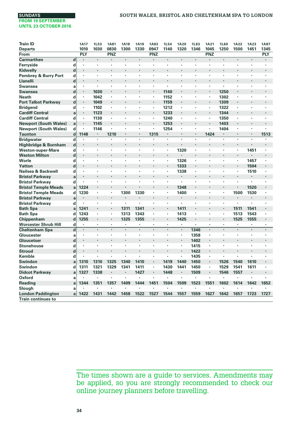**Reading a**

**Slough a London Paddington a Train continues to**

| <b>Train ID</b>              |                         | <b>1A17</b>          | 1L53                 | <b>1A81</b> | <b>1A18</b> | <b>1A19</b>          | <b>1A83</b>          | <b>1L54</b>          | <b>1A20</b> | <b>1L63</b>          | <b>1A21</b> | <b>1L60</b> | <b>1A22</b>    | <b>1A23</b>              | <b>1A87</b>              |
|------------------------------|-------------------------|----------------------|----------------------|-------------|-------------|----------------------|----------------------|----------------------|-------------|----------------------|-------------|-------------|----------------|--------------------------|--------------------------|
| <b>Departs</b>               |                         | 1010                 | 1030                 | 0830        | 1300        | 1330                 | 0947                 | 1140                 | 1320        | 1346                 | 1045        | 1250        | 1500           | 1451                     | 1345                     |
| From                         |                         | <b>PLY</b>           |                      | <b>PNZ</b>  | ٠           | $\ddot{\phantom{0}}$ | PNZ                  |                      |             | $\cdot$              | <b>PNZ</b>  | ٠           | ï              | $\ddot{\phantom{0}}$     | <b>PLY</b>               |
| <b>Carmarthen</b>            | $\mathbf d$             | $\cdot$              | $\cdot$              | ×           | ï           |                      | ×,                   | $\cdot$              | Ĭ.          |                      |             |             |                |                          | $\cdot$                  |
| Ferryside                    | d                       | $\cdot$              |                      |             |             |                      |                      |                      |             | $\cdot$              | ٠           |             |                |                          | ٠                        |
| Kidwelly                     | d                       |                      |                      |             |             |                      |                      |                      |             |                      |             |             |                |                          |                          |
| Pembrey & Burry Port         | d                       | $\cdot$              |                      | ٠           | ٠           | ٠                    | ٠                    | $\cdot$              |             | $\cdot$              | ٠           | ٠           | ٠              |                          |                          |
| Llanelli                     | d                       | $\cdot$              | ٠                    |             | ł.          |                      | ٠                    |                      |             |                      | ł.          |             | ٠              |                          | ٠                        |
| <b>Swansea</b>               | a                       | $\cdot$              | $\cdot$              |             | ×           |                      | ٠                    | $\ddot{\phantom{0}}$ |             |                      | ٠           | ä,          | ٠              |                          |                          |
| <b>Swansea</b>               | d                       | $\cdot$              | 1030                 | ٠           | l,          |                      | ٠                    | 1140                 | $\cdot$     |                      | ٠           | 1250        | ï              |                          | ٠                        |
| <b>Neath</b>                 | d                       | ٠                    | 1042                 | ٠           | ×           | ٠                    | ٠                    | 1152                 | ٠           | $\cdot$              | ٠           | 1302        | ٠              |                          | ٠                        |
| <b>Port Talbot Parkway</b>   | $\mathbf d$             | $\cdot$              | 1049                 | ٠           | ł.          | $\ddot{\phantom{0}}$ | $\ddot{\phantom{0}}$ | 1159                 |             | $\cdot$              | ٠           | 1309        | ٠              | $\ddot{\phantom{0}}$     |                          |
| <b>Bridgend</b>              | d                       |                      | 1102                 | ٠           | ×           |                      | ٠                    | 1212                 | ٠           | ٠                    | ٠           | 1322        | ٠              |                          |                          |
| <b>Cardiff Central</b>       | a                       | ۰                    | 1123                 | ٠           | ÷,          |                      | ٠                    | 1233                 |             |                      | ٠           | 1344        | ×              |                          |                          |
| <b>Cardiff Central</b>       | d                       | ٠                    | 1130                 | ٠           | ٠           | ٠                    | ٠                    | 1240                 |             | $\cdot$              | ×,          | 1350        | ٠              | ٠                        | ٠                        |
| <b>Newport (South Wales)</b> | a                       | $\cdot$              | 1145                 | ٠           | ٠           |                      | ٠                    | 1253                 |             | $\cdot$              | ٠           | 1403        | ٠              |                          |                          |
| <b>Newport (South Wales)</b> | d                       |                      | 1146                 |             |             |                      | ٠                    | 1254                 | $\cdot$     |                      | ٠           | 1404        | ٠              |                          |                          |
| Taunton                      | $\mathbf d$             | 1148                 |                      | 1210        |             |                      | 1315                 | $\cdot$              |             |                      | 1424        | ٠           |                |                          | 1513                     |
| <b>Bridgwater</b>            | $\overline{\mathsf{d}}$ |                      |                      |             | ï           | ÷,                   | ×                    | $\cdot$              |             |                      | ï           | ×,          | ï              |                          |                          |
| Highbridge & Burnham         | $\mathbf d$             | $\cdot$              |                      |             | ł.          |                      |                      |                      |             | $\ddot{\phantom{0}}$ |             |             | ٠              | $\cdot$                  |                          |
| <b>Weston-super-Mare</b>     | d                       | $\cdot$              | $\cdot$              | ٠           | ٠           | ٠                    | ٠                    | ٠                    | 1320        |                      | ٠           | ٠           | ٠              | 1451                     | ٠                        |
| <b>Weston Milton</b>         | d                       | $\cdot$              |                      |             | ٠           |                      |                      |                      |             |                      |             | ٠           | ٠              |                          |                          |
| Worle                        | d                       | $\ddot{\phantom{0}}$ | $\ddot{\phantom{0}}$ | ٠           | ×           | $\ddot{\phantom{0}}$ | $\ddot{\phantom{0}}$ | $\ddot{\phantom{0}}$ | 1326        | $\ddot{\phantom{0}}$ | ×           | ٠           | ٠              | 1457                     | ٠                        |
| Yatton                       | $\mathbf d$             | $\cdot$              |                      |             | ï           |                      |                      |                      | 1333        | $\cdot$              | ٠           | ٠           | $\blacksquare$ | 1504                     |                          |
| Nailsea & Backwell           | d                       | $\cdot$              | ٠                    | ٠           | ×           | ٠                    | ٠                    | ٠                    | 1338        | $\cdot$              | ٠           | ٠           | ٠              | 1510                     | ٠                        |
| <b>Bristol Parkway</b>       | a                       | $\cdot$              |                      |             | l,          |                      |                      |                      | $\cdot$     | $\cdot$              | ł.          |             | ï              | $\cdot$                  |                          |
| <b>Bristol Parkway</b>       | d                       | $\cdot$              |                      | ×           | ×           |                      | ٠                    | $\cdot$              |             | $\cdot$              | ٠           | ٠           | ٠              |                          |                          |
| <b>Bristol Temple Meads</b>  | a                       | 1224                 |                      |             |             |                      |                      |                      | 1348        |                      |             |             | ٠              | 1520                     |                          |
| <b>Bristol Temple Meads</b>  | d                       | 1230                 |                      | ٠           | 1300        | 1330                 | ï                    | ٠                    | 1400        | $\blacksquare$       | ×           | ٠           | 1500           | 1530                     | ٠                        |
| <b>Bristol Parkway</b>       | a                       | $\cdot$              |                      | ٠           | ł.          | $\ddot{\phantom{0}}$ | ٠                    | $\cdot$              | $\cdot$     | $\cdot$              | ٠           | ٠           |                | $\cdot$                  | ٠                        |
| <b>Bristol Parkway</b>       | d                       |                      |                      | ٠           | ٠           | ٠                    | ٠                    | $\cdot$              | $\cdot$     | ٠                    | ٠           | ٠           | ٠              | ٠                        |                          |
| <b>Bath Spa</b>              | a                       | 1241                 |                      | ٠           | 1311        | 1341                 | ٠                    | $\cdot$              | 1411        | $\cdot$              | ٠           | ٠           | 1511           | 1541                     |                          |
| <b>Bath Spa</b>              | d                       | 1243                 | $\cdot$              | ٠           | 1313        | 1343                 | ٠                    | ٠                    | 1413        | $\blacksquare$       | ٠           | ٠           | 1513           | 1543                     | ٠                        |
| Chippenham                   | $\mathbf d$             | 1255                 | $\ddot{\phantom{0}}$ | ×,          | 1325        | 1355                 | ٠                    |                      | 1425        | $\cdot$              | ٠           | ٠           | 1525           | 1555                     |                          |
| <b>Worcester Shrub Hill</b>  | d                       | $\cdot$              | $\cdot$              | ٠           | ٠           | ٠                    | ٠                    | ٠                    | ٠           | $\cdot$              | ٠           | ٠           | ٠              | ٠                        | ٠                        |
| <b>Cheltenham Spa</b>        | $\overline{\mathsf{d}}$ | $\cdot$              |                      |             |             |                      |                      | $\cdot$              |             | 1346                 |             |             | ï              |                          |                          |
| Gloucester                   | a                       | ٠                    | $\cdot$              | ٠           | ×           | ٠                    | ٠                    | $\cdot$              | ٠           | 1358                 | ٠           | ٠           | ٠              | ٠                        | ٠                        |
| Gloucetser                   | $\mathbf d$             | $\cdot$              |                      |             | ł.          |                      |                      |                      |             | 1402                 | ٠           | ×,          | ٠              | $\ddot{\phantom{0}}$     |                          |
| <b>Stonehouse</b>            | d                       | $\cdot$              | ł.                   |             | ×           |                      | ٠                    |                      |             | 1415                 | ×           | ×           | ٠              |                          |                          |
| <b>Stroud</b>                | d                       | $\cdot$              |                      |             | ł.          |                      | ×                    |                      |             | 1422                 | ٠           | ٠           | ×              |                          |                          |
| <b>Kemble</b>                | d                       | $\cdot$              | ï                    |             | ï           |                      | ٠                    | ٠                    |             | 1435                 | ٠           |             | ï              |                          | ٠                        |
| Swindon                      | a                       | 1310                 | 1310                 | 1325        | 1340        | 1410                 | ٠                    | 1419                 | 1440        | 1450                 | ٠           | 1526        | 1540           | 1610                     |                          |
| Swindon                      | d                       | 1311                 | 1321                 | 1329        | 1341        | 1411                 | ٠                    | 1430                 | 1441        | 1450                 | ٠           | 1529        | 1541           | 1611                     | ٠                        |
| <b>Didcot Parkway</b>        | a                       | 1327                 | 1338                 |             | ł.          | 1427                 | ٠                    | 1448                 | $\cdot$     | 1509                 | ٠           | 1546        | 1557           |                          |                          |
| Oxford                       | a                       |                      | ٠                    |             | ä,          |                      | ÷,                   |                      |             |                      | ä,          |             | ×,             | $\overline{\phantom{a}}$ | $\overline{\phantom{a}}$ |
|                              |                         |                      |                      |             |             |                      |                      |                      |             |                      |             |             |                |                          |                          |

The times shown are a guide to services. Amendments may be applied, so you are strongly recommended to check our online journey planners before travelling.

**1344 1351 1357 1409 1444 1451 1504 1509 1523 1551 1602 1614 1642 1652**

•

•

•

•

•

•

• • • • • •

•

**1422 1431 1442 1458 1522 1527 1544 1557 1559 1627 1642 1657 1723 1727**

•

•

•

•

•

•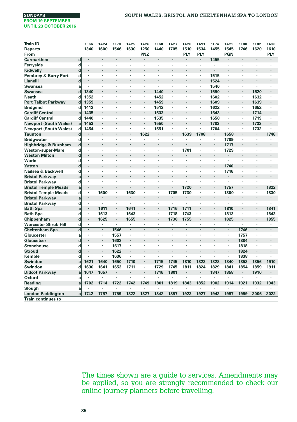| <b>Train ID</b>                 |                         | <b>1L66</b>          | <b>1A24</b> | 1L70                 | <b>1A25</b> | <b>1A26</b> | <b>1L68</b> | <b>1A27</b>    | <b>1A28</b> | <b>1A91</b>              | <b>1L74</b>    | <b>1A29</b>          | <b>1L88</b> | <b>1L82</b> | <b>1A30</b>    |
|---------------------------------|-------------------------|----------------------|-------------|----------------------|-------------|-------------|-------------|----------------|-------------|--------------------------|----------------|----------------------|-------------|-------------|----------------|
| <b>Departs</b>                  |                         | 1340                 | 1600        | 1546                 | 1630        | 1250        | 1440        | 1705           | 1510        | 1534                     | 1455           | 1545                 | 1746        | 1620        | 1610           |
| From                            |                         |                      |             |                      |             | PNZ         |             |                | PLY         | PLY                      |                | <b>PGN</b>           |             |             | PLY            |
| <b>Carmarthen</b>               | d                       |                      |             |                      | $\cdot$     | ٠           | ٠           | ÷.             | ٠           | $\cdot$                  | 1455           |                      |             |             | ٠              |
| Ferryside                       | d                       | ٠                    | ٠           |                      |             |             |             |                | ٠           | ٠                        |                |                      |             |             |                |
| Kidwelly                        | d                       |                      |             |                      | l,          |             |             |                |             |                          |                |                      |             |             |                |
| <b>Pembrey &amp; Burry Port</b> | d                       | ٠                    | ٠           | $\cdot$              | $\cdot$     | ٠           | ٠           | ٠              | ٠           | ٠                        | 1515           |                      | ٠           | ٠           | ٠              |
| Llanelli                        | d                       |                      |             |                      | l,          |             |             |                | ÷,          | $\overline{\phantom{a}}$ | 1524           | $\cdot$              | ÷,          |             | ×,             |
| Swansea                         | a                       |                      | ٠           | $\cdot$              |             | ٠           | ٠           | ٠              | ٠           | ٠                        | 1540           |                      | ٠           | ٠           | ٠              |
| Swansea                         | d                       | 1340                 |             |                      |             |             | 1440        |                | ٠           | $\ddot{\phantom{0}}$     | 1550           | $\cdot$              |             | 1620        |                |
| <b>Neath</b>                    | d                       | 1352                 | ٠           | $\cdot$              |             | ٠           | 1452        | ×,             | ٠           | ×,                       | 1602           |                      | ٠           | 1632        | ٠              |
| <b>Port Talbot Parkway</b>      | d                       | 1359                 |             |                      |             | ٠           | 1459        |                |             | $\blacksquare$           | 1609           |                      |             | 1639        |                |
| <b>Bridgend</b>                 | d                       | 1412                 | ×           | $\cdot$              |             | ×           | 1512        | ×,             | ٠           | ×,                       | 1622           |                      | ×,          | 1652        | ٠              |
| <b>Cardiff Central</b>          | a                       | 1435                 | ٠           |                      |             | ٠           | 1533        | ٠              |             | ٠                        | 1643           | ٠                    | ۰           | 1714        | ٠              |
| <b>Cardiff Central</b>          | d                       | 1440                 | ï           |                      |             | ٠           | 1535        | ×              | ï           | ×                        | 1650           |                      | ٠           | 1719        | ٠              |
| <b>Newport (South Wales)</b>    | a                       | 1453                 | ٠           |                      | ٠           | ٠           | 1550        | ٠              |             | $\ddot{\phantom{0}}$     | 1703           | $\cdot$              | ٠           | 1732        | ٠              |
| <b>Newport (South Wales)</b>    | d                       | 1454                 | ٠           |                      |             | ٠           | 1551        | ٠              | ï           | ×,                       | 1704           | $\cdot$              | ٠           | 1732        |                |
| <b>Taunton</b>                  | $\mathbf d$             | $\cdot$              | ٠           | $\cdot$              |             | 1622        | ٠           | $\blacksquare$ | 1639        | 1708                     | $\cdot$        | 1658                 | ٠           | ٠           | 1746           |
| <b>Bridgwater</b>               | $\mathbf d$             |                      |             |                      |             |             |             |                |             |                          |                | 1709                 | ×           |             |                |
| Highbridge & Burnham            | $\mathbf d$             | $\ddot{\phantom{0}}$ |             |                      |             |             |             |                |             |                          | $\cdot$        | 1717                 | ٠           |             |                |
| <b>Weston-super-Mare</b>        | d                       | ×                    | ٠           |                      |             |             |             |                | 1701        | ٠                        |                | 1729                 | ٠           | ٠           | ٠              |
| <b>Weston Milton</b>            | $\mathbf d$             |                      | ×.          | $\ddot{\phantom{0}}$ |             |             | ×,          | ÷.             | ٠           | $\ddot{\phantom{0}}$     | $\cdot$        | $\ddot{\phantom{a}}$ | ٠           |             | ٠              |
| Worle                           | d                       | ٠                    | ٠           | ٠                    |             | ٠           | ×           | ٠              | ٠           | ٠                        | $\cdot$        |                      | ٠           | ٠           | ٠              |
| Yatton                          | d                       | ï                    | ÷,          | $\ddot{\phantom{0}}$ |             |             | i.          | ٠              | ٠           |                          | $\cdot$        | 1740                 | ï           |             | ٠              |
| Nailsea & Backwell              | d                       | ٠                    | ٠           | $\cdot$              | $\cdot$     | ٠           | ٠           | ٠              | ٠           | ٠                        | ٠              | 1746                 | ٠           | ٠           | ٠              |
| <b>Bristol Parkway</b>          | a                       | ×                    |             |                      |             |             |             |                | ٠           |                          |                |                      |             |             |                |
| <b>Bristol Parkway</b>          | d                       | $\cdot$              | ٠           | $\cdot$              |             |             | ٠           | ×.             | ×.          | ×,                       |                |                      | ×           | ٠           | ٠              |
| <b>Bristol Temple Meads</b>     | a                       | ×                    |             |                      |             |             |             |                | 1720        |                          | $\cdot$        | 1757                 | ×           | ٠           | 1822           |
| <b>Bristol Temple Meads</b>     | d                       | ×                    | 1600        |                      | 1630        | ٠           | ٠           | 1705           | 1730        | ×,                       |                | 1800                 | ٠           | ٠           | 1830           |
| <b>Bristol Parkway</b>          | a                       | $\blacksquare$       | $\cdot$     | $\cdot$              |             |             |             | ٠              |             | $\ddot{\phantom{0}}$     | $\cdot$        |                      | ٠           | ٠           | ٠              |
| <b>Bristol Parkway</b>          | d                       | ×                    | ٠           | $\cdot$              | $\cdot$     | ٠           | ï           | ä,             | ï           | ×                        |                | ٠                    | ٠           | ×           | ×,             |
| <b>Bath Spa</b>                 | a                       | ٠                    | 1611        |                      | 1641        |             |             | 1716           | 1741        | $\ddot{\phantom{0}}$     | $\cdot$        | 1810                 | ł.          |             | 1841           |
| <b>Bath Spa</b>                 | d                       | $\cdot$              | 1613        | $\blacksquare$       | 1643        | ٠           | ×           | 1718           | 1743        | ×,                       | ٠              | 1813                 | ٠           | ٠           | 1843           |
| Chippenham                      | $\mathbf d$             | $\blacksquare$       | 1625        |                      | 1655        |             | l,          | 1730           | 1755        | $\ddot{\phantom{0}}$     | $\cdot$        | 1825                 |             | ٠           | 1855           |
| <b>Worcester Shrub Hill</b>     | d                       | $\blacksquare$       | ×.          |                      |             | ٠           | ٠           | ٠              | ٠           | ×,                       | $\blacksquare$ |                      | ×,          | ×,          | ٠              |
| <b>Cheltenham Spa</b>           | $\overline{\mathsf{d}}$ | $\cdot$              | ï           | 1546                 | $\cdot$     | l.          | ٠           | ä,             |             |                          | $\cdot$        | $\cdot$              | 1746        | $\cdot$     | ï              |
| Gloucester                      | a                       | $\ddot{\phantom{0}}$ | $\cdot$     | 1557                 |             | ٠           | ٠           | ٠              | ï           | $\overline{\phantom{a}}$ | $\cdot$        | ٠                    | 1757        | ٠           | ٠              |
| Gloucetser                      | d                       | $\ddot{\phantom{0}}$ | ٠           | 1602                 |             |             |             |                |             |                          |                | $\cdot$              | 1804        |             | ×,             |
| <b>Stonehouse</b>               | d                       | ٠                    | ٠           | 1617                 | $\cdot$     | ٠           | ٠           | ٠              | ٠           | ٠                        | $\cdot$        | ٠                    | 1818        | ٠           | ٠              |
| <b>Stroud</b>                   | d                       |                      | ×           | 1622                 |             |             |             |                | ٠           |                          |                | $\cdot$              | 1824        |             |                |
| Kemble                          | d                       |                      | ٠           | 1636                 |             | ٠           |             | ٠              | ٠           | ٠                        | $\cdot$        |                      | 1838        | ٠           |                |
| Swindon                         | a                       | 1621                 | 1640        | 1650                 | 1710        |             | 1715        | 1745           | 1810        | 1823                     | 1828           | 1840                 | 1853        | 1856        | 1910           |
| Swindon                         | d                       | 1630                 | 1641        | 1652                 | 1711        | ٠           | 1729        | 1745           | 1811        | 1824                     | 1829           | 1841                 | 1854        | 1859        | 1911           |
| <b>Didcot Parkway</b>           | a                       | 1647                 | 1657        | $\cdot$              | $\cdot$     | ٠           | 1746        | 1801           | ۰           | ٠                        | 1847           | 1858                 | ٠           | 1916        | $\blacksquare$ |
| Oxford                          | a                       |                      |             |                      | $\cdot$     |             | ł,          |                | ٠           | ÷,                       | ٠              |                      | ï           | ٠           | ä,             |
| <b>Reading</b>                  | a                       | 1702                 | 1714        | 1722                 | 1742        | 1749        | 1801        | 1819           | 1843        | 1852                     | 1902           | 1914                 | 1921        | 1932        | 1943           |
| Slough                          | a                       |                      |             |                      |             |             | ٠           |                | ł.          |                          |                |                      |             |             |                |
| <b>London Paddington</b>        | a                       | 1742                 | 1757        | 1759                 | 1822        | 1827        | 1842        | 1857           | 1923        | 1927                     | 1942           | 1957                 | 1959        | 2006        | 2022           |
| <b>Train continues to</b>       |                         |                      |             |                      |             |             |             |                |             |                          |                |                      |             |             |                |